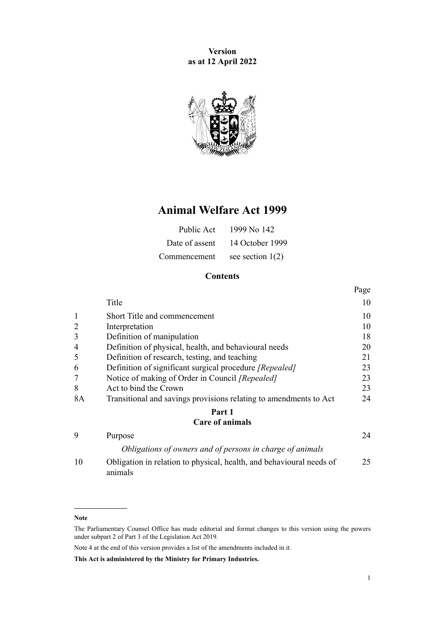**Version as at 12 April 2022**



# **Animal Welfare Act 1999**

| Public Act   | 1999 No 142                    |
|--------------|--------------------------------|
|              | Date of assent 14 October 1999 |
| Commencement | see section $1(2)$             |

# **Contents**

|                |                                                                                 | Page |
|----------------|---------------------------------------------------------------------------------|------|
|                | Title                                                                           | 10   |
| 1              | Short Title and commencement                                                    | 10   |
| $\overline{2}$ | Interpretation                                                                  | 10   |
| 3              | Definition of manipulation                                                      | 18   |
| 4              | Definition of physical, health, and behavioural needs                           | 20   |
| 5              | Definition of research, testing, and teaching                                   | 21   |
| 6              | Definition of significant surgical procedure [Repealed]                         | 23   |
|                | Notice of making of Order in Council [Repealed]                                 | 23   |
| 8              | Act to bind the Crown                                                           | 23   |
| 8A             | Transitional and savings provisions relating to amendments to Act               | 24   |
|                | Part 1                                                                          |      |
|                | <b>Care of animals</b>                                                          |      |
| 9              | Purpose                                                                         | 24   |
|                | Obligations of owners and of persons in charge of animals                       |      |
| 10             | Obligation in relation to physical, health, and behavioural needs of<br>animals | 25   |

#### **Note**

**This Act is administered by the Ministry for Primary Industries.**

The Parliamentary Counsel Office has made editorial and format changes to this version using the powers under [subpart 2](http://legislation.govt.nz/pdflink.aspx?id=DLM7298371) of Part 3 of the Legislation Act 2019.

Note 4 at the end of this version provides a list of the amendments included in it.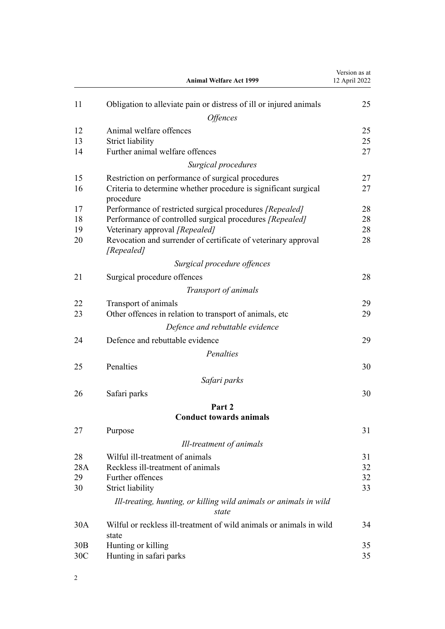|                 | <b>Animal Welfare Act 1999</b>                                               | Version as at<br>12 April 2022 |
|-----------------|------------------------------------------------------------------------------|--------------------------------|
| 11              | Obligation to alleviate pain or distress of ill or injured animals           | 25                             |
|                 | <i><b>Offences</b></i>                                                       |                                |
| 12              | Animal welfare offences                                                      | 25                             |
| 13              | <b>Strict liability</b>                                                      | 25                             |
| 14              | Further animal welfare offences                                              | 27                             |
|                 | Surgical procedures                                                          |                                |
| 15              | Restriction on performance of surgical procedures                            | 27                             |
| 16              | Criteria to determine whether procedure is significant surgical<br>procedure | 27                             |
| 17              | Performance of restricted surgical procedures [Repealed]                     | 28                             |
| 18              | Performance of controlled surgical procedures [Repealed]                     | 28                             |
| 19              | Veterinary approval [Repealed]                                               | 28                             |
| 20              | Revocation and surrender of certificate of veterinary approval<br>[Repealed] | 28                             |
|                 | Surgical procedure offences                                                  |                                |
| 21              | Surgical procedure offences                                                  | 28                             |
|                 | Transport of animals                                                         |                                |
| 22              | Transport of animals                                                         | 29                             |
| 23              | Other offences in relation to transport of animals, etc                      | 29                             |
|                 | Defence and rebuttable evidence                                              |                                |
| 24              | Defence and rebuttable evidence                                              | 29                             |
|                 | Penalties                                                                    |                                |
| 25              | Penalties                                                                    | 30                             |
|                 | Safari parks                                                                 |                                |
| 26              | Safari parks                                                                 | 30                             |
|                 | Part 2                                                                       |                                |
|                 | <b>Conduct towards animals</b>                                               |                                |
| 27              | Purpose                                                                      | 31                             |
|                 | Ill-treatment of animals                                                     |                                |
| 28              | Wilful ill-treatment of animals                                              | 31                             |
| 28A             | Reckless ill-treatment of animals                                            | 32                             |
| 29              | Further offences                                                             | 32                             |
| 30              | <b>Strict liability</b>                                                      | 33                             |
|                 | Ill-treating, hunting, or killing wild animals or animals in wild<br>state   |                                |
| 30A             | Wilful or reckless ill-treatment of wild animals or animals in wild<br>state | 34                             |
| 30B             | Hunting or killing                                                           | 35                             |
| 30 <sub>C</sub> | Hunting in safari parks                                                      | 35                             |
|                 |                                                                              |                                |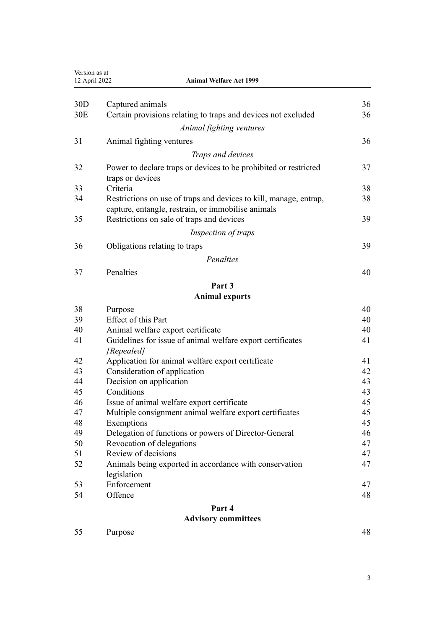| Version as at<br>12 April 2022 | <b>Animal Welfare Act 1999</b>                                                       |    |
|--------------------------------|--------------------------------------------------------------------------------------|----|
| 30D                            | Captured animals                                                                     | 36 |
| 30E                            | Certain provisions relating to traps and devices not excluded                        | 36 |
|                                |                                                                                      |    |
|                                | Animal fighting ventures                                                             |    |
| 31                             | Animal fighting ventures                                                             | 36 |
|                                | Traps and devices                                                                    |    |
| 32                             | Power to declare traps or devices to be prohibited or restricted<br>traps or devices | 37 |
| 33                             | Criteria                                                                             | 38 |
| 34                             | Restrictions on use of traps and devices to kill, manage, entrap,                    | 38 |
|                                | capture, entangle, restrain, or immobilise animals                                   |    |
| 35                             | Restrictions on sale of traps and devices                                            | 39 |
|                                | Inspection of traps                                                                  |    |
| 36                             | Obligations relating to traps                                                        | 39 |
|                                | Penalties                                                                            |    |
| 37                             | Penalties                                                                            | 40 |
|                                | Part 3                                                                               |    |
|                                | <b>Animal exports</b>                                                                |    |
| 38                             | Purpose                                                                              | 40 |
| 39                             | Effect of this Part                                                                  | 40 |
| 40                             | Animal welfare export certificate                                                    | 40 |
| 41                             | Guidelines for issue of animal welfare export certificates                           | 41 |
|                                | [Repealed]                                                                           |    |
| 42                             | Application for animal welfare export certificate                                    | 41 |
| 43                             | Consideration of application                                                         | 42 |
| 44                             | Decision on application                                                              | 43 |
| 45                             | Conditions                                                                           | 43 |
| 46                             | Issue of animal welfare export certificate                                           | 45 |
| 47                             | Multiple consignment animal welfare export certificates                              | 45 |
| 48                             | Exemptions                                                                           | 45 |
| 49                             | Delegation of functions or powers of Director-General                                | 46 |
| 50                             | Revocation of delegations                                                            | 47 |
| 51                             | Review of decisions                                                                  | 47 |
| 52                             | Animals being exported in accordance with conservation<br>legislation                | 47 |
| 53                             | Enforcement                                                                          | 47 |
| 54                             | Offence                                                                              | 48 |
|                                | Part 4                                                                               |    |
|                                | <b>Advisory committees</b>                                                           |    |

[Purpose](#page-47-0) [48](#page-47-0)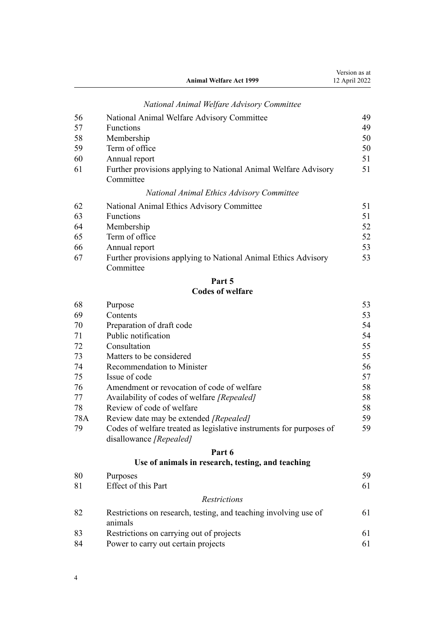|                                | Version as at |
|--------------------------------|---------------|
| <b>Animal Welfare Act 1999</b> | 12 April 2022 |

|  | National Animal Welfare Advisory Committee |  |
|--|--------------------------------------------|--|
|--|--------------------------------------------|--|

| 56 | National Animal Welfare Advisory Committee                      | 49 |
|----|-----------------------------------------------------------------|----|
| 57 | <b>Functions</b>                                                | 49 |
| 58 | Membership                                                      | 50 |
| 59 | Term of office                                                  | 50 |
| 60 | Annual report                                                   | 51 |
| 61 | Further provisions applying to National Animal Welfare Advisory | 51 |
|    | Committee                                                       |    |
|    | National Animal Ethics Advisory Committee                       |    |
| 62 | National Animal Ethics Advisory Committee                       | 51 |
| 63 | Functions                                                       | 51 |
| 64 | Membership                                                      | 52 |
| 65 | Term of office                                                  | 52 |
| 66 | Annual report                                                   | 53 |
| 67 | Further provisions applying to National Animal Ethics Advisory  | 53 |

**[Committee](#page-52-0)** 

# **[Part 5](#page-52-0)**

# **[Codes of welfare](#page-52-0)**

| 68  | Purpose                                                                                        | 53 |
|-----|------------------------------------------------------------------------------------------------|----|
| 69  | Contents                                                                                       | 53 |
| 70  | Preparation of draft code                                                                      | 54 |
| 71  | Public notification                                                                            | 54 |
| 72  | Consultation                                                                                   | 55 |
| 73  | Matters to be considered                                                                       | 55 |
| 74  | Recommendation to Minister                                                                     | 56 |
| 75  | Issue of code                                                                                  | 57 |
| 76  | Amendment or revocation of code of welfare                                                     | 58 |
| 77  | Availability of codes of welfare [Repealed]                                                    | 58 |
| 78  | Review of code of welfare                                                                      | 58 |
| 78A | Review date may be extended <i>[Repealed]</i>                                                  | 59 |
| 79  | Codes of welfare treated as legislative instruments for purposes of<br>disallowance [Repealed] | 59 |

# **[Part 6](#page-58-0)**

# **[Use of animals in research, testing, and teaching](#page-58-0)**

| 80 | Purposes                                                                    | 59 |
|----|-----------------------------------------------------------------------------|----|
| 81 | Effect of this Part                                                         | 61 |
|    | <i>Restrictions</i>                                                         |    |
| 82 | Restrictions on research, testing, and teaching involving use of<br>animals | 61 |
| 83 | Restrictions on carrying out of projects                                    | 61 |
| 84 | Power to carry out certain projects                                         | 61 |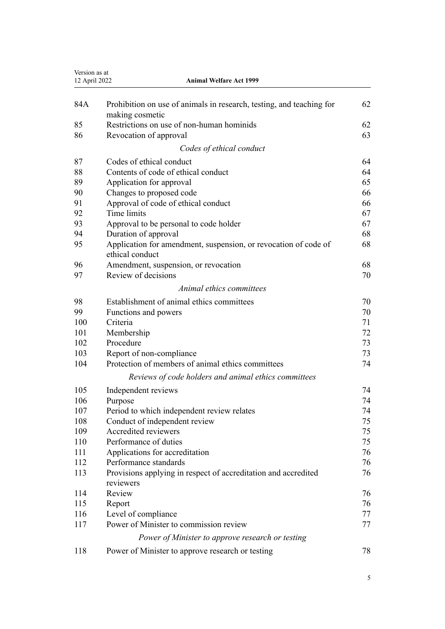| Version as at<br>12 April 2022 | <b>Animal Welfare Act 1999</b>                                                          |    |
|--------------------------------|-----------------------------------------------------------------------------------------|----|
| 84A                            | Prohibition on use of animals in research, testing, and teaching for<br>making cosmetic | 62 |
| 85                             | Restrictions on use of non-human hominids                                               | 62 |
| 86                             | Revocation of approval                                                                  | 63 |
|                                | Codes of ethical conduct                                                                |    |
| 87                             | Codes of ethical conduct                                                                | 64 |
| 88                             | Contents of code of ethical conduct                                                     | 64 |
| 89                             | Application for approval                                                                | 65 |
| 90                             | Changes to proposed code                                                                | 66 |
| 91                             | Approval of code of ethical conduct                                                     | 66 |
| 92                             | Time limits                                                                             | 67 |
| 93                             | Approval to be personal to code holder                                                  | 67 |
| 94                             | Duration of approval                                                                    | 68 |
| 95                             | Application for amendment, suspension, or revocation of code of<br>ethical conduct      | 68 |
| 96                             | Amendment, suspension, or revocation                                                    | 68 |
| 97                             | Review of decisions                                                                     | 70 |
|                                | Animal ethics committees                                                                |    |
| 98                             | Establishment of animal ethics committees                                               | 70 |
| 99                             | Functions and powers                                                                    | 70 |
| 100                            | Criteria                                                                                | 71 |
| 101                            | Membership                                                                              | 72 |
| 102                            | Procedure                                                                               | 73 |
| 103                            | Report of non-compliance                                                                | 73 |
| 104                            | Protection of members of animal ethics committees                                       | 74 |
|                                | Reviews of code holders and animal ethics committees                                    |    |
| 105                            | Independent reviews                                                                     | 74 |
| 106                            | Purpose                                                                                 | 74 |
| 107                            | Period to which independent review relates                                              | 74 |
| 108                            | Conduct of independent review                                                           | 75 |
| 109                            | Accredited reviewers                                                                    | 75 |
| 110                            | Performance of duties                                                                   | 75 |
| 111                            | Applications for accreditation                                                          | 76 |
| 112                            | Performance standards                                                                   | 76 |
| 113                            | Provisions applying in respect of accreditation and accredited                          | 76 |
| 114                            | reviewers<br>Review                                                                     | 76 |
| 115                            | Report                                                                                  | 76 |
| 116                            | Level of compliance                                                                     | 77 |
| 117                            | Power of Minister to commission review                                                  | 77 |
|                                | Power of Minister to approve research or testing                                        |    |
| 118                            | Power of Minister to approve research or testing                                        | 78 |
|                                |                                                                                         |    |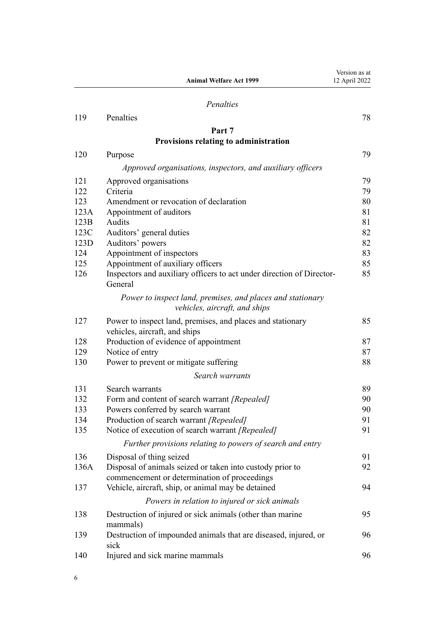|      | <b>Animal Welfare Act 1999</b>                                                              | 12 April 2022 |
|------|---------------------------------------------------------------------------------------------|---------------|
|      | Penalties                                                                                   |               |
| 119  | Penalties                                                                                   | 78            |
|      | Part 7                                                                                      |               |
|      | Provisions relating to administration                                                       |               |
| 120  | Purpose                                                                                     | 79            |
|      | Approved organisations, inspectors, and auxiliary officers                                  |               |
| 121  | Approved organisations                                                                      | 79            |
| 122  | Criteria                                                                                    | 79            |
| 123  | Amendment or revocation of declaration                                                      | 80            |
| 123A | Appointment of auditors                                                                     | 81            |
| 123B | Audits                                                                                      | 81            |
|      |                                                                                             |               |
| 123C | Auditors' general duties                                                                    | 82            |
| 123D | Auditors' powers                                                                            | 82            |
| 124  | Appointment of inspectors                                                                   | 83            |
| 125  | Appointment of auxiliary officers                                                           | 85            |
| 126  | Inspectors and auxiliary officers to act under direction of Director-<br>General            | 85            |
|      | Power to inspect land, premises, and places and stationary                                  |               |
|      | vehicles, aircraft, and ships                                                               |               |
| 127  | Power to inspect land, premises, and places and stationary<br>vehicles, aircraft, and ships | 85            |
| 128  | Production of evidence of appointment                                                       | 87            |
| 129  | Notice of entry                                                                             | 87            |
| 130  | Power to prevent or mitigate suffering                                                      | 88            |
|      | Search warrants                                                                             |               |
| 131  | Search warrants                                                                             | 89            |
| 132  | Form and content of search warrant [Repealed]                                               | 90            |
| 133  | Powers conferred by search warrant                                                          | 90            |
| 134  | Production of search warrant [Repealed]                                                     | 91            |
| 135  | Notice of execution of search warrant [Repealed]                                            | 91            |
|      | Further provisions relating to powers of search and entry                                   |               |
| 136  | Disposal of thing seized                                                                    | 91            |
| 136A | Disposal of animals seized or taken into custody prior to                                   | 92            |
|      | commencement or determination of proceedings                                                |               |
| 137  | Vehicle, aircraft, ship, or animal may be detained                                          | 94            |
|      | Powers in relation to injured or sick animals                                               |               |
|      |                                                                                             |               |
| 138  | Destruction of injured or sick animals (other than marine<br>mammals)                       | 95            |
| 139  | Destruction of impounded animals that are diseased, injured, or<br>sick                     | 96            |
| 140  | Injured and sick marine mammals                                                             | 96            |

Version as at

6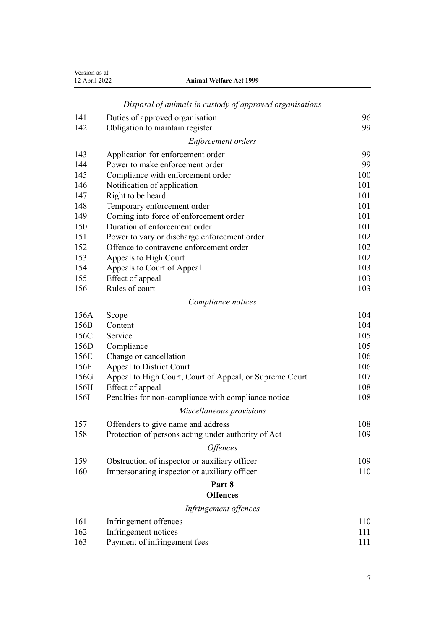| Version as at<br>12 April 2022 | <b>Animal Welfare Act 1999</b>                           |     |
|--------------------------------|----------------------------------------------------------|-----|
|                                |                                                          |     |
|                                | Disposal of animals in custody of approved organisations |     |
| 141                            | Duties of approved organisation                          | 96  |
| 142                            | Obligation to maintain register                          | 99  |
|                                | <b>Enforcement orders</b>                                |     |
| 143                            | Application for enforcement order                        | 99  |
| 144                            | Power to make enforcement order                          | 99  |
| 145                            | Compliance with enforcement order                        | 100 |
| 146                            | Notification of application                              | 101 |
| 147                            | Right to be heard                                        | 101 |
| 148                            | Temporary enforcement order                              | 101 |
| 149                            | Coming into force of enforcement order                   | 101 |
| 150                            | Duration of enforcement order                            | 101 |
| 151                            | Power to vary or discharge enforcement order             | 102 |
| 152                            | Offence to contravene enforcement order                  | 102 |
| 153                            | Appeals to High Court                                    | 102 |
| 154                            | Appeals to Court of Appeal                               | 103 |
| 155                            | Effect of appeal                                         | 103 |
| 156                            | Rules of court                                           | 103 |
|                                | Compliance notices                                       |     |
| 156A                           | Scope                                                    | 104 |
| 156B                           | Content                                                  | 104 |
| 156C                           | Service                                                  | 105 |
| 156D                           | Compliance                                               | 105 |
| 156E                           | Change or cancellation                                   | 106 |
| 156F                           | Appeal to District Court                                 | 106 |
| 156G                           | Appeal to High Court, Court of Appeal, or Supreme Court  | 107 |
| 156H                           | Effect of appeal                                         | 108 |
| 156I                           | Penalties for non-compliance with compliance notice      | 108 |
|                                | Miscellaneous provisions                                 |     |
| 157                            | Offenders to give name and address                       | 108 |
| 158                            | Protection of persons acting under authority of Act      | 109 |
|                                | <i><b>Offences</b></i>                                   |     |
| 159                            | Obstruction of inspector or auxiliary officer            | 109 |
| 160                            | Impersonating inspector or auxiliary officer             | 110 |
|                                | Part 8                                                   |     |
|                                | <b>Offences</b>                                          |     |
|                                | Infringement offences                                    |     |
| 161                            | Infringement offences                                    | 110 |
| 162                            | Infringement notices                                     | 111 |
| 163                            | Payment of infringement fees                             | 111 |

7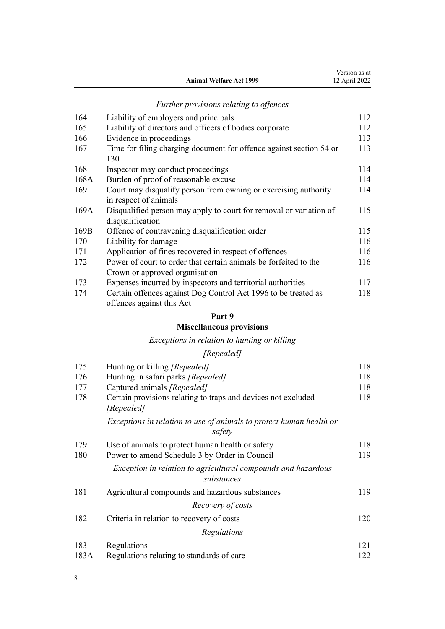|                                | Version as at |
|--------------------------------|---------------|
| <b>Animal Welfare Act 1999</b> | 12 April 2022 |

# *[Further provisions relating to offences](#page-111-0)*

| 164  | Liability of employers and principals                                                       | 112 |
|------|---------------------------------------------------------------------------------------------|-----|
| 165  | Liability of directors and officers of bodies corporate                                     | 112 |
| 166  | Evidence in proceedings                                                                     | 113 |
| 167  | Time for filing charging document for offence against section 54 or                         | 113 |
| 168  | 130<br>Inspector may conduct proceedings                                                    | 114 |
| 168A | Burden of proof of reasonable excuse                                                        | 114 |
| 169  | Court may disqualify person from owning or exercising authority<br>in respect of animals    | 114 |
| 169A | Disqualified person may apply to court for removal or variation of<br>disqualification      | 115 |
| 169B | Offence of contravening disqualification order                                              | 115 |
| 170  | Liability for damage                                                                        | 116 |
| 171  | Application of fines recovered in respect of offences                                       | 116 |
| 172  | Power of court to order that certain animals be forfeited to the                            | 116 |
|      | Crown or approved organisation                                                              |     |
| 173  | Expenses incurred by inspectors and territorial authorities                                 | 117 |
| 174  | Certain offences against Dog Control Act 1996 to be treated as<br>offences against this Act | 118 |

# **[Part 9](#page-117-0)**

# **[Miscellaneous provisions](#page-117-0)**

# *[Exceptions in relation to hunting or killing](#page-117-0)*

# *[Repealed]*

| 175  | Hunting or killing [Repealed]                                                 | 118 |
|------|-------------------------------------------------------------------------------|-----|
| 176  | Hunting in safari parks [Repealed]                                            | 118 |
| 177  | Captured animals [Repealed]                                                   | 118 |
| 178  | Certain provisions relating to traps and devices not excluded<br>[Repealed]   | 118 |
|      | Exceptions in relation to use of animals to protect human health or<br>safety |     |
| 179  | Use of animals to protect human health or safety                              | 118 |
| 180  | Power to amend Schedule 3 by Order in Council                                 | 119 |
|      | Exception in relation to agricultural compounds and hazardous<br>substances   |     |
| 181  | Agricultural compounds and hazardous substances                               | 119 |
|      | Recovery of costs                                                             |     |
| 182  | Criteria in relation to recovery of costs                                     | 120 |
|      | Regulations                                                                   |     |
| 183  | Regulations                                                                   | 121 |
| 183A | Regulations relating to standards of care                                     | 122 |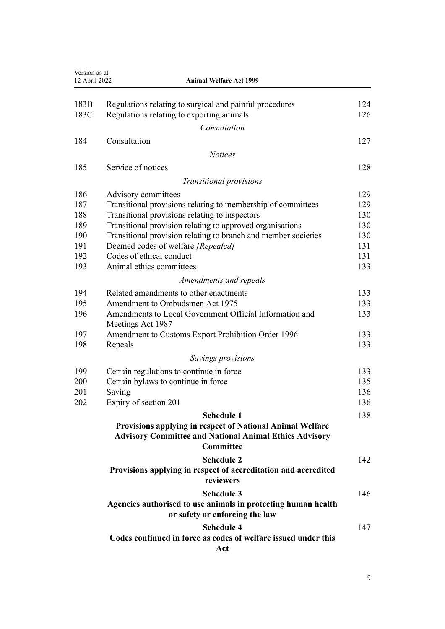| 12 April 2022 | <b>Animal Welfare Act 1999</b>                                                                                                          |            |
|---------------|-----------------------------------------------------------------------------------------------------------------------------------------|------------|
| 183B          | Regulations relating to surgical and painful procedures                                                                                 | 124<br>126 |
| 183C          | Regulations relating to exporting animals                                                                                               |            |
|               | Consultation                                                                                                                            |            |
| 184           | Consultation                                                                                                                            |            |
|               | <b>Notices</b>                                                                                                                          |            |
| 185           | Service of notices                                                                                                                      |            |
|               | Transitional provisions                                                                                                                 |            |
| 186           | Advisory committees                                                                                                                     |            |
| 187           | Transitional provisions relating to membership of committees                                                                            |            |
| 188           | Transitional provisions relating to inspectors                                                                                          |            |
| 189           | Transitional provision relating to approved organisations                                                                               |            |
| 190           | Transitional provision relating to branch and member societies                                                                          |            |
| 191           | Deemed codes of welfare [Repealed]                                                                                                      |            |
| 192           | Codes of ethical conduct                                                                                                                |            |
| 193           | Animal ethics committees                                                                                                                |            |
|               | Amendments and repeals                                                                                                                  |            |
| 194           | Related amendments to other enactments                                                                                                  |            |
| 195           | Amendment to Ombudsmen Act 1975                                                                                                         |            |
| 196           | Amendments to Local Government Official Information and<br>Meetings Act 1987                                                            |            |
| 197           | Amendment to Customs Export Prohibition Order 1996                                                                                      |            |
| 198           | Repeals                                                                                                                                 |            |
|               | Savings provisions                                                                                                                      |            |
| 199           | Certain regulations to continue in force                                                                                                |            |
| 200           | Certain bylaws to continue in force                                                                                                     |            |
| 201           | Saving                                                                                                                                  |            |
| 202           | Expiry of section 201                                                                                                                   |            |
|               | <b>Schedule 1</b>                                                                                                                       |            |
|               | Provisions applying in respect of National Animal Welfare<br><b>Advisory Committee and National Animal Ethics Advisory</b><br>Committee |            |
|               | <b>Schedule 2</b>                                                                                                                       |            |
|               | Provisions applying in respect of accreditation and accredited<br>reviewers                                                             |            |
|               | <b>Schedule 3</b><br>Agencies authorised to use animals in protecting human health<br>or safety or enforcing the law                    |            |
|               | <b>Schedule 4</b><br>Codes continued in force as codes of welfare issued under this<br>Act                                              |            |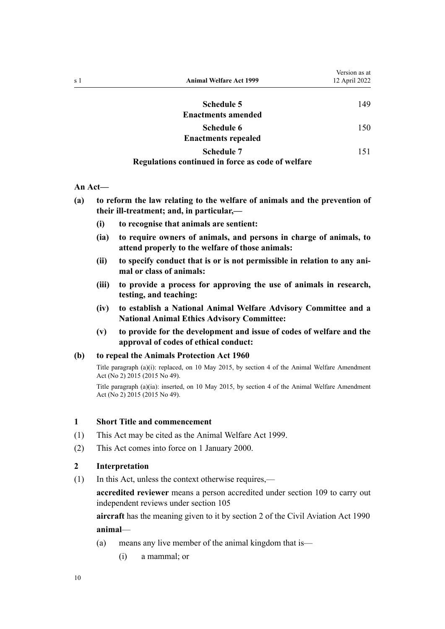<span id="page-9-0"></span>

| s 1 | <b>Animal Welfare Act 1999</b>                  | Version as at<br>12 April 2022 |
|-----|-------------------------------------------------|--------------------------------|
|     | <b>Schedule 5</b><br><b>Enactments amended</b>  | 149                            |
|     | <b>Schedule 6</b><br><b>Enactments repealed</b> | 150                            |
|     | <b>Schedule 7</b>                               | 151                            |

# **[Regulations continued in force as code of welfare](#page-150-0)**

**An Act—**

- **(a) to reform the law relating to the welfare of animals and the prevention of their ill-treatment; and, in particular,—**
	- **(i) to recognise that animals are sentient:**
	- **(ia) to require owners of animals, and persons in charge of animals, to attend properly to the welfare of those animals:**
	- **(ii) to specify conduct that is or is not permissible in relation to any ani‐ mal or class of animals:**
	- **(iii) to provide a process for approving the use of animals in research, testing, and teaching:**
	- **(iv) to establish a National Animal Welfare Advisory Committee and a National Animal Ethics Advisory Committee:**
	- **(v) to provide for the development and issue of codes of welfare and the approval of codes of ethical conduct:**

## **(b) to repeal the Animals Protection Act 1960**

Title paragraph (a)(i): replaced, on 10 May 2015, by [section 4](http://legislation.govt.nz/pdflink.aspx?id=DLM6165701) of the Animal Welfare Amendment Act (No 2) 2015 (2015 No 49).

Title paragraph (a)(ia): inserted, on 10 May 2015, by [section 4](http://legislation.govt.nz/pdflink.aspx?id=DLM6165701) of the Animal Welfare Amendment Act (No 2) 2015 (2015 No 49).

#### **1 Short Title and commencement**

- (1) This Act may be cited as the Animal Welfare Act 1999.
- (2) This Act comes into force on 1 January 2000.

## **2 Interpretation**

(1) In this Act, unless the context otherwise requires,—

**accredited reviewer** means a person accredited under [section 109](#page-74-0) to carry out independent reviews under [section 105](#page-73-0)

**aircraft** has the meaning given to it by [section 2](http://legislation.govt.nz/pdflink.aspx?id=DLM214692) of the Civil Aviation Act 1990 **animal**—

- (a) means any live member of the animal kingdom that is—
	- (i) a mammal; or

10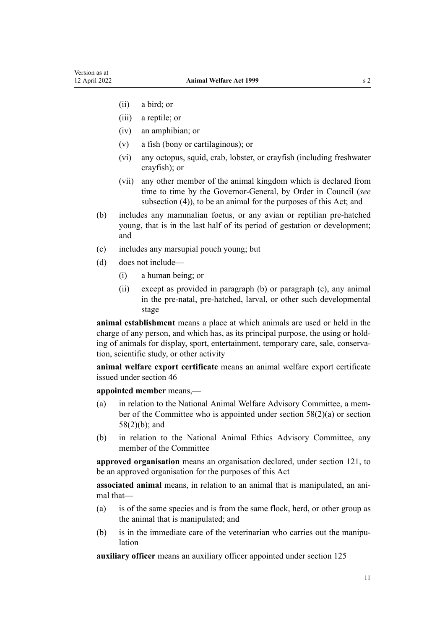- (ii) a bird; or
- (iii) a reptile; or
- (iv) an amphibian; or
- (v) a fish (bony or cartilaginous); or
- (vi) any octopus, squid, crab, lobster, or crayfish (including freshwater crayfish); or
- (vii) any other member of the animal kingdom which is declared from time to time by the Governor-General, by Order in Council (*see* subsection (4)), to be an animal for the purposes of this Act; and
- (b) includes any mammalian foetus, or any avian or reptilian pre-hatched young, that is in the last half of its period of gestation or development; and
- (c) includes any marsupial pouch young; but
- (d) does not include—
	- (i) a human being; or
	- (ii) except as provided in paragraph (b) or paragraph (c), any animal in the pre-natal, pre-hatched, larval, or other such developmental stage

**animal establishment** means a place at which animals are used or held in the charge of any person, and which has, as its principal purpose, the using or holding of animals for display, sport, entertainment, temporary care, sale, conservation, scientific study, or other activity

**animal welfare export certificate** means an animal welfare export certificate issued under [section 46](#page-44-0)

#### **appointed member** means,—

- (a) in relation to the National Animal Welfare Advisory Committee, a mem‐ ber of the Committee who is appointed under [section 58\(2\)\(a\)](#page-49-0) or section 58(2)(b); and
- (b) in relation to the National Animal Ethics Advisory Committee, any member of the Committee

**approved organisation** means an organisation declared, under [section 121,](#page-78-0) to be an approved organisation for the purposes of this Act

**associated animal** means, in relation to an animal that is manipulated, an ani‐ mal that—

- (a) is of the same species and is from the same flock, herd, or other group as the animal that is manipulated; and
- (b) is in the immediate care of the veterinarian who carries out the manipulation

**auxiliary officer** means an auxiliary officer appointed under [section 125](#page-84-0)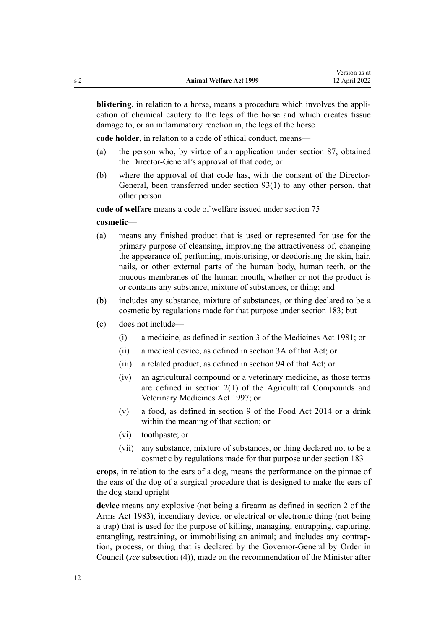**blistering**, in relation to a horse, means a procedure which involves the application of chemical cautery to the legs of the horse and which creates tissue damage to, or an inflammatory reaction in, the legs of the horse

**code holder**, in relation to a code of ethical conduct, means—

- (a) the person who, by virtue of an application under [section 87](#page-63-0), obtained the Director-General's approval of that code; or
- (b) where the approval of that code has, with the consent of the Director-General, been transferred under [section 93\(1\)](#page-66-0) to any other person, that other person

**code of welfare** means a code of welfare issued under [section 75](#page-56-0)

#### **cosmetic**—

- (a) means any finished product that is used or represented for use for the primary purpose of cleansing, improving the attractiveness of, changing the appearance of, perfuming, moisturising, or deodorising the skin, hair, nails, or other external parts of the human body, human teeth, or the mucous membranes of the human mouth, whether or not the product is or contains any substance, mixture of substances, or thing; and
- (b) includes any substance, mixture of substances, or thing declared to be a cosmetic by regulations made for that purpose under [section 183;](#page-120-0) but
- (c) does not include—
	- (i) a medicine, as defined in [section 3](http://legislation.govt.nz/pdflink.aspx?id=DLM54687) of the Medicines Act 1981; or
	- (ii) a medical device, as defined in [section 3A](http://legislation.govt.nz/pdflink.aspx?id=DLM6186051) of that Act; or
	- (iii) a related product, as defined in [section 94](http://legislation.govt.nz/pdflink.aspx?id=DLM56098) of that Act; or
	- (iv) an agricultural compound or a veterinary medicine, as those terms are defined in [section 2\(1\)](http://legislation.govt.nz/pdflink.aspx?id=DLM414583) of the Agricultural Compounds and Veterinary Medicines Act 1997; or
	- (v) a food, as defined in [section 9](http://legislation.govt.nz/pdflink.aspx?id=DLM2996074) of the Food Act 2014 or a drink within the meaning of that section; or
	- (vi) toothpaste; or
	- (vii) any substance, mixture of substances, or thing declared not to be a cosmetic by regulations made for that purpose under [section 183](#page-120-0)

**crops**, in relation to the ears of a dog, means the performance on the pinnae of the ears of the dog of a surgical procedure that is designed to make the ears of the dog stand upright

**device** means any explosive (not being a firearm as defined in [section 2](http://legislation.govt.nz/pdflink.aspx?id=DLM72627) of the Arms Act 1983), incendiary device, or electrical or electronic thing (not being a trap) that is used for the purpose of killing, managing, entrapping, capturing, entangling, restraining, or immobilising an animal; and includes any contraption, process, or thing that is declared by the Governor-General by Order in Council (*see* subsection (4)), made on the recommendation of the Minister after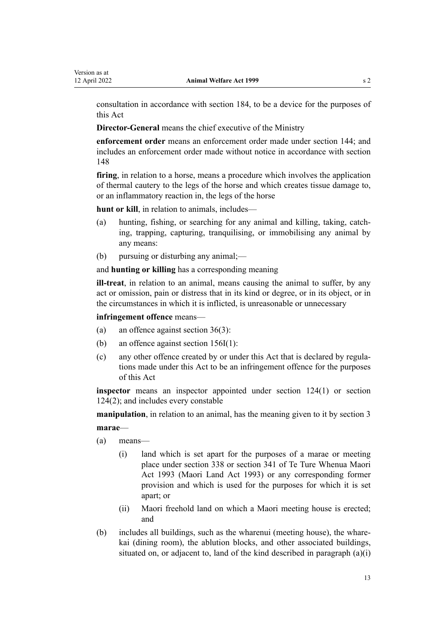consultation in accordance with [section 184](#page-126-0), to be a device for the purposes of this Act

**Director-General** means the chief executive of the Ministry

**enforcement order** means an enforcement order made under [section 144;](#page-98-0) and includes an enforcement order made without notice in accordance with [section](#page-100-0) [148](#page-100-0)

**firing**, in relation to a horse, means a procedure which involves the application of thermal cautery to the legs of the horse and which creates tissue damage to, or an inflammatory reaction in, the legs of the horse

**hunt or kill**, in relation to animals, includes—

- (a) hunting, fishing, or searching for any animal and killing, taking, catch‐ ing, trapping, capturing, tranquilising, or immobilising any animal by any means:
- (b) pursuing or disturbing any animal;—

and **hunting or killing** has a corresponding meaning

**ill-treat**, in relation to an animal, means causing the animal to suffer, by any act or omission, pain or distress that in its kind or degree, or in its object, or in the circumstances in which it is inflicted, is unreasonable or unnecessary

**infringement offence** means—

- (a) an offence against [section 36\(3\):](#page-38-0)
- (b) an offence against [section 156I\(1\)](#page-107-0):
- (c) any other offence created by or under this Act that is declared by regula‐ tions made under this Act to be an infringement offence for the purposes of this Act

**inspector** means an inspector appointed under [section 124\(1\)](#page-82-0) or section 124(2); and includes every constable

**manipulation**, in relation to an animal, has the meaning given to it by [section 3](#page-17-0) **marae**—

- (a) means—
	- (i) land which is set apart for the purposes of a marae or meeting place under [section 338](http://legislation.govt.nz/pdflink.aspx?id=DLM292881) or [section 341](http://legislation.govt.nz/pdflink.aspx?id=DLM292895) of Te Ture Whenua Maori Act 1993 (Maori Land Act 1993) or any corresponding former provision and which is used for the purposes for which it is set apart; or
	- (ii) Maori freehold land on which a Maori meeting house is erected; and
- (b) includes all buildings, such as the wharenui (meeting house), the wharekai (dining room), the ablution blocks, and other associated buildings, situated on, or adjacent to, land of the kind described in paragraph  $(a)(i)$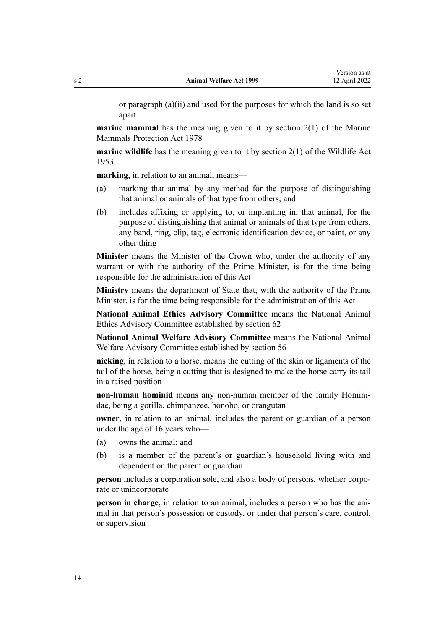or paragraph (a)(ii) and used for the purposes for which the land is so set apart

**marine mammal** has the meaning given to it by [section 2\(1\)](http://legislation.govt.nz/pdflink.aspx?id=DLM25116) of the Marine Mammals Protection Act 1978

**marine wildlife** has the meaning given to it by [section 2\(1\)](http://legislation.govt.nz/pdflink.aspx?id=DLM276819) of the Wildlife Act 1953

**marking**, in relation to an animal, means—

- (a) marking that animal by any method for the purpose of distinguishing that animal or animals of that type from others; and
- (b) includes affixing or applying to, or implanting in, that animal, for the purpose of distinguishing that animal or animals of that type from others, any band, ring, clip, tag, electronic identification device, or paint, or any other thing

**Minister** means the Minister of the Crown who, under the authority of any warrant or with the authority of the Prime Minister, is for the time being responsible for the administration of this Act

**Ministry** means the department of State that, with the authority of the Prime Minister, is for the time being responsible for the administration of this Act

**National Animal Ethics Advisory Committee** means the National Animal Ethics Advisory Committee established by [section 62](#page-50-0)

**National Animal Welfare Advisory Committee** means the National Animal Welfare Advisory Committee established by [section 56](#page-48-0)

**nicking**, in relation to a horse, means the cutting of the skin or ligaments of the tail of the horse, being a cutting that is designed to make the horse carry its tail in a raised position

**non-human hominid** means any non-human member of the family Homini‐ dae, being a gorilla, chimpanzee, bonobo, or orangutan

**owner**, in relation to an animal, includes the parent or guardian of a person under the age of 16 years who—

- (a) owns the animal; and
- (b) is a member of the parent's or guardian's household living with and dependent on the parent or guardian

**person** includes a corporation sole, and also a body of persons, whether corporate or unincorporate

**person in charge**, in relation to an animal, includes a person who has the animal in that person's possession or custody, or under that person's care, control, or supervision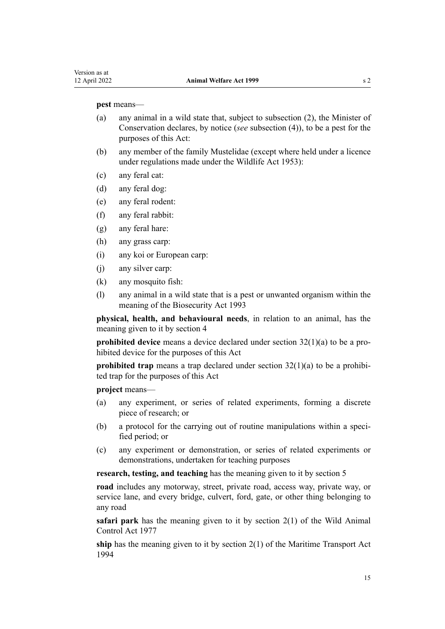#### **pest** means—

- (a) any animal in a wild state that, subject to subsection (2), the Minister of Conservation declares, by notice (*see* subsection (4)), to be a pest for the purposes of this Act:
- (b) any member of the family Mustelidae (except where held under a licence under regulations made under the [Wildlife Act 1953](http://legislation.govt.nz/pdflink.aspx?id=DLM276813)):
- (c) any feral cat:
- (d) any feral dog:
- (e) any feral rodent:
- (f) any feral rabbit:
- (g) any feral hare:
- (h) any grass carp:
- (i) any koi or European carp:
- (j) any silver carp:
- (k) any mosquito fish:
- (l) any animal in a wild state that is a pest or unwanted organism within the meaning of the [Biosecurity Act 1993](http://legislation.govt.nz/pdflink.aspx?id=DLM314622)

**physical, health, and behavioural needs**, in relation to an animal, has the meaning given to it by [section 4](#page-19-0)

**prohibited device** means a device declared under [section 32\(1\)\(a\)](#page-36-0) to be a prohibited device for the purposes of this Act

**prohibited trap** means a trap declared under [section 32\(1\)\(a\)](#page-36-0) to be a prohibited trap for the purposes of this Act

#### **project** means—

- (a) any experiment, or series of related experiments, forming a discrete piece of research; or
- (b) a protocol for the carrying out of routine manipulations within a specified period; or
- (c) any experiment or demonstration, or series of related experiments or demonstrations, undertaken for teaching purposes

**research, testing, and teaching** has the meaning given to it by [section 5](#page-20-0)

**road** includes any motorway, street, private road, access way, private way, or service lane, and every bridge, culvert, ford, gate, or other thing belonging to any road

**safari park** has the meaning given to it by [section 2\(1\)](http://legislation.govt.nz/pdflink.aspx?id=DLM16628) of the Wild Animal Control Act 1977

**ship** has the meaning given to it by [section 2\(1\)](http://legislation.govt.nz/pdflink.aspx?id=DLM334667) of the Maritime Transport Act 1994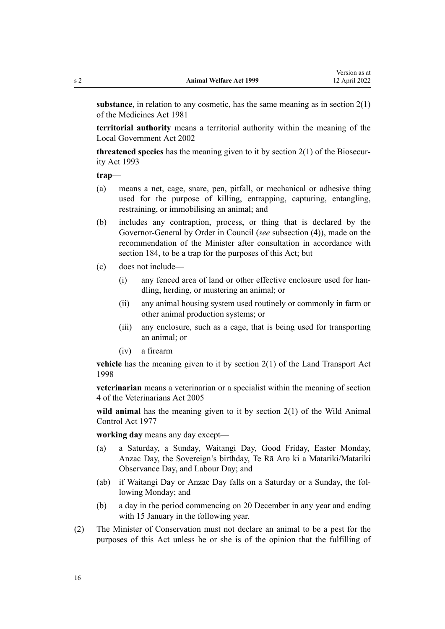**substance**, in relation to any cosmetic, has the same meaning as in [section 2\(1\)](http://legislation.govt.nz/pdflink.aspx?id=DLM53795) of the Medicines Act 1981

**territorial authority** means a territorial authority within the meaning of the [Local Government Act 2002](http://legislation.govt.nz/pdflink.aspx?id=DLM170872)

**threatened species** has the meaning given to it by [section 2\(1\)](http://legislation.govt.nz/pdflink.aspx?id=DLM314629) of the Biosecur‐ ity Act 1993

**trap**—

- (a) means a net, cage, snare, pen, pitfall, or mechanical or adhesive thing used for the purpose of killing, entrapping, capturing, entangling, restraining, or immobilising an animal; and
- (b) includes any contraption, process, or thing that is declared by the Governor-General by Order in Council (*see* subsection (4)), made on the recommendation of the Minister after consultation in accordance with [section 184,](#page-126-0) to be a trap for the purposes of this Act; but
- (c) does not include—
	- (i) any fenced area of land or other effective enclosure used for han‐ dling, herding, or mustering an animal; or
	- (ii) any animal housing system used routinely or commonly in farm or other animal production systems; or
	- (iii) any enclosure, such as a cage, that is being used for transporting an animal; or
	- (iv) a firearm

**vehicle** has the meaning given to it by [section 2\(1\)](http://legislation.govt.nz/pdflink.aspx?id=DLM433619) of the Land Transport Act 1998

**veterinarian** means a veterinarian or a specialist within the meaning of [section](http://legislation.govt.nz/pdflink.aspx?id=DLM363866) [4](http://legislation.govt.nz/pdflink.aspx?id=DLM363866) of the Veterinarians Act 2005

**wild animal** has the meaning given to it by [section 2\(1\)](http://legislation.govt.nz/pdflink.aspx?id=DLM16628) of the Wild Animal Control Act 1977

**working day** means any day except—

- (a) a Saturday, a Sunday, Waitangi Day, Good Friday, Easter Monday, Anzac Day, the Sovereign's birthday, Te Rā Aro ki a Matariki/Matariki Observance Day, and Labour Day; and
- (ab) if Waitangi Day or Anzac Day falls on a Saturday or a Sunday, the fol‐ lowing Monday; and
- (b) a day in the period commencing on 20 December in any year and ending with 15 January in the following year.
- (2) The Minister of Conservation must not declare an animal to be a pest for the purposes of this Act unless he or she is of the opinion that the fulfilling of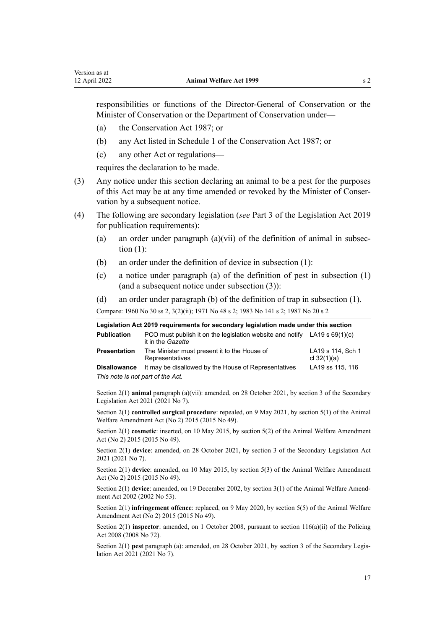responsibilities or functions of the Director-General of Conservation or the Minister of Conservation or the Department of Conservation under—

- (a) the [Conservation Act 1987;](http://legislation.govt.nz/pdflink.aspx?id=DLM103609) or
- (b) any Act listed in [Schedule 1](http://legislation.govt.nz/pdflink.aspx?id=DLM107200) of the Conservation Act 1987; or
- (c) any other Act or regulations—

requires the declaration to be made.

- (3) Any notice under this section declaring an animal to be a pest for the purposes of this Act may be at any time amended or revoked by the Minister of Conser‐ vation by a subsequent notice.
- (4) The following are secondary legislation (*see* [Part 3](http://legislation.govt.nz/pdflink.aspx?id=DLM7298343) of the Legislation Act 2019 for publication requirements):
	- (a) an order under paragraph  $(a)(vii)$  of the definition of animal in subsection  $(1)$ :
	- (b) an order under the definition of device in subsection (1):
	- (c) a notice under paragraph (a) of the definition of pest in subsection (1) (and a subsequent notice under subsection (3)):
	- (d) an order under paragraph (b) of the definition of trap in subsection (1).

Compare: 1960 No 30 ss 2, 3(2)(ii); 1971 No 48 s 2; 1983 No 141 s 2; 1987 No 20 s 2

| Legislation Act 2019 requirements for secondary legislation made under this section |                                                                                                  |                                    |  |
|-------------------------------------------------------------------------------------|--------------------------------------------------------------------------------------------------|------------------------------------|--|
| <b>Publication</b>                                                                  | PCO must publish it on the legislation website and notify LA19 s $69(1)(c)$<br>it in the Gazette |                                    |  |
| <b>Presentation</b>                                                                 | The Minister must present it to the House of<br>Representatives                                  | LA19 s 114, Sch 1<br>cl $32(1)(a)$ |  |
| <b>Disallowance</b>                                                                 | It may be disallowed by the House of Representatives                                             | LA19 ss 115, 116                   |  |
| This note is not part of the Act.                                                   |                                                                                                  |                                    |  |

Section 2(1) **animal** paragraph (a)(vii): amended, on 28 October 2021, by [section 3](http://legislation.govt.nz/pdflink.aspx?id=LMS268932) of the Secondary Legislation Act 2021 (2021 No 7).

Section 2(1) **controlled surgical procedure**: repealed, on 9 May 2021, by [section 5\(1\)](http://legislation.govt.nz/pdflink.aspx?id=DLM5174815) of the Animal Welfare Amendment Act (No 2) 2015 (2015 No 49).

Section 2(1) **cosmetic**: inserted, on 10 May 2015, by [section 5\(2\)](http://legislation.govt.nz/pdflink.aspx?id=DLM5174815) of the Animal Welfare Amendment Act (No 2) 2015 (2015 No 49).

Section 2(1) **device**: amended, on 28 October 2021, by [section 3](http://legislation.govt.nz/pdflink.aspx?id=LMS268932) of the Secondary Legislation Act 2021 (2021 No 7).

Section 2(1) **device**: amended, on 10 May 2015, by [section 5\(3\)](http://legislation.govt.nz/pdflink.aspx?id=DLM5174815) of the Animal Welfare Amendment Act (No 2) 2015 (2015 No 49).

Section 2(1) **device**: amended, on 19 December 2002, by [section 3\(1\)](http://legislation.govt.nz/pdflink.aspx?id=DLM167414) of the Animal Welfare Amendment Act 2002 (2002 No 53).

Section 2(1) **infringement offence**: replaced, on 9 May 2020, by [section 5\(5\)](http://legislation.govt.nz/pdflink.aspx?id=DLM5174815) of the Animal Welfare Amendment Act (No 2) 2015 (2015 No 49).

Section 2(1) **inspector**: amended, on 1 October 2008, pursuant to [section 116\(a\)\(ii\)](http://legislation.govt.nz/pdflink.aspx?id=DLM1102349) of the Policing Act 2008 (2008 No 72).

Section 2(1) **pest** paragraph (a): amended, on 28 October 2021, by [section 3](http://legislation.govt.nz/pdflink.aspx?id=LMS268932) of the Secondary Legislation Act 2021 (2021 No 7).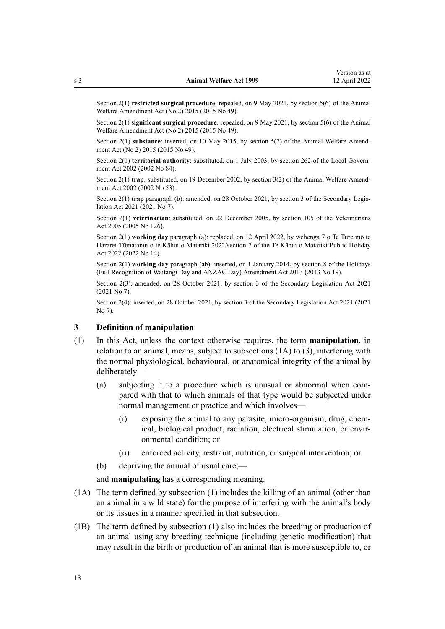<span id="page-17-0"></span>Section 2(1) **restricted surgical procedure**: repealed, on 9 May 2021, by [section 5\(6\)](http://legislation.govt.nz/pdflink.aspx?id=DLM5174815) of the Animal Welfare Amendment Act (No 2) 2015 (2015 No 49).

Section 2(1) **significant surgical procedure**: repealed, on 9 May 2021, by [section 5\(6\)](http://legislation.govt.nz/pdflink.aspx?id=DLM5174815) of the Animal Welfare Amendment Act (No 2) 2015 (2015 No 49).

Section 2(1) **substance**: inserted, on 10 May 2015, by [section 5\(7\)](http://legislation.govt.nz/pdflink.aspx?id=DLM5174815) of the Animal Welfare Amendment Act (No 2) 2015 (2015 No 49).

Section 2(1) **territorial authority**: substituted, on 1 July 2003, by [section 262](http://legislation.govt.nz/pdflink.aspx?id=DLM174088) of the Local Government Act 2002 (2002 No 84).

Section 2(1) **trap**: substituted, on 19 December 2002, by [section 3\(2\)](http://legislation.govt.nz/pdflink.aspx?id=DLM167414) of the Animal Welfare Amendment Act 2002 (2002 No 53).

Section 2(1) **trap** paragraph (b): amended, on 28 October 2021, by [section 3](http://legislation.govt.nz/pdflink.aspx?id=LMS268932) of the Secondary Legislation Act 2021 (2021 No 7).

Section 2(1) **veterinarian**: substituted, on 22 December 2005, by [section 105](http://legislation.govt.nz/pdflink.aspx?id=DLM364675) of the Veterinarians Act 2005 (2005 No 126).

Section 2(1) **working day** paragraph (a): replaced, on 12 April 2022, by [wehenga 7](http://legislation.govt.nz/pdflink.aspx?id=LMS557838) o Te Ture mō te Hararei Tūmatanui o te Kāhui o Matariki 2022/[section 7](http://legislation.govt.nz/pdflink.aspx?id=LMS557848) of the Te Kāhui o Matariki Public Holiday Act 2022 (2022 No 14).

Section 2(1) **working day** paragraph (ab): inserted, on 1 January 2014, by [section 8](http://legislation.govt.nz/pdflink.aspx?id=DLM4929207) of the Holidays (Full Recognition of Waitangi Day and ANZAC Day) Amendment Act 2013 (2013 No 19).

Section 2(3): amended, on 28 October 2021, by [section 3](http://legislation.govt.nz/pdflink.aspx?id=LMS268932) of the Secondary Legislation Act 2021 (2021 No 7).

Section 2(4): inserted, on 28 October 2021, by [section 3](http://legislation.govt.nz/pdflink.aspx?id=LMS268932) of the Secondary Legislation Act 2021 (2021 No 7).

#### **3 Definition of manipulation**

- (1) In this Act, unless the context otherwise requires, the term **manipulation**, in relation to an animal, means, subject to subsections (1A) to (3), interfering with the normal physiological, behavioural, or anatomical integrity of the animal by deliberately—
	- (a) subjecting it to a procedure which is unusual or abnormal when compared with that to which animals of that type would be subjected under normal management or practice and which involves—
		- (i) exposing the animal to any parasite, micro-organism, drug, chem‐ ical, biological product, radiation, electrical stimulation, or envir‐ onmental condition; or
		- (ii) enforced activity, restraint, nutrition, or surgical intervention; or
	- (b) depriving the animal of usual care;—

and **manipulating** has a corresponding meaning.

- (1A) The term defined by subsection (1) includes the killing of an animal (other than an animal in a wild state) for the purpose of interfering with the animal's body or its tissues in a manner specified in that subsection.
- (1B) The term defined by subsection (1) also includes the breeding or production of an animal using any breeding technique (including genetic modification) that may result in the birth or production of an animal that is more susceptible to, or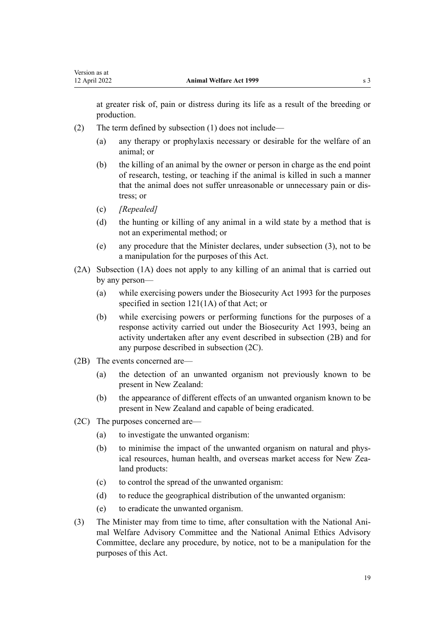at greater risk of, pain or distress during its life as a result of the breeding or production.

- (2) The term defined by subsection (1) does not include—
	- (a) any therapy or prophylaxis necessary or desirable for the welfare of an animal; or
	- (b) the killing of an animal by the owner or person in charge as the end point of research, testing, or teaching if the animal is killed in such a manner that the animal does not suffer unreasonable or unnecessary pain or dis‐ tress; or
	- (c) *[Repealed]*
	- (d) the hunting or killing of any animal in a wild state by a method that is not an experimental method; or
	- (e) any procedure that the Minister declares, under subsection (3), not to be a manipulation for the purposes of this Act.
- (2A) Subsection (1A) does not apply to any killing of an animal that is carried out by any person—
	- (a) while exercising powers under the Biosecurity Act 1993 for the purposes specified in [section 121\(1A\)](http://legislation.govt.nz/pdflink.aspx?id=DLM316321) of that Act; or
	- (b) while exercising powers or performing functions for the purposes of a response activity carried out under the [Biosecurity Act 1993](http://legislation.govt.nz/pdflink.aspx?id=DLM314622), being an activity undertaken after any event described in subsection (2B) and for any purpose described in subsection (2C).
- (2B) The events concerned are—
	- (a) the detection of an unwanted organism not previously known to be present in New Zealand:
	- (b) the appearance of different effects of an unwanted organism known to be present in New Zealand and capable of being eradicated.
- (2C) The purposes concerned are—
	- (a) to investigate the unwanted organism:
	- (b) to minimise the impact of the unwanted organism on natural and physical resources, human health, and overseas market access for New Zealand products:
	- (c) to control the spread of the unwanted organism:
	- (d) to reduce the geographical distribution of the unwanted organism:
	- (e) to eradicate the unwanted organism.
- (3) The Minister may from time to time, after consultation with the National Ani‐ mal Welfare Advisory Committee and the National Animal Ethics Advisory Committee, declare any procedure, by notice, not to be a manipulation for the purposes of this Act.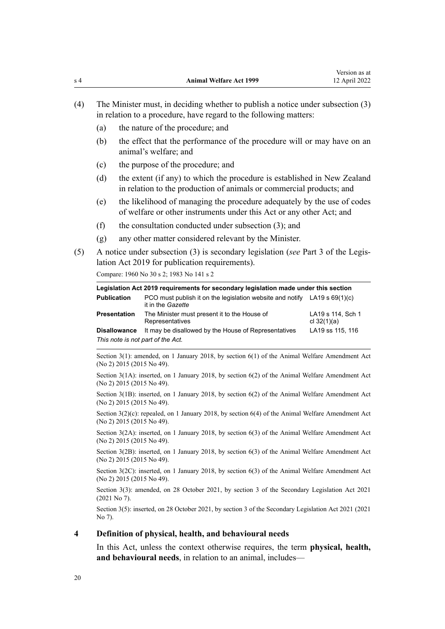<span id="page-19-0"></span>

| s 4 |                                                                                                                                   |                                                                                                                                                 | <b>Animal Welfare Act 1999</b>                                                                                                                                                                 | 12 April 2022                      |  |
|-----|-----------------------------------------------------------------------------------------------------------------------------------|-------------------------------------------------------------------------------------------------------------------------------------------------|------------------------------------------------------------------------------------------------------------------------------------------------------------------------------------------------|------------------------------------|--|
| (4) |                                                                                                                                   |                                                                                                                                                 | The Minister must, in deciding whether to publish a notice under subsection (3)<br>in relation to a procedure, have regard to the following matters:                                           |                                    |  |
|     | (a)                                                                                                                               |                                                                                                                                                 | the nature of the procedure; and                                                                                                                                                               |                                    |  |
|     | (b)                                                                                                                               |                                                                                                                                                 | the effect that the performance of the procedure will or may have on an<br>animal's welfare; and                                                                                               |                                    |  |
|     | (c)                                                                                                                               |                                                                                                                                                 | the purpose of the procedure; and                                                                                                                                                              |                                    |  |
|     | (d)                                                                                                                               |                                                                                                                                                 | the extent (if any) to which the procedure is established in New Zealand<br>in relation to the production of animals or commercial products; and                                               |                                    |  |
|     | (e)                                                                                                                               | the likelihood of managing the procedure adequately by the use of codes<br>of welfare or other instruments under this Act or any other Act; and |                                                                                                                                                                                                |                                    |  |
|     | (f)                                                                                                                               |                                                                                                                                                 | the consultation conducted under subsection (3); and                                                                                                                                           |                                    |  |
|     | (g)                                                                                                                               |                                                                                                                                                 | any other matter considered relevant by the Minister.                                                                                                                                          |                                    |  |
| (5) |                                                                                                                                   |                                                                                                                                                 | A notice under subsection (3) is secondary legislation (see Part 3 of the Legis-<br>lation Act 2019 for publication requirements).                                                             |                                    |  |
|     |                                                                                                                                   |                                                                                                                                                 | Compare: 1960 No 30 s 2; 1983 No 141 s 2                                                                                                                                                       |                                    |  |
|     |                                                                                                                                   | <b>Publication</b>                                                                                                                              | Legislation Act 2019 requirements for secondary legislation made under this section<br>PCO must publish it on the legislation website and notify LA19 s $69(1)(c)$<br>it in the <i>Gazette</i> |                                    |  |
|     |                                                                                                                                   | <b>Presentation</b>                                                                                                                             | The Minister must present it to the House of<br>Representatives                                                                                                                                | LA19 s 114, Sch 1<br>cl $32(1)(a)$ |  |
|     |                                                                                                                                   | <b>Disallowance</b>                                                                                                                             | It may be disallowed by the House of Representatives<br>This note is not part of the Act.                                                                                                      | LA19 ss 115, 116                   |  |
|     |                                                                                                                                   | (No 2) 2015 (2015 No 49).                                                                                                                       | Section 3(1): amended, on 1 January 2018, by section 6(1) of the Animal Welfare Amendment Act                                                                                                  |                                    |  |
|     |                                                                                                                                   | (No 2) 2015 (2015 No 49).                                                                                                                       | Section 3(1A): inserted, on 1 January 2018, by section 6(2) of the Animal Welfare Amendment Act                                                                                                |                                    |  |
|     |                                                                                                                                   | (No 2) 2015 (2015 No 49).                                                                                                                       | Section 3(1B): inserted, on 1 January 2018, by section 6(2) of the Animal Welfare Amendment Act                                                                                                |                                    |  |
|     |                                                                                                                                   | (No 2) 2015 (2015 No 49).                                                                                                                       | Section $3(2)(c)$ : repealed, on 1 January 2018, by section 6(4) of the Animal Welfare Amendment Act                                                                                           |                                    |  |
|     |                                                                                                                                   | (No 2) 2015 (2015 No 49).                                                                                                                       | Section $3(2A)$ : inserted, on 1 January 2018, by section $6(3)$ of the Animal Welfare Amendment Act                                                                                           |                                    |  |
|     |                                                                                                                                   | (No 2) 2015 (2015 No 49).                                                                                                                       | Section 3(2B): inserted, on 1 January 2018, by section 6(3) of the Animal Welfare Amendment Act                                                                                                |                                    |  |
|     | Section $3(2C)$ : inserted, on 1 January 2018, by section $6(3)$ of the Animal Welfare Amendment Act<br>(No 2) 2015 (2015 No 49). |                                                                                                                                                 |                                                                                                                                                                                                |                                    |  |
|     | Section 3(3): amended, on 28 October 2021, by section 3 of the Secondary Legislation Act 2021<br>$(2021$ No 7).                   |                                                                                                                                                 |                                                                                                                                                                                                |                                    |  |
|     | No 7).                                                                                                                            |                                                                                                                                                 | Section 3(5): inserted, on 28 October 2021, by section 3 of the Secondary Legislation Act 2021 (2021)                                                                                          |                                    |  |
| 4   |                                                                                                                                   |                                                                                                                                                 | Definition of physical, health, and behavioural needs                                                                                                                                          |                                    |  |
|     |                                                                                                                                   |                                                                                                                                                 | In this Act, unless the context otherwise requires, the term <b>physical, health,</b><br>and behavioural needs, in relation to an animal, includes—                                            |                                    |  |

Version as at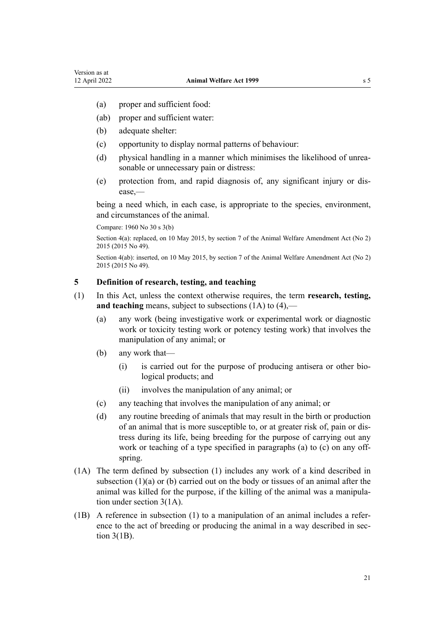- <span id="page-20-0"></span>(a) proper and sufficient food:
- (ab) proper and sufficient water:
- (b) adequate shelter:
- (c) opportunity to display normal patterns of behaviour:
- (d) physical handling in a manner which minimises the likelihood of unreasonable or unnecessary pain or distress:
- (e) protection from, and rapid diagnosis of, any significant injury or dis‐ ease,—

being a need which, in each case, is appropriate to the species, environment, and circumstances of the animal.

Compare: 1960 No 30 s 3(b)

Section 4(a): replaced, on 10 May 2015, by [section 7](http://legislation.govt.nz/pdflink.aspx?id=DLM5174827) of the Animal Welfare Amendment Act (No 2) 2015 (2015 No 49).

Section 4(ab): inserted, on 10 May 2015, by [section 7](http://legislation.govt.nz/pdflink.aspx?id=DLM5174827) of the Animal Welfare Amendment Act (No 2) 2015 (2015 No 49).

## **5 Definition of research, testing, and teaching**

- (1) In this Act, unless the context otherwise requires, the term **research, testing, and teaching** means, subject to subsections (1A) to (4),—
	- (a) any work (being investigative work or experimental work or diagnostic work or toxicity testing work or potency testing work) that involves the manipulation of any animal; or
	- (b) any work that—
		- (i) is carried out for the purpose of producing antisera or other bio‐ logical products; and
		- (ii) involves the manipulation of any animal; or
	- (c) any teaching that involves the manipulation of any animal; or
	- (d) any routine breeding of animals that may result in the birth or production of an animal that is more susceptible to, or at greater risk of, pain or dis‐ tress during its life, being breeding for the purpose of carrying out any work or teaching of a type specified in paragraphs (a) to (c) on any offspring.
- (1A) The term defined by subsection (1) includes any work of a kind described in subsection (1)(a) or (b) carried out on the body or tissues of an animal after the animal was killed for the purpose, if the killing of the animal was a manipulation under [section 3\(1A\).](#page-17-0)
- (1B) A reference in subsection (1) to a manipulation of an animal includes a refer‐ ence to the act of breeding or producing the animal in a way described in sec[tion 3\(1B\).](#page-17-0)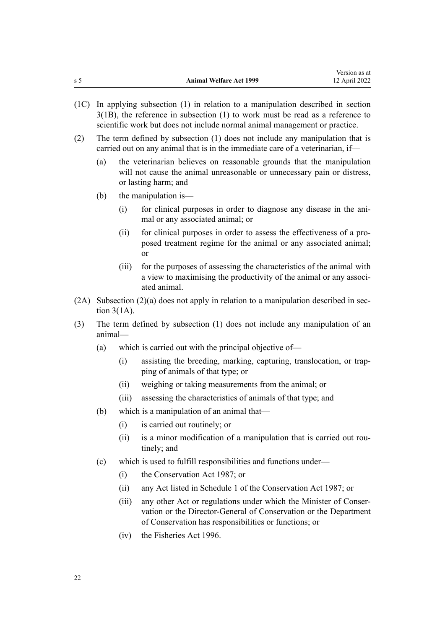- (1C) In applying subsection (1) in relation to a manipulation described in [section](#page-17-0) [3\(1B\)](#page-17-0), the reference in subsection (1) to work must be read as a reference to scientific work but does not include normal animal management or practice.
- (2) The term defined by subsection (1) does not include any manipulation that is carried out on any animal that is in the immediate care of a veterinarian, if—
	- (a) the veterinarian believes on reasonable grounds that the manipulation will not cause the animal unreasonable or unnecessary pain or distress, or lasting harm; and
	- (b) the manipulation is—
		- (i) for clinical purposes in order to diagnose any disease in the ani‐ mal or any associated animal; or
		- (ii) for clinical purposes in order to assess the effectiveness of a pro‐ posed treatment regime for the animal or any associated animal; or
		- (iii) for the purposes of assessing the characteristics of the animal with a view to maximising the productivity of the animal or any associ‐ ated animal.
- $(2A)$  Subsection  $(2)(a)$  does not apply in relation to a manipulation described in sec[tion 3\(1A\)](#page-17-0).
- (3) The term defined by subsection (1) does not include any manipulation of an animal—
	- (a) which is carried out with the principal objective of—
		- (i) assisting the breeding, marking, capturing, translocation, or trap‐ ping of animals of that type; or
		- (ii) weighing or taking measurements from the animal; or
		- (iii) assessing the characteristics of animals of that type; and
	- (b) which is a manipulation of an animal that—
		- (i) is carried out routinely; or
		- (ii) is a minor modification of a manipulation that is carried out rou‐ tinely; and
	- (c) which is used to fulfill responsibilities and functions under—
		- (i) the [Conservation Act 1987;](http://legislation.govt.nz/pdflink.aspx?id=DLM103609) or
		- (ii) any Act listed in [Schedule 1](http://legislation.govt.nz/pdflink.aspx?id=DLM107200) of the Conservation Act 1987; or
		- (iii) any other Act or regulations under which the Minister of Conser‐ vation or the Director-General of Conservation or the Department of Conservation has responsibilities or functions; or
		- (iv) the [Fisheries Act 1996](http://legislation.govt.nz/pdflink.aspx?id=DLM394191).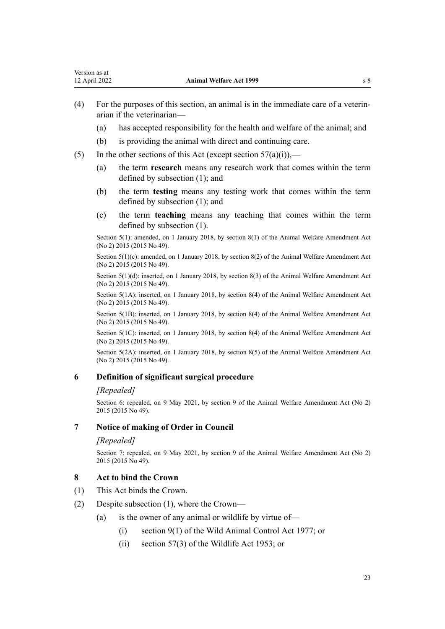- <span id="page-22-0"></span>(4) For the purposes of this section, an animal is in the immediate care of a veterin‐ arian if the veterinarian—
	- (a) has accepted responsibility for the health and welfare of the animal; and
	- (b) is providing the animal with direct and continuing care.
- (5) In the other sections of this Act (except section  $57(a)(i)$ ),—
	- (a) the term **research** means any research work that comes within the term defined by subsection (1); and
	- (b) the term **testing** means any testing work that comes within the term defined by subsection (1); and
	- (c) the term **teaching** means any teaching that comes within the term defined by subsection (1).

Section 5(1): amended, on 1 January 2018, by [section 8\(1\)](http://legislation.govt.nz/pdflink.aspx?id=DLM5174828) of the Animal Welfare Amendment Act (No 2) 2015 (2015 No 49).

Section 5(1)(c): amended, on 1 January 2018, by [section 8\(2\)](http://legislation.govt.nz/pdflink.aspx?id=DLM5174828) of the Animal Welfare Amendment Act (No 2) 2015 (2015 No 49).

Section 5(1)(d): inserted, on 1 January 2018, by [section 8\(3\)](http://legislation.govt.nz/pdflink.aspx?id=DLM5174828) of the Animal Welfare Amendment Act (No 2) 2015 (2015 No 49).

Section 5(1A): inserted, on 1 January 2018, by [section 8\(4\)](http://legislation.govt.nz/pdflink.aspx?id=DLM5174828) of the Animal Welfare Amendment Act (No 2) 2015 (2015 No 49).

Section 5(1B): inserted, on 1 January 2018, by [section 8\(4\)](http://legislation.govt.nz/pdflink.aspx?id=DLM5174828) of the Animal Welfare Amendment Act (No 2) 2015 (2015 No 49).

Section 5(1C): inserted, on 1 January 2018, by [section 8\(4\)](http://legislation.govt.nz/pdflink.aspx?id=DLM5174828) of the Animal Welfare Amendment Act (No 2) 2015 (2015 No 49).

Section 5(2A): inserted, on 1 January 2018, by [section 8\(5\)](http://legislation.govt.nz/pdflink.aspx?id=DLM5174828) of the Animal Welfare Amendment Act (No 2) 2015 (2015 No 49).

### **6 Definition of significant surgical procedure**

#### *[Repealed]*

Section 6: repealed, on 9 May 2021, by [section 9](http://legislation.govt.nz/pdflink.aspx?id=DLM5174829) of the Animal Welfare Amendment Act (No 2) 2015 (2015 No 49).

#### **7 Notice of making of Order in Council**

#### *[Repealed]*

Section 7: repealed, on 9 May 2021, by [section 9](http://legislation.govt.nz/pdflink.aspx?id=DLM5174829) of the Animal Welfare Amendment Act (No 2) 2015 (2015 No 49).

## **8 Act to bind the Crown**

- (1) This Act binds the Crown.
- (2) Despite subsection (1), where the Crown—
	- (a) is the owner of any animal or wildlife by virtue of-
		- (i) [section 9\(1\)](http://legislation.govt.nz/pdflink.aspx?id=DLM16998) of the Wild Animal Control Act 1977; or
		- (ii) [section 57\(3\)](http://legislation.govt.nz/pdflink.aspx?id=DLM278118) of the Wildlife Act 1953; or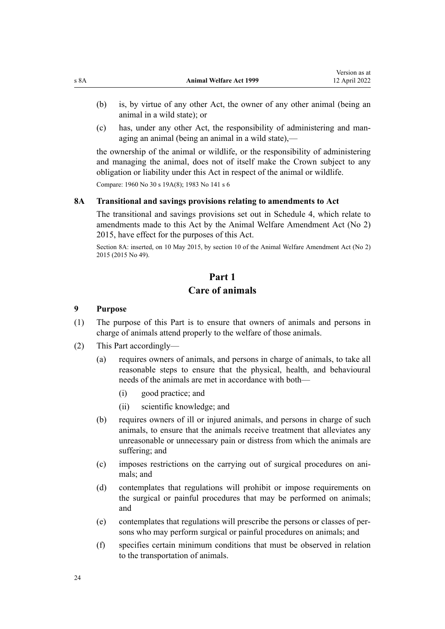Version as at

- <span id="page-23-0"></span>(b) is, by virtue of any other Act, the owner of any other animal (being an animal in a wild state); or
- (c) has, under any other Act, the responsibility of administering and man‐ aging an animal (being an animal in a wild state),—

the ownership of the animal or wildlife, or the responsibility of administering and managing the animal, does not of itself make the Crown subject to any obligation or liability under this Act in respect of the animal or wildlife.

Compare: 1960 No 30 s 19A(8); 1983 No 141 s 6

## **8A Transitional and savings provisions relating to amendments to Act**

The transitional and savings provisions set out in [Schedule 4](#page-146-0), which relate to amendments made to this Act by the [Animal Welfare Amendment Act \(No 2\)](http://legislation.govt.nz/pdflink.aspx?id=DLM5174801) [2015](http://legislation.govt.nz/pdflink.aspx?id=DLM5174801), have effect for the purposes of this Act.

Section 8A: inserted, on 10 May 2015, by [section 10](http://legislation.govt.nz/pdflink.aspx?id=DLM5174830) of the Animal Welfare Amendment Act (No 2) 2015 (2015 No 49).

# **Part 1 Care of animals**

#### **9 Purpose**

- (1) The purpose of this Part is to ensure that owners of animals and persons in charge of animals attend properly to the welfare of those animals.
- (2) This Part accordingly—
	- (a) requires owners of animals, and persons in charge of animals, to take all reasonable steps to ensure that the physical, health, and behavioural needs of the animals are met in accordance with both—
		- (i) good practice; and
		- (ii) scientific knowledge; and
	- (b) requires owners of ill or injured animals, and persons in charge of such animals, to ensure that the animals receive treatment that alleviates any unreasonable or unnecessary pain or distress from which the animals are suffering; and
	- (c) imposes restrictions on the carrying out of surgical procedures on ani‐ mals; and
	- (d) contemplates that regulations will prohibit or impose requirements on the surgical or painful procedures that may be performed on animals; and
	- (e) contemplates that regulations will prescribe the persons or classes of per‐ sons who may perform surgical or painful procedures on animals; and
	- (f) specifies certain minimum conditions that must be observed in relation to the transportation of animals.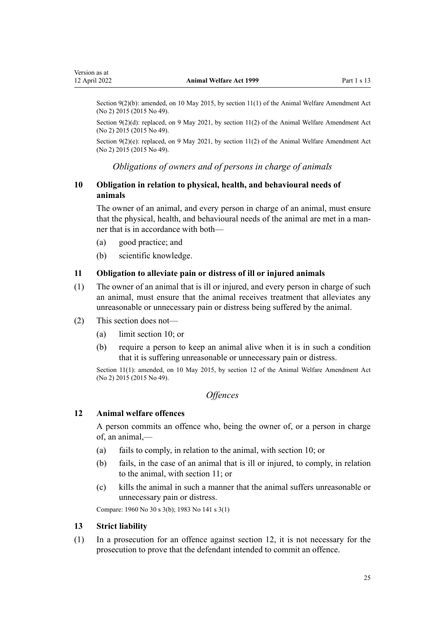<span id="page-24-0"></span>Section 9(2)(b): amended, on 10 May 2015, by [section 11\(1\)](http://legislation.govt.nz/pdflink.aspx?id=DLM5174832) of the Animal Welfare Amendment Act (No 2) 2015 (2015 No 49).

Section 9(2)(d): replaced, on 9 May 2021, by [section 11\(2\)](http://legislation.govt.nz/pdflink.aspx?id=DLM5174832) of the Animal Welfare Amendment Act (No 2) 2015 (2015 No 49).

Section 9(2)(e): replaced, on 9 May 2021, by [section 11\(2\)](http://legislation.govt.nz/pdflink.aspx?id=DLM5174832) of the Animal Welfare Amendment Act (No 2) 2015 (2015 No 49).

#### *Obligations of owners and of persons in charge of animals*

# **10 Obligation in relation to physical, health, and behavioural needs of animals**

The owner of an animal, and every person in charge of an animal, must ensure that the physical, health, and behavioural needs of the animal are met in a man‐ ner that is in accordance with both—

- (a) good practice; and
- (b) scientific knowledge.

## **11 Obligation to alleviate pain or distress of ill or injured animals**

- (1) The owner of an animal that is ill or injured, and every person in charge of such an animal, must ensure that the animal receives treatment that alleviates any unreasonable or unnecessary pain or distress being suffered by the animal.
- (2) This section does not—
	- (a) limit section 10; or
	- (b) require a person to keep an animal alive when it is in such a condition that it is suffering unreasonable or unnecessary pain or distress.

Section 11(1): amended, on 10 May 2015, by [section 12](http://legislation.govt.nz/pdflink.aspx?id=DLM5174833) of the Animal Welfare Amendment Act (No 2) 2015 (2015 No 49).

### *Offences*

#### **12 Animal welfare offences**

A person commits an offence who, being the owner of, or a person in charge of, an animal,—

- (a) fails to comply, in relation to the animal, with section 10; or
- (b) fails, in the case of an animal that is ill or injured, to comply, in relation to the animal, with section 11; or
- (c) kills the animal in such a manner that the animal suffers unreasonable or unnecessary pain or distress.

Compare: 1960 No 30 s 3(b); 1983 No 141 s 3(1)

#### **13 Strict liability**

(1) In a prosecution for an offence against section 12, it is not necessary for the prosecution to prove that the defendant intended to commit an offence.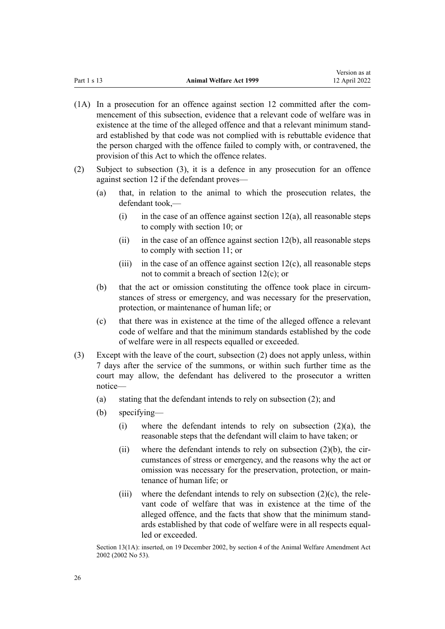Version as at

- $(1)$  In a prosecution for an offence against [section 12](#page-24-0) committed after the commencement of this subsection, evidence that a relevant code of welfare was in existence at the time of the alleged offence and that a relevant minimum stand‐ ard established by that code was not complied with is rebuttable evidence that the person charged with the offence failed to comply with, or contravened, the provision of this Act to which the offence relates.
- (2) Subject to subsection (3), it is a defence in any prosecution for an offence against [section 12](#page-24-0) if the defendant proves—
	- (a) that, in relation to the animal to which the prosecution relates, the defendant took,—
		- (i) in the case of an offence against section  $12(a)$ , all reasonable steps to comply with [section 10;](#page-24-0) or
		- (ii) in the case of an offence against section  $12(b)$ , all reasonable steps to comply with [section 11](#page-24-0); or
		- (iii) in the case of an offence against section  $12(c)$ , all reasonable steps not to commit a breach of section 12(c); or
	- (b) that the act or omission constituting the offence took place in circumstances of stress or emergency, and was necessary for the preservation, protection, or maintenance of human life; or
	- (c) that there was in existence at the time of the alleged offence a relevant code of welfare and that the minimum standards established by the code of welfare were in all respects equalled or exceeded.
- (3) Except with the leave of the court, subsection (2) does not apply unless, within 7 days after the service of the summons, or within such further time as the court may allow, the defendant has delivered to the prosecutor a written notice—
	- (a) stating that the defendant intends to rely on subsection (2); and
	- (b) specifying—
		- (i) where the defendant intends to rely on subsection (2)(a), the reasonable steps that the defendant will claim to have taken; or
		- (ii) where the defendant intends to rely on subsection  $(2)(b)$ , the circumstances of stress or emergency, and the reasons why the act or omission was necessary for the preservation, protection, or main‐ tenance of human life; or
		- (iii) where the defendant intends to rely on subsection  $(2)(c)$ , the relevant code of welfare that was in existence at the time of the alleged offence, and the facts that show that the minimum stand‐ ards established by that code of welfare were in all respects equal‐ led or exceeded.

Section 13(1A): inserted, on 19 December 2002, by [section 4](http://legislation.govt.nz/pdflink.aspx?id=DLM167417) of the Animal Welfare Amendment Act 2002 (2002 No 53).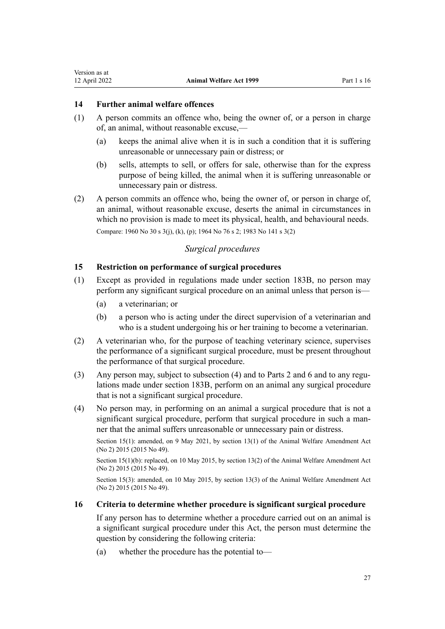# <span id="page-26-0"></span>**14 Further animal welfare offences**

- (1) A person commits an offence who, being the owner of, or a person in charge of, an animal, without reasonable excuse,—
	- (a) keeps the animal alive when it is in such a condition that it is suffering unreasonable or unnecessary pain or distress; or
	- (b) sells, attempts to sell, or offers for sale, otherwise than for the express purpose of being killed, the animal when it is suffering unreasonable or unnecessary pain or distress.
- (2) A person commits an offence who, being the owner of, or person in charge of, an animal, without reasonable excuse, deserts the animal in circumstances in which no provision is made to meet its physical, health, and behavioural needs. Compare: 1960 No 30 s 3(j), (k), (p); 1964 No 76 s 2; 1983 No 141 s 3(2)

# *Surgical procedures*

## **15 Restriction on performance of surgical procedures**

- (1) Except as provided in regulations made under [section 183B](#page-123-0), no person may perform any significant surgical procedure on an animal unless that person is—
	- (a) a veterinarian; or
	- (b) a person who is acting under the direct supervision of a veterinarian and who is a student undergoing his or her training to become a veterinarian.
- (2) A veterinarian who, for the purpose of teaching veterinary science, supervises the performance of a significant surgical procedure, must be present throughout the performance of that surgical procedure.
- (3) Any person may, subject to subsection  $(4)$  and to [Parts 2](#page-30-0) and [6](#page-58-0) and to any regulations made under [section 183B](#page-123-0), perform on an animal any surgical procedure that is not a significant surgical procedure.
- (4) No person may, in performing on an animal a surgical procedure that is not a significant surgical procedure, perform that surgical procedure in such a manner that the animal suffers unreasonable or unnecessary pain or distress.

Section 15(1): amended, on 9 May 2021, by [section 13\(1\)](http://legislation.govt.nz/pdflink.aspx?id=DLM5174834) of the Animal Welfare Amendment Act (No 2) 2015 (2015 No 49).

Section 15(1)(b): replaced, on 10 May 2015, by [section 13\(2\)](http://legislation.govt.nz/pdflink.aspx?id=DLM5174834) of the Animal Welfare Amendment Act (No 2) 2015 (2015 No 49).

Section 15(3): amended, on 10 May 2015, by [section 13\(3\)](http://legislation.govt.nz/pdflink.aspx?id=DLM5174834) of the Animal Welfare Amendment Act (No 2) 2015 (2015 No 49).

## **16 Criteria to determine whether procedure is significant surgical procedure**

If any person has to determine whether a procedure carried out on an animal is a significant surgical procedure under this Act, the person must determine the question by considering the following criteria:

(a) whether the procedure has the potential to—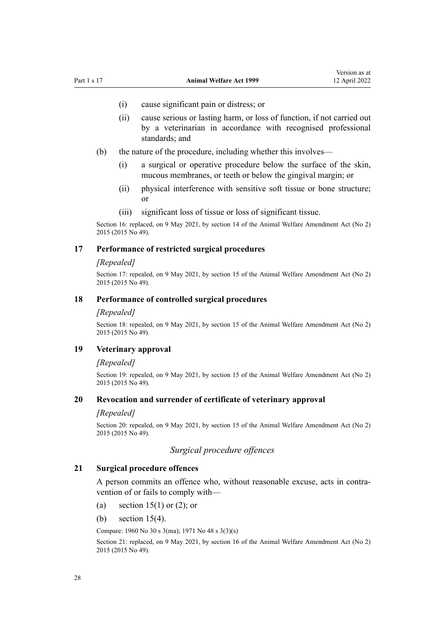- <span id="page-27-0"></span>(i) cause significant pain or distress; or
- (ii) cause serious or lasting harm, or loss of function, if not carried out by a veterinarian in accordance with recognised professional standards; and
- (b) the nature of the procedure, including whether this involves—
	- (i) a surgical or operative procedure below the surface of the skin, mucous membranes, or teeth or below the gingival margin; or
	- (ii) physical interference with sensitive soft tissue or bone structure; or
	- (iii) significant loss of tissue or loss of significant tissue.

Section 16: replaced, on 9 May 2021, by [section 14](http://legislation.govt.nz/pdflink.aspx?id=DLM6165702) of the Animal Welfare Amendment Act (No 2) 2015 (2015 No 49).

### **17 Performance of restricted surgical procedures**

#### *[Repealed]*

Section 17: repealed, on 9 May 2021, by [section 15](http://legislation.govt.nz/pdflink.aspx?id=DLM6165704) of the Animal Welfare Amendment Act (No 2) 2015 (2015 No 49).

### **18 Performance of controlled surgical procedures**

#### *[Repealed]*

Section 18: repealed, on 9 May 2021, by [section 15](http://legislation.govt.nz/pdflink.aspx?id=DLM6165704) of the Animal Welfare Amendment Act (No 2) 2015 (2015 No 49).

#### **19 Veterinary approval**

#### *[Repealed]*

Section 19: repealed, on 9 May 2021, by [section 15](http://legislation.govt.nz/pdflink.aspx?id=DLM6165704) of the Animal Welfare Amendment Act (No 2) 2015 (2015 No 49).

#### **20 Revocation and surrender of certificate of veterinary approval**

#### *[Repealed]*

Section 20: repealed, on 9 May 2021, by [section 15](http://legislation.govt.nz/pdflink.aspx?id=DLM6165704) of the Animal Welfare Amendment Act (No 2) 2015 (2015 No 49).

## *Surgical procedure offences*

#### **21 Surgical procedure offences**

A person commits an offence who, without reasonable excuse, acts in contra‐ vention of or fails to comply with—

- (a) section  $15(1)$  or  $(2)$ ; or
- (b) [section 15\(4\).](#page-26-0)

Compare: 1960 No 30 s 3(ma); 1971 No 48 s 3(3)(s)

Section 21: replaced, on 9 May 2021, by [section 16](http://legislation.govt.nz/pdflink.aspx?id=DLM5174836) of the Animal Welfare Amendment Act (No 2) 2015 (2015 No 49).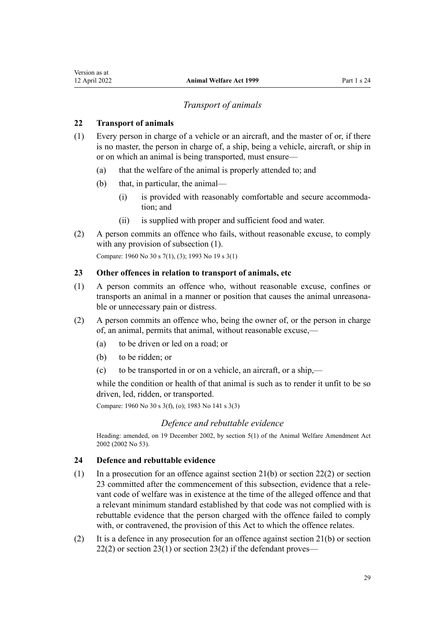## *Transport of animals*

## <span id="page-28-0"></span>**22 Transport of animals**

- (1) Every person in charge of a vehicle or an aircraft, and the master of or, if there is no master, the person in charge of, a ship, being a vehicle, aircraft, or ship in or on which an animal is being transported, must ensure—
	- (a) that the welfare of the animal is properly attended to; and
	- (b) that, in particular, the animal—
		- (i) is provided with reasonably comfortable and secure accommoda‐ tion; and
		- (ii) is supplied with proper and sufficient food and water.
- (2) A person commits an offence who fails, without reasonable excuse, to comply with any provision of subsection  $(1)$ .

Compare: 1960 No 30 s 7(1), (3); 1993 No 19 s 3(1)

#### **23 Other offences in relation to transport of animals, etc**

- (1) A person commits an offence who, without reasonable excuse, confines or transports an animal in a manner or position that causes the animal unreasona‐ ble or unnecessary pain or distress.
- (2) A person commits an offence who, being the owner of, or the person in charge of, an animal, permits that animal, without reasonable excuse,—
	- (a) to be driven or led on a road; or
	- (b) to be ridden; or
	- (c) to be transported in or on a vehicle, an aircraft, or a ship,—

while the condition or health of that animal is such as to render it unfit to be so driven, led, ridden, or transported.

Compare: 1960 No 30 s 3(f), (o); 1983 No 141 s 3(3)

### *Defence and rebuttable evidence*

Heading: amended, on 19 December 2002, by [section 5\(1\)](http://legislation.govt.nz/pdflink.aspx?id=DLM167418) of the Animal Welfare Amendment Act 2002 (2002 No 53).

### **24 Defence and rebuttable evidence**

- (1) In a prosecution for an offence against [section 21\(b\)](#page-27-0) or section 22(2) or section 23 committed after the commencement of this subsection, evidence that a rele‐ vant code of welfare was in existence at the time of the alleged offence and that a relevant minimum standard established by that code was not complied with is rebuttable evidence that the person charged with the offence failed to comply with, or contravened, the provision of this Act to which the offence relates.
- (2) It is a defence in any prosecution for an offence against [section 21\(b\)](#page-27-0) or section  $22(2)$  or section  $23(1)$  or section  $23(2)$  if the defendant proves—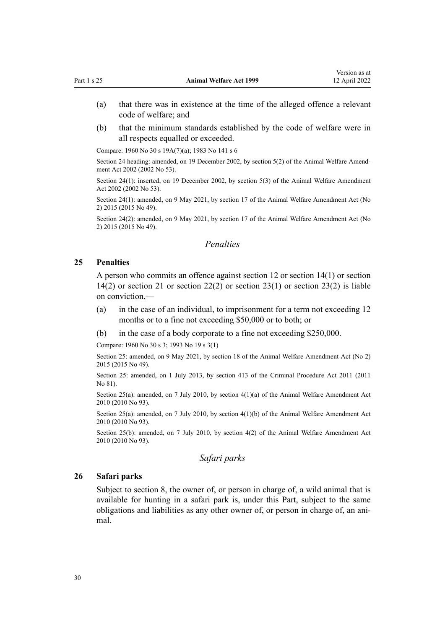- <span id="page-29-0"></span>(a) that there was in existence at the time of the alleged offence a relevant code of welfare; and
- (b) that the minimum standards established by the code of welfare were in all respects equalled or exceeded.

Compare: 1960 No 30 s 19A(7)(a); 1983 No 141 s 6

Section 24 heading: amended, on 19 December 2002, by [section 5\(2\)](http://legislation.govt.nz/pdflink.aspx?id=DLM167418) of the Animal Welfare Amendment Act 2002 (2002 No 53).

Section 24(1): inserted, on 19 December 2002, by [section 5\(3\)](http://legislation.govt.nz/pdflink.aspx?id=DLM167418) of the Animal Welfare Amendment Act 2002 (2002 No 53).

Section 24(1): amended, on 9 May 2021, by [section 17](http://legislation.govt.nz/pdflink.aspx?id=DLM6165705) of the Animal Welfare Amendment Act (No 2) 2015 (2015 No 49).

Section 24(2): amended, on 9 May 2021, by [section 17](http://legislation.govt.nz/pdflink.aspx?id=DLM6165705) of the Animal Welfare Amendment Act (No 2) 2015 (2015 No 49).

# *Penalties*

#### **25 Penalties**

A person who commits an offence against [section 12](#page-24-0) or [section 14\(1\)](#page-26-0) or section 14(2) or [section 21](#page-27-0) or [section 22\(2\)](#page-28-0) or [section 23\(1\)](#page-28-0) or section 23(2) is liable on conviction,—

- (a) in the case of an individual, to imprisonment for a term not exceeding 12 months or to a fine not exceeding \$50,000 or to both; or
- (b) in the case of a body corporate to a fine not exceeding \$250,000.

Compare: 1960 No 30 s 3; 1993 No 19 s 3(1)

Section 25: amended, on 9 May 2021, by [section 18](http://legislation.govt.nz/pdflink.aspx?id=DLM5174838) of the Animal Welfare Amendment Act (No 2) 2015 (2015 No 49).

Section 25: amended, on 1 July 2013, by [section 413](http://legislation.govt.nz/pdflink.aspx?id=DLM3360714) of the Criminal Procedure Act 2011 (2011 No 81).

Section 25(a): amended, on 7 July 2010, by [section 4\(1\)\(a\)](http://legislation.govt.nz/pdflink.aspx?id=DLM2747708) of the Animal Welfare Amendment Act 2010 (2010 No 93).

Section 25(a): amended, on 7 July 2010, by [section 4\(1\)\(b\)](http://legislation.govt.nz/pdflink.aspx?id=DLM2747708) of the Animal Welfare Amendment Act 2010 (2010 No 93).

Section 25(b): amended, on 7 July 2010, by [section 4\(2\)](http://legislation.govt.nz/pdflink.aspx?id=DLM2747708) of the Animal Welfare Amendment Act 2010 (2010 No 93).

## *Safari parks*

#### **26 Safari parks**

Subject to [section 8,](#page-22-0) the owner of, or person in charge of, a wild animal that is available for hunting in a safari park is, under this Part, subject to the same obligations and liabilities as any other owner of, or person in charge of, an ani‐ mal.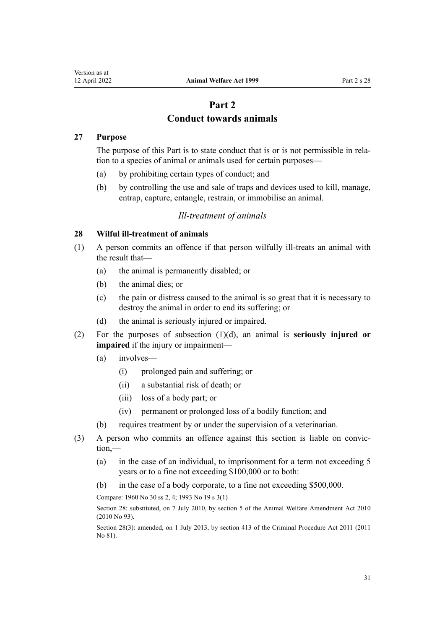# **Part 2 Conduct towards animals**

## <span id="page-30-0"></span>**27 Purpose**

The purpose of this Part is to state conduct that is or is not permissible in relation to a species of animal or animals used for certain purposes—

- (a) by prohibiting certain types of conduct; and
- (b) by controlling the use and sale of traps and devices used to kill, manage, entrap, capture, entangle, restrain, or immobilise an animal.

#### *Ill-treatment of animals*

## **28 Wilful ill-treatment of animals**

- (1) A person commits an offence if that person wilfully ill-treats an animal with the result that—
	- (a) the animal is permanently disabled; or
	- (b) the animal dies; or
	- (c) the pain or distress caused to the animal is so great that it is necessary to destroy the animal in order to end its suffering; or
	- (d) the animal is seriously injured or impaired.
- (2) For the purposes of subsection (1)(d), an animal is **seriously injured or impaired** if the injury or impairment—
	- (a) involves—
		- (i) prolonged pain and suffering; or
		- (ii) a substantial risk of death; or
		- (iii) loss of a body part; or
		- (iv) permanent or prolonged loss of a bodily function; and
	- (b) requires treatment by or under the supervision of a veterinarian.
- (3) A person who commits an offence against this section is liable on conviction,—
	- (a) in the case of an individual, to imprisonment for a term not exceeding 5 years or to a fine not exceeding \$100,000 or to both:
	- (b) in the case of a body corporate, to a fine not exceeding \$500,000.

Compare: 1960 No 30 ss 2, 4; 1993 No 19 s 3(1)

Section 28: substituted, on 7 July 2010, by [section 5](http://legislation.govt.nz/pdflink.aspx?id=DLM2747709) of the Animal Welfare Amendment Act 2010 (2010 No 93).

Section 28(3): amended, on 1 July 2013, by [section 413](http://legislation.govt.nz/pdflink.aspx?id=DLM3360714) of the Criminal Procedure Act 2011 (2011 No 81).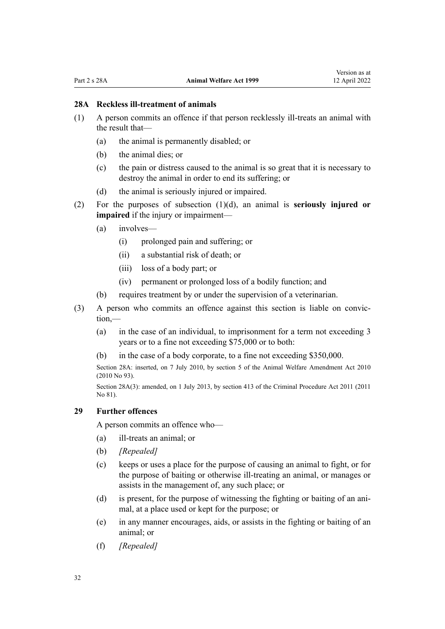#### <span id="page-31-0"></span>**28A Reckless ill-treatment of animals**

- (1) A person commits an offence if that person recklessly ill-treats an animal with the result that—
	- (a) the animal is permanently disabled; or
	- (b) the animal dies; or
	- (c) the pain or distress caused to the animal is so great that it is necessary to destroy the animal in order to end its suffering; or
	- (d) the animal is seriously injured or impaired.
- (2) For the purposes of subsection (1)(d), an animal is **seriously injured or impaired** if the injury or impairment—
	- (a) involves—
		- (i) prolonged pain and suffering; or
		- (ii) a substantial risk of death; or
		- (iii) loss of a body part; or
		- (iv) permanent or prolonged loss of a bodily function; and
	- (b) requires treatment by or under the supervision of a veterinarian.
- (3) A person who commits an offence against this section is liable on convic‐ tion,—
	- (a) in the case of an individual, to imprisonment for a term not exceeding 3 years or to a fine not exceeding \$75,000 or to both:
	- (b) in the case of a body corporate, to a fine not exceeding \$350,000.

Section 28A: inserted, on 7 July 2010, by [section 5](http://legislation.govt.nz/pdflink.aspx?id=DLM2747709) of the Animal Welfare Amendment Act 2010 (2010 No 93).

Section 28A(3): amended, on 1 July 2013, by [section 413](http://legislation.govt.nz/pdflink.aspx?id=DLM3360714) of the Criminal Procedure Act 2011 (2011 No 81).

## **29 Further offences**

A person commits an offence who—

- (a) ill-treats an animal; or
- (b) *[Repealed]*
- (c) keeps or uses a place for the purpose of causing an animal to fight, or for the purpose of baiting or otherwise ill-treating an animal, or manages or assists in the management of, any such place; or
- (d) is present, for the purpose of witnessing the fighting or baiting of an animal, at a place used or kept for the purpose; or
- (e) in any manner encourages, aids, or assists in the fighting or baiting of an animal; or
- (f) *[Repealed]*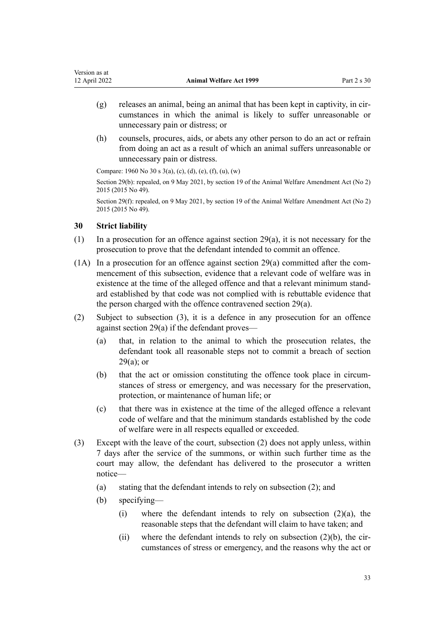- <span id="page-32-0"></span> $(g)$  releases an animal, being an animal that has been kept in captivity, in circumstances in which the animal is likely to suffer unreasonable or unnecessary pain or distress; or
- (h) counsels, procures, aids, or abets any other person to do an act or refrain from doing an act as a result of which an animal suffers unreasonable or unnecessary pain or distress.

Compare: 1960 No 30 s 3(a), (c), (d), (e), (f), (u), (w)

Section 29(b): repealed, on 9 May 2021, by [section 19](http://legislation.govt.nz/pdflink.aspx?id=DLM5174839) of the Animal Welfare Amendment Act (No 2) 2015 (2015 No 49).

Section 29(f): repealed, on 9 May 2021, by [section 19](http://legislation.govt.nz/pdflink.aspx?id=DLM5174839) of the Animal Welfare Amendment Act (No 2) 2015 (2015 No 49).

### **30 Strict liability**

- (1) In a prosecution for an offence against [section 29\(a\)](#page-31-0), it is not necessary for the prosecution to prove that the defendant intended to commit an offence.
- $(1A)$  In a prosecution for an offence against [section 29\(a\)](#page-31-0) committed after the commencement of this subsection, evidence that a relevant code of welfare was in existence at the time of the alleged offence and that a relevant minimum stand‐ ard established by that code was not complied with is rebuttable evidence that the person charged with the offence contravened section 29(a).
- (2) Subject to subsection (3), it is a defence in any prosecution for an offence against [section 29\(a\)](#page-31-0) if the defendant proves—
	- (a) that, in relation to the animal to which the prosecution relates, the defendant took all reasonable steps not to commit a breach of [section](#page-31-0)  $29(a)$ ; or
	- (b) that the act or omission constituting the offence took place in circumstances of stress or emergency, and was necessary for the preservation, protection, or maintenance of human life; or
	- (c) that there was in existence at the time of the alleged offence a relevant code of welfare and that the minimum standards established by the code of welfare were in all respects equalled or exceeded.
- (3) Except with the leave of the court, subsection (2) does not apply unless, within 7 days after the service of the summons, or within such further time as the court may allow, the defendant has delivered to the prosecutor a written notice—
	- (a) stating that the defendant intends to rely on subsection (2); and
	- (b) specifying—
		- (i) where the defendant intends to rely on subsection (2)(a), the reasonable steps that the defendant will claim to have taken; and
		- (ii) where the defendant intends to rely on subsection  $(2)(b)$ , the circumstances of stress or emergency, and the reasons why the act or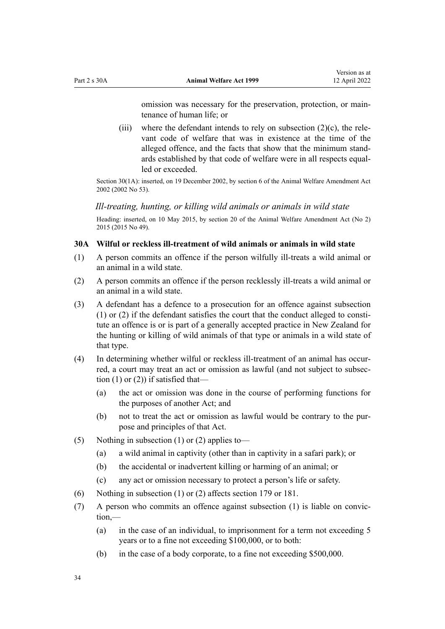omission was necessary for the preservation, protection, or main‐ tenance of human life; or

<span id="page-33-0"></span>(iii) where the defendant intends to rely on subsection  $(2)(c)$ , the relevant code of welfare that was in existence at the time of the alleged offence, and the facts that show that the minimum stand‐ ards established by that code of welfare were in all respects equal‐ led or exceeded.

Section 30(1A): inserted, on 19 December 2002, by [section 6](http://legislation.govt.nz/pdflink.aspx?id=DLM167419) of the Animal Welfare Amendment Act 2002 (2002 No 53).

#### *Ill-treating, hunting, or killing wild animals or animals in wild state*

Heading: inserted, on 10 May 2015, by [section 20](http://legislation.govt.nz/pdflink.aspx?id=DLM5174840) of the Animal Welfare Amendment Act (No 2) 2015 (2015 No 49).

## **30A Wilful or reckless ill-treatment of wild animals or animals in wild state**

- (1) A person commits an offence if the person wilfully ill-treats a wild animal or an animal in a wild state.
- (2) A person commits an offence if the person recklessly ill-treats a wild animal or an animal in a wild state.
- (3) A defendant has a defence to a prosecution for an offence against subsection (1) or  $(2)$  if the defendant satisfies the court that the conduct alleged to constitute an offence is or is part of a generally accepted practice in New Zealand for the hunting or killing of wild animals of that type or animals in a wild state of that type.
- (4) In determining whether wilful or reckless ill-treatment of an animal has occurred, a court may treat an act or omission as lawful (and not subject to subsec‐ tion  $(1)$  or  $(2)$ ) if satisfied that—
	- (a) the act or omission was done in the course of performing functions for the purposes of another Act; and
	- (b) not to treat the act or omission as lawful would be contrary to the purpose and principles of that Act.
- (5) Nothing in subsection (1) or (2) applies to—
	- (a) a wild animal in captivity (other than in captivity in a safari park); or
	- (b) the accidental or inadvertent killing or harming of an animal; or
	- (c) any act or omission necessary to protect a person's life or safety.
- (6) Nothing in subsection (1) or (2) affects [section 179](#page-117-0) or [181.](#page-118-0)
- (7) A person who commits an offence against subsection (1) is liable on convic‐ tion,—
	- (a) in the case of an individual, to imprisonment for a term not exceeding 5 years or to a fine not exceeding \$100,000, or to both:
	- (b) in the case of a body corporate, to a fine not exceeding \$500,000.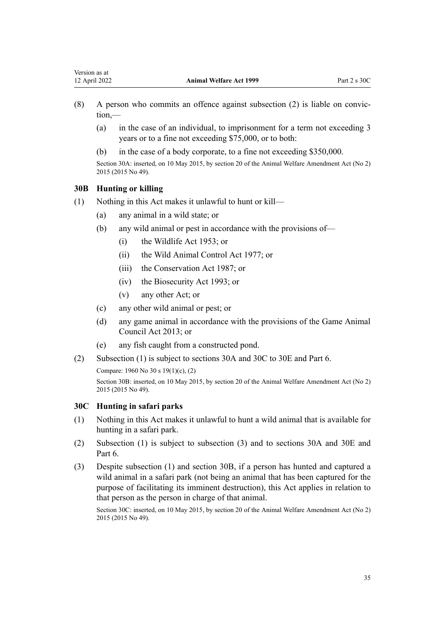- <span id="page-34-0"></span>(8) A person who commits an offence against subsection (2) is liable on convic‐ tion,—
	- (a) in the case of an individual, to imprisonment for a term not exceeding 3 years or to a fine not exceeding \$75,000, or to both:
	- (b) in the case of a body corporate, to a fine not exceeding \$350,000.

Section 30A: inserted, on 10 May 2015, by [section 20](http://legislation.govt.nz/pdflink.aspx?id=DLM5174840) of the Animal Welfare Amendment Act (No 2) 2015 (2015 No 49).

#### **30B Hunting or killing**

- (1) Nothing in this Act makes it unlawful to hunt or kill—
	- (a) any animal in a wild state; or
	- (b) any wild animal or pest in accordance with the provisions of—
		- (i) the [Wildlife Act 1953](http://legislation.govt.nz/pdflink.aspx?id=DLM276813); or
		- (ii) the [Wild Animal Control Act 1977](http://legislation.govt.nz/pdflink.aspx?id=DLM16622); or
		- (iii) the [Conservation Act 1987;](http://legislation.govt.nz/pdflink.aspx?id=DLM103609) or
		- (iv) the [Biosecurity Act 1993;](http://legislation.govt.nz/pdflink.aspx?id=DLM314622) or
		- (v) any other Act; or
	- (c) any other wild animal or pest; or
	- (d) any game animal in accordance with the provisions of the [Game Animal](http://legislation.govt.nz/pdflink.aspx?id=DLM4105012) [Council Act 2013;](http://legislation.govt.nz/pdflink.aspx?id=DLM4105012) or
	- (e) any fish caught from a constructed pond.
- (2) Subsection (1) is subject to [sections 30A](#page-33-0) and 30C to 30E and [Part 6.](#page-58-0)

Compare: 1960 No 30 s 19(1)(c), (2)

Section 30B: inserted, on 10 May 2015, by [section 20](http://legislation.govt.nz/pdflink.aspx?id=DLM5174840) of the Animal Welfare Amendment Act (No 2) 2015 (2015 No 49).

## **30C Hunting in safari parks**

- (1) Nothing in this Act makes it unlawful to hunt a wild animal that is available for hunting in a safari park.
- (2) Subsection (1) is subject to subsection (3) and to [sections 30A](#page-33-0) and [30E](#page-35-0) and [Part 6](#page-58-0).
- (3) Despite subsection (1) and section 30B, if a person has hunted and captured a wild animal in a safari park (not being an animal that has been captured for the purpose of facilitating its imminent destruction), this Act applies in relation to that person as the person in charge of that animal.

Section 30C: inserted, on 10 May 2015, by [section 20](http://legislation.govt.nz/pdflink.aspx?id=DLM5174840) of the Animal Welfare Amendment Act (No 2) 2015 (2015 No 49).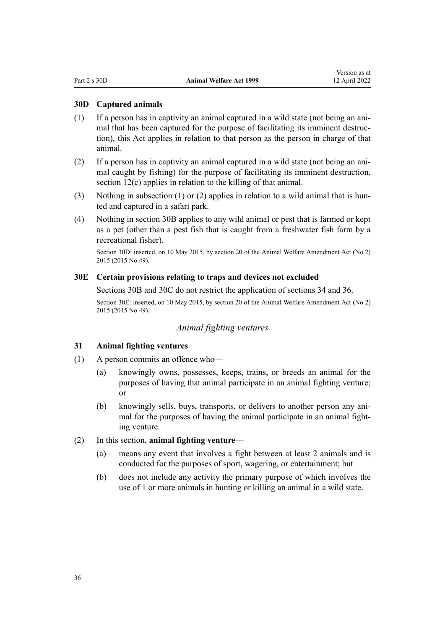#### <span id="page-35-0"></span>**30D Captured animals**

- (1) If a person has in captivity an animal captured in a wild state (not being an ani‐ mal that has been captured for the purpose of facilitating its imminent destruction), this Act applies in relation to that person as the person in charge of that animal.
- (2) If a person has in captivity an animal captured in a wild state (not being an ani‐ mal caught by fishing) for the purpose of facilitating its imminent destruction, [section 12\(c\)](#page-24-0) applies in relation to the killing of that animal.
- (3) Nothing in subsection (1) or (2) applies in relation to a wild animal that is hunted and captured in a safari park.
- (4) Nothing in [section 30B](#page-34-0) applies to any wild animal or pest that is farmed or kept as a pet (other than a pest fish that is caught from a freshwater fish farm by a recreational fisher).

Section 30D: inserted, on 10 May 2015, by [section 20](http://legislation.govt.nz/pdflink.aspx?id=DLM5174840) of the Animal Welfare Amendment Act (No 2) 2015 (2015 No 49).

#### **30E Certain provisions relating to traps and devices not excluded**

[Sections 30B](#page-34-0) and [30C](#page-34-0) do not restrict the application of [sections 34](#page-37-0) and [36.](#page-38-0)

Section 30E: inserted, on 10 May 2015, by [section 20](http://legislation.govt.nz/pdflink.aspx?id=DLM5174840) of the Animal Welfare Amendment Act (No 2) 2015 (2015 No 49).

### *Animal fighting ventures*

#### **31 Animal fighting ventures**

- (1) A person commits an offence who—
	- (a) knowingly owns, possesses, keeps, trains, or breeds an animal for the purposes of having that animal participate in an animal fighting venture; or
	- (b) knowingly sells, buys, transports, or delivers to another person any ani‐ mal for the purposes of having the animal participate in an animal fighting venture.
- (2) In this section, **animal fighting venture**
	- (a) means any event that involves a fight between at least 2 animals and is conducted for the purposes of sport, wagering, or entertainment; but
	- (b) does not include any activity the primary purpose of which involves the use of 1 or more animals in hunting or killing an animal in a wild state.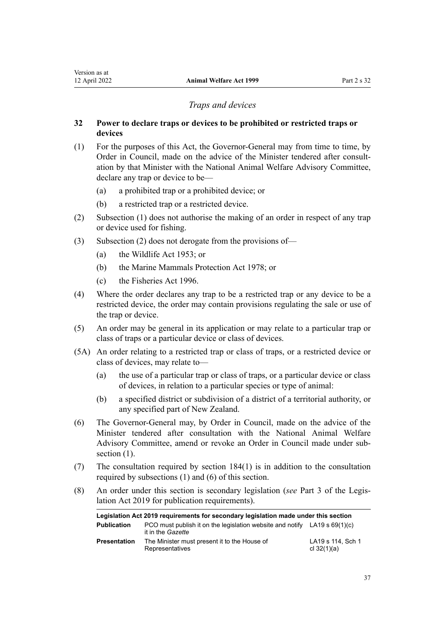# *Traps and devices*

# <span id="page-36-0"></span>**32 Power to declare traps or devices to be prohibited or restricted traps or devices**

- (1) For the purposes of this Act, the Governor-General may from time to time, by Order in Council, made on the advice of the Minister tendered after consult‐ ation by that Minister with the National Animal Welfare Advisory Committee, declare any trap or device to be—
	- (a) a prohibited trap or a prohibited device; or
	- (b) a restricted trap or a restricted device.
- (2) Subsection (1) does not authorise the making of an order in respect of any trap or device used for fishing.
- (3) Subsection (2) does not derogate from the provisions of—
	- (a) the [Wildlife Act 1953](http://legislation.govt.nz/pdflink.aspx?id=DLM276813); or
	- (b) the [Marine Mammals Protection Act 1978;](http://legislation.govt.nz/pdflink.aspx?id=DLM25110) or
	- (c) the [Fisheries Act 1996](http://legislation.govt.nz/pdflink.aspx?id=DLM394191).
- (4) Where the order declares any trap to be a restricted trap or any device to be a restricted device, the order may contain provisions regulating the sale or use of the trap or device.
- (5) An order may be general in its application or may relate to a particular trap or class of traps or a particular device or class of devices.
- (5A) An order relating to a restricted trap or class of traps, or a restricted device or class of devices, may relate to—
	- (a) the use of a particular trap or class of traps, or a particular device or class of devices, in relation to a particular species or type of animal:
	- (b) a specified district or subdivision of a district of a territorial authority, or any specified part of New Zealand.
- (6) The Governor-General may, by Order in Council, made on the advice of the Minister tendered after consultation with the National Animal Welfare Advisory Committee, amend or revoke an Order in Council made under sub‐ section  $(1)$ .
- (7) The consultation required by [section 184\(1\)](#page-126-0) is in addition to the consultation required by subsections (1) and (6) of this section.
- (8) An order under this section is secondary legislation (*see* [Part 3](http://legislation.govt.nz/pdflink.aspx?id=DLM7298343) of the Legis‐ lation Act 2019 for publication requirements).

| Legislation Act 2019 requirements for secondary legislation made under this section |                                                                                                         |                                    |  |
|-------------------------------------------------------------------------------------|---------------------------------------------------------------------------------------------------------|------------------------------------|--|
| <b>Publication</b>                                                                  | PCO must publish it on the legislation website and notify LA19 s $69(1)(c)$<br>it in the <i>Gazette</i> |                                    |  |
| <b>Presentation</b>                                                                 | The Minister must present it to the House of<br>Representatives                                         | LA19 s 114, Sch 1<br>cl $32(1)(a)$ |  |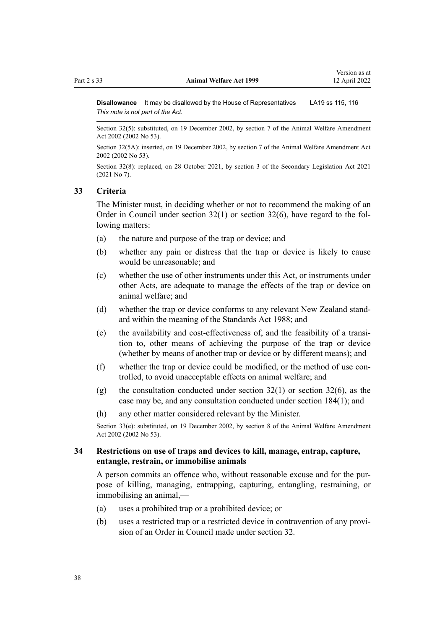<span id="page-37-0"></span>**Disallowance** It may be disallowed by the House of Representatives LA19 [ss 115](http://legislation.govt.nz/pdflink.aspx?id=DLM7298431), [116](http://legislation.govt.nz/pdflink.aspx?id=DLM7298432) *This note is not part of the Act.*

Section 32(5): substituted, on 19 December 2002, by [section 7](http://legislation.govt.nz/pdflink.aspx?id=DLM167420) of the Animal Welfare Amendment Act 2002 (2002 No 53).

Section 32(5A): inserted, on 19 December 2002, by [section 7](http://legislation.govt.nz/pdflink.aspx?id=DLM167420) of the Animal Welfare Amendment Act 2002 (2002 No 53).

Section 32(8): replaced, on 28 October 2021, by [section 3](http://legislation.govt.nz/pdflink.aspx?id=LMS268932) of the Secondary Legislation Act 2021 (2021 No 7).

#### **33 Criteria**

The Minister must, in deciding whether or not to recommend the making of an Order in Council under section  $32(1)$  or section  $32(6)$ , have regard to the following matters:

- (a) the nature and purpose of the trap or device; and
- (b) whether any pain or distress that the trap or device is likely to cause would be unreasonable; and
- (c) whether the use of other instruments under this Act, or instruments under other Acts, are adequate to manage the effects of the trap or device on animal welfare; and
- (d) whether the trap or device conforms to any relevant New Zealand standard within the meaning of the [Standards Act 1988;](http://legislation.govt.nz/pdflink.aspx?id=DLM128138) and
- (e) the availability and cost-effectiveness of, and the feasibility of a transi‐ tion to, other means of achieving the purpose of the trap or device (whether by means of another trap or device or by different means); and
- (f) whether the trap or device could be modified, or the method of use con‐ trolled, to avoid unacceptable effects on animal welfare; and
- (g) the consultation conducted under section  $32(1)$  or section  $32(6)$ , as the case may be, and any consultation conducted under [section 184\(1\);](#page-126-0) and
- (h) any other matter considered relevant by the Minister.

Section 33(e): substituted, on 19 December 2002, by [section 8](http://legislation.govt.nz/pdflink.aspx?id=DLM167421) of the Animal Welfare Amendment Act 2002 (2002 No 53).

#### **34 Restrictions on use of traps and devices to kill, manage, entrap, capture, entangle, restrain, or immobilise animals**

A person commits an offence who, without reasonable excuse and for the pur‐ pose of killing, managing, entrapping, capturing, entangling, restraining, or immobilising an animal,—

- (a) uses a prohibited trap or a prohibited device; or
- (b) uses a restricted trap or a restricted device in contravention of any provi‐ sion of an Order in Council made under [section 32](#page-36-0).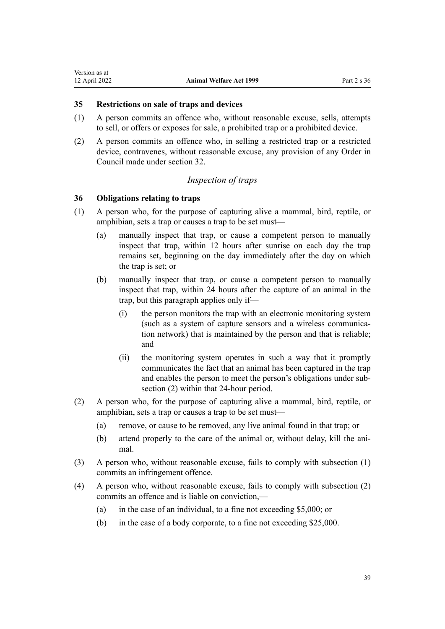# <span id="page-38-0"></span>**35 Restrictions on sale of traps and devices**

- (1) A person commits an offence who, without reasonable excuse, sells, attempts to sell, or offers or exposes for sale, a prohibited trap or a prohibited device.
- (2) A person commits an offence who, in selling a restricted trap or a restricted device, contravenes, without reasonable excuse, any provision of any Order in Council made under [section 32](#page-36-0).

# *Inspection of traps*

# **36 Obligations relating to traps**

- (1) A person who, for the purpose of capturing alive a mammal, bird, reptile, or amphibian, sets a trap or causes a trap to be set must—
	- (a) manually inspect that trap, or cause a competent person to manually inspect that trap, within 12 hours after sunrise on each day the trap remains set, beginning on the day immediately after the day on which the trap is set; or
	- (b) manually inspect that trap, or cause a competent person to manually inspect that trap, within 24 hours after the capture of an animal in the trap, but this paragraph applies only if—
		- (i) the person monitors the trap with an electronic monitoring system (such as a system of capture sensors and a wireless communica‐ tion network) that is maintained by the person and that is reliable; and
		- (ii) the monitoring system operates in such a way that it promptly communicates the fact that an animal has been captured in the trap and enables the person to meet the person's obligations under subsection (2) within that 24-hour period.
- (2) A person who, for the purpose of capturing alive a mammal, bird, reptile, or amphibian, sets a trap or causes a trap to be set must—
	- (a) remove, or cause to be removed, any live animal found in that trap; or
	- (b) attend properly to the care of the animal or, without delay, kill the animal.
- (3) A person who, without reasonable excuse, fails to comply with subsection (1) commits an infringement offence.
- (4) A person who, without reasonable excuse, fails to comply with subsection (2) commits an offence and is liable on conviction,—
	- (a) in the case of an individual, to a fine not exceeding \$5,000; or
	- (b) in the case of a body corporate, to a fine not exceeding \$25,000.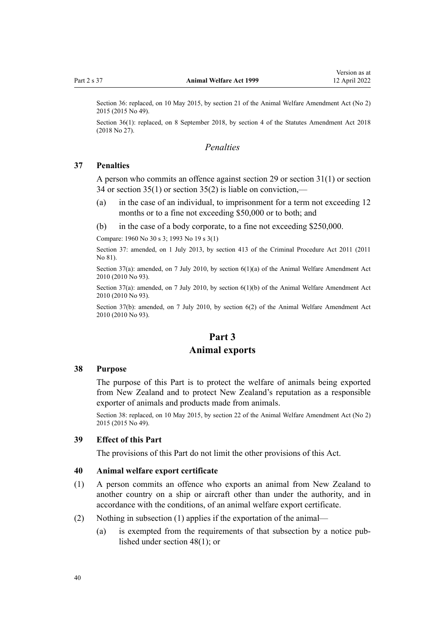<span id="page-39-0"></span>Section 36: replaced, on 10 May 2015, by [section 21](http://legislation.govt.nz/pdflink.aspx?id=DLM6165706) of the Animal Welfare Amendment Act (No 2) 2015 (2015 No 49).

Section 36(1): replaced, on 8 September 2018, by [section 4](http://legislation.govt.nz/pdflink.aspx?id=DLM7227049) of the Statutes Amendment Act 2018 (2018 No 27).

## *Penalties*

#### **37 Penalties**

A person who commits an offence against [section 29](#page-31-0) or [section 31\(1\)](#page-35-0) or [section](#page-37-0) [34](#page-37-0) or [section 35\(1\)](#page-38-0) or section 35(2) is liable on conviction,—

- (a) in the case of an individual, to imprisonment for a term not exceeding 12 months or to a fine not exceeding \$50,000 or to both; and
- (b) in the case of a body corporate, to a fine not exceeding \$250,000.

Compare: 1960 No 30 s 3; 1993 No 19 s 3(1)

Section 37: amended, on 1 July 2013, by [section 413](http://legislation.govt.nz/pdflink.aspx?id=DLM3360714) of the Criminal Procedure Act 2011 (2011 No 81).

Section  $37(a)$ : amended, on 7 July 2010, by section  $6(1)(a)$  of the Animal Welfare Amendment Act 2010 (2010 No 93).

Section 37(a): amended, on 7 July 2010, by [section 6\(1\)\(b\)](http://legislation.govt.nz/pdflink.aspx?id=DLM2747714) of the Animal Welfare Amendment Act 2010 (2010 No 93).

Section 37(b): amended, on 7 July 2010, by [section 6\(2\)](http://legislation.govt.nz/pdflink.aspx?id=DLM2747714) of the Animal Welfare Amendment Act 2010 (2010 No 93).

# **Part 3**

# **Animal exports**

#### **38 Purpose**

The purpose of this Part is to protect the welfare of animals being exported from New Zealand and to protect New Zealand's reputation as a responsible exporter of animals and products made from animals.

Section 38: replaced, on 10 May 2015, by [section 22](http://legislation.govt.nz/pdflink.aspx?id=DLM5174848) of the Animal Welfare Amendment Act (No 2) 2015 (2015 No 49).

# **39 Effect of this Part**

The provisions of this Part do not limit the other provisions of this Act.

## **40 Animal welfare export certificate**

- (1) A person commits an offence who exports an animal from New Zealand to another country on a ship or aircraft other than under the authority, and in accordance with the conditions, of an animal welfare export certificate.
- (2) Nothing in subsection (1) applies if the exportation of the animal—
	- (a) is exempted from the requirements of that subsection by a notice pub‐ lished under [section 48\(1\);](#page-44-0) or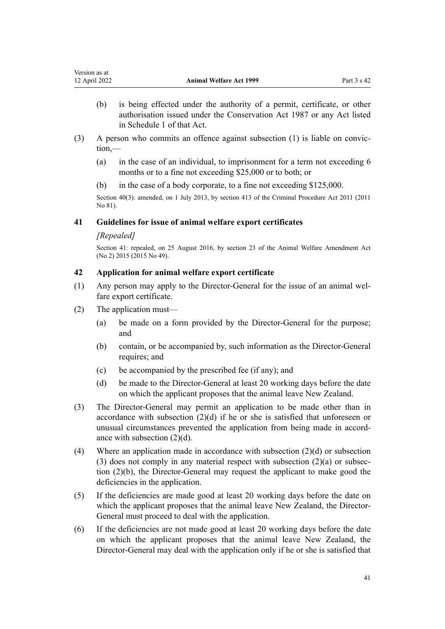- <span id="page-40-0"></span>(b) is being effected under the authority of a permit, certificate, or other authorisation issued under the Conservation Act 1987 or any Act listed in [Schedule 1](http://legislation.govt.nz/pdflink.aspx?id=DLM107200) of that Act.
- $(3)$  A person who commits an offence against subsection  $(1)$  is liable on conviction,—
	- (a) in the case of an individual, to imprisonment for a term not exceeding 6 months or to a fine not exceeding \$25,000 or to both; or
	- (b) in the case of a body corporate, to a fine not exceeding \$125,000.

Section 40(3): amended, on 1 July 2013, by [section 413](http://legislation.govt.nz/pdflink.aspx?id=DLM3360714) of the Criminal Procedure Act 2011 (2011 No 81).

#### **41 Guidelines for issue of animal welfare export certificates**

#### *[Repealed]*

Section 41: repealed, on 25 August 2016, by [section 23](http://legislation.govt.nz/pdflink.aspx?id=DLM5174850) of the Animal Welfare Amendment Act (No 2) 2015 (2015 No 49).

#### **42 Application for animal welfare export certificate**

- (1) Any person may apply to the Director-General for the issue of an animal wel‐ fare export certificate.
- (2) The application must—
	- (a) be made on a form provided by the Director-General for the purpose; and
	- (b) contain, or be accompanied by, such information as the Director-General requires; and
	- (c) be accompanied by the prescribed fee (if any); and
	- (d) be made to the Director-General at least 20 working days before the date on which the applicant proposes that the animal leave New Zealand.
- (3) The Director-General may permit an application to be made other than in accordance with subsection  $(2)(d)$  if he or she is satisfied that unforeseen or unusual circumstances prevented the application from being made in accordance with subsection (2)(d).
- (4) Where an application made in accordance with subsection (2)(d) or subsection (3) does not comply in any material respect with subsection  $(2)(a)$  or subsection (2)(b), the Director-General may request the applicant to make good the deficiencies in the application.
- (5) If the deficiencies are made good at least 20 working days before the date on which the applicant proposes that the animal leave New Zealand, the Director-General must proceed to deal with the application.
- (6) If the deficiencies are not made good at least 20 working days before the date on which the applicant proposes that the animal leave New Zealand, the Director-General may deal with the application only if he or she is satisfied that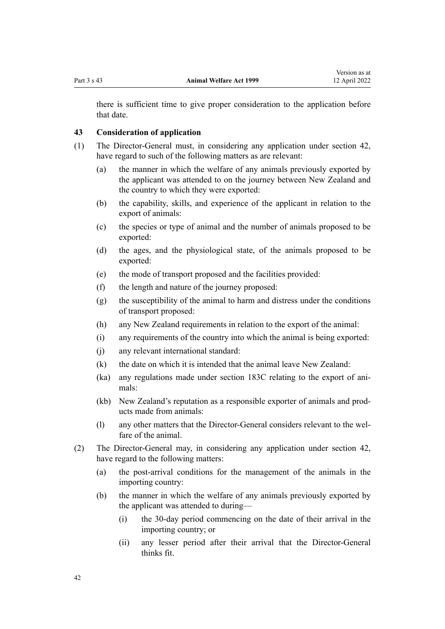<span id="page-41-0"></span>there is sufficient time to give proper consideration to the application before that date.

## **43 Consideration of application**

- (1) The Director-General must, in considering any application under [section 42](#page-40-0), have regard to such of the following matters as are relevant:
	- (a) the manner in which the welfare of any animals previously exported by the applicant was attended to on the journey between New Zealand and the country to which they were exported:
	- (b) the capability, skills, and experience of the applicant in relation to the export of animals:
	- (c) the species or type of animal and the number of animals proposed to be exported:
	- (d) the ages, and the physiological state, of the animals proposed to be exported:
	- (e) the mode of transport proposed and the facilities provided:
	- (f) the length and nature of the journey proposed:
	- (g) the susceptibility of the animal to harm and distress under the conditions of transport proposed:
	- (h) any New Zealand requirements in relation to the export of the animal:
	- (i) any requirements of the country into which the animal is being exported:
	- (j) any relevant international standard:
	- (k) the date on which it is intended that the animal leave New Zealand:
	- (ka) any regulations made under [section 183C](#page-125-0) relating to the export of ani‐ mals:
	- (kb) New Zealand's reputation as a responsible exporter of animals and prod‐ ucts made from animals:
	- (l) any other matters that the Director-General considers relevant to the wel‐ fare of the animal.
- (2) The Director-General may, in considering any application under [section 42](#page-40-0), have regard to the following matters:
	- (a) the post-arrival conditions for the management of the animals in the importing country:
	- (b) the manner in which the welfare of any animals previously exported by the applicant was attended to during—
		- (i) the 30-day period commencing on the date of their arrival in the importing country; or
		- (ii) any lesser period after their arrival that the Director-General thinks fit.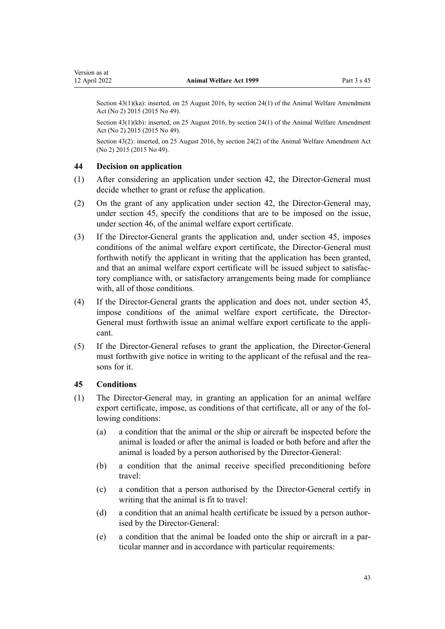<span id="page-42-0"></span>Section 43(1)(ka): inserted, on 25 August 2016, by [section 24\(1\)](http://legislation.govt.nz/pdflink.aspx?id=DLM5174851) of the Animal Welfare Amendment Act (No 2) 2015 (2015 No 49).

Section 43(1)(kb): inserted, on 25 August 2016, by [section 24\(1\)](http://legislation.govt.nz/pdflink.aspx?id=DLM5174851) of the Animal Welfare Amendment Act (No 2) 2015 (2015 No 49).

Section 43(2): inserted, on 25 August 2016, by [section 24\(2\)](http://legislation.govt.nz/pdflink.aspx?id=DLM5174851) of the Animal Welfare Amendment Act (No 2) 2015 (2015 No 49).

#### **44 Decision on application**

- (1) After considering an application under [section 42](#page-40-0), the Director-General must decide whether to grant or refuse the application.
- (2) On the grant of any application under [section 42](#page-40-0), the Director-General may, under section 45, specify the conditions that are to be imposed on the issue, under [section 46](#page-44-0), of the animal welfare export certificate.
- (3) If the Director-General grants the application and, under section 45, imposes conditions of the animal welfare export certificate, the Director-General must forthwith notify the applicant in writing that the application has been granted, and that an animal welfare export certificate will be issued subject to satisfactory compliance with, or satisfactory arrangements being made for compliance with, all of those conditions.
- (4) If the Director-General grants the application and does not, under section 45, impose conditions of the animal welfare export certificate, the Director-General must forthwith issue an animal welfare export certificate to the applicant.
- (5) If the Director-General refuses to grant the application, the Director-General must forthwith give notice in writing to the applicant of the refusal and the reasons for it.

## **45 Conditions**

- (1) The Director-General may, in granting an application for an animal welfare export certificate, impose, as conditions of that certificate, all or any of the following conditions:
	- (a) a condition that the animal or the ship or aircraft be inspected before the animal is loaded or after the animal is loaded or both before and after the animal is loaded by a person authorised by the Director-General:
	- (b) a condition that the animal receive specified preconditioning before travel:
	- (c) a condition that a person authorised by the Director-General certify in writing that the animal is fit to travel:
	- (d) a condition that an animal health certificate be issued by a person author‐ ised by the Director-General:
	- (e) a condition that the animal be loaded onto the ship or aircraft in a par‐ ticular manner and in accordance with particular requirements: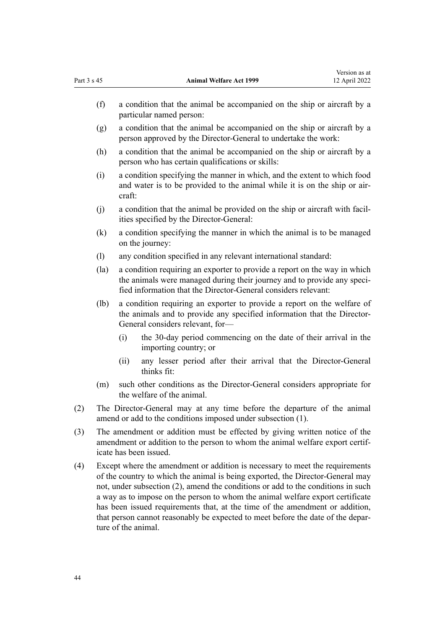| Part 3 s 45 |      |                                                                                                                                                                                                                                                                                                                                                                                                                                                                                                         | <b>Animal Welfare Act 1999</b>                                                                                                                                                         | 12 April 2022 |  |
|-------------|------|---------------------------------------------------------------------------------------------------------------------------------------------------------------------------------------------------------------------------------------------------------------------------------------------------------------------------------------------------------------------------------------------------------------------------------------------------------------------------------------------------------|----------------------------------------------------------------------------------------------------------------------------------------------------------------------------------------|---------------|--|
| (f)         |      |                                                                                                                                                                                                                                                                                                                                                                                                                                                                                                         | a condition that the animal be accompanied on the ship or aircraft by a<br>particular named person:                                                                                    |               |  |
|             | (g)  |                                                                                                                                                                                                                                                                                                                                                                                                                                                                                                         | a condition that the animal be accompanied on the ship or aircraft by a<br>person approved by the Director-General to undertake the work:                                              |               |  |
|             | (h)  |                                                                                                                                                                                                                                                                                                                                                                                                                                                                                                         | a condition that the animal be accompanied on the ship or aircraft by a<br>person who has certain qualifications or skills:                                                            |               |  |
|             | (i)  | craft:                                                                                                                                                                                                                                                                                                                                                                                                                                                                                                  | a condition specifying the manner in which, and the extent to which food<br>and water is to be provided to the animal while it is on the ship or air-                                  |               |  |
|             | (j)  |                                                                                                                                                                                                                                                                                                                                                                                                                                                                                                         | a condition that the animal be provided on the ship or aircraft with facil-<br>ities specified by the Director-General:                                                                |               |  |
|             | (k)  | a condition specifying the manner in which the animal is to be managed<br>on the journey:                                                                                                                                                                                                                                                                                                                                                                                                               |                                                                                                                                                                                        |               |  |
|             | (1)  |                                                                                                                                                                                                                                                                                                                                                                                                                                                                                                         | any condition specified in any relevant international standard:                                                                                                                        |               |  |
|             | (la) | a condition requiring an exporter to provide a report on the way in which<br>the animals were managed during their journey and to provide any speci-<br>fied information that the Director-General considers relevant:                                                                                                                                                                                                                                                                                  |                                                                                                                                                                                        |               |  |
|             | (lb) |                                                                                                                                                                                                                                                                                                                                                                                                                                                                                                         | a condition requiring an exporter to provide a report on the welfare of<br>the animals and to provide any specified information that the Director-<br>General considers relevant, for- |               |  |
|             |      | (i)                                                                                                                                                                                                                                                                                                                                                                                                                                                                                                     | the 30-day period commencing on the date of their arrival in the<br>importing country; or                                                                                              |               |  |
|             |      | (ii)                                                                                                                                                                                                                                                                                                                                                                                                                                                                                                    | any lesser period after their arrival that the Director-General<br>thinks fit:                                                                                                         |               |  |
|             | (m)  |                                                                                                                                                                                                                                                                                                                                                                                                                                                                                                         | such other conditions as the Director-General considers appropriate for<br>the welfare of the animal.                                                                                  |               |  |
| (2)         |      | The Director-General may at any time before the departure of the animal<br>amend or add to the conditions imposed under subsection (1).                                                                                                                                                                                                                                                                                                                                                                 |                                                                                                                                                                                        |               |  |
| (3)         |      | The amendment or addition must be effected by giving written notice of the<br>amendment or addition to the person to whom the animal welfare export certif-<br>icate has been issued.                                                                                                                                                                                                                                                                                                                   |                                                                                                                                                                                        |               |  |
| (4)         |      | Except where the amendment or addition is necessary to meet the requirements<br>of the country to which the animal is being exported, the Director-General may<br>not, under subsection (2), amend the conditions or add to the conditions in such<br>a way as to impose on the person to whom the animal welfare export certificate<br>has been issued requirements that, at the time of the amendment or addition,<br>that person cannot reasonably be expected to meet before the date of the depar- |                                                                                                                                                                                        |               |  |

ture of the animal.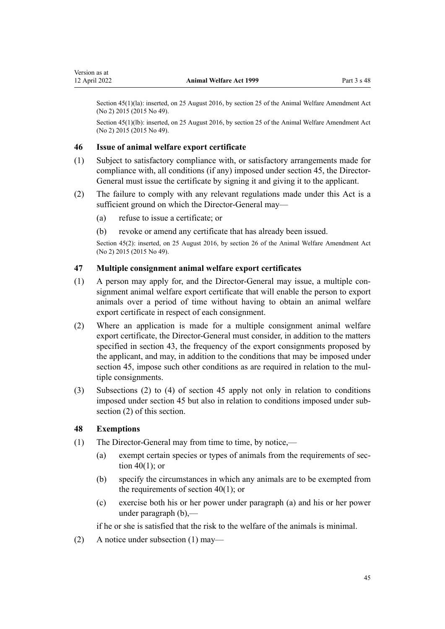<span id="page-44-0"></span>Section 45(1)(la): inserted, on 25 August 2016, by [section 25](http://legislation.govt.nz/pdflink.aspx?id=DLM5174852) of the Animal Welfare Amendment Act (No 2) 2015 (2015 No 49).

Section 45(1)(lb): inserted, on 25 August 2016, by [section 25](http://legislation.govt.nz/pdflink.aspx?id=DLM5174852) of the Animal Welfare Amendment Act (No 2) 2015 (2015 No 49).

#### **46 Issue of animal welfare export certificate**

- (1) Subject to satisfactory compliance with, or satisfactory arrangements made for compliance with, all conditions (if any) imposed under [section 45](#page-42-0), the Director-General must issue the certificate by signing it and giving it to the applicant.
- (2) The failure to comply with any relevant regulations made under this Act is a sufficient ground on which the Director-General may—
	- (a) refuse to issue a certificate; or
	- (b) revoke or amend any certificate that has already been issued.

Section 45(2): inserted, on 25 August 2016, by [section 26](http://legislation.govt.nz/pdflink.aspx?id=DLM6165708) of the Animal Welfare Amendment Act (No 2) 2015 (2015 No 49).

#### **47 Multiple consignment animal welfare export certificates**

- (1) A person may apply for, and the Director-General may issue, a multiple con‐ signment animal welfare export certificate that will enable the person to export animals over a period of time without having to obtain an animal welfare export certificate in respect of each consignment.
- (2) Where an application is made for a multiple consignment animal welfare export certificate, the Director-General must consider, in addition to the matters specified in [section 43,](#page-41-0) the frequency of the export consignments proposed by the applicant, and may, in addition to the conditions that may be imposed under [section 45,](#page-42-0) impose such other conditions as are required in relation to the multiple consignments.
- (3) Subsections (2) to (4) of [section 45](#page-42-0) apply not only in relation to conditions imposed under section 45 but also in relation to conditions imposed under subsection (2) of this section.

## **48 Exemptions**

- (1) The Director-General may from time to time, by notice,—
	- (a) exempt certain species or types of animals from the requirements of [sec‐](#page-39-0) tion  $40(1)$ ; or
	- (b) specify the circumstances in which any animals are to be exempted from the requirements of section  $40(1)$ ; or
	- (c) exercise both his or her power under paragraph (a) and his or her power under paragraph (b),—

if he or she is satisfied that the risk to the welfare of the animals is minimal.

(2) A notice under subsection (1) may—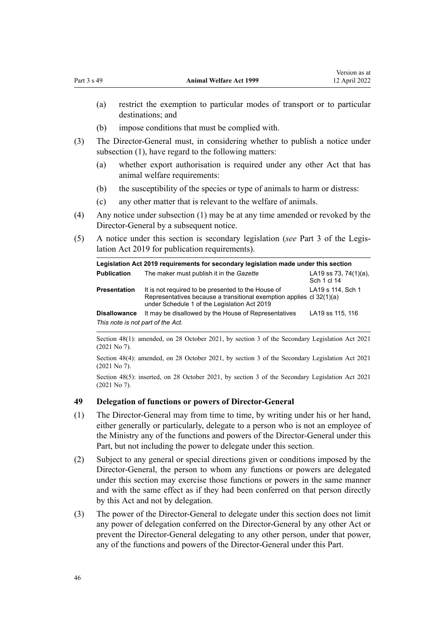- <span id="page-45-0"></span>(a) restrict the exemption to particular modes of transport or to particular destinations; and
- (b) impose conditions that must be complied with.
- (3) The Director-General must, in considering whether to publish a notice under subsection (1), have regard to the following matters:
	- (a) whether export authorisation is required under any other Act that has animal welfare requirements:
	- (b) the susceptibility of the species or type of animals to harm or distress:
	- (c) any other matter that is relevant to the welfare of animals.
- (4) Any notice under subsection (1) may be at any time amended or revoked by the Director-General by a subsequent notice.
- (5) A notice under this section is secondary legislation (*see* [Part 3](http://legislation.govt.nz/pdflink.aspx?id=DLM7298343) of the Legis‐ lation Act 2019 for publication requirements).

| Legislation Act 2019 requirements for secondary legislation made under this section |                                                                                                                                                                            |                                          |  |
|-------------------------------------------------------------------------------------|----------------------------------------------------------------------------------------------------------------------------------------------------------------------------|------------------------------------------|--|
| <b>Publication</b>                                                                  | The maker must publish it in the Gazette                                                                                                                                   | LA19 ss 73, 74 $(1)(a)$ ,<br>Sch 1 cl 14 |  |
| <b>Presentation</b>                                                                 | It is not required to be presented to the House of<br>Representatives because a transitional exemption applies cl 32(1)(a)<br>under Schedule 1 of the Legislation Act 2019 | LA19 s 114, Sch 1                        |  |
| <b>Disallowance</b>                                                                 | It may be disallowed by the House of Representatives                                                                                                                       | LA19 ss 115, 116                         |  |
| This note is not part of the Act.                                                   |                                                                                                                                                                            |                                          |  |

Section 48(1): amended, on 28 October 2021, by [section 3](http://legislation.govt.nz/pdflink.aspx?id=LMS268932) of the Secondary Legislation Act 2021 (2021 No 7).

Section 48(4): amended, on 28 October 2021, by [section 3](http://legislation.govt.nz/pdflink.aspx?id=LMS268932) of the Secondary Legislation Act 2021 (2021 No 7).

Section 48(5): inserted, on 28 October 2021, by [section 3](http://legislation.govt.nz/pdflink.aspx?id=LMS268932) of the Secondary Legislation Act 2021 (2021 No 7).

#### **49 Delegation of functions or powers of Director-General**

- (1) The Director-General may from time to time, by writing under his or her hand, either generally or particularly, delegate to a person who is not an employee of the Ministry any of the functions and powers of the Director-General under this Part, but not including the power to delegate under this section.
- (2) Subject to any general or special directions given or conditions imposed by the Director-General, the person to whom any functions or powers are delegated under this section may exercise those functions or powers in the same manner and with the same effect as if they had been conferred on that person directly by this Act and not by delegation.
- (3) The power of the Director-General to delegate under this section does not limit any power of delegation conferred on the Director-General by any other Act or prevent the Director-General delegating to any other person, under that power, any of the functions and powers of the Director-General under this Part.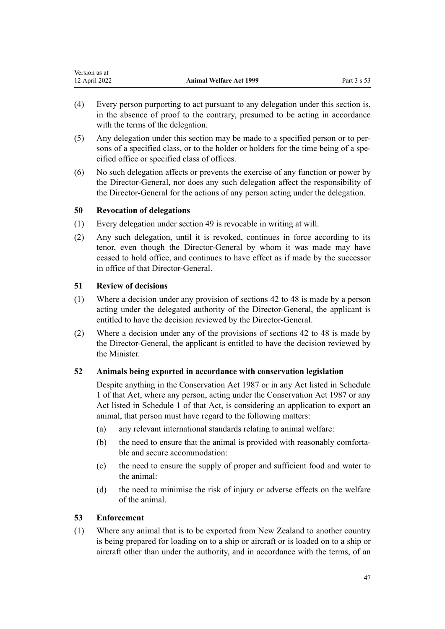| version as at |                                |             |
|---------------|--------------------------------|-------------|
| 12 April 2022 | <b>Animal Welfare Act 1999</b> | Part 3 s 53 |

- (4) Every person purporting to act pursuant to any delegation under this section is, in the absence of proof to the contrary, presumed to be acting in accordance with the terms of the delegation.
- (5) Any delegation under this section may be made to a specified person or to per‐ sons of a specified class, or to the holder or holders for the time being of a specified office or specified class of offices.
- (6) No such delegation affects or prevents the exercise of any function or power by the Director-General, nor does any such delegation affect the responsibility of the Director-General for the actions of any person acting under the delegation.

# **50 Revocation of delegations**

<span id="page-46-0"></span> $\mathbf{v}$  as a at a set  $\mathbf{v}$ 

- (1) Every delegation under [section 49](#page-45-0) is revocable in writing at will.
- (2) Any such delegation, until it is revoked, continues in force according to its tenor, even though the Director-General by whom it was made may have ceased to hold office, and continues to have effect as if made by the successor in office of that Director-General.

# **51 Review of decisions**

- (1) Where a decision under any provision of [sections 42 to 48](#page-40-0) is made by a person acting under the delegated authority of the Director-General, the applicant is entitled to have the decision reviewed by the Director-General.
- (2) Where a decision under any of the provisions of [sections 42 to 48](#page-40-0) is made by the Director-General, the applicant is entitled to have the decision reviewed by the Minister.

## **52 Animals being exported in accordance with conservation legislation**

Despite anything in the Conservation Act 1987 or in any Act listed in [Schedule](http://legislation.govt.nz/pdflink.aspx?id=DLM107200) [1](http://legislation.govt.nz/pdflink.aspx?id=DLM107200) of that Act, where any person, acting under the Conservation Act 1987 or any Act listed in Schedule 1 of that Act, is considering an application to export an animal, that person must have regard to the following matters:

- (a) any relevant international standards relating to animal welfare:
- (b) the need to ensure that the animal is provided with reasonably comfortable and secure accommodation:
- (c) the need to ensure the supply of proper and sufficient food and water to the animal:
- (d) the need to minimise the risk of injury or adverse effects on the welfare of the animal.

## **53 Enforcement**

(1) Where any animal that is to be exported from New Zealand to another country is being prepared for loading on to a ship or aircraft or is loaded on to a ship or aircraft other than under the authority, and in accordance with the terms, of an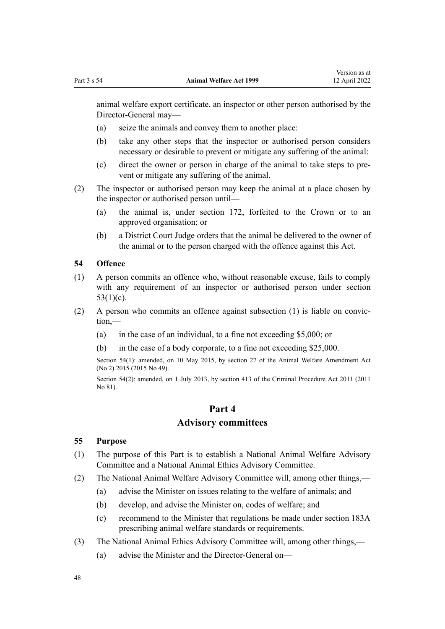animal welfare export certificate, an inspector or other person authorised by the Director-General may—

- (a) seize the animals and convey them to another place:
- (b) take any other steps that the inspector or authorised person considers necessary or desirable to prevent or mitigate any suffering of the animal:
- (c) direct the owner or person in charge of the animal to take steps to pre‐ vent or mitigate any suffering of the animal.
- (2) The inspector or authorised person may keep the animal at a place chosen by the inspector or authorised person until—
	- (a) the animal is, under [section 172,](#page-115-0) forfeited to the Crown or to an approved organisation; or
	- (b) a District Court Judge orders that the animal be delivered to the owner of the animal or to the person charged with the offence against this Act.

## **54 Offence**

- (1) A person commits an offence who, without reasonable excuse, fails to comply with any requirement of an inspector or authorised person under [section](#page-46-0)  $53(1)(c)$ .
- (2) A person who commits an offence against subsection (1) is liable on convic‐ tion,—
	- (a) in the case of an individual, to a fine not exceeding \$5,000; or
	- (b) in the case of a body corporate, to a fine not exceeding \$25,000.

Section 54(1): amended, on 10 May 2015, by [section 27](http://legislation.govt.nz/pdflink.aspx?id=DLM5174853) of the Animal Welfare Amendment Act (No 2) 2015 (2015 No 49).

Section 54(2): amended, on 1 July 2013, by [section 413](http://legislation.govt.nz/pdflink.aspx?id=DLM3360714) of the Criminal Procedure Act 2011 (2011 No 81).

# **Part 4**

# **Advisory committees**

## **55 Purpose**

- (1) The purpose of this Part is to establish a National Animal Welfare Advisory Committee and a National Animal Ethics Advisory Committee.
- (2) The National Animal Welfare Advisory Committee will, among other things,—
	- (a) advise the Minister on issues relating to the welfare of animals; and
	- (b) develop, and advise the Minister on, codes of welfare; and
	- (c) recommend to the Minister that regulations be made under [section 183A](#page-121-0) prescribing animal welfare standards or requirements.
- (3) The National Animal Ethics Advisory Committee will, among other things,—
	- (a) advise the Minister and the Director-General on—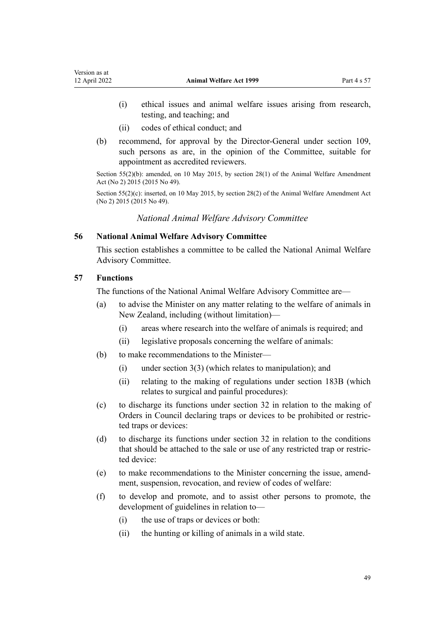- (i) ethical issues and animal welfare issues arising from research, testing, and teaching; and
- (ii) codes of ethical conduct; and
- (b) recommend, for approval by the Director-General under [section 109](#page-74-0), such persons as are, in the opinion of the Committee, suitable for appointment as accredited reviewers.

Section 55(2)(b): amended, on 10 May 2015, by [section 28\(1\)](http://legislation.govt.nz/pdflink.aspx?id=DLM5174854) of the Animal Welfare Amendment Act (No 2) 2015 (2015 No 49).

Section  $55(2)(c)$ : inserted, on 10 May 2015, by [section 28\(2\)](http://legislation.govt.nz/pdflink.aspx?id=DLM5174854) of the Animal Welfare Amendment Act (No 2) 2015 (2015 No 49).

*National Animal Welfare Advisory Committee*

## **56 National Animal Welfare Advisory Committee**

This section establishes a committee to be called the National Animal Welfare Advisory Committee.

## **57 Functions**

The functions of the National Animal Welfare Advisory Committee are—

- (a) to advise the Minister on any matter relating to the welfare of animals in New Zealand, including (without limitation)—
	- (i) areas where research into the welfare of animals is required; and
	- (ii) legislative proposals concerning the welfare of animals:
- (b) to make recommendations to the Minister—
	- (i) under [section 3\(3\)](#page-17-0) (which relates to manipulation); and
	- (ii) relating to the making of regulations under [section 183B](#page-123-0) (which relates to surgical and painful procedures):
- (c) to discharge its functions under [section 32](#page-36-0) in relation to the making of Orders in Council declaring traps or devices to be prohibited or restric‐ ted traps or devices:
- (d) to discharge its functions under [section 32](#page-36-0) in relation to the conditions that should be attached to the sale or use of any restricted trap or restric‐ ted device:
- (e) to make recommendations to the Minister concerning the issue, amend‐ ment, suspension, revocation, and review of codes of welfare:
- (f) to develop and promote, and to assist other persons to promote, the development of guidelines in relation to—
	- (i) the use of traps or devices or both:
	- (ii) the hunting or killing of animals in a wild state.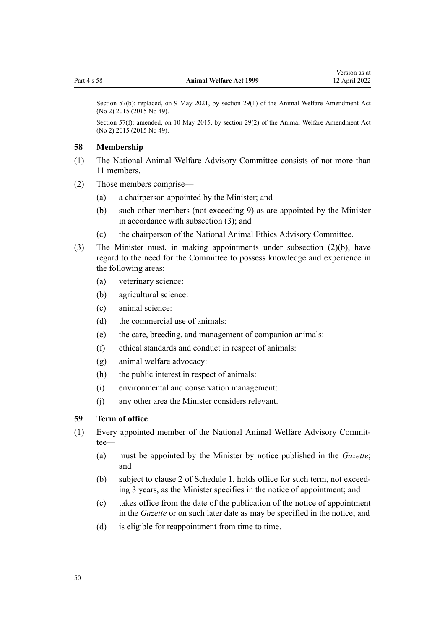Section 57(b): replaced, on 9 May 2021, by [section 29\(1\)](http://legislation.govt.nz/pdflink.aspx?id=DLM5174855) of the Animal Welfare Amendment Act (No 2) 2015 (2015 No 49).

Section 57(f): amended, on 10 May 2015, by [section 29\(2\)](http://legislation.govt.nz/pdflink.aspx?id=DLM5174855) of the Animal Welfare Amendment Act (No 2) 2015 (2015 No 49).

#### **58 Membership**

- (1) The National Animal Welfare Advisory Committee consists of not more than 11 members.
- (2) Those members comprise—
	- (a) a chairperson appointed by the Minister; and
	- (b) such other members (not exceeding 9) as are appointed by the Minister in accordance with subsection (3); and
	- (c) the chairperson of the National Animal Ethics Advisory Committee.
- (3) The Minister must, in making appointments under subsection (2)(b), have regard to the need for the Committee to possess knowledge and experience in the following areas:
	- (a) veterinary science:
	- (b) agricultural science:
	- (c) animal science:
	- (d) the commercial use of animals:
	- (e) the care, breeding, and management of companion animals:
	- (f) ethical standards and conduct in respect of animals:
	- (g) animal welfare advocacy:
	- (h) the public interest in respect of animals:
	- (i) environmental and conservation management:
	- (j) any other area the Minister considers relevant.

## **59 Term of office**

- (1) Every appointed member of the National Animal Welfare Advisory Commit‐ tee—
	- (a) must be appointed by the Minister by notice published in the *Gazette*; and
	- (b) subject to [clause 2](#page-137-0) of Schedule 1, holds office for such term, not exceed‐ ing 3 years, as the Minister specifies in the notice of appointment; and
	- (c) takes office from the date of the publication of the notice of appointment in the *Gazette* or on such later date as may be specified in the notice; and
	- (d) is eligible for reappointment from time to time.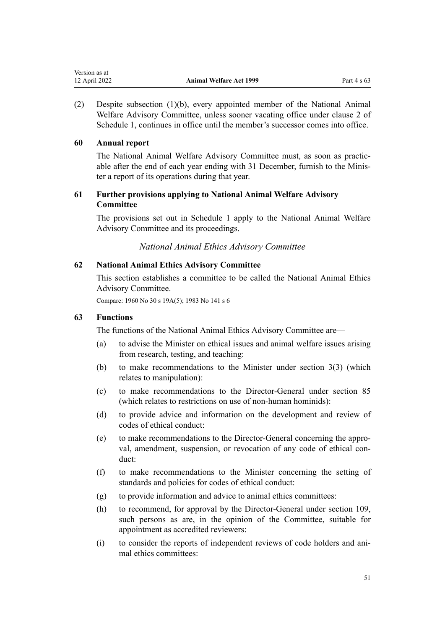| Version as at |                                |               |
|---------------|--------------------------------|---------------|
| 12 April 2022 | <b>Animal Welfare Act 1999</b> | Part 4 s $63$ |

(2) Despite subsection (1)(b), every appointed member of the National Animal Welfare Advisory Committee, unless sooner vacating office under [clause 2](#page-137-0) of Schedule 1, continues in office until the member's successor comes into office.

# **60 Annual report**

The National Animal Welfare Advisory Committee must, as soon as practic‐ able after the end of each year ending with 31 December, furnish to the Minis‐ ter a report of its operations during that year.

# **61 Further provisions applying to National Animal Welfare Advisory Committee**

The provisions set out in [Schedule 1](#page-137-0) apply to the National Animal Welfare Advisory Committee and its proceedings.

*National Animal Ethics Advisory Committee*

# **62 National Animal Ethics Advisory Committee**

This section establishes a committee to be called the National Animal Ethics Advisory Committee.

Compare: 1960 No 30 s 19A(5); 1983 No 141 s 6

## **63 Functions**

The functions of the National Animal Ethics Advisory Committee are—

- (a) to advise the Minister on ethical issues and animal welfare issues arising from research, testing, and teaching:
- (b) to make recommendations to the Minister under [section 3\(3\)](#page-17-0) (which relates to manipulation):
- (c) to make recommendations to the Director-General under [section 85](#page-61-0) (which relates to restrictions on use of non-human hominids):
- (d) to provide advice and information on the development and review of codes of ethical conduct:
- (e) to make recommendations to the Director-General concerning the appro‐ val, amendment, suspension, or revocation of any code of ethical conduct:
- (f) to make recommendations to the Minister concerning the setting of standards and policies for codes of ethical conduct:
- (g) to provide information and advice to animal ethics committees:
- (h) to recommend, for approval by the Director-General under [section 109](#page-74-0), such persons as are, in the opinion of the Committee, suitable for appointment as accredited reviewers:
- (i) to consider the reports of independent reviews of code holders and ani‐ mal ethics committees: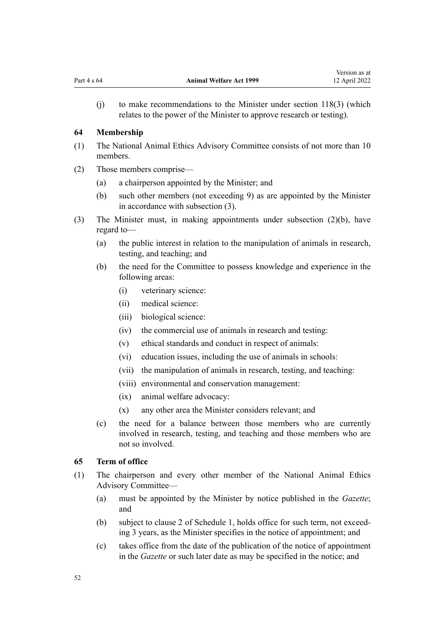$(i)$  to make recommendations to the Minister under [section 118\(3\)](#page-77-0) (which relates to the power of the Minister to approve research or testing).

#### **64 Membership**

- (1) The National Animal Ethics Advisory Committee consists of not more than 10 members.
- (2) Those members comprise—
	- (a) a chairperson appointed by the Minister; and
	- (b) such other members (not exceeding 9) as are appointed by the Minister in accordance with subsection (3).
- (3) The Minister must, in making appointments under subsection (2)(b), have regard to—
	- (a) the public interest in relation to the manipulation of animals in research, testing, and teaching; and
	- (b) the need for the Committee to possess knowledge and experience in the following areas:
		- (i) veterinary science:
		- (ii) medical science:
		- (iii) biological science:
		- (iv) the commercial use of animals in research and testing:
		- (v) ethical standards and conduct in respect of animals:
		- (vi) education issues, including the use of animals in schools:
		- (vii) the manipulation of animals in research, testing, and teaching:
		- (viii) environmental and conservation management:
		- (ix) animal welfare advocacy:
		- (x) any other area the Minister considers relevant; and
	- (c) the need for a balance between those members who are currently involved in research, testing, and teaching and those members who are not so involved.

#### **65 Term of office**

- (1) The chairperson and every other member of the National Animal Ethics Advisory Committee—
	- (a) must be appointed by the Minister by notice published in the *Gazette*; and
	- (b) subject to [clause 2](#page-137-0) of Schedule 1, holds office for such term, not exceed‐ ing 3 years, as the Minister specifies in the notice of appointment; and
	- (c) takes office from the date of the publication of the notice of appointment in the *Gazette* or such later date as may be specified in the notice; and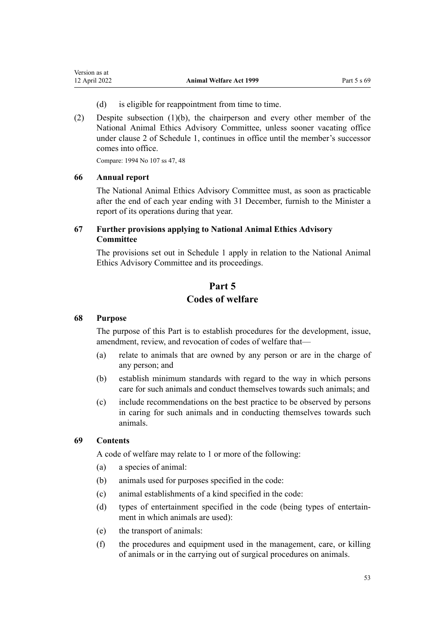- (d) is eligible for reappointment from time to time.
- (2) Despite subsection (1)(b), the chairperson and every other member of the National Animal Ethics Advisory Committee, unless sooner vacating office under [clause 2](#page-137-0) of Schedule 1, continues in office until the member's successor comes into office.

Compare: 1994 No 107 ss 47, 48

# **66 Annual report**

The National Animal Ethics Advisory Committee must, as soon as practicable after the end of each year ending with 31 December, furnish to the Minister a report of its operations during that year.

# **67 Further provisions applying to National Animal Ethics Advisory Committee**

The provisions set out in [Schedule 1](#page-137-0) apply in relation to the National Animal Ethics Advisory Committee and its proceedings.

# **Part 5 Codes of welfare**

## **68 Purpose**

The purpose of this Part is to establish procedures for the development, issue, amendment, review, and revocation of codes of welfare that—

- (a) relate to animals that are owned by any person or are in the charge of any person; and
- (b) establish minimum standards with regard to the way in which persons care for such animals and conduct themselves towards such animals; and
- (c) include recommendations on the best practice to be observed by persons in caring for such animals and in conducting themselves towards such animals.

## **69 Contents**

A code of welfare may relate to 1 or more of the following:

- (a) a species of animal:
- (b) animals used for purposes specified in the code:
- (c) animal establishments of a kind specified in the code:
- (d) types of entertainment specified in the code (being types of entertain‐ ment in which animals are used):
- (e) the transport of animals:
- (f) the procedures and equipment used in the management, care, or killing of animals or in the carrying out of surgical procedures on animals.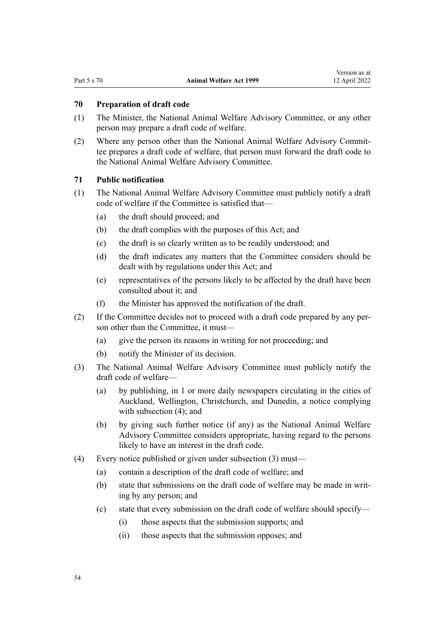# <span id="page-53-0"></span>**70 Preparation of draft code**

- (1) The Minister, the National Animal Welfare Advisory Committee, or any other person may prepare a draft code of welfare.
- (2) Where any person other than the National Animal Welfare Advisory Commit‐ tee prepares a draft code of welfare, that person must forward the draft code to the National Animal Welfare Advisory Committee.

#### **71 Public notification**

- (1) The National Animal Welfare Advisory Committee must publicly notify a draft code of welfare if the Committee is satisfied that—
	- (a) the draft should proceed; and
	- (b) the draft complies with the purposes of this Act; and
	- (c) the draft is so clearly written as to be readily understood; and
	- (d) the draft indicates any matters that the Committee considers should be dealt with by regulations under this Act; and
	- (e) representatives of the persons likely to be affected by the draft have been consulted about it; and
	- (f) the Minister has approved the notification of the draft.
- (2) If the Committee decides not to proceed with a draft code prepared by any per‐ son other than the Committee, it must—
	- (a) give the person its reasons in writing for not proceeding; and
	- (b) notify the Minister of its decision.
- (3) The National Animal Welfare Advisory Committee must publicly notify the draft code of welfare—
	- (a) by publishing, in 1 or more daily newspapers circulating in the cities of Auckland, Wellington, Christchurch, and Dunedin, a notice complying with subsection (4); and
	- (b) by giving such further notice (if any) as the National Animal Welfare Advisory Committee considers appropriate, having regard to the persons likely to have an interest in the draft code.
- (4) Every notice published or given under subsection (3) must—
	- (a) contain a description of the draft code of welfare; and
	- (b) state that submissions on the draft code of welfare may be made in writing by any person; and
	- (c) state that every submission on the draft code of welfare should specify—
		- (i) those aspects that the submission supports; and
		- (ii) those aspects that the submission opposes; and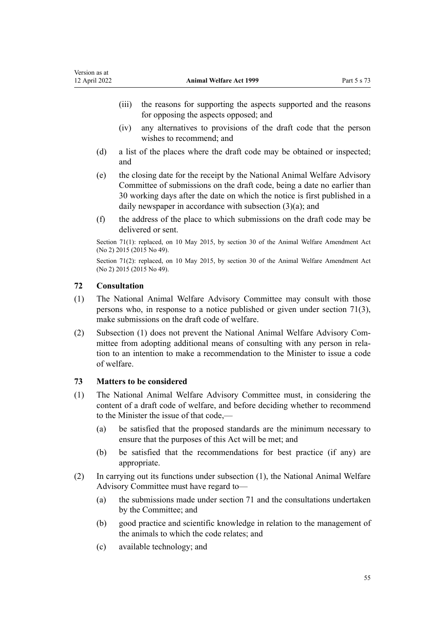- <span id="page-54-0"></span>(iii) the reasons for supporting the aspects supported and the reasons for opposing the aspects opposed; and
- (iv) any alternatives to provisions of the draft code that the person wishes to recommend; and
- (d) a list of the places where the draft code may be obtained or inspected; and
- (e) the closing date for the receipt by the National Animal Welfare Advisory Committee of submissions on the draft code, being a date no earlier than 30 working days after the date on which the notice is first published in a daily newspaper in accordance with subsection  $(3)(a)$ ; and
- (f) the address of the place to which submissions on the draft code may be delivered or sent.

Section 71(1): replaced, on 10 May 2015, by [section 30](http://legislation.govt.nz/pdflink.aspx?id=DLM5174856) of the Animal Welfare Amendment Act (No 2) 2015 (2015 No 49).

Section 71(2): replaced, on 10 May 2015, by [section 30](http://legislation.govt.nz/pdflink.aspx?id=DLM5174856) of the Animal Welfare Amendment Act (No 2) 2015 (2015 No 49).

## **72 Consultation**

- (1) The National Animal Welfare Advisory Committee may consult with those persons who, in response to a notice published or given under [section 71\(3\)](#page-53-0), make submissions on the draft code of welfare.
- (2) Subsection (1) does not prevent the National Animal Welfare Advisory Committee from adopting additional means of consulting with any person in relation to an intention to make a recommendation to the Minister to issue a code of welfare.

## **73 Matters to be considered**

- (1) The National Animal Welfare Advisory Committee must, in considering the content of a draft code of welfare, and before deciding whether to recommend to the Minister the issue of that code,—
	- (a) be satisfied that the proposed standards are the minimum necessary to ensure that the purposes of this Act will be met; and
	- (b) be satisfied that the recommendations for best practice (if any) are appropriate.
- (2) In carrying out its functions under subsection (1), the National Animal Welfare Advisory Committee must have regard to—
	- (a) the submissions made under [section 71](#page-53-0) and the consultations undertaken by the Committee; and
	- (b) good practice and scientific knowledge in relation to the management of the animals to which the code relates; and
	- (c) available technology; and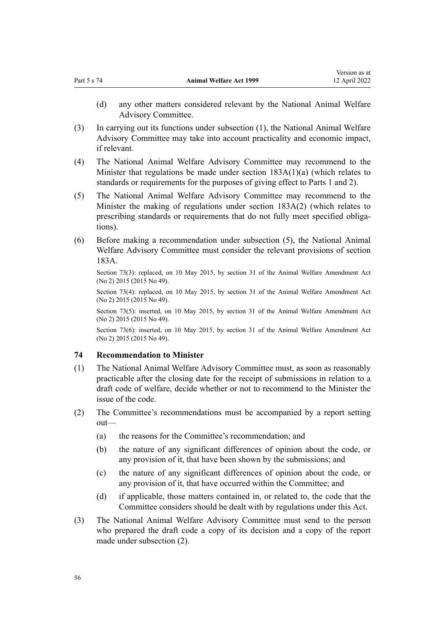Version as at

- <span id="page-55-0"></span>(d) any other matters considered relevant by the National Animal Welfare Advisory Committee.
- (3) In carrying out its functions under subsection (1), the National Animal Welfare Advisory Committee may take into account practicality and economic impact, if relevant.
- (4) The National Animal Welfare Advisory Committee may recommend to the Minister that regulations be made under [section 183A\(1\)\(a\)](#page-121-0) (which relates to standards or requirements for the purposes of giving effect to [Parts 1](#page-23-0) and [2\)](#page-30-0).
- (5) The National Animal Welfare Advisory Committee may recommend to the Minister the making of regulations under [section 183A\(2\)](#page-121-0) (which relates to prescribing standards or requirements that do not fully meet specified obligations).
- (6) Before making a recommendation under subsection (5), the National Animal Welfare Advisory Committee must consider the relevant provisions of [section](#page-121-0) [183A.](#page-121-0)

Section 73(3): replaced, on 10 May 2015, by [section 31](http://legislation.govt.nz/pdflink.aspx?id=DLM5174857) of the Animal Welfare Amendment Act (No 2) 2015 (2015 No 49).

Section 73(4): replaced, on 10 May 2015, by [section 31](http://legislation.govt.nz/pdflink.aspx?id=DLM5174857) of the Animal Welfare Amendment Act (No 2) 2015 (2015 No 49).

Section 73(5): inserted, on 10 May 2015, by [section 31](http://legislation.govt.nz/pdflink.aspx?id=DLM5174857) of the Animal Welfare Amendment Act (No 2) 2015 (2015 No 49).

Section 73(6): inserted, on 10 May 2015, by [section 31](http://legislation.govt.nz/pdflink.aspx?id=DLM5174857) of the Animal Welfare Amendment Act (No 2) 2015 (2015 No 49).

## **74 Recommendation to Minister**

- (1) The National Animal Welfare Advisory Committee must, as soon as reasonably practicable after the closing date for the receipt of submissions in relation to a draft code of welfare, decide whether or not to recommend to the Minister the issue of the code.
- (2) The Committee's recommendations must be accompanied by a report setting out—
	- (a) the reasons for the Committee's recommendation; and
	- (b) the nature of any significant differences of opinion about the code, or any provision of it, that have been shown by the submissions; and
	- (c) the nature of any significant differences of opinion about the code, or any provision of it, that have occurred within the Committee; and
	- (d) if applicable, those matters contained in, or related to, the code that the Committee considers should be dealt with by regulations under this Act.
- (3) The National Animal Welfare Advisory Committee must send to the person who prepared the draft code a copy of its decision and a copy of the report made under subsection (2).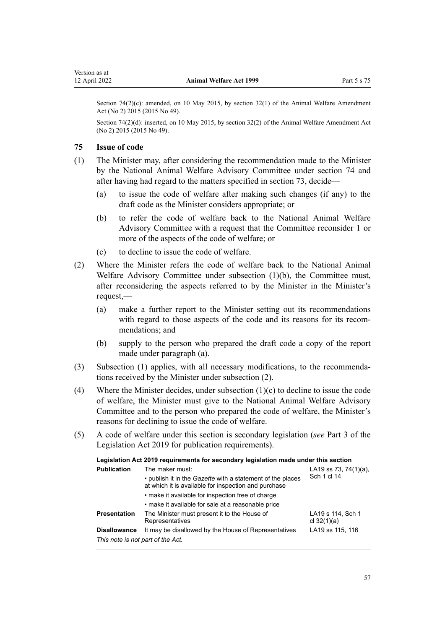Section  $74(2)(c)$ : amended, on 10 May 2015, by section  $32(1)$  of the Animal Welfare Amendment Act (No 2) 2015 (2015 No 49).

Section 74(2)(d): inserted, on 10 May 2015, by [section 32\(2\)](http://legislation.govt.nz/pdflink.aspx?id=DLM5174858) of the Animal Welfare Amendment Act (No 2) 2015 (2015 No 49).

#### **75 Issue of code**

- (1) The Minister may, after considering the recommendation made to the Minister by the National Animal Welfare Advisory Committee under [section 74](#page-55-0) and after having had regard to the matters specified in [section 73,](#page-54-0) decide—
	- (a) to issue the code of welfare after making such changes (if any) to the draft code as the Minister considers appropriate; or
	- (b) to refer the code of welfare back to the National Animal Welfare Advisory Committee with a request that the Committee reconsider 1 or more of the aspects of the code of welfare; or
	- (c) to decline to issue the code of welfare.
- (2) Where the Minister refers the code of welfare back to the National Animal Welfare Advisory Committee under subsection (1)(b), the Committee must, after reconsidering the aspects referred to by the Minister in the Minister's request,—
	- (a) make a further report to the Minister setting out its recommendations with regard to those aspects of the code and its reasons for its recommendations; and
	- (b) supply to the person who prepared the draft code a copy of the report made under paragraph (a).
- (3) Subsection (1) applies, with all necessary modifications, to the recommenda‐ tions received by the Minister under subsection (2).
- (4) Where the Minister decides, under subsection (1)(c) to decline to issue the code of welfare, the Minister must give to the National Animal Welfare Advisory Committee and to the person who prepared the code of welfare, the Minister's reasons for declining to issue the code of welfare.
- (5) A code of welfare under this section is secondary legislation (*see* [Part 3](http://legislation.govt.nz/pdflink.aspx?id=DLM7298343) of the Legislation Act 2019 for publication requirements).

| Legislation Act 2019 requirements for secondary legislation made under this section |                                                                                                                    |                                          |  |
|-------------------------------------------------------------------------------------|--------------------------------------------------------------------------------------------------------------------|------------------------------------------|--|
| <b>Publication</b>                                                                  | The maker must:                                                                                                    | LA19 ss 73, 74 $(1)(a)$ ,<br>Sch 1 cl 14 |  |
|                                                                                     | • publish it in the Gazette with a statement of the places<br>at which it is available for inspection and purchase |                                          |  |
|                                                                                     | • make it available for inspection free of charge                                                                  |                                          |  |
|                                                                                     | • make it available for sale at a reasonable price                                                                 |                                          |  |
| <b>Presentation</b>                                                                 | The Minister must present it to the House of<br>Representatives                                                    | LA19 s 114, Sch 1<br>cl $32(1)(a)$       |  |
| <b>Disallowance</b>                                                                 | It may be disallowed by the House of Representatives                                                               | LA19 ss 115, 116                         |  |
| This note is not part of the Act.                                                   |                                                                                                                    |                                          |  |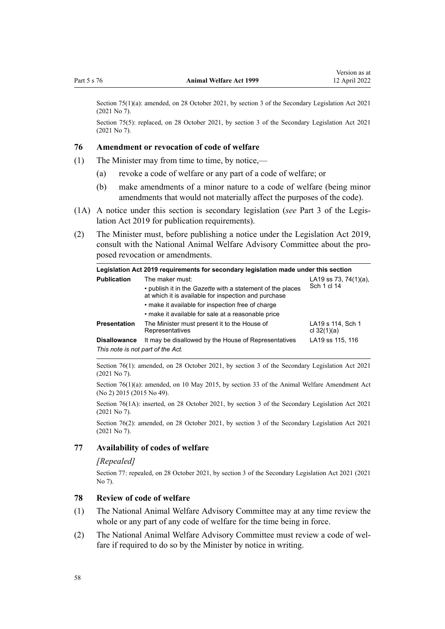Section 75(1)(a): amended, on 28 October 2021, by [section 3](http://legislation.govt.nz/pdflink.aspx?id=LMS268932) of the Secondary Legislation Act 2021 (2021 No 7).

Section 75(5): replaced, on 28 October 2021, by [section 3](http://legislation.govt.nz/pdflink.aspx?id=LMS268932) of the Secondary Legislation Act 2021 (2021 No 7).

#### **76 Amendment or revocation of code of welfare**

- (1) The Minister may from time to time, by notice,—
	- (a) revoke a code of welfare or any part of a code of welfare; or
	- (b) make amendments of a minor nature to a code of welfare (being minor amendments that would not materially affect the purposes of the code).
- (1A) A notice under this section is secondary legislation (*see* [Part 3](http://legislation.govt.nz/pdflink.aspx?id=DLM7298343) of the Legis‐ lation Act 2019 for publication requirements).
- (2) The Minister must, before publishing a notice under the [Legislation Act 2019](http://legislation.govt.nz/pdflink.aspx?id=DLM7298104), consult with the National Animal Welfare Advisory Committee about the pro‐ posed revocation or amendments.

|                                   | Legislation Act 2019 requirements for secondary legislation made under this section                                |                                    |  |
|-----------------------------------|--------------------------------------------------------------------------------------------------------------------|------------------------------------|--|
| <b>Publication</b>                | The maker must:                                                                                                    | LA19 ss 73, 74 $(1)(a)$ ,          |  |
|                                   | • publish it in the Gazette with a statement of the places<br>at which it is available for inspection and purchase | Sch 1 cl 14                        |  |
|                                   | • make it available for inspection free of charge                                                                  |                                    |  |
|                                   | • make it available for sale at a reasonable price                                                                 |                                    |  |
| <b>Presentation</b>               | The Minister must present it to the House of<br>Representatives                                                    | LA19 s 114, Sch 1<br>cl $32(1)(a)$ |  |
| <b>Disallowance</b>               | It may be disallowed by the House of Representatives                                                               | LA19 ss 115, 116                   |  |
| This note is not part of the Act. |                                                                                                                    |                                    |  |

Section 76(1): amended, on 28 October 2021, by [section 3](http://legislation.govt.nz/pdflink.aspx?id=LMS268932) of the Secondary Legislation Act 2021 (2021 No 7).

Section 76(1)(a): amended, on 10 May 2015, by [section 33](http://legislation.govt.nz/pdflink.aspx?id=DLM5174859) of the Animal Welfare Amendment Act (No 2) 2015 (2015 No 49).

Section 76(1A): inserted, on 28 October 2021, by [section 3](http://legislation.govt.nz/pdflink.aspx?id=LMS268932) of the Secondary Legislation Act 2021 (2021 No 7).

Section 76(2): amended, on 28 October 2021, by [section 3](http://legislation.govt.nz/pdflink.aspx?id=LMS268932) of the Secondary Legislation Act 2021 (2021 No 7).

#### **77 Availability of codes of welfare**

#### *[Repealed]*

Section 77: repealed, on 28 October 2021, by [section 3](http://legislation.govt.nz/pdflink.aspx?id=LMS268932) of the Secondary Legislation Act 2021 (2021 No 7).

#### **78 Review of code of welfare**

- (1) The National Animal Welfare Advisory Committee may at any time review the whole or any part of any code of welfare for the time being in force.
- (2) The National Animal Welfare Advisory Committee must review a code of wel‐ fare if required to do so by the Minister by notice in writing.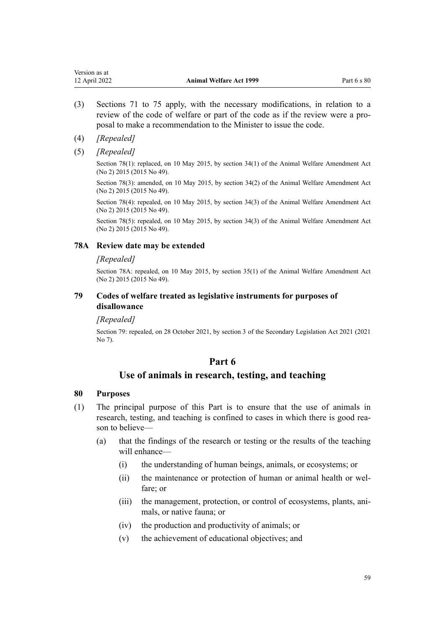- <span id="page-58-0"></span>(3) [Sections 71 to 75](#page-53-0) apply, with the necessary modifications, in relation to a review of the code of welfare or part of the code as if the review were a proposal to make a recommendation to the Minister to issue the code.
- (4) *[Repealed]*
- (5) *[Repealed]*

Section 78(1): replaced, on 10 May 2015, by [section 34\(1\)](http://legislation.govt.nz/pdflink.aspx?id=DLM5174860) of the Animal Welfare Amendment Act (No 2) 2015 (2015 No 49).

Section 78(3): amended, on 10 May 2015, by [section 34\(2\)](http://legislation.govt.nz/pdflink.aspx?id=DLM5174860) of the Animal Welfare Amendment Act (No 2) 2015 (2015 No 49).

Section 78(4): repealed, on 10 May 2015, by [section 34\(3\)](http://legislation.govt.nz/pdflink.aspx?id=DLM5174860) of the Animal Welfare Amendment Act (No 2) 2015 (2015 No 49).

Section 78(5): repealed, on 10 May 2015, by [section 34\(3\)](http://legislation.govt.nz/pdflink.aspx?id=DLM5174860) of the Animal Welfare Amendment Act (No 2) 2015 (2015 No 49).

## **78A Review date may be extended**

#### *[Repealed]*

Section 78A: repealed, on 10 May 2015, by [section 35\(1\)](http://legislation.govt.nz/pdflink.aspx?id=DLM5174861) of the Animal Welfare Amendment Act (No 2) 2015 (2015 No 49).

## **79 Codes of welfare treated as legislative instruments for purposes of disallowance**

#### *[Repealed]*

Section 79: repealed, on 28 October 2021, by [section 3](http://legislation.govt.nz/pdflink.aspx?id=LMS268932) of the Secondary Legislation Act 2021 (2021 No 7).

# **Part 6**

# **Use of animals in research, testing, and teaching**

#### **80 Purposes**

- (1) The principal purpose of this Part is to ensure that the use of animals in research, testing, and teaching is confined to cases in which there is good rea son to believe—
	- (a) that the findings of the research or testing or the results of the teaching will enhance—
		- (i) the understanding of human beings, animals, or ecosystems; or
		- (ii) the maintenance or protection of human or animal health or welfare; or
		- (iii) the management, protection, or control of ecosystems, plants, animals, or native fauna; or
		- (iv) the production and productivity of animals; or
		- (v) the achievement of educational objectives; and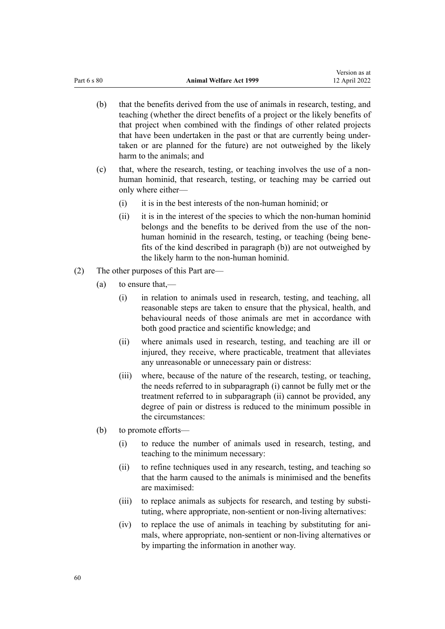- (b) that the benefits derived from the use of animals in research, testing, and teaching (whether the direct benefits of a project or the likely benefits of that project when combined with the findings of other related projects that have been undertaken in the past or that are currently being under‐ taken or are planned for the future) are not outweighed by the likely harm to the animals; and
- (c) that, where the research, testing, or teaching involves the use of a nonhuman hominid, that research, testing, or teaching may be carried out only where either—
	- (i) it is in the best interests of the non-human hominid; or
	- (ii) it is in the interest of the species to which the non-human hominid belongs and the benefits to be derived from the use of the nonhuman hominid in the research, testing, or teaching (being benefits of the kind described in paragraph (b)) are not outweighed by the likely harm to the non-human hominid.
- (2) The other purposes of this Part are—
	- (a) to ensure that,—
		- (i) in relation to animals used in research, testing, and teaching, all reasonable steps are taken to ensure that the physical, health, and behavioural needs of those animals are met in accordance with both good practice and scientific knowledge; and
		- (ii) where animals used in research, testing, and teaching are ill or injured, they receive, where practicable, treatment that alleviates any unreasonable or unnecessary pain or distress:
		- (iii) where, because of the nature of the research, testing, or teaching, the needs referred to in subparagraph (i) cannot be fully met or the treatment referred to in subparagraph (ii) cannot be provided, any degree of pain or distress is reduced to the minimum possible in the circumstances:
	- (b) to promote efforts—
		- (i) to reduce the number of animals used in research, testing, and teaching to the minimum necessary:
		- (ii) to refine techniques used in any research, testing, and teaching so that the harm caused to the animals is minimised and the benefits are maximised:
		- (iii) to replace animals as subjects for research, and testing by substituting, where appropriate, non-sentient or non-living alternatives:
		- (iv) to replace the use of animals in teaching by substituting for ani‐ mals, where appropriate, non-sentient or non-living alternatives or by imparting the information in another way.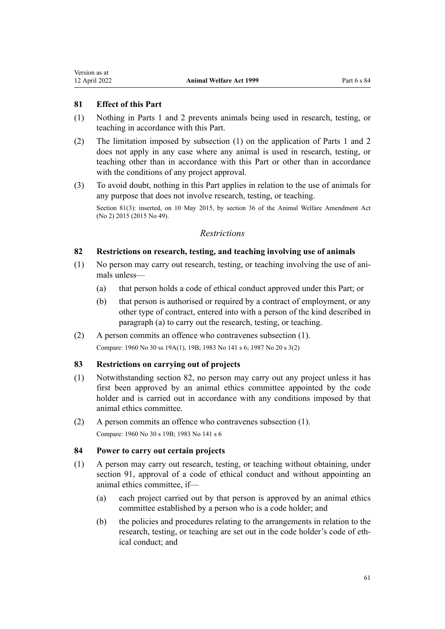# <span id="page-60-0"></span>**81 Effect of this Part**

- (1) Nothing in [Parts 1](#page-23-0) and [2](#page-30-0) prevents animals being used in research, testing, or teaching in accordance with this Part.
- (2) The limitation imposed by subsection (1) on the application of [Parts 1](#page-23-0) and [2](#page-30-0) does not apply in any case where any animal is used in research, testing, or teaching other than in accordance with this Part or other than in accordance with the conditions of any project approval.
- (3) To avoid doubt, nothing in this Part applies in relation to the use of animals for any purpose that does not involve research, testing, or teaching.

Section 81(3): inserted, on 10 May 2015, by [section 36](http://legislation.govt.nz/pdflink.aspx?id=DLM6165709) of the Animal Welfare Amendment Act (No 2) 2015 (2015 No 49).

# *Restrictions*

# **82 Restrictions on research, testing, and teaching involving use of animals**

- (1) No person may carry out research, testing, or teaching involving the use of ani‐ mals unless—
	- (a) that person holds a code of ethical conduct approved under this Part; or
	- (b) that person is authorised or required by a contract of employment, or any other type of contract, entered into with a person of the kind described in paragraph (a) to carry out the research, testing, or teaching.
- (2) A person commits an offence who contravenes subsection (1). Compare: 1960 No 30 ss 19A(1), 19B; 1983 No 141 s 6; 1987 No 20 s 3(2)

# **83 Restrictions on carrying out of projects**

- (1) Notwithstanding section 82, no person may carry out any project unless it has first been approved by an animal ethics committee appointed by the code holder and is carried out in accordance with any conditions imposed by that animal ethics committee.
- (2) A person commits an offence who contravenes subsection (1). Compare: 1960 No 30 s 19B; 1983 No 141 s 6

# **84 Power to carry out certain projects**

- (1) A person may carry out research, testing, or teaching without obtaining, under [section 91,](#page-65-0) approval of a code of ethical conduct and without appointing an animal ethics committee, if—
	- (a) each project carried out by that person is approved by an animal ethics committee established by a person who is a code holder; and
	- (b) the policies and procedures relating to the arrangements in relation to the research, testing, or teaching are set out in the code holder's code of ethical conduct; and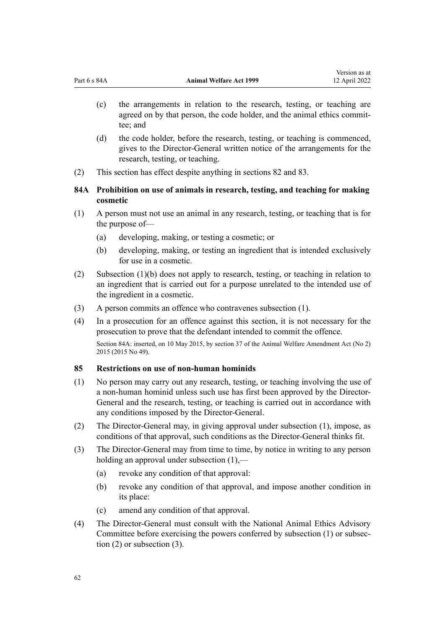- <span id="page-61-0"></span>(c) the arrangements in relation to the research, testing, or teaching are agreed on by that person, the code holder, and the animal ethics committee; and
- (d) the code holder, before the research, testing, or teaching is commenced, gives to the Director-General written notice of the arrangements for the research, testing, or teaching.
- (2) This section has effect despite anything in [sections 82](#page-60-0) and [83.](#page-60-0)

# **84A Prohibition on use of animals in research, testing, and teaching for making cosmetic**

- (1) A person must not use an animal in any research, testing, or teaching that is for the purpose of—
	- (a) developing, making, or testing a cosmetic; or
	- (b) developing, making, or testing an ingredient that is intended exclusively for use in a cosmetic.
- (2) Subsection (1)(b) does not apply to research, testing, or teaching in relation to an ingredient that is carried out for a purpose unrelated to the intended use of the ingredient in a cosmetic.
- (3) A person commits an offence who contravenes subsection (1).
- (4) In a prosecution for an offence against this section, it is not necessary for the prosecution to prove that the defendant intended to commit the offence. Section 84A: inserted, on 10 May 2015, by [section 37](http://legislation.govt.nz/pdflink.aspx?id=DLM6432504) of the Animal Welfare Amendment Act (No 2) 2015 (2015 No 49).

#### **85 Restrictions on use of non-human hominids**

- (1) No person may carry out any research, testing, or teaching involving the use of a non-human hominid unless such use has first been approved by the Director-General and the research, testing, or teaching is carried out in accordance with any conditions imposed by the Director-General.
- (2) The Director-General may, in giving approval under subsection (1), impose, as conditions of that approval, such conditions as the Director-General thinks fit.
- (3) The Director-General may from time to time, by notice in writing to any person holding an approval under subsection  $(1)$ ,-
	- (a) revoke any condition of that approval:
	- (b) revoke any condition of that approval, and impose another condition in its place:
	- (c) amend any condition of that approval.
- (4) The Director-General must consult with the National Animal Ethics Advisory Committee before exercising the powers conferred by subsection (1) or subsec‐ tion (2) or subsection (3).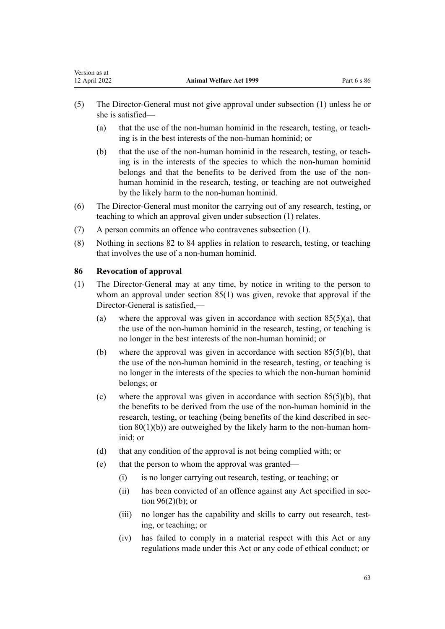- <span id="page-62-0"></span>(5) The Director-General must not give approval under subsection (1) unless he or she is satisfied—
	- (a) that the use of the non-human hominid in the research, testing, or teach‐ ing is in the best interests of the non-human hominid; or
	- (b) that the use of the non-human hominid in the research, testing, or teach‐ ing is in the interests of the species to which the non-human hominid belongs and that the benefits to be derived from the use of the nonhuman hominid in the research, testing, or teaching are not outweighed by the likely harm to the non-human hominid.
- (6) The Director-General must monitor the carrying out of any research, testing, or teaching to which an approval given under subsection (1) relates.
- (7) A person commits an offence who contravenes subsection (1).
- (8) Nothing in [sections 82 to 84](#page-60-0) applies in relation to research, testing, or teaching that involves the use of a non-human hominid.

# **86 Revocation of approval**

- (1) The Director-General may at any time, by notice in writing to the person to whom an approval under [section 85\(1\)](#page-61-0) was given, revoke that approval if the Director-General is satisfied,—
	- (a) where the approval was given in accordance with section  $85(5)(a)$ , that the use of the non-human hominid in the research, testing, or teaching is no longer in the best interests of the non-human hominid; or
	- (b) where the approval was given in accordance with section  $85(5)(b)$ , that the use of the non-human hominid in the research, testing, or teaching is no longer in the interests of the species to which the non-human hominid belongs; or
	- (c) where the approval was given in accordance with section  $85(5)(b)$ , that the benefits to be derived from the use of the non-human hominid in the research, testing, or teaching (being benefits of the kind described in section  $80(1)(b)$  are outweighed by the likely harm to the non-human hominid; or
	- (d) that any condition of the approval is not being complied with; or
	- (e) that the person to whom the approval was granted—
		- (i) is no longer carrying out research, testing, or teaching; or
		- (ii) has been convicted of an offence against any Act specified in section  $96(2)(b)$ ; or
		- (iii) no longer has the capability and skills to carry out research, testing, or teaching; or
		- (iv) has failed to comply in a material respect with this Act or any regulations made under this Act or any code of ethical conduct; or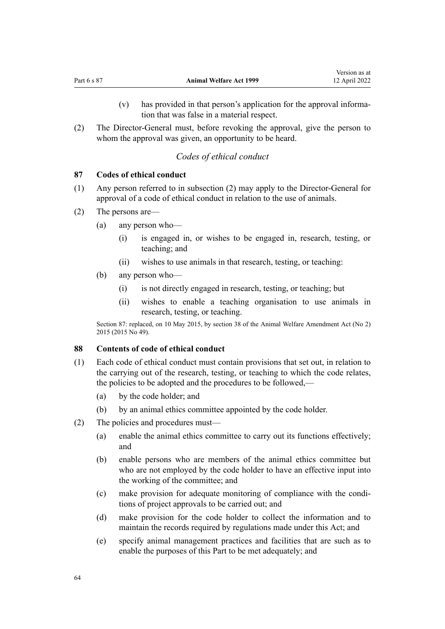- $(v)$  has provided in that person's application for the approval information that was false in a material respect.
- <span id="page-63-0"></span>(2) The Director-General must, before revoking the approval, give the person to whom the approval was given, an opportunity to be heard.

## *Codes of ethical conduct*

#### **87 Codes of ethical conduct**

(1) Any person referred to in subsection (2) may apply to the Director-General for approval of a code of ethical conduct in relation to the use of animals.

#### (2) The persons are—

- (a) any person who—
	- (i) is engaged in, or wishes to be engaged in, research, testing, or teaching; and
	- (ii) wishes to use animals in that research, testing, or teaching:
- (b) any person who—
	- (i) is not directly engaged in research, testing, or teaching; but
	- (ii) wishes to enable a teaching organisation to use animals in research, testing, or teaching.

Section 87: replaced, on 10 May 2015, by [section 38](http://legislation.govt.nz/pdflink.aspx?id=DLM5174862) of the Animal Welfare Amendment Act (No 2) 2015 (2015 No 49).

#### **88 Contents of code of ethical conduct**

- (1) Each code of ethical conduct must contain provisions that set out, in relation to the carrying out of the research, testing, or teaching to which the code relates, the policies to be adopted and the procedures to be followed,—
	- (a) by the code holder; and
	- (b) by an animal ethics committee appointed by the code holder.
- (2) The policies and procedures must—
	- (a) enable the animal ethics committee to carry out its functions effectively; and
	- (b) enable persons who are members of the animal ethics committee but who are not employed by the code holder to have an effective input into the working of the committee; and
	- (c) make provision for adequate monitoring of compliance with the condi‐ tions of project approvals to be carried out; and
	- (d) make provision for the code holder to collect the information and to maintain the records required by regulations made under this Act; and
	- (e) specify animal management practices and facilities that are such as to enable the purposes of this Part to be met adequately; and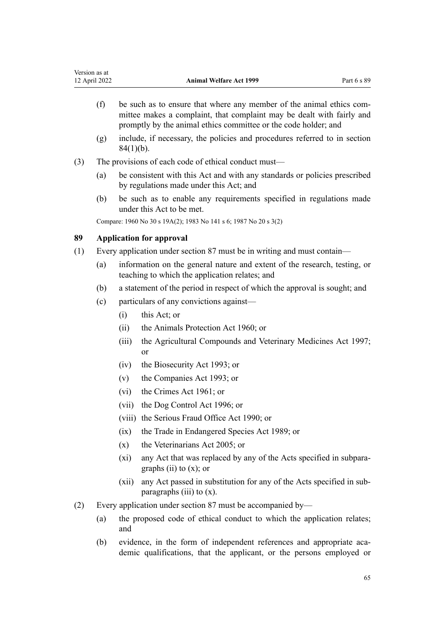- <span id="page-64-0"></span>(f) be such as to ensure that where any member of the animal ethics com‐ mittee makes a complaint, that complaint may be dealt with fairly and promptly by the animal ethics committee or the code holder; and
- (g) include, if necessary, the policies and procedures referred to in [section](#page-60-0) [84\(1\)\(b\).](#page-60-0)
- (3) The provisions of each code of ethical conduct must—
	- (a) be consistent with this Act and with any standards or policies prescribed by regulations made under this Act; and
	- (b) be such as to enable any requirements specified in regulations made under this Act to be met.

Compare: 1960 No 30 s 19A(2); 1983 No 141 s 6; 1987 No 20 s 3(2)

# **89 Application for approval**

- (1) Every application under [section 87](#page-63-0) must be in writing and must contain—
	- (a) information on the general nature and extent of the research, testing, or teaching to which the application relates; and
	- (b) a statement of the period in respect of which the approval is sought; and
	- (c) particulars of any convictions against—
		- (i) this Act; or
		- (ii) the Animals Protection Act 1960; or
		- (iii) the [Agricultural Compounds and Veterinary Medicines Act 1997;](http://legislation.govt.nz/pdflink.aspx?id=DLM414576) or
		- (iv) the [Biosecurity Act 1993;](http://legislation.govt.nz/pdflink.aspx?id=DLM314622) or
		- (v) the [Companies Act 1993](http://legislation.govt.nz/pdflink.aspx?id=DLM319569); or
		- (vi) the [Crimes Act 1961;](http://legislation.govt.nz/pdflink.aspx?id=DLM327381) or
		- (vii) the [Dog Control Act 1996](http://legislation.govt.nz/pdflink.aspx?id=DLM374409); or
		- (viii) the [Serious Fraud Office Act 1990;](http://legislation.govt.nz/pdflink.aspx?id=DLM210989) or
		- (ix) the [Trade in Endangered Species Act 1989;](http://legislation.govt.nz/pdflink.aspx?id=DLM145965) or
		- (x) the [Veterinarians Act 2005](http://legislation.govt.nz/pdflink.aspx?id=DLM363858); or
		- (xi) any Act that was replaced by any of the Acts specified in subpara‐ graphs (ii) to  $(x)$ ; or
		- (xii) any Act passed in substitution for any of the Acts specified in sub‐ paragraphs (iii) to  $(x)$ .
- (2) Every application under [section 87](#page-63-0) must be accompanied by—
	- (a) the proposed code of ethical conduct to which the application relates; and
	- (b) evidence, in the form of independent references and appropriate academic qualifications, that the applicant, or the persons employed or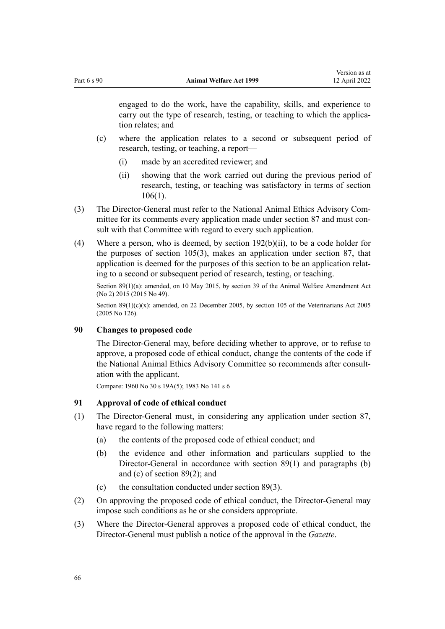<span id="page-65-0"></span>engaged to do the work, have the capability, skills, and experience to carry out the type of research, testing, or teaching to which the application relates; and

- (c) where the application relates to a second or subsequent period of research, testing, or teaching, a report—
	- (i) made by an accredited reviewer; and
	- (ii) showing that the work carried out during the previous period of research, testing, or teaching was satisfactory in terms of [section](#page-73-0) [106\(1\).](#page-73-0)
- (3) The Director-General must refer to the National Animal Ethics Advisory Com‐ mittee for its comments every application made under [section 87](#page-63-0) and must consult with that Committee with regard to every such application.
- (4) Where a person, who is deemed, by [section 192\(b\)\(ii\)](#page-130-0), to be a code holder for the purposes of [section 105\(3\),](#page-73-0) makes an application under [section 87,](#page-63-0) that application is deemed for the purposes of this section to be an application relat‐ ing to a second or subsequent period of research, testing, or teaching.

Section 89(1)(a): amended, on 10 May 2015, by [section 39](http://legislation.govt.nz/pdflink.aspx?id=DLM5174864) of the Animal Welfare Amendment Act (No 2) 2015 (2015 No 49).

Section  $89(1)(c)(x)$ : amended, on 22 December 2005, by [section 105](http://legislation.govt.nz/pdflink.aspx?id=DLM364675) of the Veterinarians Act 2005 (2005 No 126).

## **90 Changes to proposed code**

The Director-General may, before deciding whether to approve, or to refuse to approve, a proposed code of ethical conduct, change the contents of the code if the National Animal Ethics Advisory Committee so recommends after consult‐ ation with the applicant.

Compare: 1960 No 30 s 19A(5); 1983 No 141 s 6

# **91 Approval of code of ethical conduct**

- (1) The Director-General must, in considering any application under [section 87](#page-63-0), have regard to the following matters:
	- (a) the contents of the proposed code of ethical conduct; and
	- (b) the evidence and other information and particulars supplied to the Director-General in accordance with [section 89\(1\)](#page-64-0) and paragraphs (b) and (c) of section 89(2); and
	- (c) the consultation conducted under [section 89\(3\).](#page-64-0)
- (2) On approving the proposed code of ethical conduct, the Director-General may impose such conditions as he or she considers appropriate.
- (3) Where the Director-General approves a proposed code of ethical conduct, the Director-General must publish a notice of the approval in the *Gazette*.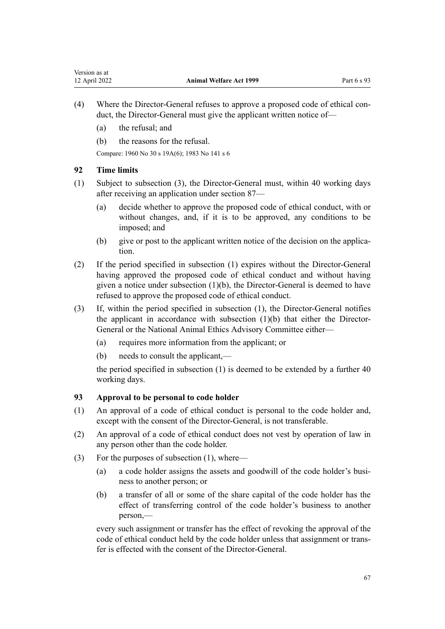- (a) the refusal; and
- (b) the reasons for the refusal.

Compare: 1960 No 30 s 19A(6); 1983 No 141 s 6

## **92 Time limits**

Version as at<br>12 April 2022

- (1) Subject to subsection (3), the Director-General must, within 40 working days after receiving an application under [section 87—](#page-63-0)
	- (a) decide whether to approve the proposed code of ethical conduct, with or without changes, and, if it is to be approved, any conditions to be imposed; and
	- (b) give or post to the applicant written notice of the decision on the application.
- (2) If the period specified in subsection (1) expires without the Director-General having approved the proposed code of ethical conduct and without having given a notice under subsection (1)(b), the Director-General is deemed to have refused to approve the proposed code of ethical conduct.
- (3) If, within the period specified in subsection (1), the Director-General notifies the applicant in accordance with subsection  $(1)(b)$  that either the Director-General or the National Animal Ethics Advisory Committee either—
	- (a) requires more information from the applicant; or
	- (b) needs to consult the applicant,—

the period specified in subsection (1) is deemed to be extended by a further 40 working days.

#### **93 Approval to be personal to code holder**

- (1) An approval of a code of ethical conduct is personal to the code holder and, except with the consent of the Director-General, is not transferable.
- (2) An approval of a code of ethical conduct does not vest by operation of law in any person other than the code holder.
- (3) For the purposes of subsection (1), where—
	- (a) a code holder assigns the assets and goodwill of the code holder's business to another person; or
	- (b) a transfer of all or some of the share capital of the code holder has the effect of transferring control of the code holder's business to another person,—

every such assignment or transfer has the effect of revoking the approval of the code of ethical conduct held by the code holder unless that assignment or transfer is effected with the consent of the Director-General.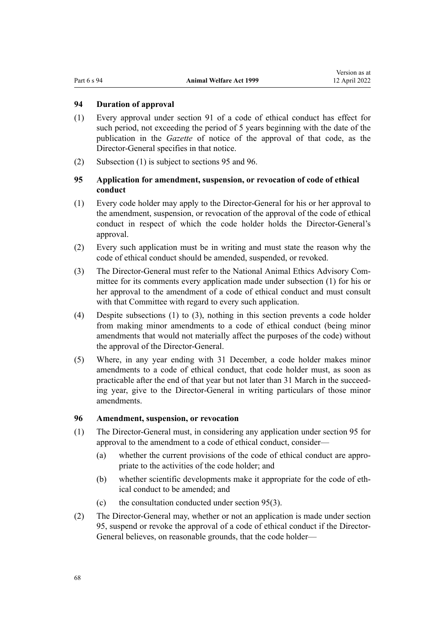# <span id="page-67-0"></span>**94 Duration of approval**

- (1) Every approval under [section 91](#page-65-0) of a code of ethical conduct has effect for such period, not exceeding the period of 5 years beginning with the date of the publication in the *Gazette* of notice of the approval of that code, as the Director-General specifies in that notice.
- (2) Subsection (1) is subject to sections 95 and 96.

# **95 Application for amendment, suspension, or revocation of code of ethical conduct**

- (1) Every code holder may apply to the Director-General for his or her approval to the amendment, suspension, or revocation of the approval of the code of ethical conduct in respect of which the code holder holds the Director-General's approval.
- (2) Every such application must be in writing and must state the reason why the code of ethical conduct should be amended, suspended, or revoked.
- (3) The Director-General must refer to the National Animal Ethics Advisory Com‐ mittee for its comments every application made under subsection (1) for his or her approval to the amendment of a code of ethical conduct and must consult with that Committee with regard to every such application.
- (4) Despite subsections (1) to (3), nothing in this section prevents a code holder from making minor amendments to a code of ethical conduct (being minor amendments that would not materially affect the purposes of the code) without the approval of the Director-General.
- (5) Where, in any year ending with 31 December, a code holder makes minor amendments to a code of ethical conduct, that code holder must, as soon as practicable after the end of that year but not later than 31 March in the succeeding year, give to the Director-General in writing particulars of those minor amendments.

#### **96 Amendment, suspension, or revocation**

- (1) The Director-General must, in considering any application under section 95 for approval to the amendment to a code of ethical conduct, consider—
	- (a) whether the current provisions of the code of ethical conduct are appro‐ priate to the activities of the code holder; and
	- (b) whether scientific developments make it appropriate for the code of ethical conduct to be amended; and
	- (c) the consultation conducted under section 95(3).
- (2) The Director-General may, whether or not an application is made under section 95, suspend or revoke the approval of a code of ethical conduct if the Director-General believes, on reasonable grounds, that the code holder—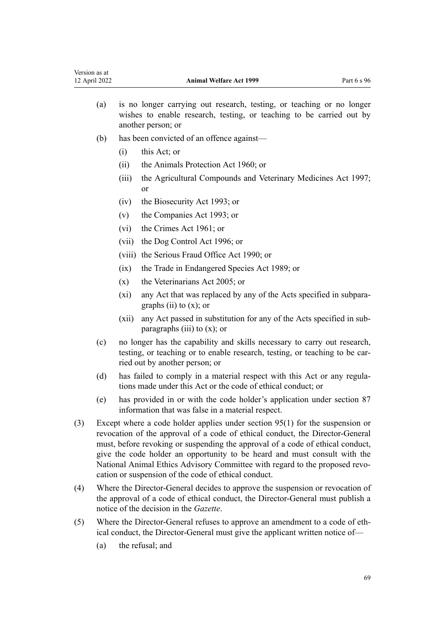| Version as at<br>12 April 2022 |                                                                                                                                                                                                                                                                                                                                                                                                                                                                       |                                                                                                                                                                                                           | <b>Animal Welfare Act 1999</b>                                                                                                                                                            | Part $6 s 96$ |
|--------------------------------|-----------------------------------------------------------------------------------------------------------------------------------------------------------------------------------------------------------------------------------------------------------------------------------------------------------------------------------------------------------------------------------------------------------------------------------------------------------------------|-----------------------------------------------------------------------------------------------------------------------------------------------------------------------------------------------------------|-------------------------------------------------------------------------------------------------------------------------------------------------------------------------------------------|---------------|
| (a)                            |                                                                                                                                                                                                                                                                                                                                                                                                                                                                       | is no longer carrying out research, testing, or teaching or no longer<br>wishes to enable research, testing, or teaching to be carried out by<br>another person; or                                       |                                                                                                                                                                                           |               |
| (b)                            |                                                                                                                                                                                                                                                                                                                                                                                                                                                                       |                                                                                                                                                                                                           | has been convicted of an offence against—                                                                                                                                                 |               |
|                                |                                                                                                                                                                                                                                                                                                                                                                                                                                                                       | (i)                                                                                                                                                                                                       | this Act; or                                                                                                                                                                              |               |
|                                |                                                                                                                                                                                                                                                                                                                                                                                                                                                                       | (ii)                                                                                                                                                                                                      | the Animals Protection Act 1960; or                                                                                                                                                       |               |
|                                |                                                                                                                                                                                                                                                                                                                                                                                                                                                                       | (iii)                                                                                                                                                                                                     | the Agricultural Compounds and Veterinary Medicines Act 1997;<br><sub>or</sub>                                                                                                            |               |
|                                |                                                                                                                                                                                                                                                                                                                                                                                                                                                                       | (iv)                                                                                                                                                                                                      | the Biosecurity Act 1993; or                                                                                                                                                              |               |
|                                |                                                                                                                                                                                                                                                                                                                                                                                                                                                                       | (v)                                                                                                                                                                                                       | the Companies Act 1993; or                                                                                                                                                                |               |
|                                |                                                                                                                                                                                                                                                                                                                                                                                                                                                                       | (vi)                                                                                                                                                                                                      | the Crimes Act 1961; or                                                                                                                                                                   |               |
|                                |                                                                                                                                                                                                                                                                                                                                                                                                                                                                       | (vii)                                                                                                                                                                                                     | the Dog Control Act 1996; or                                                                                                                                                              |               |
|                                |                                                                                                                                                                                                                                                                                                                                                                                                                                                                       | (viii)                                                                                                                                                                                                    | the Serious Fraud Office Act 1990; or                                                                                                                                                     |               |
|                                |                                                                                                                                                                                                                                                                                                                                                                                                                                                                       | (ix)                                                                                                                                                                                                      | the Trade in Endangered Species Act 1989; or                                                                                                                                              |               |
|                                |                                                                                                                                                                                                                                                                                                                                                                                                                                                                       | (x)                                                                                                                                                                                                       | the Veterinarians Act 2005; or                                                                                                                                                            |               |
|                                |                                                                                                                                                                                                                                                                                                                                                                                                                                                                       | $(x_i)$                                                                                                                                                                                                   | any Act that was replaced by any of the Acts specified in subpara-<br>graphs (ii) to $(x)$ ; or                                                                                           |               |
|                                |                                                                                                                                                                                                                                                                                                                                                                                                                                                                       | (xii)                                                                                                                                                                                                     | any Act passed in substitution for any of the Acts specified in sub-<br>paragraphs (iii) to $(x)$ ; or                                                                                    |               |
| (c)                            |                                                                                                                                                                                                                                                                                                                                                                                                                                                                       |                                                                                                                                                                                                           | no longer has the capability and skills necessary to carry out research,<br>testing, or teaching or to enable research, testing, or teaching to be car-<br>ried out by another person; or |               |
| (d)                            |                                                                                                                                                                                                                                                                                                                                                                                                                                                                       |                                                                                                                                                                                                           | has failed to comply in a material respect with this Act or any regula-<br>tions made under this Act or the code of ethical conduct; or                                                   |               |
| (e)                            |                                                                                                                                                                                                                                                                                                                                                                                                                                                                       |                                                                                                                                                                                                           | has provided in or with the code holder's application under section 87<br>information that was false in a material respect.                                                               |               |
| (3)                            | Except where a code holder applies under section $95(1)$ for the suspension or<br>revocation of the approval of a code of ethical conduct, the Director-General<br>must, before revoking or suspending the approval of a code of ethical conduct,<br>give the code holder an opportunity to be heard and must consult with the<br>National Animal Ethics Advisory Committee with regard to the proposed revo-<br>cation or suspension of the code of ethical conduct. |                                                                                                                                                                                                           |                                                                                                                                                                                           |               |
| (4)                            |                                                                                                                                                                                                                                                                                                                                                                                                                                                                       | Where the Director-General decides to approve the suspension or revocation of<br>the approval of a code of ethical conduct, the Director-General must publish a<br>notice of the decision in the Gazette. |                                                                                                                                                                                           |               |
| (5)                            |                                                                                                                                                                                                                                                                                                                                                                                                                                                                       |                                                                                                                                                                                                           | Where the Director-General refuses to approve an amendment to a code of eth-<br>ical conduct, the Director-General must give the applicant written notice of-                             |               |

(a) the refusal; and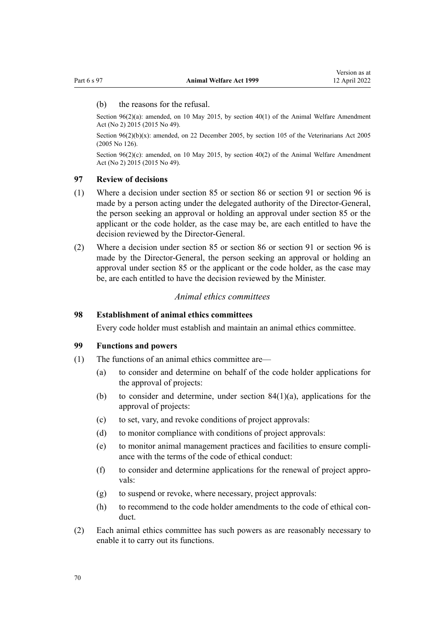## (b) the reasons for the refusal.

Section 96(2)(a): amended, on 10 May 2015, by [section 40\(1\)](http://legislation.govt.nz/pdflink.aspx?id=DLM5174865) of the Animal Welfare Amendment Act (No 2) 2015 (2015 No 49).

Section 96(2)(b)(x): amended, on 22 December 2005, by [section 105](http://legislation.govt.nz/pdflink.aspx?id=DLM364675) of the Veterinarians Act 2005 (2005 No 126).

Section  $96(2)(c)$ : amended, on 10 May 2015, by [section 40\(2\)](http://legislation.govt.nz/pdflink.aspx?id=DLM5174865) of the Animal Welfare Amendment Act (No 2) 2015 (2015 No 49).

#### **97 Review of decisions**

- (1) Where a decision under [section 85](#page-61-0) or [section 86](#page-62-0) or [section 91](#page-65-0) or [section 96](#page-67-0) is made by a person acting under the delegated authority of the Director-General, the person seeking an approval or holding an approval under section 85 or the applicant or the code holder, as the case may be, are each entitled to have the decision reviewed by the Director-General.
- (2) Where a decision under [section 85](#page-61-0) or [section 86](#page-62-0) or [section 91](#page-65-0) or [section 96](#page-67-0) is made by the Director-General, the person seeking an approval or holding an approval under section 85 or the applicant or the code holder, as the case may be, are each entitled to have the decision reviewed by the Minister.

#### *Animal ethics committees*

## **98 Establishment of animal ethics committees**

Every code holder must establish and maintain an animal ethics committee.

#### **99 Functions and powers**

- (1) The functions of an animal ethics committee are—
	- (a) to consider and determine on behalf of the code holder applications for the approval of projects:
	- (b) to consider and determine, under section  $84(1)(a)$ , applications for the approval of projects:
	- (c) to set, vary, and revoke conditions of project approvals:
	- (d) to monitor compliance with conditions of project approvals:
	- (e) to monitor animal management practices and facilities to ensure compli‐ ance with the terms of the code of ethical conduct:
	- (f) to consider and determine applications for the renewal of project appro‐ vals:
	- (g) to suspend or revoke, where necessary, project approvals:
	- (h) to recommend to the code holder amendments to the code of ethical conduct.
- (2) Each animal ethics committee has such powers as are reasonably necessary to enable it to carry out its functions.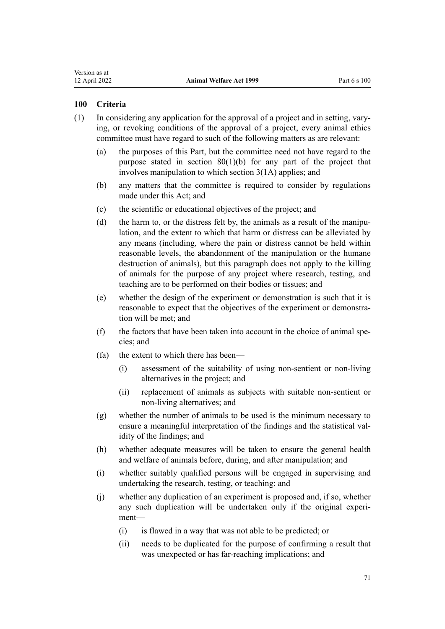#### **100 Criteria**

- (1) In considering any application for the approval of a project and in setting, vary‐ ing, or revoking conditions of the approval of a project, every animal ethics committee must have regard to such of the following matters as are relevant:
	- (a) the purposes of this Part, but the committee need not have regard to the purpose stated in section 80(1)(b) for any part of the project that involves manipulation to which [section 3\(1A\)](#page-17-0) applies; and
	- (b) any matters that the committee is required to consider by regulations made under this Act; and
	- (c) the scientific or educational objectives of the project; and
	- (d) the harm to, or the distress felt by, the animals as a result of the manipulation, and the extent to which that harm or distress can be alleviated by any means (including, where the pain or distress cannot be held within reasonable levels, the abandonment of the manipulation or the humane destruction of animals), but this paragraph does not apply to the killing of animals for the purpose of any project where research, testing, and teaching are to be performed on their bodies or tissues; and
	- (e) whether the design of the experiment or demonstration is such that it is reasonable to expect that the objectives of the experiment or demonstration will be met; and
	- (f) the factors that have been taken into account in the choice of animal spe‐ cies; and
	- (fa) the extent to which there has been—
		- (i) assessment of the suitability of using non-sentient or non-living alternatives in the project; and
		- (ii) replacement of animals as subjects with suitable non-sentient or non-living alternatives; and
	- (g) whether the number of animals to be used is the minimum necessary to ensure a meaningful interpretation of the findings and the statistical validity of the findings; and
	- (h) whether adequate measures will be taken to ensure the general health and welfare of animals before, during, and after manipulation; and
	- (i) whether suitably qualified persons will be engaged in supervising and undertaking the research, testing, or teaching; and
	- (j) whether any duplication of an experiment is proposed and, if so, whether any such duplication will be undertaken only if the original experi‐ ment—
		- (i) is flawed in a way that was not able to be predicted; or
		- (ii) needs to be duplicated for the purpose of confirming a result that was unexpected or has far-reaching implications; and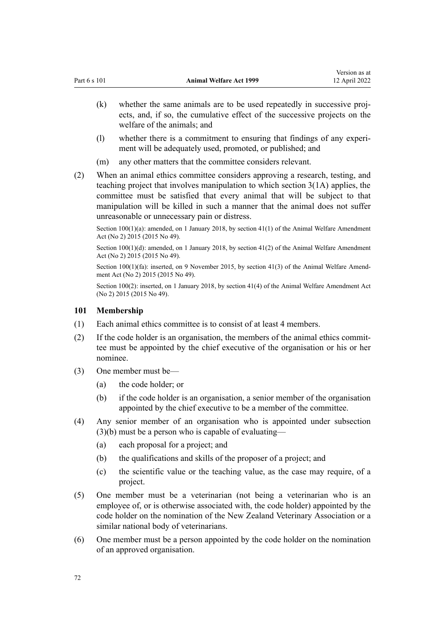- (k) whether the same animals are to be used repeatedly in successive proj‐ ects, and, if so, the cumulative effect of the successive projects on the welfare of the animals; and
- (l) whether there is a commitment to ensuring that findings of any experi‐ ment will be adequately used, promoted, or published; and
- (m) any other matters that the committee considers relevant.
- (2) When an animal ethics committee considers approving a research, testing, and teaching project that involves manipulation to which [section 3\(1A\)](#page-17-0) applies, the committee must be satisfied that every animal that will be subject to that manipulation will be killed in such a manner that the animal does not suffer unreasonable or unnecessary pain or distress.

Section 100(1)(a): amended, on 1 January 2018, by [section 41\(1\)](http://legislation.govt.nz/pdflink.aspx?id=DLM5174866) of the Animal Welfare Amendment Act (No 2) 2015 (2015 No 49).

Section 100(1)(d): amended, on 1 January 2018, by [section 41\(2\)](http://legislation.govt.nz/pdflink.aspx?id=DLM5174866) of the Animal Welfare Amendment Act (No 2) 2015 (2015 No 49).

Section 100(1)(fa): inserted, on 9 November 2015, by [section 41\(3\)](http://legislation.govt.nz/pdflink.aspx?id=DLM5174866) of the Animal Welfare Amendment Act (No 2) 2015 (2015 No 49).

Section 100(2): inserted, on 1 January 2018, by [section 41\(4\)](http://legislation.govt.nz/pdflink.aspx?id=DLM5174866) of the Animal Welfare Amendment Act (No 2) 2015 (2015 No 49).

#### **101 Membership**

- (1) Each animal ethics committee is to consist of at least 4 members.
- $(2)$  If the code holder is an organisation, the members of the animal ethics committee must be appointed by the chief executive of the organisation or his or her nominee.
- (3) One member must be—
	- (a) the code holder; or
	- (b) if the code holder is an organisation, a senior member of the organisation appointed by the chief executive to be a member of the committee.
- (4) Any senior member of an organisation who is appointed under subsection  $(3)(b)$  must be a person who is capable of evaluating—
	- (a) each proposal for a project; and
	- (b) the qualifications and skills of the proposer of a project; and
	- (c) the scientific value or the teaching value, as the case may require, of a project.
- (5) One member must be a veterinarian (not being a veterinarian who is an employee of, or is otherwise associated with, the code holder) appointed by the code holder on the nomination of the New Zealand Veterinary Association or a similar national body of veterinarians.
- (6) One member must be a person appointed by the code holder on the nomination of an approved organisation.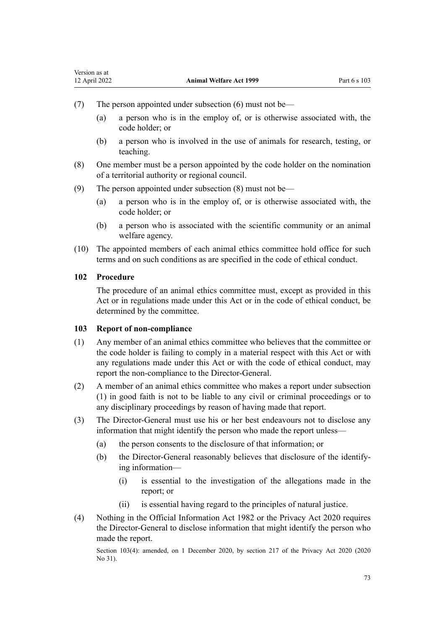- (7) The person appointed under subsection (6) must not be—
	- (a) a person who is in the employ of, or is otherwise associated with, the code holder; or
	- (b) a person who is involved in the use of animals for research, testing, or teaching.
- (8) One member must be a person appointed by the code holder on the nomination of a territorial authority or regional council.
- (9) The person appointed under subsection (8) must not be—
	- (a) a person who is in the employ of, or is otherwise associated with, the code holder; or
	- (b) a person who is associated with the scientific community or an animal welfare agency.
- (10) The appointed members of each animal ethics committee hold office for such terms and on such conditions as are specified in the code of ethical conduct.

## **102 Procedure**

The procedure of an animal ethics committee must, except as provided in this Act or in regulations made under this Act or in the code of ethical conduct, be determined by the committee.

### **103 Report of non-compliance**

- (1) Any member of an animal ethics committee who believes that the committee or the code holder is failing to comply in a material respect with this Act or with any regulations made under this Act or with the code of ethical conduct, may report the non-compliance to the Director-General.
- (2) A member of an animal ethics committee who makes a report under subsection (1) in good faith is not to be liable to any civil or criminal proceedings or to any disciplinary proceedings by reason of having made that report.
- (3) The Director-General must use his or her best endeavours not to disclose any information that might identify the person who made the report unless—
	- (a) the person consents to the disclosure of that information; or
	- (b) the Director-General reasonably believes that disclosure of the identify‐ ing information—
		- (i) is essential to the investigation of the allegations made in the report; or
		- (ii) is essential having regard to the principles of natural justice.
- (4) Nothing in the [Official Information Act 1982](http://legislation.govt.nz/pdflink.aspx?id=DLM64784) or the [Privacy Act 2020](http://legislation.govt.nz/pdflink.aspx?id=LMS23193) requires the Director-General to disclose information that might identify the person who made the report.

Section 103(4): amended, on 1 December 2020, by [section 217](http://legislation.govt.nz/pdflink.aspx?id=LMS23706) of the Privacy Act 2020 (2020 No 31).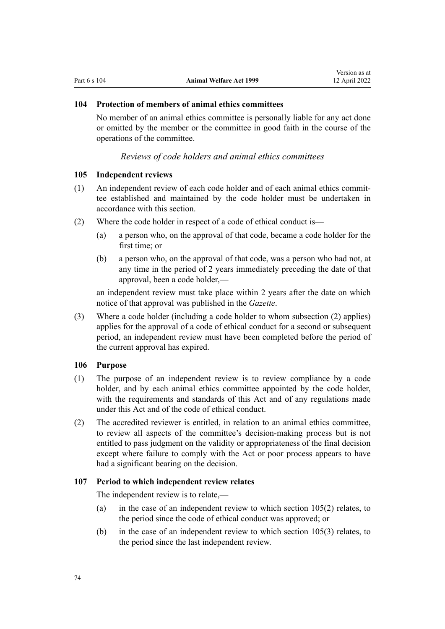## <span id="page-73-0"></span>**104 Protection of members of animal ethics committees**

No member of an animal ethics committee is personally liable for any act done or omitted by the member or the committee in good faith in the course of the operations of the committee.

#### *Reviews of code holders and animal ethics committees*

#### **105 Independent reviews**

- (1) An independent review of each code holder and of each animal ethics commit‐ tee established and maintained by the code holder must be undertaken in accordance with this section.
- (2) Where the code holder in respect of a code of ethical conduct is—
	- (a) a person who, on the approval of that code, became a code holder for the first time; or
	- (b) a person who, on the approval of that code, was a person who had not, at any time in the period of 2 years immediately preceding the date of that approval, been a code holder,—

an independent review must take place within 2 years after the date on which notice of that approval was published in the *Gazette*.

(3) Where a code holder (including a code holder to whom subsection (2) applies) applies for the approval of a code of ethical conduct for a second or subsequent period, an independent review must have been completed before the period of the current approval has expired.

## **106 Purpose**

- (1) The purpose of an independent review is to review compliance by a code holder, and by each animal ethics committee appointed by the code holder, with the requirements and standards of this Act and of any regulations made under this Act and of the code of ethical conduct.
- (2) The accredited reviewer is entitled, in relation to an animal ethics committee, to review all aspects of the committee's decision-making process but is not entitled to pass judgment on the validity or appropriateness of the final decision except where failure to comply with the Act or poor process appears to have had a significant bearing on the decision.

#### **107 Period to which independent review relates**

The independent review is to relate,—

- (a) in the case of an independent review to which section 105(2) relates, to the period since the code of ethical conduct was approved; or
- (b) in the case of an independent review to which section 105(3) relates, to the period since the last independent review.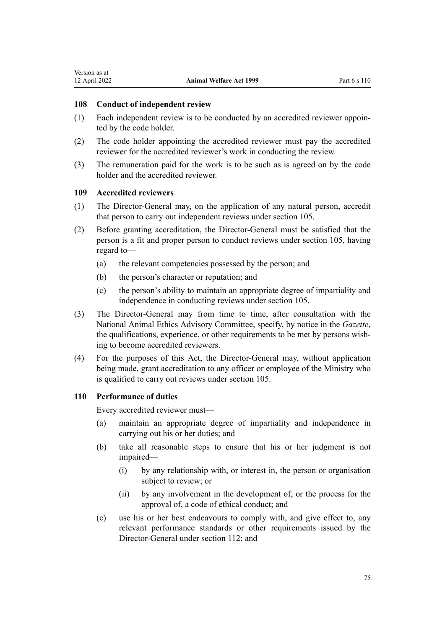<span id="page-74-0"></span>Version as at<br>12 April 2022

- (1) Each independent review is to be conducted by an accredited reviewer appoin‐ ted by the code holder.
- (2) The code holder appointing the accredited reviewer must pay the accredited reviewer for the accredited reviewer's work in conducting the review.
- (3) The remuneration paid for the work is to be such as is agreed on by the code holder and the accredited reviewer.

## **109 Accredited reviewers**

- (1) The Director-General may, on the application of any natural person, accredit that person to carry out independent reviews under [section 105](#page-73-0).
- (2) Before granting accreditation, the Director-General must be satisfied that the person is a fit and proper person to conduct reviews under [section 105](#page-73-0), having regard to—
	- (a) the relevant competencies possessed by the person; and
	- (b) the person's character or reputation; and
	- (c) the person's ability to maintain an appropriate degree of impartiality and independence in conducting reviews under [section 105](#page-73-0).
- (3) The Director-General may from time to time, after consultation with the National Animal Ethics Advisory Committee, specify, by notice in the *Gazette*, the qualifications, experience, or other requirements to be met by persons wishing to become accredited reviewers.
- (4) For the purposes of this Act, the Director-General may, without application being made, grant accreditation to any officer or employee of the Ministry who is qualified to carry out reviews under [section 105.](#page-73-0)

## **110 Performance of duties**

Every accredited reviewer must—

- (a) maintain an appropriate degree of impartiality and independence in carrying out his or her duties; and
- (b) take all reasonable steps to ensure that his or her judgment is not impaired—
	- (i) by any relationship with, or interest in, the person or organisation subject to review; or
	- (ii) by any involvement in the development of, or the process for the approval of, a code of ethical conduct; and
- (c) use his or her best endeavours to comply with, and give effect to, any relevant performance standards or other requirements issued by the Director-General under [section 112;](#page-75-0) and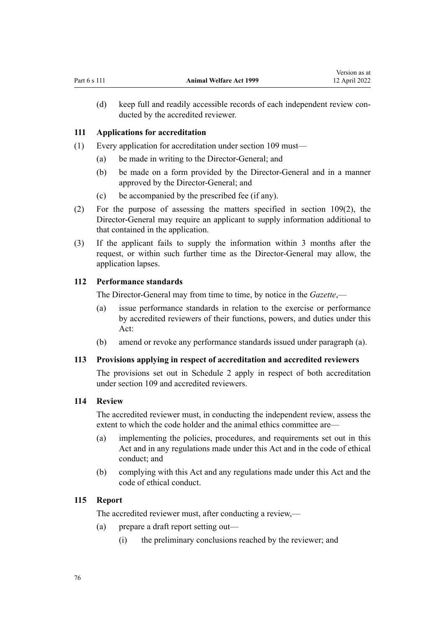<span id="page-75-0"></span>(d) keep full and readily accessible records of each independent review conducted by the accredited reviewer.

#### **111 Applications for accreditation**

- (1) Every application for accreditation under [section 109](#page-74-0) must—
	- (a) be made in writing to the Director-General; and
	- (b) be made on a form provided by the Director-General and in a manner approved by the Director-General; and
	- (c) be accompanied by the prescribed fee (if any).
- (2) For the purpose of assessing the matters specified in [section 109\(2\),](#page-74-0) the Director-General may require an applicant to supply information additional to that contained in the application.
- (3) If the applicant fails to supply the information within 3 months after the request, or within such further time as the Director-General may allow, the application lapses.

### **112 Performance standards**

The Director-General may from time to time, by notice in the *Gazette*,—

- (a) issue performance standards in relation to the exercise or performance by accredited reviewers of their functions, powers, and duties under this Act:
- (b) amend or revoke any performance standards issued under paragraph (a).

### **113 Provisions applying in respect of accreditation and accredited reviewers**

The provisions set out in [Schedule 2](#page-141-0) apply in respect of both accreditation under [section 109](#page-74-0) and accredited reviewers.

### **114 Review**

The accredited reviewer must, in conducting the independent review, assess the extent to which the code holder and the animal ethics committee are—

- (a) implementing the policies, procedures, and requirements set out in this Act and in any regulations made under this Act and in the code of ethical conduct; and
- (b) complying with this Act and any regulations made under this Act and the code of ethical conduct.

#### **115 Report**

The accredited reviewer must, after conducting a review,—

- (a) prepare a draft report setting out—
	- (i) the preliminary conclusions reached by the reviewer; and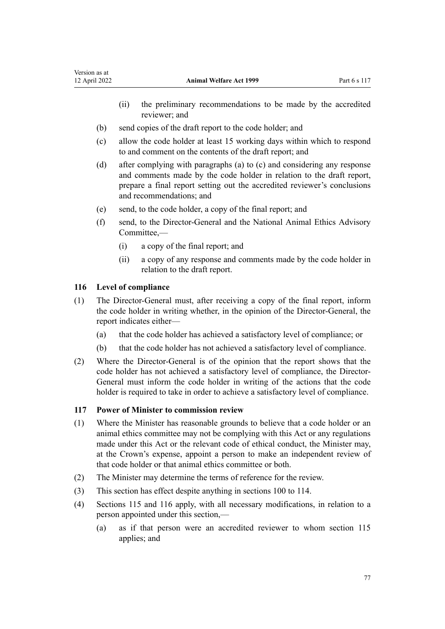- (b) send copies of the draft report to the code holder; and
- (c) allow the code holder at least 15 working days within which to respond to and comment on the contents of the draft report; and
- (d) after complying with paragraphs (a) to (c) and considering any response and comments made by the code holder in relation to the draft report, prepare a final report setting out the accredited reviewer's conclusions and recommendations; and
- (e) send, to the code holder, a copy of the final report; and
- (f) send, to the Director-General and the National Animal Ethics Advisory Committee,—
	- (i) a copy of the final report; and
	- (ii) a copy of any response and comments made by the code holder in relation to the draft report.

## **116 Level of compliance**

- (1) The Director-General must, after receiving a copy of the final report, inform the code holder in writing whether, in the opinion of the Director-General, the report indicates either—
	- (a) that the code holder has achieved a satisfactory level of compliance; or
	- (b) that the code holder has not achieved a satisfactory level of compliance.
- (2) Where the Director-General is of the opinion that the report shows that the code holder has not achieved a satisfactory level of compliance, the Director-General must inform the code holder in writing of the actions that the code holder is required to take in order to achieve a satisfactory level of compliance.

### **117 Power of Minister to commission review**

- (1) Where the Minister has reasonable grounds to believe that a code holder or an animal ethics committee may not be complying with this Act or any regulations made under this Act or the relevant code of ethical conduct, the Minister may, at the Crown's expense, appoint a person to make an independent review of that code holder or that animal ethics committee or both.
- (2) The Minister may determine the terms of reference for the review.
- (3) This section has effect despite anything in [sections 100 to 114](#page-70-0).
- (4) [Sections 115](#page-75-0) and 116 apply, with all necessary modifications, in relation to a person appointed under this section,—
	- (a) as if that person were an accredited reviewer to whom [section 115](#page-75-0) applies; and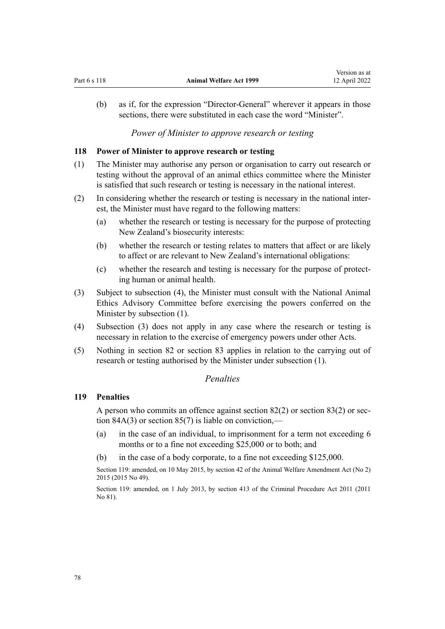(b) as if, for the expression "Director-General" wherever it appears in those sections, there were substituted in each case the word "Minister".

#### *Power of Minister to approve research or testing*

### **118 Power of Minister to approve research or testing**

- (1) The Minister may authorise any person or organisation to carry out research or testing without the approval of an animal ethics committee where the Minister is satisfied that such research or testing is necessary in the national interest.
- (2) In considering whether the research or testing is necessary in the national inter‐ est, the Minister must have regard to the following matters:
	- (a) whether the research or testing is necessary for the purpose of protecting New Zealand's biosecurity interests:
	- (b) whether the research or testing relates to matters that affect or are likely to affect or are relevant to New Zealand's international obligations:
	- (c) whether the research and testing is necessary for the purpose of protect‐ ing human or animal health.
- (3) Subject to subsection (4), the Minister must consult with the National Animal Ethics Advisory Committee before exercising the powers conferred on the Minister by subsection (1).
- (4) Subsection (3) does not apply in any case where the research or testing is necessary in relation to the exercise of emergency powers under other Acts.
- (5) Nothing in [section 82](#page-60-0) or [section 83](#page-60-0) applies in relation to the carrying out of research or testing authorised by the Minister under subsection (1).

#### *Penalties*

## **119 Penalties**

A person who commits an offence against section  $82(2)$  or section  $83(2)$  or sec[tion 84A\(3\)](#page-61-0) or [section 85\(7\)](#page-61-0) is liable on conviction,—

- (a) in the case of an individual, to imprisonment for a term not exceeding 6 months or to a fine not exceeding \$25,000 or to both; and
- (b) in the case of a body corporate, to a fine not exceeding \$125,000.

Section 119: amended, on 10 May 2015, by [section 42](http://legislation.govt.nz/pdflink.aspx?id=DLM6432506) of the Animal Welfare Amendment Act (No 2) 2015 (2015 No 49).

Section 119: amended, on 1 July 2013, by [section 413](http://legislation.govt.nz/pdflink.aspx?id=DLM3360714) of the Criminal Procedure Act 2011 (2011 No 81).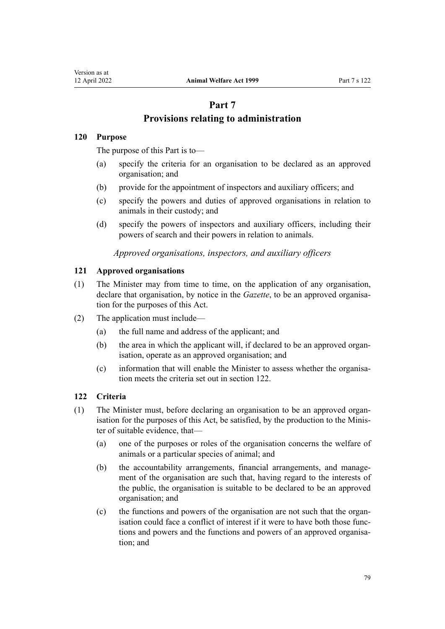# **Part 7 Provisions relating to administration**

## <span id="page-78-0"></span>**120 Purpose**

The purpose of this Part is to—

- (a) specify the criteria for an organisation to be declared as an approved organisation; and
- (b) provide for the appointment of inspectors and auxiliary officers; and
- (c) specify the powers and duties of approved organisations in relation to animals in their custody; and
- (d) specify the powers of inspectors and auxiliary officers, including their powers of search and their powers in relation to animals.

*Approved organisations, inspectors, and auxiliary officers*

## **121 Approved organisations**

- (1) The Minister may from time to time, on the application of any organisation, declare that organisation, by notice in the *Gazette*, to be an approved organisation for the purposes of this Act.
- (2) The application must include—
	- (a) the full name and address of the applicant; and
	- (b) the area in which the applicant will, if declared to be an approved organisation, operate as an approved organisation; and
	- (c) information that will enable the Minister to assess whether the organisation meets the criteria set out in section 122.

## **122 Criteria**

- (1) The Minister must, before declaring an organisation to be an approved organ‐ isation for the purposes of this Act, be satisfied, by the production to the Minister of suitable evidence, that—
	- (a) one of the purposes or roles of the organisation concerns the welfare of animals or a particular species of animal; and
	- (b) the accountability arrangements, financial arrangements, and management of the organisation are such that, having regard to the interests of the public, the organisation is suitable to be declared to be an approved organisation; and
	- (c) the functions and powers of the organisation are not such that the organ‐ isation could face a conflict of interest if it were to have both those functions and powers and the functions and powers of an approved organisation; and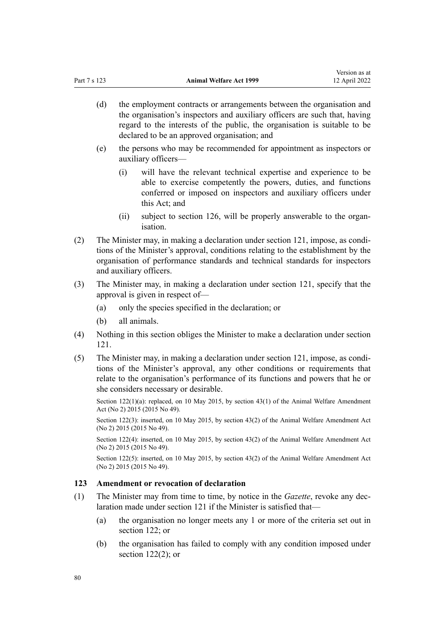- (d) the employment contracts or arrangements between the organisation and the organisation's inspectors and auxiliary officers are such that, having regard to the interests of the public, the organisation is suitable to be declared to be an approved organisation; and
- (e) the persons who may be recommended for appointment as inspectors or auxiliary officers—
	- (i) will have the relevant technical expertise and experience to be able to exercise competently the powers, duties, and functions conferred or imposed on inspectors and auxiliary officers under this Act; and
	- (ii) subject to [section 126,](#page-84-0) will be properly answerable to the organisation.
- (2) The Minister may, in making a declaration under [section 121,](#page-78-0) impose, as condi‐ tions of the Minister's approval, conditions relating to the establishment by the organisation of performance standards and technical standards for inspectors and auxiliary officers.
- (3) The Minister may, in making a declaration under [section 121](#page-78-0), specify that the approval is given in respect of—
	- (a) only the species specified in the declaration; or
	- (b) all animals.
- (4) Nothing in this section obliges the Minister to make a declaration under [section](#page-78-0) [121](#page-78-0).
- (5) The Minister may, in making a declaration under [section 121,](#page-78-0) impose, as conditions of the Minister's approval, any other conditions or requirements that relate to the organisation's performance of its functions and powers that he or she considers necessary or desirable.

Section 122(1)(a): replaced, on 10 May 2015, by [section 43\(1\)](http://legislation.govt.nz/pdflink.aspx?id=DLM5174867) of the Animal Welfare Amendment Act (No 2) 2015 (2015 No 49).

Section 122(3): inserted, on 10 May 2015, by [section 43\(2\)](http://legislation.govt.nz/pdflink.aspx?id=DLM5174867) of the Animal Welfare Amendment Act (No 2) 2015 (2015 No 49).

Section 122(4): inserted, on 10 May 2015, by [section 43\(2\)](http://legislation.govt.nz/pdflink.aspx?id=DLM5174867) of the Animal Welfare Amendment Act (No 2) 2015 (2015 No 49).

Section 122(5): inserted, on 10 May 2015, by [section 43\(2\)](http://legislation.govt.nz/pdflink.aspx?id=DLM5174867) of the Animal Welfare Amendment Act (No 2) 2015 (2015 No 49).

## **123 Amendment or revocation of declaration**

- (1) The Minister may from time to time, by notice in the *Gazette*, revoke any dec‐ laration made under [section 121](#page-78-0) if the Minister is satisfied that—
	- (a) the organisation no longer meets any 1 or more of the criteria set out in [section 122;](#page-78-0) or
	- (b) the organisation has failed to comply with any condition imposed under [section 122\(2\)](#page-78-0); or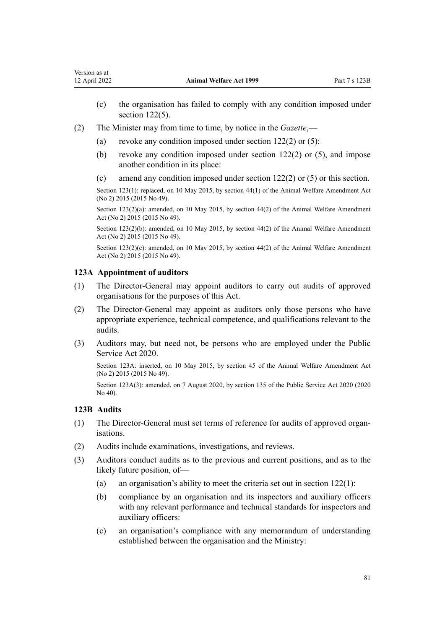- (c) the organisation has failed to comply with any condition imposed under [section 122\(5\)](#page-78-0).
- (2) The Minister may from time to time, by notice in the *Gazette*,—
	- (a) revoke any condition imposed under section  $122(2)$  or (5):
	- (b) revoke any condition imposed under [section 122\(2\) or \(5\)](#page-78-0), and impose another condition in its place:
	- (c) amend any condition imposed under section  $122(2)$  or (5) or this section.

Section 123(1): replaced, on 10 May 2015, by [section 44\(1\)](http://legislation.govt.nz/pdflink.aspx?id=DLM6165710) of the Animal Welfare Amendment Act (No 2) 2015 (2015 No 49).

Section 123(2)(a): amended, on 10 May 2015, by [section 44\(2\)](http://legislation.govt.nz/pdflink.aspx?id=DLM6165710) of the Animal Welfare Amendment Act (No 2) 2015 (2015 No 49).

Section 123(2)(b): amended, on 10 May 2015, by [section 44\(2\)](http://legislation.govt.nz/pdflink.aspx?id=DLM6165710) of the Animal Welfare Amendment Act (No 2) 2015 (2015 No 49).

Section 123(2)(c): amended, on 10 May 2015, by [section 44\(2\)](http://legislation.govt.nz/pdflink.aspx?id=DLM6165710) of the Animal Welfare Amendment Act (No 2) 2015 (2015 No 49).

## **123A Appointment of auditors**

- (1) The Director-General may appoint auditors to carry out audits of approved organisations for the purposes of this Act.
- (2) The Director-General may appoint as auditors only those persons who have appropriate experience, technical competence, and qualifications relevant to the audits.
- (3) Auditors may, but need not, be persons who are employed under the [Public](http://legislation.govt.nz/pdflink.aspx?id=LMS106157) [Service Act 2020](http://legislation.govt.nz/pdflink.aspx?id=LMS106157).

Section 123A: inserted, on 10 May 2015, by [section 45](http://legislation.govt.nz/pdflink.aspx?id=DLM5174868) of the Animal Welfare Amendment Act (No 2) 2015 (2015 No 49).

Section 123A(3): amended, on 7 August 2020, by [section 135](http://legislation.govt.nz/pdflink.aspx?id=LMS176959) of the Public Service Act 2020 (2020 No 40).

## **123B Audits**

- (1) The Director-General must set terms of reference for audits of approved organ‐ isations.
- (2) Audits include examinations, investigations, and reviews.
- (3) Auditors conduct audits as to the previous and current positions, and as to the likely future position, of—
	- (a) an organisation's ability to meet the criteria set out in [section 122\(1\):](#page-78-0)
	- (b) compliance by an organisation and its inspectors and auxiliary officers with any relevant performance and technical standards for inspectors and auxiliary officers:
	- (c) an organisation's compliance with any memorandum of understanding established between the organisation and the Ministry: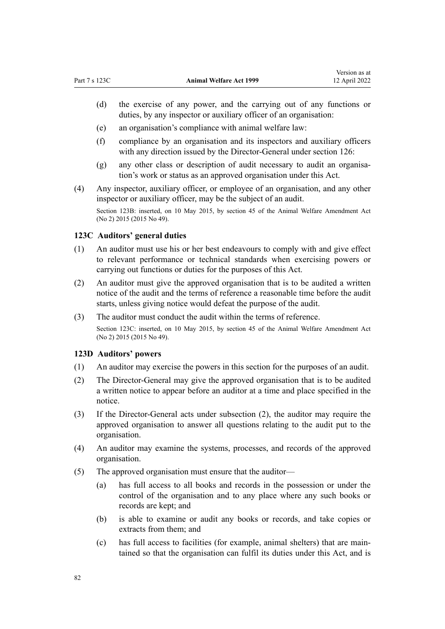- (d) the exercise of any power, and the carrying out of any functions or duties, by any inspector or auxiliary officer of an organisation:
- (e) an organisation's compliance with animal welfare law:
- (f) compliance by an organisation and its inspectors and auxiliary officers with any direction issued by the Director-General under [section 126:](#page-84-0)
- $(g)$  any other class or description of audit necessary to audit an organisation's work or status as an approved organisation under this Act.
- (4) Any inspector, auxiliary officer, or employee of an organisation, and any other inspector or auxiliary officer, may be the subject of an audit.

Section 123B: inserted, on 10 May 2015, by [section 45](http://legislation.govt.nz/pdflink.aspx?id=DLM5174868) of the Animal Welfare Amendment Act (No 2) 2015 (2015 No 49).

## **123C Auditors' general duties**

- (1) An auditor must use his or her best endeavours to comply with and give effect to relevant performance or technical standards when exercising powers or carrying out functions or duties for the purposes of this Act.
- (2) An auditor must give the approved organisation that is to be audited a written notice of the audit and the terms of reference a reasonable time before the audit starts, unless giving notice would defeat the purpose of the audit.
- (3) The auditor must conduct the audit within the terms of reference.

Section 123C: inserted, on 10 May 2015, by [section 45](http://legislation.govt.nz/pdflink.aspx?id=DLM5174868) of the Animal Welfare Amendment Act (No 2) 2015 (2015 No 49).

#### **123D Auditors' powers**

- (1) An auditor may exercise the powers in this section for the purposes of an audit.
- (2) The Director-General may give the approved organisation that is to be audited a written notice to appear before an auditor at a time and place specified in the notice.
- (3) If the Director-General acts under subsection (2), the auditor may require the approved organisation to answer all questions relating to the audit put to the organisation.
- (4) An auditor may examine the systems, processes, and records of the approved organisation.
- (5) The approved organisation must ensure that the auditor—
	- (a) has full access to all books and records in the possession or under the control of the organisation and to any place where any such books or records are kept; and
	- (b) is able to examine or audit any books or records, and take copies or extracts from them; and
	- (c) has full access to facilities (for example, animal shelters) that are main‐ tained so that the organisation can fulfil its duties under this Act, and is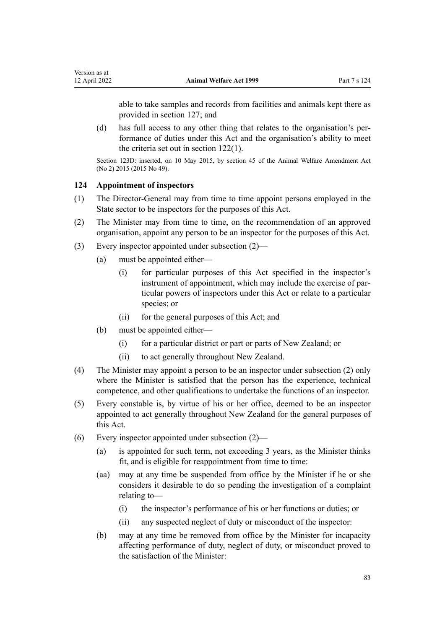able to take samples and records from facilities and animals kept there as provided in [section 127](#page-84-0); and

(d) has full access to any other thing that relates to the organisation's per‐ formance of duties under this Act and the organisation's ability to meet the criteria set out in [section 122\(1\).](#page-78-0)

Section 123D: inserted, on 10 May 2015, by [section 45](http://legislation.govt.nz/pdflink.aspx?id=DLM5174868) of the Animal Welfare Amendment Act (No 2) 2015 (2015 No 49).

## **124 Appointment of inspectors**

- (1) The Director-General may from time to time appoint persons employed in the State sector to be inspectors for the purposes of this Act.
- (2) The Minister may from time to time, on the recommendation of an approved organisation, appoint any person to be an inspector for the purposes of this Act.
- (3) Every inspector appointed under subsection (2)—
	- (a) must be appointed either—
		- (i) for particular purposes of this Act specified in the inspector's instrument of appointment, which may include the exercise of particular powers of inspectors under this Act or relate to a particular species; or
		- (ii) for the general purposes of this Act; and
	- (b) must be appointed either—
		- (i) for a particular district or part or parts of New Zealand; or
		- (ii) to act generally throughout New Zealand.
- (4) The Minister may appoint a person to be an inspector under subsection (2) only where the Minister is satisfied that the person has the experience, technical competence, and other qualifications to undertake the functions of an inspector.
- (5) Every constable is, by virtue of his or her office, deemed to be an inspector appointed to act generally throughout New Zealand for the general purposes of this Act.
- (6) Every inspector appointed under subsection (2)—
	- (a) is appointed for such term, not exceeding 3 years, as the Minister thinks fit, and is eligible for reappointment from time to time:
	- (aa) may at any time be suspended from office by the Minister if he or she considers it desirable to do so pending the investigation of a complaint relating to—
		- (i) the inspector's performance of his or her functions or duties; or
		- (ii) any suspected neglect of duty or misconduct of the inspector:
	- (b) may at any time be removed from office by the Minister for incapacity affecting performance of duty, neglect of duty, or misconduct proved to the satisfaction of the Minister: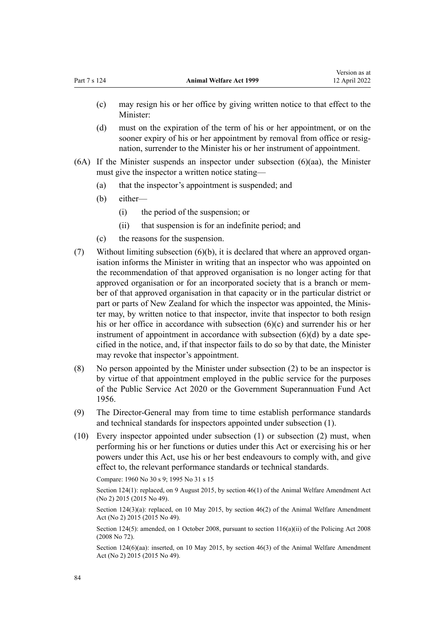- (c) may resign his or her office by giving written notice to that effect to the Minister:
- (d) must on the expiration of the term of his or her appointment, or on the sooner expiry of his or her appointment by removal from office or resignation, surrender to the Minister his or her instrument of appointment.
- (6A) If the Minister suspends an inspector under subsection (6)(aa), the Minister must give the inspector a written notice stating—
	- (a) that the inspector's appointment is suspended; and
	- (b) either—
		- (i) the period of the suspension; or
		- (ii) that suspension is for an indefinite period; and
	- (c) the reasons for the suspension.
- (7) Without limiting subsection  $(6)(b)$ , it is declared that where an approved organisation informs the Minister in writing that an inspector who was appointed on the recommendation of that approved organisation is no longer acting for that approved organisation or for an incorporated society that is a branch or member of that approved organisation in that capacity or in the particular district or part or parts of New Zealand for which the inspector was appointed, the Minister may, by written notice to that inspector, invite that inspector to both resign his or her office in accordance with subsection (6)(c) and surrender his or her instrument of appointment in accordance with subsection  $(6)(d)$  by a date specified in the notice, and, if that inspector fails to do so by that date, the Minister may revoke that inspector's appointment.
- (8) No person appointed by the Minister under subsection (2) to be an inspector is by virtue of that appointment employed in the public service for the purposes of the [Public Service Act 2020](http://legislation.govt.nz/pdflink.aspx?id=LMS106157) or the [Government Superannuation Fund Act](http://legislation.govt.nz/pdflink.aspx?id=DLM446000) [1956](http://legislation.govt.nz/pdflink.aspx?id=DLM446000).
- (9) The Director-General may from time to time establish performance standards and technical standards for inspectors appointed under subsection (1).
- (10) Every inspector appointed under subsection (1) or subsection (2) must, when performing his or her functions or duties under this Act or exercising his or her powers under this Act, use his or her best endeavours to comply with, and give effect to, the relevant performance standards or technical standards.

Compare: 1960 No 30 s 9; 1995 No 31 [s 15](http://legislation.govt.nz/pdflink.aspx?id=DLM366853)

Section 124(1): replaced, on 9 August 2015, by [section 46\(1\)](http://legislation.govt.nz/pdflink.aspx?id=DLM5174873) of the Animal Welfare Amendment Act (No 2) 2015 (2015 No 49).

Section 124(3)(a): replaced, on 10 May 2015, by [section 46\(2\)](http://legislation.govt.nz/pdflink.aspx?id=DLM5174873) of the Animal Welfare Amendment Act (No 2) 2015 (2015 No 49).

Section 124(5): amended, on 1 October 2008, pursuant to [section 116\(a\)\(ii\)](http://legislation.govt.nz/pdflink.aspx?id=DLM1102349) of the Policing Act 2008 (2008 No 72).

Section 124(6)(aa): inserted, on 10 May 2015, by [section 46\(3\)](http://legislation.govt.nz/pdflink.aspx?id=DLM5174873) of the Animal Welfare Amendment Act (No 2) 2015 (2015 No 49).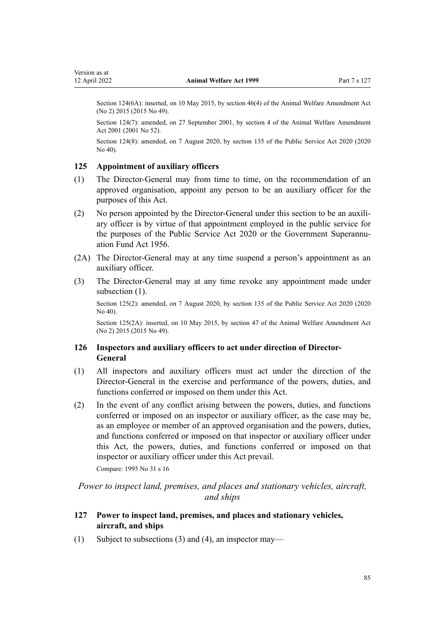<span id="page-84-0"></span>Section 124(6A): inserted, on 10 May 2015, by [section 46\(4\)](http://legislation.govt.nz/pdflink.aspx?id=DLM5174873) of the Animal Welfare Amendment Act (No 2) 2015 (2015 No 49).

Section 124(7): amended, on 27 September 2001, by [section 4](http://legislation.govt.nz/pdflink.aspx?id=DLM110927) of the Animal Welfare Amendment Act 2001 (2001 No 52).

Section 124(8): amended, on 7 August 2020, by [section 135](http://legislation.govt.nz/pdflink.aspx?id=LMS176959) of the Public Service Act 2020 (2020 No 40).

#### **125 Appointment of auxiliary officers**

- (1) The Director-General may from time to time, on the recommendation of an approved organisation, appoint any person to be an auxiliary officer for the purposes of this Act.
- (2) No person appointed by the Director-General under this section to be an auxili‐ ary officer is by virtue of that appointment employed in the public service for the purposes of the [Public Service Act 2020](http://legislation.govt.nz/pdflink.aspx?id=LMS106157) or the Government Superannu[ation Fund Act 1956](http://legislation.govt.nz/pdflink.aspx?id=DLM446000).
- (2A) The Director-General may at any time suspend a person's appointment as an auxiliary officer.
- (3) The Director-General may at any time revoke any appointment made under subsection  $(1)$ .

Section 125(2): amended, on 7 August 2020, by [section 135](http://legislation.govt.nz/pdflink.aspx?id=LMS176959) of the Public Service Act 2020 (2020) No 40).

Section 125(2A): inserted, on 10 May 2015, by [section 47](http://legislation.govt.nz/pdflink.aspx?id=DLM5174874) of the Animal Welfare Amendment Act (No 2) 2015 (2015 No 49).

## **126 Inspectors and auxiliary officers to act under direction of Director-General**

- (1) All inspectors and auxiliary officers must act under the direction of the Director-General in the exercise and performance of the powers, duties, and functions conferred or imposed on them under this Act.
- (2) In the event of any conflict arising between the powers, duties, and functions conferred or imposed on an inspector or auxiliary officer, as the case may be, as an employee or member of an approved organisation and the powers, duties, and functions conferred or imposed on that inspector or auxiliary officer under this Act, the powers, duties, and functions conferred or imposed on that inspector or auxiliary officer under this Act prevail.

Compare: 1995 No 31 [s 16](http://legislation.govt.nz/pdflink.aspx?id=DLM366855)

*Power to inspect land, premises, and places and stationary vehicles, aircraft, and ships*

- **127 Power to inspect land, premises, and places and stationary vehicles, aircraft, and ships**
- (1) Subject to subsections (3) and (4), an inspector may—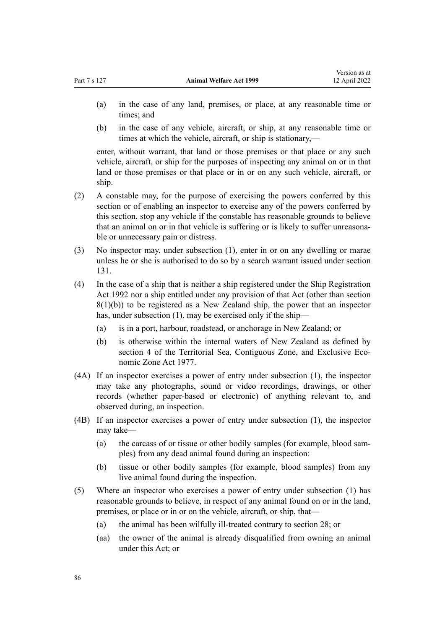- (a) in the case of any land, premises, or place, at any reasonable time or times; and
- (b) in the case of any vehicle, aircraft, or ship, at any reasonable time or times at which the vehicle, aircraft, or ship is stationary,—

enter, without warrant, that land or those premises or that place or any such vehicle, aircraft, or ship for the purposes of inspecting any animal on or in that land or those premises or that place or in or on any such vehicle, aircraft, or ship.

- (2) A constable may, for the purpose of exercising the powers conferred by this section or of enabling an inspector to exercise any of the powers conferred by this section, stop any vehicle if the constable has reasonable grounds to believe that an animal on or in that vehicle is suffering or is likely to suffer unreasonable or unnecessary pain or distress.
- (3) No inspector may, under subsection (1), enter in or on any dwelling or marae unless he or she is authorised to do so by a search warrant issued under [section](#page-88-0) [131](#page-88-0).
- (4) In the case of a ship that is neither a ship registered under the [Ship Registration](http://legislation.govt.nz/pdflink.aspx?id=DLM275026) [Act 1992](http://legislation.govt.nz/pdflink.aspx?id=DLM275026) nor a ship entitled under any provision of that Act (other than [section](#page-22-0)  $8(1)(b)$ ) to be registered as a New Zealand ship, the power that an inspector has, under subsection (1), may be exercised only if the ship—
	- (a) is in a port, harbour, roadstead, or anchorage in New Zealand; or
	- (b) is otherwise within the internal waters of New Zealand as defined by [section 4](http://legislation.govt.nz/pdflink.aspx?id=DLM442667) of the Territorial Sea, Contiguous Zone, and Exclusive Economic Zone Act 1977.
- (4A) If an inspector exercises a power of entry under subsection (1), the inspector may take any photographs, sound or video recordings, drawings, or other records (whether paper-based or electronic) of anything relevant to, and observed during, an inspection.
- (4B) If an inspector exercises a power of entry under subsection (1), the inspector may take—
	- (a) the carcass of or tissue or other bodily samples (for example, blood sam‐ ples) from any dead animal found during an inspection:
	- (b) tissue or other bodily samples (for example, blood samples) from any live animal found during the inspection.
- (5) Where an inspector who exercises a power of entry under subsection (1) has reasonable grounds to believe, in respect of any animal found on or in the land, premises, or place or in or on the vehicle, aircraft, or ship, that—
	- (a) the animal has been wilfully ill-treated contrary to [section 28;](#page-30-0) or
	- (aa) the owner of the animal is already disqualified from owning an animal under this Act; or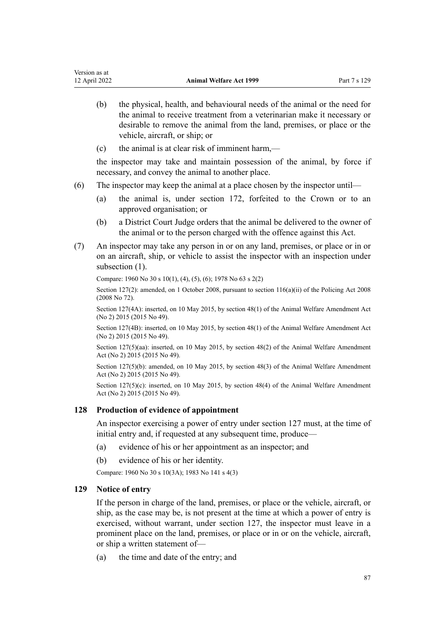- (b) the physical, health, and behavioural needs of the animal or the need for the animal to receive treatment from a veterinarian make it necessary or desirable to remove the animal from the land, premises, or place or the vehicle, aircraft, or ship; or
- (c) the animal is at clear risk of imminent harm,—

the inspector may take and maintain possession of the animal, by force if necessary, and convey the animal to another place.

- (6) The inspector may keep the animal at a place chosen by the inspector until—
	- (a) the animal is, under [section 172,](#page-115-0) forfeited to the Crown or to an approved organisation; or
	- (b) a District Court Judge orders that the animal be delivered to the owner of the animal or to the person charged with the offence against this Act.
- (7) An inspector may take any person in or on any land, premises, or place or in or on an aircraft, ship, or vehicle to assist the inspector with an inspection under subsection (1).

Compare: 1960 No 30 s 10(1), (4), (5), (6); 1978 No 63 s 2(2)

Section 127(2): amended, on 1 October 2008, pursuant to [section 116\(a\)\(ii\)](http://legislation.govt.nz/pdflink.aspx?id=DLM1102349) of the Policing Act 2008 (2008 No 72).

Section 127(4A): inserted, on 10 May 2015, by [section 48\(1\)](http://legislation.govt.nz/pdflink.aspx?id=DLM5174875) of the Animal Welfare Amendment Act (No 2) 2015 (2015 No 49).

Section 127(4B): inserted, on 10 May 2015, by [section 48\(1\)](http://legislation.govt.nz/pdflink.aspx?id=DLM5174875) of the Animal Welfare Amendment Act (No 2) 2015 (2015 No 49).

Section 127(5)(aa): inserted, on 10 May 2015, by [section 48\(2\)](http://legislation.govt.nz/pdflink.aspx?id=DLM5174875) of the Animal Welfare Amendment Act (No 2) 2015 (2015 No 49).

Section 127(5)(b): amended, on 10 May 2015, by [section 48\(3\)](http://legislation.govt.nz/pdflink.aspx?id=DLM5174875) of the Animal Welfare Amendment Act (No 2) 2015 (2015 No 49).

Section  $127(5)(c)$ : inserted, on 10 May 2015, by [section 48\(4\)](http://legislation.govt.nz/pdflink.aspx?id=DLM5174875) of the Animal Welfare Amendment Act (No 2) 2015 (2015 No 49).

### **128 Production of evidence of appointment**

An inspector exercising a power of entry under [section 127](#page-84-0) must, at the time of initial entry and, if requested at any subsequent time, produce—

- (a) evidence of his or her appointment as an inspector; and
- (b) evidence of his or her identity.

Compare: 1960 No 30 s 10(3A); 1983 No 141 s 4(3)

### **129 Notice of entry**

If the person in charge of the land, premises, or place or the vehicle, aircraft, or ship, as the case may be, is not present at the time at which a power of entry is exercised, without warrant, under [section 127](#page-84-0), the inspector must leave in a prominent place on the land, premises, or place or in or on the vehicle, aircraft, or ship a written statement of—

(a) the time and date of the entry; and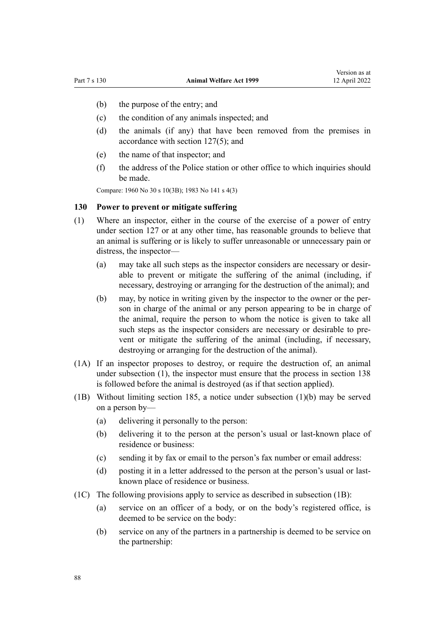- (b) the purpose of the entry; and
- (c) the condition of any animals inspected; and
- (d) the animals (if any) that have been removed from the premises in accordance with [section 127\(5\)](#page-84-0); and
- (e) the name of that inspector; and
- (f) the address of the Police station or other office to which inquiries should be made.

Compare: 1960 No 30 s 10(3B); 1983 No 141 s 4(3)

#### **130 Power to prevent or mitigate suffering**

- (1) Where an inspector, either in the course of the exercise of a power of entry under [section 127](#page-84-0) or at any other time, has reasonable grounds to believe that an animal is suffering or is likely to suffer unreasonable or unnecessary pain or distress, the inspector—
	- (a) may take all such steps as the inspector considers are necessary or desir‐ able to prevent or mitigate the suffering of the animal (including, if necessary, destroying or arranging for the destruction of the animal); and
	- (b) may, by notice in writing given by the inspector to the owner or the per‐ son in charge of the animal or any person appearing to be in charge of the animal, require the person to whom the notice is given to take all such steps as the inspector considers are necessary or desirable to prevent or mitigate the suffering of the animal (including, if necessary, destroying or arranging for the destruction of the animal).
- (1A) If an inspector proposes to destroy, or require the destruction of, an animal under subsection (1), the inspector must ensure that the process in [section 138](#page-94-0) is followed before the animal is destroyed (as if that section applied).
- (1B) Without limiting [section 185,](#page-127-0) a notice under subsection (1)(b) may be served on a person by—
	- (a) delivering it personally to the person:
	- (b) delivering it to the person at the person's usual or last-known place of residence or business:
	- (c) sending it by fax or email to the person's fax number or email address:
	- (d) posting it in a letter addressed to the person at the person's usual or lastknown place of residence or business.
- (1C) The following provisions apply to service as described in subsection (1B):
	- (a) service on an officer of a body, or on the body's registered office, is deemed to be service on the body:
	- (b) service on any of the partners in a partnership is deemed to be service on the partnership: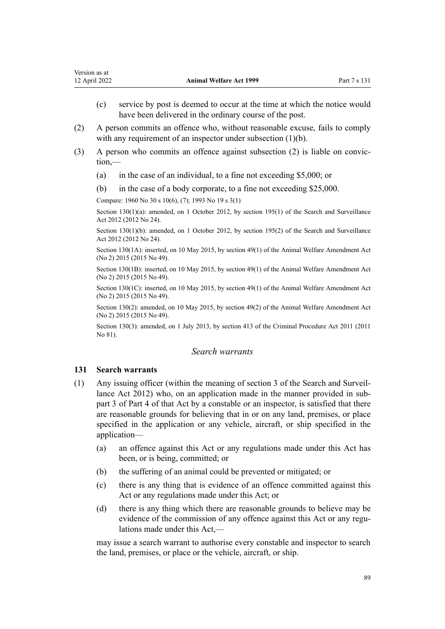- <span id="page-88-0"></span>(c) service by post is deemed to occur at the time at which the notice would have been delivered in the ordinary course of the post.
- (2) A person commits an offence who, without reasonable excuse, fails to comply with any requirement of an inspector under subsection (1)(b).
- (3) A person who commits an offence against subsection (2) is liable on convic‐ tion,—
	- (a) in the case of an individual, to a fine not exceeding \$5,000; or
	- (b) in the case of a body corporate, to a fine not exceeding \$25,000.

Compare: 1960 No 30 s 10(6), (7); 1993 No 19 s 3(1)

Section 130(1)(a): amended, on 1 October 2012, by [section 195\(1\)](http://legislation.govt.nz/pdflink.aspx?id=DLM2136917) of the Search and Surveillance Act 2012 (2012 No 24).

Section 130(1)(b): amended, on 1 October 2012, by [section 195\(2\)](http://legislation.govt.nz/pdflink.aspx?id=DLM2136917) of the Search and Surveillance Act 2012 (2012 No 24).

Section 130(1A): inserted, on 10 May 2015, by [section 49\(1\)](http://legislation.govt.nz/pdflink.aspx?id=DLM5174876) of the Animal Welfare Amendment Act (No 2) 2015 (2015 No 49).

Section 130(1B): inserted, on 10 May 2015, by [section 49\(1\)](http://legislation.govt.nz/pdflink.aspx?id=DLM5174876) of the Animal Welfare Amendment Act (No 2) 2015 (2015 No 49).

Section 130(1C): inserted, on 10 May 2015, by [section 49\(1\)](http://legislation.govt.nz/pdflink.aspx?id=DLM5174876) of the Animal Welfare Amendment Act (No 2) 2015 (2015 No 49).

Section 130(2): amended, on 10 May 2015, by [section 49\(2\)](http://legislation.govt.nz/pdflink.aspx?id=DLM5174876) of the Animal Welfare Amendment Act (No 2) 2015 (2015 No 49).

Section 130(3): amended, on 1 July 2013, by [section 413](http://legislation.govt.nz/pdflink.aspx?id=DLM3360714) of the Criminal Procedure Act 2011 (2011 No 81).

### *Search warrants*

### **131 Search warrants**

- (1) Any issuing officer (within the meaning of [section 3](http://legislation.govt.nz/pdflink.aspx?id=DLM2136542) of the Search and Surveil‐ lance Act 2012) who, on an application made in the manner provided in sub[part 3](http://legislation.govt.nz/pdflink.aspx?id=DLM2136781) of Part 4 of that Act by a constable or an inspector, is satisfied that there are reasonable grounds for believing that in or on any land, premises, or place specified in the application or any vehicle, aircraft, or ship specified in the application—
	- (a) an offence against this Act or any regulations made under this Act has been, or is being, committed; or
	- (b) the suffering of an animal could be prevented or mitigated; or
	- (c) there is any thing that is evidence of an offence committed against this Act or any regulations made under this Act; or
	- (d) there is any thing which there are reasonable grounds to believe may be evidence of the commission of any offence against this Act or any regulations made under this Act,—

may issue a search warrant to authorise every constable and inspector to search the land, premises, or place or the vehicle, aircraft, or ship.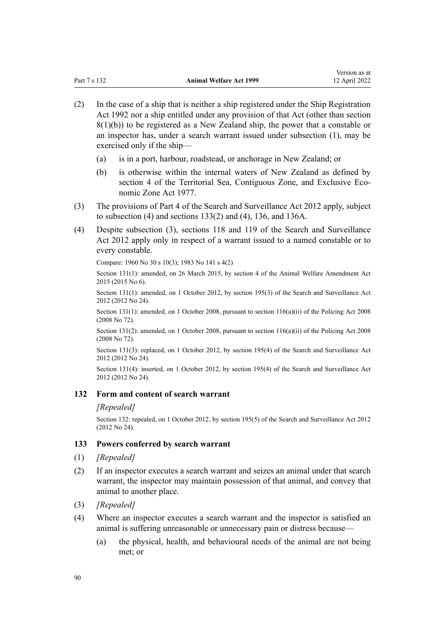- (2) In the case of a ship that is neither a ship registered under the [Ship Registration](http://legislation.govt.nz/pdflink.aspx?id=DLM275026) [Act 1992](http://legislation.govt.nz/pdflink.aspx?id=DLM275026) nor a ship entitled under any provision of that Act (other than [section](http://legislation.govt.nz/pdflink.aspx?id=DLM275946)  $8(1)(b)$ ) to be registered as a New Zealand ship, the power that a constable or an inspector has, under a search warrant issued under subsection (1), may be exercised only if the ship—
	- (a) is in a port, harbour, roadstead, or anchorage in New Zealand; or
	- (b) is otherwise within the internal waters of New Zealand as defined by [section 4](http://legislation.govt.nz/pdflink.aspx?id=DLM442667) of the Territorial Sea, Contiguous Zone, and Exclusive Economic Zone Act 1977.
- (3) The provisions of [Part 4](http://legislation.govt.nz/pdflink.aspx?id=DLM2136770) of the Search and Surveillance Act 2012 apply, subject to subsection (4) and sections 133(2) and (4), [136,](#page-90-0) and [136A](#page-91-0).
- (4) Despite subsection (3), [sections 118](http://legislation.govt.nz/pdflink.aspx?id=DLM2136813) and [119](http://legislation.govt.nz/pdflink.aspx?id=DLM2136815) of the Search and Surveillance Act 2012 apply only in respect of a warrant issued to a named constable or to every constable.

Compare: 1960 No 30 s 10(3); 1983 No 141 s 4(2)

Section 131(1): amended, on 26 March 2015, by [section 4](http://legislation.govt.nz/pdflink.aspx?id=DLM5940147) of the Animal Welfare Amendment Act 2015 (2015 No 6).

Section 131(1): amended, on 1 October 2012, by [section 195\(3\)](http://legislation.govt.nz/pdflink.aspx?id=DLM2136917) of the Search and Surveillance Act 2012 (2012 No 24).

Section 131(1): amended, on 1 October 2008, pursuant to [section 116\(a\)\(ii\)](http://legislation.govt.nz/pdflink.aspx?id=DLM1102349) of the Policing Act 2008 (2008 No 72).

Section 131(2): amended, on 1 October 2008, pursuant to [section 116\(a\)\(ii\)](http://legislation.govt.nz/pdflink.aspx?id=DLM1102349) of the Policing Act 2008 (2008 No 72).

Section 131(3): replaced, on 1 October 2012, by [section 195\(4\)](http://legislation.govt.nz/pdflink.aspx?id=DLM2136917) of the Search and Surveillance Act 2012 (2012 No 24).

Section 131(4): inserted, on 1 October 2012, by [section 195\(4\)](http://legislation.govt.nz/pdflink.aspx?id=DLM2136917) of the Search and Surveillance Act 2012 (2012 No 24).

### **132 Form and content of search warrant**

#### *[Repealed]*

Section 132: repealed, on 1 October 2012, by [section 195\(5\)](http://legislation.govt.nz/pdflink.aspx?id=DLM2136917) of the Search and Surveillance Act 2012 (2012 No 24).

## **133 Powers conferred by search warrant**

- (1) *[Repealed]*
- (2) If an inspector executes a search warrant and seizes an animal under that search warrant, the inspector may maintain possession of that animal, and convey that animal to another place.
- (3) *[Repealed]*
- (4) Where an inspector executes a search warrant and the inspector is satisfied an animal is suffering unreasonable or unnecessary pain or distress because—
	- (a) the physical, health, and behavioural needs of the animal are not being met; or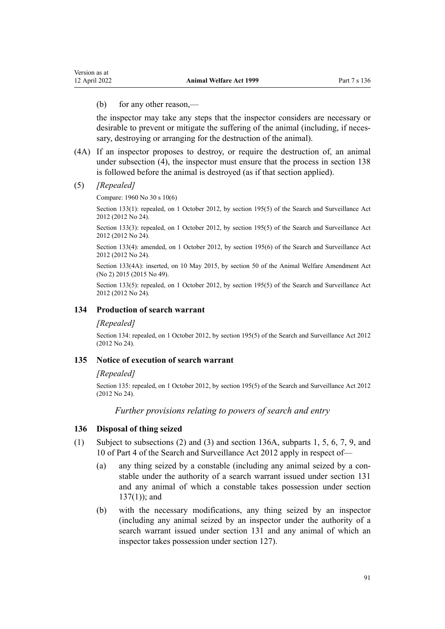#### <span id="page-90-0"></span>(b) for any other reason,—

the inspector may take any steps that the inspector considers are necessary or desirable to prevent or mitigate the suffering of the animal (including, if necessary, destroying or arranging for the destruction of the animal).

- (4A) If an inspector proposes to destroy, or require the destruction of, an animal under subsection (4), the inspector must ensure that the process in [section 138](#page-94-0) is followed before the animal is destroyed (as if that section applied).
- (5) *[Repealed]*

Compare: 1960 No 30 s 10(6)

Section 133(1): repealed, on 1 October 2012, by [section 195\(5\)](http://legislation.govt.nz/pdflink.aspx?id=DLM2136917) of the Search and Surveillance Act 2012 (2012 No 24).

Section 133(3): repealed, on 1 October 2012, by [section 195\(5\)](http://legislation.govt.nz/pdflink.aspx?id=DLM2136917) of the Search and Surveillance Act 2012 (2012 No 24).

Section 133(4): amended, on 1 October 2012, by [section 195\(6\)](http://legislation.govt.nz/pdflink.aspx?id=DLM2136917) of the Search and Surveillance Act 2012 (2012 No 24).

Section 133(4A): inserted, on 10 May 2015, by [section 50](http://legislation.govt.nz/pdflink.aspx?id=DLM5174877) of the Animal Welfare Amendment Act (No 2) 2015 (2015 No 49).

Section 133(5): repealed, on 1 October 2012, by [section 195\(5\)](http://legislation.govt.nz/pdflink.aspx?id=DLM2136917) of the Search and Surveillance Act 2012 (2012 No 24).

#### **134 Production of search warrant**

### *[Repealed]*

Section 134: repealed, on 1 October 2012, by [section 195\(5\)](http://legislation.govt.nz/pdflink.aspx?id=DLM2136917) of the Search and Surveillance Act 2012 (2012 No 24).

#### **135 Notice of execution of search warrant**

#### *[Repealed]*

Section 135: repealed, on 1 October 2012, by [section 195\(5\)](http://legislation.govt.nz/pdflink.aspx?id=DLM2136917) of the Search and Surveillance Act 2012 (2012 No 24).

*Further provisions relating to powers of search and entry*

### **136 Disposal of thing seized**

- (1) Subject to subsections (2) and (3) and [section 136A](#page-91-0), [subparts 1,](http://legislation.govt.nz/pdflink.aspx?id=DLM2136771) [5](http://legislation.govt.nz/pdflink.aspx?id=DLM2136842), [6](http://legislation.govt.nz/pdflink.aspx?id=DLM2136860), [7](http://legislation.govt.nz/pdflink.aspx?id=DLM2136877), [9](http://legislation.govt.nz/pdflink.aspx?id=DLM2136888), and [10](http://legislation.govt.nz/pdflink.aspx?id=DLM2136896) of Part 4 of the Search and Surveillance Act 2012 apply in respect of—
	- (a) any thing seized by a constable (including any animal seized by a constable under the authority of a search warrant issued under [section 131](#page-88-0) and any animal of which a constable takes possession under [section](#page-93-0) [137\(1\)\)](#page-93-0); and
	- (b) with the necessary modifications, any thing seized by an inspector (including any animal seized by an inspector under the authority of a search warrant issued under [section 131](#page-88-0) and any animal of which an inspector takes possession under [section 127\)](#page-84-0).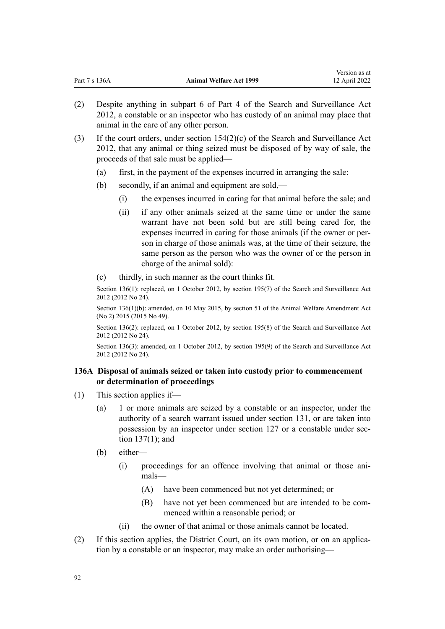- <span id="page-91-0"></span>(2) Despite anything in [subpart 6](http://legislation.govt.nz/pdflink.aspx?id=DLM2136860) of Part 4 of the Search and Surveillance Act 2012, a constable or an inspector who has custody of an animal may place that animal in the care of any other person.
- (3) If the court orders, under [section 154\(2\)\(c\)](http://legislation.govt.nz/pdflink.aspx?id=DLM2136866) of the Search and Surveillance Act 2012, that any animal or thing seized must be disposed of by way of sale, the proceeds of that sale must be applied—
	- (a) first, in the payment of the expenses incurred in arranging the sale:
	- (b) secondly, if an animal and equipment are sold,—
		- (i) the expenses incurred in caring for that animal before the sale; and
		- (ii) if any other animals seized at the same time or under the same warrant have not been sold but are still being cared for, the expenses incurred in caring for those animals (if the owner or person in charge of those animals was, at the time of their seizure, the same person as the person who was the owner of or the person in charge of the animal sold):
	- (c) thirdly, in such manner as the court thinks fit.

Section 136(1): replaced, on 1 October 2012, by [section 195\(7\)](http://legislation.govt.nz/pdflink.aspx?id=DLM2136917) of the Search and Surveillance Act 2012 (2012 No 24).

Section 136(1)(b): amended, on 10 May 2015, by [section 51](http://legislation.govt.nz/pdflink.aspx?id=DLM6165711) of the Animal Welfare Amendment Act (No 2) 2015 (2015 No 49).

Section 136(2): replaced, on 1 October 2012, by [section 195\(8\)](http://legislation.govt.nz/pdflink.aspx?id=DLM2136917) of the Search and Surveillance Act 2012 (2012 No 24).

Section 136(3): amended, on 1 October 2012, by [section 195\(9\)](http://legislation.govt.nz/pdflink.aspx?id=DLM2136917) of the Search and Surveillance Act 2012 (2012 No 24).

## **136A Disposal of animals seized or taken into custody prior to commencement or determination of proceedings**

- (1) This section applies if—
	- (a) 1 or more animals are seized by a constable or an inspector, under the authority of a search warrant issued under [section 131,](#page-88-0) or are taken into possession by an inspector under [section 127](#page-84-0) or a constable under sec[tion 137\(1\);](#page-93-0) and
	- (b) either—
		- (i) proceedings for an offence involving that animal or those animals—
			- (A) have been commenced but not yet determined; or
			- (B) have not yet been commenced but are intended to be commenced within a reasonable period; or
		- (ii) the owner of that animal or those animals cannot be located.
- (2) If this section applies, the District Court, on its own motion, or on an applica‐ tion by a constable or an inspector, may make an order authorising—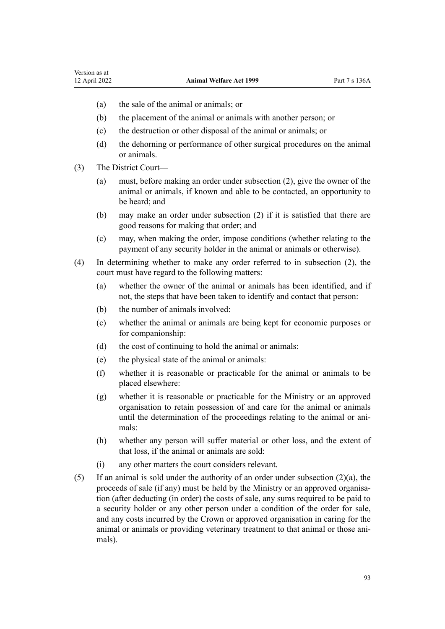- (a) the sale of the animal or animals; or
- (b) the placement of the animal or animals with another person; or
- (c) the destruction or other disposal of the animal or animals; or
- (d) the dehorning or performance of other surgical procedures on the animal or animals.
- (3) The District Court—
	- (a) must, before making an order under subsection (2), give the owner of the animal or animals, if known and able to be contacted, an opportunity to be heard; and
	- (b) may make an order under subsection (2) if it is satisfied that there are good reasons for making that order; and
	- (c) may, when making the order, impose conditions (whether relating to the payment of any security holder in the animal or animals or otherwise).
- (4) In determining whether to make any order referred to in subsection (2), the court must have regard to the following matters:
	- (a) whether the owner of the animal or animals has been identified, and if not, the steps that have been taken to identify and contact that person:
	- (b) the number of animals involved:
	- (c) whether the animal or animals are being kept for economic purposes or for companionship:
	- (d) the cost of continuing to hold the animal or animals:
	- (e) the physical state of the animal or animals:
	- (f) whether it is reasonable or practicable for the animal or animals to be placed elsewhere:
	- (g) whether it is reasonable or practicable for the Ministry or an approved organisation to retain possession of and care for the animal or animals until the determination of the proceedings relating to the animal or animals:
	- (h) whether any person will suffer material or other loss, and the extent of that loss, if the animal or animals are sold:
	- (i) any other matters the court considers relevant.
- (5) If an animal is sold under the authority of an order under subsection (2)(a), the proceeds of sale (if any) must be held by the Ministry or an approved organisation (after deducting (in order) the costs of sale, any sums required to be paid to a security holder or any other person under a condition of the order for sale, and any costs incurred by the Crown or approved organisation in caring for the animal or animals or providing veterinary treatment to that animal or those ani‐ mals).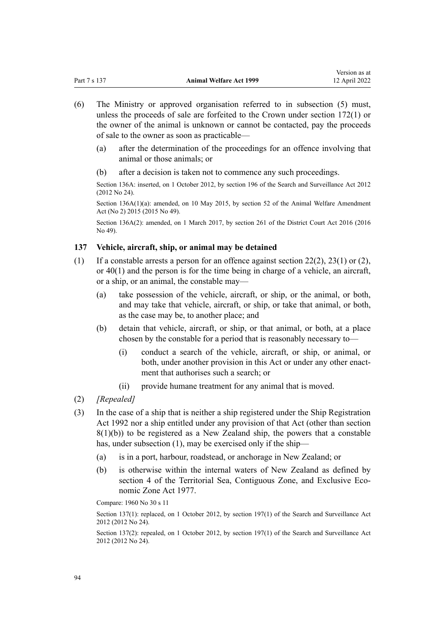- <span id="page-93-0"></span>(6) The Ministry or approved organisation referred to in subsection (5) must, unless the proceeds of sale are forfeited to the Crown under [section 172\(1\)](#page-115-0) or the owner of the animal is unknown or cannot be contacted, pay the proceeds of sale to the owner as soon as practicable—
	- (a) after the determination of the proceedings for an offence involving that animal or those animals; or
	- (b) after a decision is taken not to commence any such proceedings.

Section 136A: inserted, on 1 October 2012, by [section 196](http://legislation.govt.nz/pdflink.aspx?id=DLM2136918) of the Search and Surveillance Act 2012 (2012 No 24).

Section 136A(1)(a): amended, on 10 May 2015, by [section 52](http://legislation.govt.nz/pdflink.aspx?id=DLM6165712) of the Animal Welfare Amendment Act (No 2) 2015 (2015 No 49).

Section 136A(2): amended, on 1 March 2017, by [section 261](http://legislation.govt.nz/pdflink.aspx?id=DLM6942680) of the District Court Act 2016 (2016 No 49).

## **137 Vehicle, aircraft, ship, or animal may be detained**

- (1) If a constable arrests a person for an offence against section  $22(2)$ ,  $23(1)$  or  $(2)$ , or [40\(1\)](#page-39-0) and the person is for the time being in charge of a vehicle, an aircraft, or a ship, or an animal, the constable may—
	- (a) take possession of the vehicle, aircraft, or ship, or the animal, or both, and may take that vehicle, aircraft, or ship, or take that animal, or both, as the case may be, to another place; and
	- (b) detain that vehicle, aircraft, or ship, or that animal, or both, at a place chosen by the constable for a period that is reasonably necessary to—
		- (i) conduct a search of the vehicle, aircraft, or ship, or animal, or both, under another provision in this Act or under any other enactment that authorises such a search; or
		- (ii) provide humane treatment for any animal that is moved.
- (2) *[Repealed]*
- (3) In the case of a ship that is neither a ship registered under the [Ship Registration](http://legislation.govt.nz/pdflink.aspx?id=DLM275026) [Act 1992](http://legislation.govt.nz/pdflink.aspx?id=DLM275026) nor a ship entitled under any provision of that Act (other than [section](http://legislation.govt.nz/pdflink.aspx?id=DLM275946)  $8(1)(b)$ ) to be registered as a New Zealand ship, the powers that a constable has, under subsection (1), may be exercised only if the ship-
	- (a) is in a port, harbour, roadstead, or anchorage in New Zealand; or
	- (b) is otherwise within the internal waters of New Zealand as defined by [section 4](http://legislation.govt.nz/pdflink.aspx?id=DLM442667) of the Territorial Sea, Contiguous Zone, and Exclusive Economic Zone Act 1977.

Compare: 1960 No 30 s 11

Section 137(1): replaced, on 1 October 2012, by [section 197\(1\)](http://legislation.govt.nz/pdflink.aspx?id=DLM2136920) of the Search and Surveillance Act 2012 (2012 No 24).

Section 137(2): repealed, on 1 October 2012, by [section 197\(1\)](http://legislation.govt.nz/pdflink.aspx?id=DLM2136920) of the Search and Surveillance Act 2012 (2012 No 24).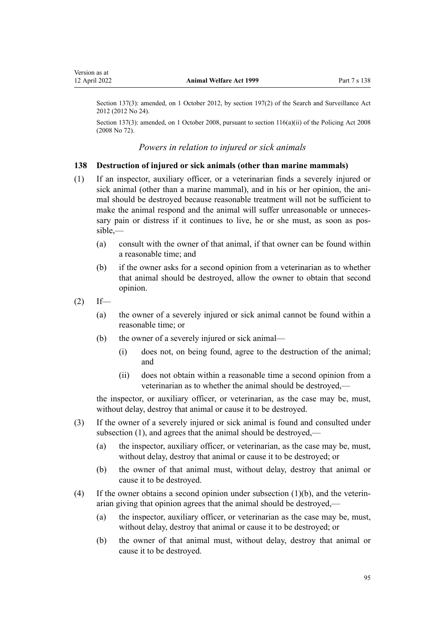<span id="page-94-0"></span>Section 137(3): amended, on 1 October 2012, by [section 197\(2\)](http://legislation.govt.nz/pdflink.aspx?id=DLM2136920) of the Search and Surveillance Act 2012 (2012 No 24).

Section 137(3): amended, on 1 October 2008, pursuant to [section 116\(a\)\(ii\)](http://legislation.govt.nz/pdflink.aspx?id=DLM1102349) of the Policing Act 2008 (2008 No 72).

#### *Powers in relation to injured or sick animals*

#### **138 Destruction of injured or sick animals (other than marine mammals)**

- (1) If an inspector, auxiliary officer, or a veterinarian finds a severely injured or sick animal (other than a marine mammal), and in his or her opinion, the animal should be destroyed because reasonable treatment will not be sufficient to make the animal respond and the animal will suffer unreasonable or unnecessary pain or distress if it continues to live, he or she must, as soon as possible,—
	- (a) consult with the owner of that animal, if that owner can be found within a reasonable time; and
	- (b) if the owner asks for a second opinion from a veterinarian as to whether that animal should be destroyed, allow the owner to obtain that second opinion.
- $(2)$  If—
	- (a) the owner of a severely injured or sick animal cannot be found within a reasonable time; or
	- (b) the owner of a severely injured or sick animal—
		- (i) does not, on being found, agree to the destruction of the animal; and
		- (ii) does not obtain within a reasonable time a second opinion from a veterinarian as to whether the animal should be destroyed,—

the inspector, or auxiliary officer, or veterinarian, as the case may be, must, without delay, destroy that animal or cause it to be destroyed.

- (3) If the owner of a severely injured or sick animal is found and consulted under subsection (1), and agrees that the animal should be destroyed,—
	- (a) the inspector, auxiliary officer, or veterinarian, as the case may be, must, without delay, destroy that animal or cause it to be destroyed; or
	- (b) the owner of that animal must, without delay, destroy that animal or cause it to be destroyed.
- (4) If the owner obtains a second opinion under subsection  $(1)(b)$ , and the veterinarian giving that opinion agrees that the animal should be destroyed,—
	- (a) the inspector, auxiliary officer, or veterinarian as the case may be, must, without delay, destroy that animal or cause it to be destroyed; or
	- (b) the owner of that animal must, without delay, destroy that animal or cause it to be destroyed.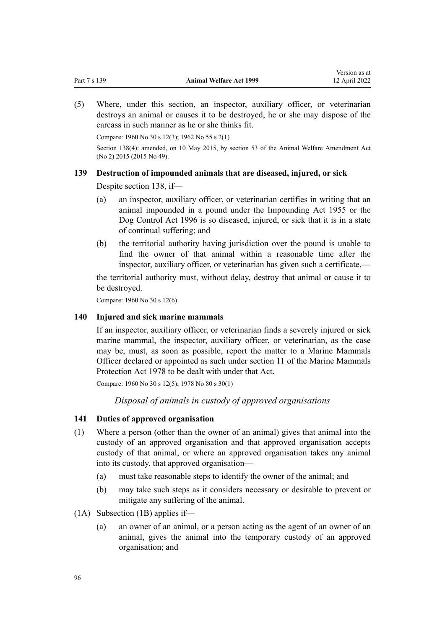<span id="page-95-0"></span>(5) Where, under this section, an inspector, auxiliary officer, or veterinarian destroys an animal or causes it to be destroyed, he or she may dispose of the carcass in such manner as he or she thinks fit.

Compare: 1960 No 30 s 12(3); 1962 No 55 s 2(1)

Section 138(4): amended, on 10 May 2015, by [section 53](http://legislation.govt.nz/pdflink.aspx?id=DLM5174878) of the Animal Welfare Amendment Act (No 2) 2015 (2015 No 49).

## **139 Destruction of impounded animals that are diseased, injured, or sick**

Despite [section 138,](#page-94-0) if—

- (a) an inspector, auxiliary officer, or veterinarian certifies in writing that an animal impounded in a pound under the [Impounding Act 1955](http://legislation.govt.nz/pdflink.aspx?id=DLM293863) or the [Dog Control Act 1996](http://legislation.govt.nz/pdflink.aspx?id=DLM374409) is so diseased, injured, or sick that it is in a state of continual suffering; and
- (b) the territorial authority having jurisdiction over the pound is unable to find the owner of that animal within a reasonable time after the inspector, auxiliary officer, or veterinarian has given such a certificate,—

the territorial authority must, without delay, destroy that animal or cause it to be destroyed.

Compare: 1960 No 30 s 12(6)

#### **140 Injured and sick marine mammals**

If an inspector, auxiliary officer, or veterinarian finds a severely injured or sick marine mammal, the inspector, auxiliary officer, or veterinarian, as the case may be, must, as soon as possible, report the matter to a Marine Mammals Officer declared or appointed as such under [section 11](http://legislation.govt.nz/pdflink.aspx?id=DLM25336) of the Marine Mammals Protection Act 1978 to be dealt with under that Act.

Compare: 1960 No 30 s 12(5); 1978 No 80 [s 30\(1\)](http://legislation.govt.nz/pdflink.aspx?id=DLM25385)

*Disposal of animals in custody of approved organisations*

#### **141 Duties of approved organisation**

- (1) Where a person (other than the owner of an animal) gives that animal into the custody of an approved organisation and that approved organisation accepts custody of that animal, or where an approved organisation takes any animal into its custody, that approved organisation—
	- (a) must take reasonable steps to identify the owner of the animal; and
	- (b) may take such steps as it considers necessary or desirable to prevent or mitigate any suffering of the animal.
- (1A) Subsection (1B) applies if—
	- (a) an owner of an animal, or a person acting as the agent of an owner of an animal, gives the animal into the temporary custody of an approved organisation; and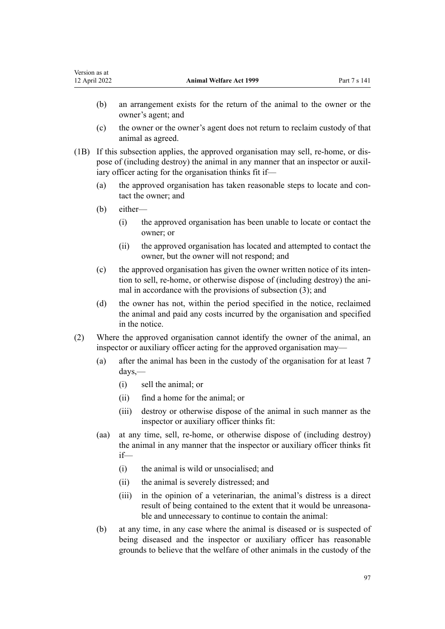| (b)                                                                                                                                                                      | an arrangement exists for the return of the animal to the owner or the<br>owner's agent; and   |
|--------------------------------------------------------------------------------------------------------------------------------------------------------------------------|------------------------------------------------------------------------------------------------|
| (c)                                                                                                                                                                      | the owner or the owner's agent does not return to reclaim custody of that<br>animal as agreed. |
| (1B) If this subsection applies, the approved organisation may sell, re-home, or dis-<br>nose of (including destroy) the animal in any manner that an inspector or auxil |                                                                                                |

12 April 2022 **Animal Welfare Act 1999** Part 7 s 141

pose of (including destroy) the animal in any manner that an inspector or auxil‐ iary officer acting for the organisation thinks fit if—

- (a) the approved organisation has taken reasonable steps to locate and contact the owner; and
- (b) either—

Version as at

- (i) the approved organisation has been unable to locate or contact the owner; or
- (ii) the approved organisation has located and attempted to contact the owner, but the owner will not respond; and
- (c) the approved organisation has given the owner written notice of its inten‐ tion to sell, re-home, or otherwise dispose of (including destroy) the ani‐ mal in accordance with the provisions of subsection (3); and
- (d) the owner has not, within the period specified in the notice, reclaimed the animal and paid any costs incurred by the organisation and specified in the notice.
- (2) Where the approved organisation cannot identify the owner of the animal, an inspector or auxiliary officer acting for the approved organisation may—
	- (a) after the animal has been in the custody of the organisation for at least 7 days,—
		- (i) sell the animal; or
		- (ii) find a home for the animal; or
		- (iii) destroy or otherwise dispose of the animal in such manner as the inspector or auxiliary officer thinks fit:
	- (aa) at any time, sell, re-home, or otherwise dispose of (including destroy) the animal in any manner that the inspector or auxiliary officer thinks fit if—
		- (i) the animal is wild or unsocialised; and
		- (ii) the animal is severely distressed; and
		- (iii) in the opinion of a veterinarian, the animal's distress is a direct result of being contained to the extent that it would be unreasonable and unnecessary to continue to contain the animal:
	- (b) at any time, in any case where the animal is diseased or is suspected of being diseased and the inspector or auxiliary officer has reasonable grounds to believe that the welfare of other animals in the custody of the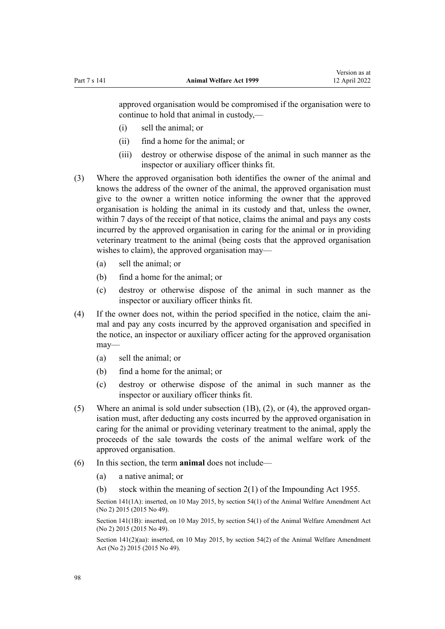approved organisation would be compromised if the organisation were to continue to hold that animal in custody,—

- (i) sell the animal; or
- (ii) find a home for the animal; or
- (iii) destroy or otherwise dispose of the animal in such manner as the inspector or auxiliary officer thinks fit.
- (3) Where the approved organisation both identifies the owner of the animal and knows the address of the owner of the animal, the approved organisation must give to the owner a written notice informing the owner that the approved organisation is holding the animal in its custody and that, unless the owner, within 7 days of the receipt of that notice, claims the animal and pays any costs incurred by the approved organisation in caring for the animal or in providing veterinary treatment to the animal (being costs that the approved organisation wishes to claim), the approved organisation may—
	- (a) sell the animal; or
	- (b) find a home for the animal; or
	- (c) destroy or otherwise dispose of the animal in such manner as the inspector or auxiliary officer thinks fit.
- (4) If the owner does not, within the period specified in the notice, claim the ani‐ mal and pay any costs incurred by the approved organisation and specified in the notice, an inspector or auxiliary officer acting for the approved organisation may—
	- (a) sell the animal; or
	- (b) find a home for the animal; or
	- (c) destroy or otherwise dispose of the animal in such manner as the inspector or auxiliary officer thinks fit.
- (5) Where an animal is sold under subsection  $(1B)$ ,  $(2)$ , or  $(4)$ , the approved organisation must, after deducting any costs incurred by the approved organisation in caring for the animal or providing veterinary treatment to the animal, apply the proceeds of the sale towards the costs of the animal welfare work of the approved organisation.
- (6) In this section, the term **animal** does not include—
	- (a) a native animal; or
	- (b) stock within the meaning of [section 2\(1\)](http://legislation.govt.nz/pdflink.aspx?id=DLM293869) of the Impounding Act 1955.

Section 141(1A): inserted, on 10 May 2015, by [section 54\(1\)](http://legislation.govt.nz/pdflink.aspx?id=DLM6165713) of the Animal Welfare Amendment Act (No 2) 2015 (2015 No 49).

Section 141(1B): inserted, on 10 May 2015, by [section 54\(1\)](http://legislation.govt.nz/pdflink.aspx?id=DLM6165713) of the Animal Welfare Amendment Act (No 2) 2015 (2015 No 49).

Section 141(2)(aa): inserted, on 10 May 2015, by [section 54\(2\)](http://legislation.govt.nz/pdflink.aspx?id=DLM6165713) of the Animal Welfare Amendment Act (No 2) 2015 (2015 No 49).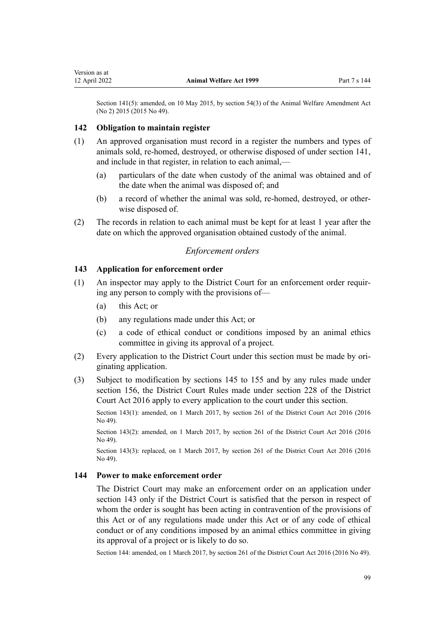<span id="page-98-0"></span>Section 141(5): amended, on 10 May 2015, by [section 54\(3\)](http://legislation.govt.nz/pdflink.aspx?id=DLM6165713) of the Animal Welfare Amendment Act (No 2) 2015 (2015 No 49).

### **142 Obligation to maintain register**

- (1) An approved organisation must record in a register the numbers and types of animals sold, re-homed, destroyed, or otherwise disposed of under [section 141](#page-95-0), and include in that register, in relation to each animal,—
	- (a) particulars of the date when custody of the animal was obtained and of the date when the animal was disposed of; and
	- (b) a record of whether the animal was sold, re-homed, destroyed, or other‐ wise disposed of.
- (2) The records in relation to each animal must be kept for at least 1 year after the date on which the approved organisation obtained custody of the animal.

## *Enforcement orders*

## **143 Application for enforcement order**

- (1) An inspector may apply to the District Court for an enforcement order requir‐ ing any person to comply with the provisions of—
	- (a) this Act; or
	- (b) any regulations made under this Act; or
	- (c) a code of ethical conduct or conditions imposed by an animal ethics committee in giving its approval of a project.
- (2) Every application to the District Court under this section must be made by ori‐ ginating application.
- (3) Subject to modification by [sections 145 to 155](#page-99-0) and by any rules made under [section 156,](#page-102-0) the District Court Rules made under [section 228](http://legislation.govt.nz/pdflink.aspx?id=DLM6942629) of the District Court Act 2016 apply to every application to the court under this section.

Section 143(1): amended, on 1 March 2017, by [section 261](http://legislation.govt.nz/pdflink.aspx?id=DLM6942680) of the District Court Act 2016 (2016 No 49).

Section 143(2): amended, on 1 March 2017, by [section 261](http://legislation.govt.nz/pdflink.aspx?id=DLM6942680) of the District Court Act 2016 (2016 No 49).

Section 143(3): replaced, on 1 March 2017, by [section 261](http://legislation.govt.nz/pdflink.aspx?id=DLM6942680) of the District Court Act 2016 (2016 No 49).

#### **144 Power to make enforcement order**

The District Court may make an enforcement order on an application under section 143 only if the District Court is satisfied that the person in respect of whom the order is sought has been acting in contravention of the provisions of this Act or of any regulations made under this Act or of any code of ethical conduct or of any conditions imposed by an animal ethics committee in giving its approval of a project or is likely to do so.

Section 144: amended, on 1 March 2017, by [section 261](http://legislation.govt.nz/pdflink.aspx?id=DLM6942680) of the District Court Act 2016 (2016 No 49).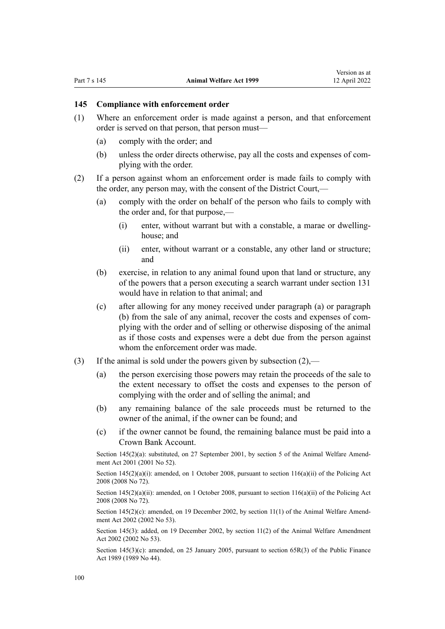## <span id="page-99-0"></span>**145 Compliance with enforcement order**

- (1) Where an enforcement order is made against a person, and that enforcement order is served on that person, that person must—
	- (a) comply with the order; and
	- (b) unless the order directs otherwise, pay all the costs and expenses of com‐ plying with the order.
- (2) If a person against whom an enforcement order is made fails to comply with the order, any person may, with the consent of the District Court,—
	- (a) comply with the order on behalf of the person who fails to comply with the order and, for that purpose,—
		- (i) enter, without warrant but with a constable, a marae or dwelling‐ house; and
		- (ii) enter, without warrant or a constable, any other land or structure; and
	- (b) exercise, in relation to any animal found upon that land or structure, any of the powers that a person executing a search warrant under [section 131](#page-88-0) would have in relation to that animal; and
	- (c) after allowing for any money received under paragraph (a) or paragraph (b) from the sale of any animal, recover the costs and expenses of com‐ plying with the order and of selling or otherwise disposing of the animal as if those costs and expenses were a debt due from the person against whom the enforcement order was made.
- (3) If the animal is sold under the powers given by subsection (2),—
	- (a) the person exercising those powers may retain the proceeds of the sale to the extent necessary to offset the costs and expenses to the person of complying with the order and of selling the animal; and
	- (b) any remaining balance of the sale proceeds must be returned to the owner of the animal, if the owner can be found; and
	- (c) if the owner cannot be found, the remaining balance must be paid into a Crown Bank Account.

Section 145(2)(a): substituted, on 27 September 2001, by [section 5](http://legislation.govt.nz/pdflink.aspx?id=DLM110928) of the Animal Welfare Amendment Act 2001 (2001 No 52).

Section  $145(2)(a)(i)$ : amended, on 1 October 2008, pursuant to section  $116(a)(ii)$  of the Policing Act 2008 (2008 No 72).

Section 145(2)(a)(ii): amended, on 1 October 2008, pursuant to [section 116\(a\)\(ii\)](http://legislation.govt.nz/pdflink.aspx?id=DLM1102349) of the Policing Act 2008 (2008 No 72).

Section  $145(2)(c)$ : amended, on 19 December 2002, by section  $11(1)$  of the Animal Welfare Amendment Act 2002 (2002 No 53).

Section 145(3): added, on 19 December 2002, by [section 11\(2\)](http://legislation.govt.nz/pdflink.aspx?id=DLM167425) of the Animal Welfare Amendment Act 2002 (2002 No 53).

Section 145(3)(c): amended, on 25 January 2005, pursuant to [section 65R\(3\)](http://legislation.govt.nz/pdflink.aspx?id=DLM162942) of the Public Finance Act 1989 (1989 No 44).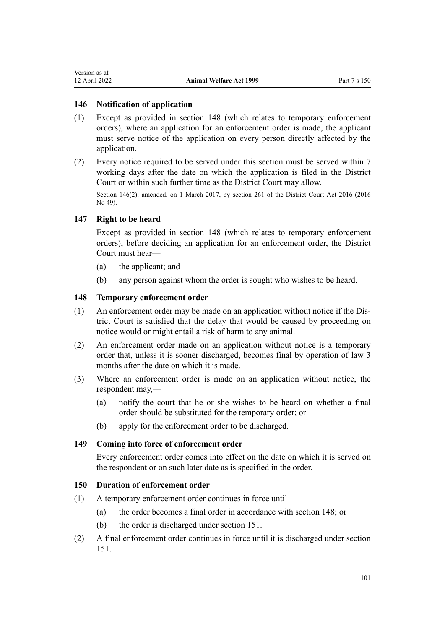### **146 Notification of application**

- (1) Except as provided in section 148 (which relates to temporary enforcement orders), where an application for an enforcement order is made, the applicant must serve notice of the application on every person directly affected by the application.
- (2) Every notice required to be served under this section must be served within 7 working days after the date on which the application is filed in the District Court or within such further time as the District Court may allow.

Section 146(2): amended, on 1 March 2017, by [section 261](http://legislation.govt.nz/pdflink.aspx?id=DLM6942680) of the District Court Act 2016 (2016 No 49).

### **147 Right to be heard**

Except as provided in section 148 (which relates to temporary enforcement orders), before deciding an application for an enforcement order, the District Court must hear—

- (a) the applicant; and
- (b) any person against whom the order is sought who wishes to be heard.

#### **148 Temporary enforcement order**

- (1) An enforcement order may be made on an application without notice if the Dis‐ trict Court is satisfied that the delay that would be caused by proceeding on notice would or might entail a risk of harm to any animal.
- (2) An enforcement order made on an application without notice is a temporary order that, unless it is sooner discharged, becomes final by operation of law 3 months after the date on which it is made.
- (3) Where an enforcement order is made on an application without notice, the respondent may,—
	- (a) notify the court that he or she wishes to be heard on whether a final order should be substituted for the temporary order; or
	- (b) apply for the enforcement order to be discharged.

#### **149 Coming into force of enforcement order**

Every enforcement order comes into effect on the date on which it is served on the respondent or on such later date as is specified in the order.

#### **150 Duration of enforcement order**

- (1) A temporary enforcement order continues in force until—
	- (a) the order becomes a final order in accordance with section 148; or
	- (b) the order is discharged under [section 151](#page-101-0).
- (2) A final enforcement order continues in force until it is discharged under [section](#page-101-0) [151](#page-101-0).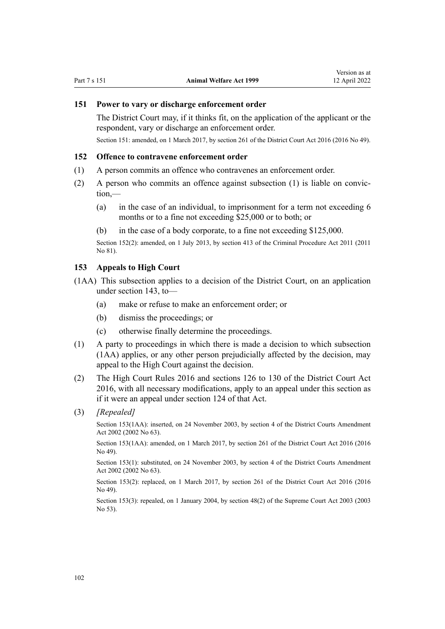### <span id="page-101-0"></span>**151 Power to vary or discharge enforcement order**

The District Court may, if it thinks fit, on the application of the applicant or the respondent, vary or discharge an enforcement order.

Section 151: amended, on 1 March 2017, by [section 261](http://legislation.govt.nz/pdflink.aspx?id=DLM6942680) of the District Court Act 2016 (2016 No 49).

#### **152 Offence to contravene enforcement order**

- (1) A person commits an offence who contravenes an enforcement order.
- (2) A person who commits an offence against subsection (1) is liable on convic‐ tion,—
	- (a) in the case of an individual, to imprisonment for a term not exceeding 6 months or to a fine not exceeding \$25,000 or to both; or
	- (b) in the case of a body corporate, to a fine not exceeding \$125,000.

Section 152(2): amended, on 1 July 2013, by [section 413](http://legislation.govt.nz/pdflink.aspx?id=DLM3360714) of the Criminal Procedure Act 2011 (2011 No 81).

#### **153 Appeals to High Court**

- (1AA) This subsection applies to a decision of the District Court, on an application under [section 143,](#page-98-0) to—
	- (a) make or refuse to make an enforcement order; or
	- (b) dismiss the proceedings; or
	- (c) otherwise finally determine the proceedings.
- (1) A party to proceedings in which there is made a decision to which subsection (1AA) applies, or any other person prejudicially affected by the decision, may appeal to the High Court against the decision.
- (2) The [High Court Rules 2016](http://legislation.govt.nz/pdflink.aspx?id=DLM6959800) and [sections 126 to 130](http://legislation.govt.nz/pdflink.aspx?id=DLM6942449) of the District Court Act 2016, with all necessary modifications, apply to an appeal under this section as if it were an appeal under [section 124](http://legislation.govt.nz/pdflink.aspx?id=DLM6942447) of that Act.
- (3) *[Repealed]*

Section 153(1AA): inserted, on 24 November 2003, by [section 4](http://legislation.govt.nz/pdflink.aspx?id=DLM168713) of the District Courts Amendment Act 2002 (2002 No 63).

Section 153(1AA): amended, on 1 March 2017, by [section 261](http://legislation.govt.nz/pdflink.aspx?id=DLM6942680) of the District Court Act 2016 (2016 No 49).

Section 153(1): substituted, on 24 November 2003, by [section 4](http://legislation.govt.nz/pdflink.aspx?id=DLM168713) of the District Courts Amendment Act 2002 (2002 No 63).

Section 153(2): replaced, on 1 March 2017, by [section 261](http://legislation.govt.nz/pdflink.aspx?id=DLM6942680) of the District Court Act 2016 (2016) No 49).

Section 153(3): repealed, on 1 January 2004, by [section 48\(2\)](http://legislation.govt.nz/pdflink.aspx?id=DLM214522) of the Supreme Court Act 2003 (2003 No 53).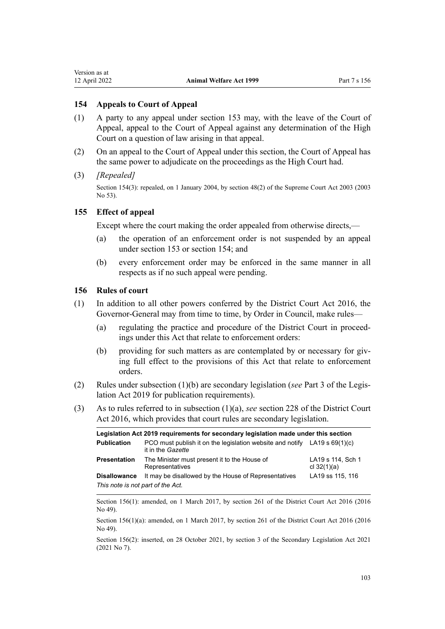#### <span id="page-102-0"></span>**154 Appeals to Court of Appeal**

- (1) A party to any appeal under [section 153](#page-101-0) may, with the leave of the Court of Appeal, appeal to the Court of Appeal against any determination of the High Court on a question of law arising in that appeal.
- (2) On an appeal to the Court of Appeal under this section, the Court of Appeal has the same power to adjudicate on the proceedings as the High Court had.

#### (3) *[Repealed]*

Section 154(3): repealed, on 1 January 2004, by [section 48\(2\)](http://legislation.govt.nz/pdflink.aspx?id=DLM214522) of the Supreme Court Act 2003 (2003 No 53).

## **155 Effect of appeal**

Except where the court making the order appealed from otherwise directs,—

- (a) the operation of an enforcement order is not suspended by an appeal under [section 153](#page-101-0) or section 154; and
- (b) every enforcement order may be enforced in the same manner in all respects as if no such appeal were pending.

## **156 Rules of court**

- (1) In addition to all other powers conferred by the [District Court Act 2016,](http://legislation.govt.nz/pdflink.aspx?id=DLM6942200) the Governor-General may from time to time, by Order in Council, make rules—
	- (a) regulating the practice and procedure of the District Court in proceed‐ ings under this Act that relate to enforcement orders:
	- (b) providing for such matters as are contemplated by or necessary for giving full effect to the provisions of this Act that relate to enforcement orders.
- (2) Rules under subsection (1)(b) are secondary legislation (*see* [Part 3](http://legislation.govt.nz/pdflink.aspx?id=DLM7298343) of the Legis‐ lation Act 2019 for publication requirements).
- (3) As to rules referred to in subsection (1)(a), *see* [section 228](http://legislation.govt.nz/pdflink.aspx?id=DLM6942629) of the District Court Act 2016, which provides that court rules are secondary legislation.

| Legislation Act 2019 requirements for secondary legislation made under this section |                                                                                                         |                                    |  |  |
|-------------------------------------------------------------------------------------|---------------------------------------------------------------------------------------------------------|------------------------------------|--|--|
| <b>Publication</b>                                                                  | PCO must publish it on the legislation website and notify LA19 s $69(1)(c)$<br>it in the <i>Gazette</i> |                                    |  |  |
| <b>Presentation</b>                                                                 | The Minister must present it to the House of<br>Representatives                                         | LA19 s 114, Sch 1<br>cl $32(1)(a)$ |  |  |
| <b>Disallowance</b>                                                                 | It may be disallowed by the House of Representatives                                                    | LA19 ss 115, 116                   |  |  |
| This note is not part of the Act.                                                   |                                                                                                         |                                    |  |  |

Section 156(1): amended, on 1 March 2017, by [section 261](http://legislation.govt.nz/pdflink.aspx?id=DLM6942680) of the District Court Act 2016 (2016 No 49).

Section 156(1)(a): amended, on 1 March 2017, by [section 261](http://legislation.govt.nz/pdflink.aspx?id=DLM6942680) of the District Court Act 2016 (2016 No 49).

Section 156(2): inserted, on 28 October 2021, by [section 3](http://legislation.govt.nz/pdflink.aspx?id=LMS268932) of the Secondary Legislation Act 2021 (2021 No 7).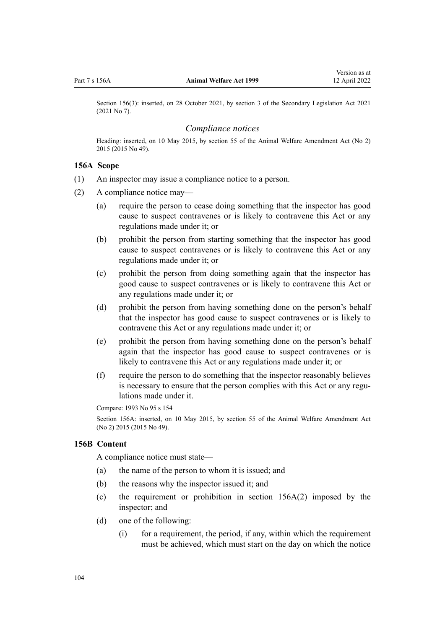<span id="page-103-0"></span>Section 156(3): inserted, on 28 October 2021, by [section 3](http://legislation.govt.nz/pdflink.aspx?id=LMS268932) of the Secondary Legislation Act 2021 (2021 No 7).

## *Compliance notices*

Heading: inserted, on 10 May 2015, by [section 55](http://legislation.govt.nz/pdflink.aspx?id=DLM5174879) of the Animal Welfare Amendment Act (No 2) 2015 (2015 No 49).

## **156A Scope**

- (1) An inspector may issue a compliance notice to a person.
- (2) A compliance notice may—
	- (a) require the person to cease doing something that the inspector has good cause to suspect contravenes or is likely to contravene this Act or any regulations made under it; or
	- (b) prohibit the person from starting something that the inspector has good cause to suspect contravenes or is likely to contravene this Act or any regulations made under it; or
	- (c) prohibit the person from doing something again that the inspector has good cause to suspect contravenes or is likely to contravene this Act or any regulations made under it; or
	- (d) prohibit the person from having something done on the person's behalf that the inspector has good cause to suspect contravenes or is likely to contravene this Act or any regulations made under it; or
	- (e) prohibit the person from having something done on the person's behalf again that the inspector has good cause to suspect contravenes or is likely to contravene this Act or any regulations made under it; or
	- (f) require the person to do something that the inspector reasonably believes is necessary to ensure that the person complies with this Act or any regulations made under it.

Compare: 1993 No 95 [s 154](http://legislation.govt.nz/pdflink.aspx?id=DLM316713)

Section 156A: inserted, on 10 May 2015, by [section 55](http://legislation.govt.nz/pdflink.aspx?id=DLM5174879) of the Animal Welfare Amendment Act (No 2) 2015 (2015 No 49).

#### **156B Content**

A compliance notice must state—

- (a) the name of the person to whom it is issued; and
- (b) the reasons why the inspector issued it; and
- (c) the requirement or prohibition in section 156A(2) imposed by the inspector; and
- (d) one of the following:
	- (i) for a requirement, the period, if any, within which the requirement must be achieved, which must start on the day on which the notice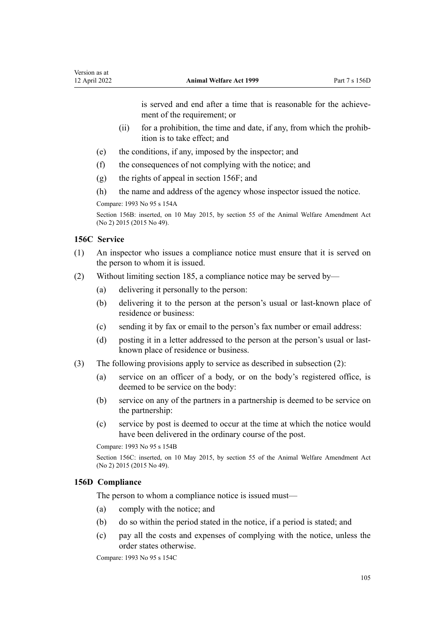is served and end after a time that is reasonable for the achievement of the requirement; or

- $(ii)$  for a prohibition, the time and date, if any, from which the prohibition is to take effect; and
- (e) the conditions, if any, imposed by the inspector; and
- (f) the consequences of not complying with the notice; and
- (g) the rights of appeal in [section 156F](#page-105-0); and
- (h) the name and address of the agency whose inspector issued the notice.

Compare: 1993 No 95 [s 154A](http://legislation.govt.nz/pdflink.aspx?id=DLM4759442)

Section 156B: inserted, on 10 May 2015, by [section 55](http://legislation.govt.nz/pdflink.aspx?id=DLM5174879) of the Animal Welfare Amendment Act (No 2) 2015 (2015 No 49).

## **156C Service**

- (1) An inspector who issues a compliance notice must ensure that it is served on the person to whom it is issued.
- (2) Without limiting [section 185](#page-127-0), a compliance notice may be served by—
	- (a) delivering it personally to the person:
	- (b) delivering it to the person at the person's usual or last-known place of residence or business:
	- (c) sending it by fax or email to the person's fax number or email address:
	- (d) posting it in a letter addressed to the person at the person's usual or lastknown place of residence or business.
- (3) The following provisions apply to service as described in subsection (2):
	- (a) service on an officer of a body, or on the body's registered office, is deemed to be service on the body:
	- (b) service on any of the partners in a partnership is deemed to be service on the partnership:
	- (c) service by post is deemed to occur at the time at which the notice would have been delivered in the ordinary course of the post.

Compare: 1993 No 95 [s 154B](http://legislation.govt.nz/pdflink.aspx?id=DLM4759443)

Section 156C: inserted, on 10 May 2015, by [section 55](http://legislation.govt.nz/pdflink.aspx?id=DLM5174879) of the Animal Welfare Amendment Act (No 2) 2015 (2015 No 49).

#### **156D Compliance**

The person to whom a compliance notice is issued must—

- (a) comply with the notice; and
- (b) do so within the period stated in the notice, if a period is stated; and
- (c) pay all the costs and expenses of complying with the notice, unless the order states otherwise.

Compare: 1993 No 95 [s 154C](http://legislation.govt.nz/pdflink.aspx?id=DLM4759444)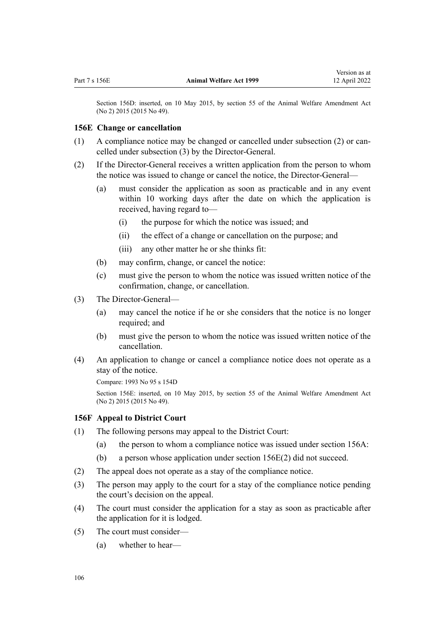<span id="page-105-0"></span>Section 156D: inserted, on 10 May 2015, by [section 55](http://legislation.govt.nz/pdflink.aspx?id=DLM5174879) of the Animal Welfare Amendment Act (No 2) 2015 (2015 No 49).

#### **156E Change or cancellation**

- (1) A compliance notice may be changed or cancelled under subsection (2) or can‐ celled under subsection (3) by the Director-General.
- (2) If the Director-General receives a written application from the person to whom the notice was issued to change or cancel the notice, the Director-General—
	- (a) must consider the application as soon as practicable and in any event within 10 working days after the date on which the application is received, having regard to—
		- (i) the purpose for which the notice was issued; and
		- (ii) the effect of a change or cancellation on the purpose; and
		- (iii) any other matter he or she thinks fit:
	- (b) may confirm, change, or cancel the notice:
	- (c) must give the person to whom the notice was issued written notice of the confirmation, change, or cancellation.
- (3) The Director-General—
	- (a) may cancel the notice if he or she considers that the notice is no longer required; and
	- (b) must give the person to whom the notice was issued written notice of the cancellation.
- (4) An application to change or cancel a compliance notice does not operate as a stay of the notice.

Compare: 1993 No 95 [s 154D](http://legislation.govt.nz/pdflink.aspx?id=DLM4759445)

Section 156E: inserted, on 10 May 2015, by [section 55](http://legislation.govt.nz/pdflink.aspx?id=DLM5174879) of the Animal Welfare Amendment Act (No 2) 2015 (2015 No 49).

#### **156F Appeal to District Court**

- (1) The following persons may appeal to the District Court:
	- (a) the person to whom a compliance notice was issued under [section 156A](#page-103-0):
	- (b) a person whose application under section 156E(2) did not succeed.
- (2) The appeal does not operate as a stay of the compliance notice.
- (3) The person may apply to the court for a stay of the compliance notice pending the court's decision on the appeal.
- (4) The court must consider the application for a stay as soon as practicable after the application for it is lodged.
- (5) The court must consider—
	- (a) whether to hear—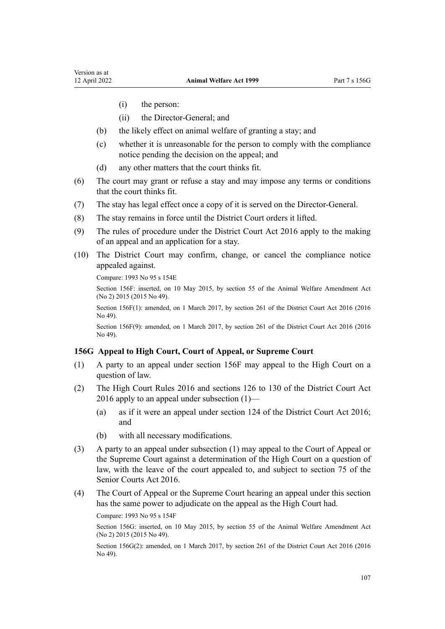- <span id="page-106-0"></span>(i) the person:
- (ii) the Director-General; and
- (b) the likely effect on animal welfare of granting a stay; and
- (c) whether it is unreasonable for the person to comply with the compliance notice pending the decision on the appeal; and
- (d) any other matters that the court thinks fit.
- (6) The court may grant or refuse a stay and may impose any terms or conditions that the court thinks fit.
- (7) The stay has legal effect once a copy of it is served on the Director-General.
- (8) The stay remains in force until the District Court orders it lifted.
- (9) The rules of procedure under the [District Court Act 2016](http://legislation.govt.nz/pdflink.aspx?id=DLM6942200) apply to the making of an appeal and an application for a stay.
- (10) The District Court may confirm, change, or cancel the compliance notice appealed against.

Compare: 1993 No 95 [s 154E](http://legislation.govt.nz/pdflink.aspx?id=DLM4759446)

Section 156F: inserted, on 10 May 2015, by [section 55](http://legislation.govt.nz/pdflink.aspx?id=DLM5174879) of the Animal Welfare Amendment Act (No 2) 2015 (2015 No 49).

Section 156F(1): amended, on 1 March 2017, by [section 261](http://legislation.govt.nz/pdflink.aspx?id=DLM6942680) of the District Court Act 2016 (2016 No 49).

Section 156F(9): amended, on 1 March 2017, by [section 261](http://legislation.govt.nz/pdflink.aspx?id=DLM6942680) of the District Court Act 2016 (2016 No 49).

#### **156G Appeal to High Court, Court of Appeal, or Supreme Court**

- (1) A party to an appeal under [section 156F](#page-105-0) may appeal to the High Court on a question of law.
- (2) The [High Court Rules 2016](http://legislation.govt.nz/pdflink.aspx?id=DLM6959800) and [sections 126 to 130](http://legislation.govt.nz/pdflink.aspx?id=DLM6942449) of the District Court Act 2016 apply to an appeal under subsection (1)—
	- (a) as if it were an appeal under [section 124](http://legislation.govt.nz/pdflink.aspx?id=DLM6942447) of the District Court Act 2016; and
	- (b) with all necessary modifications.
- (3) A party to an appeal under subsection (1) may appeal to the Court of Appeal or the Supreme Court against a determination of the High Court on a question of law, with the leave of the court appealed to, and subject to [section 75](http://legislation.govt.nz/pdflink.aspx?id=DLM5759414) of the Senior Courts Act 2016.
- (4) The Court of Appeal or the Supreme Court hearing an appeal under this section has the same power to adjudicate on the appeal as the High Court had.

Compare: 1993 No 95 [s 154F](http://legislation.govt.nz/pdflink.aspx?id=DLM4759447)

Section 156G: inserted, on 10 May 2015, by [section 55](http://legislation.govt.nz/pdflink.aspx?id=DLM5174879) of the Animal Welfare Amendment Act (No 2) 2015 (2015 No 49).

Section 156G(2): amended, on 1 March 2017, by [section 261](http://legislation.govt.nz/pdflink.aspx?id=DLM6942680) of the District Court Act 2016 (2016 No 49).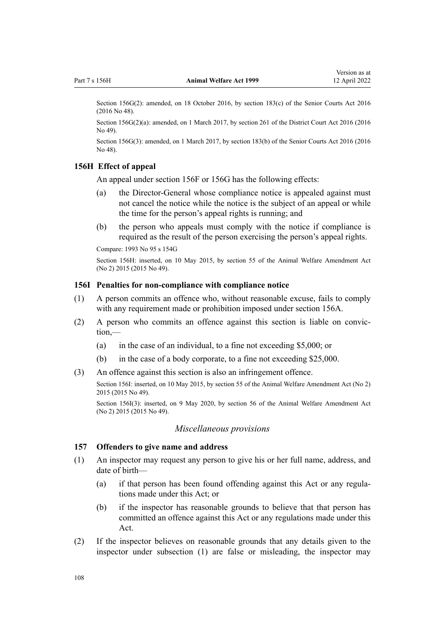Section 156G(2): amended, on 18 October 2016, by [section 183\(c\)](http://legislation.govt.nz/pdflink.aspx?id=DLM5759564) of the Senior Courts Act 2016 (2016 No 48).

Section 156G(2)(a): amended, on 1 March 2017, by [section 261](http://legislation.govt.nz/pdflink.aspx?id=DLM6942680) of the District Court Act 2016 (2016 No 49).

Section 156G(3): amended, on 1 March 2017, by [section 183\(b\)](http://legislation.govt.nz/pdflink.aspx?id=DLM5759564) of the Senior Courts Act 2016 (2016 No 48).

#### **156H Effect of appeal**

An appeal under [section 156F](#page-105-0) or [156G](#page-106-0) has the following effects:

- (a) the Director-General whose compliance notice is appealed against must not cancel the notice while the notice is the subject of an appeal or while the time for the person's appeal rights is running; and
- (b) the person who appeals must comply with the notice if compliance is required as the result of the person exercising the person's appeal rights.

Compare: 1993 No 95 [s 154G](http://legislation.govt.nz/pdflink.aspx?id=DLM4759448)

Section 156H: inserted, on 10 May 2015, by [section 55](http://legislation.govt.nz/pdflink.aspx?id=DLM5174879) of the Animal Welfare Amendment Act (No 2) 2015 (2015 No 49).

#### **156I Penalties for non-compliance with compliance notice**

- (1) A person commits an offence who, without reasonable excuse, fails to comply with any requirement made or prohibition imposed under [section 156A.](#page-103-0)
- (2) A person who commits an offence against this section is liable on convic‐ tion,—
	- (a) in the case of an individual, to a fine not exceeding \$5,000; or
	- (b) in the case of a body corporate, to a fine not exceeding \$25,000.
- (3) An offence against this section is also an infringement offence.

Section 156I: inserted, on 10 May 2015, by [section 55](http://legislation.govt.nz/pdflink.aspx?id=DLM5174879) of the Animal Welfare Amendment Act (No 2) 2015 (2015 No 49).

Section 156I(3): inserted, on 9 May 2020, by [section 56](http://legislation.govt.nz/pdflink.aspx?id=DLM5174890) of the Animal Welfare Amendment Act (No 2) 2015 (2015 No 49).

### *Miscellaneous provisions*

#### **157 Offenders to give name and address**

- (1) An inspector may request any person to give his or her full name, address, and date of birth—
	- (a) if that person has been found offending against this Act or any regula‐ tions made under this Act; or
	- (b) if the inspector has reasonable grounds to believe that that person has committed an offence against this Act or any regulations made under this Act.
- (2) If the inspector believes on reasonable grounds that any details given to the inspector under subsection (1) are false or misleading, the inspector may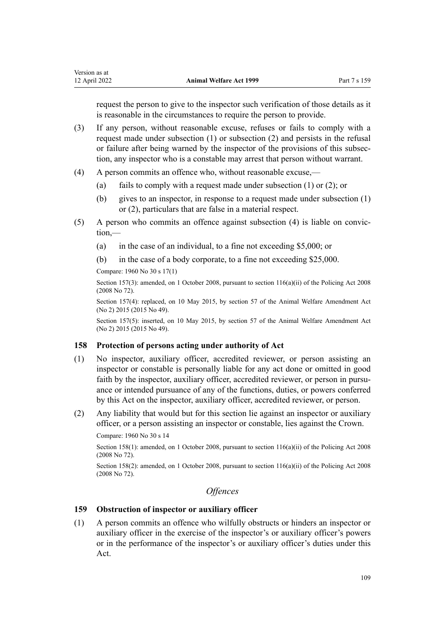request the person to give to the inspector such verification of those details as it is reasonable in the circumstances to require the person to provide.

- (3) If any person, without reasonable excuse, refuses or fails to comply with a request made under subsection (1) or subsection (2) and persists in the refusal or failure after being warned by the inspector of the provisions of this subsec‐ tion, any inspector who is a constable may arrest that person without warrant.
- (4) A person commits an offence who, without reasonable excuse,—
	- (a) fails to comply with a request made under subsection  $(1)$  or  $(2)$ ; or
	- (b) gives to an inspector, in response to a request made under subsection (1) or (2), particulars that are false in a material respect.
- (5) A person who commits an offence against subsection (4) is liable on convic‐ tion,—
	- (a) in the case of an individual, to a fine not exceeding \$5,000; or
	- (b) in the case of a body corporate, to a fine not exceeding \$25,000.

Compare: 1960 No 30 s 17(1)

Section 157(3): amended, on 1 October 2008, pursuant to [section 116\(a\)\(ii\)](http://legislation.govt.nz/pdflink.aspx?id=DLM1102349) of the Policing Act 2008 (2008 No 72).

Section 157(4): replaced, on 10 May 2015, by [section 57](http://legislation.govt.nz/pdflink.aspx?id=DLM5174891) of the Animal Welfare Amendment Act (No 2) 2015 (2015 No 49).

Section 157(5): inserted, on 10 May 2015, by [section 57](http://legislation.govt.nz/pdflink.aspx?id=DLM5174891) of the Animal Welfare Amendment Act (No 2) 2015 (2015 No 49).

#### **158 Protection of persons acting under authority of Act**

- (1) No inspector, auxiliary officer, accredited reviewer, or person assisting an inspector or constable is personally liable for any act done or omitted in good faith by the inspector, auxiliary officer, accredited reviewer, or person in pursuance or intended pursuance of any of the functions, duties, or powers conferred by this Act on the inspector, auxiliary officer, accredited reviewer, or person.
- (2) Any liability that would but for this section lie against an inspector or auxiliary officer, or a person assisting an inspector or constable, lies against the Crown.

Compare: 1960 No 30 s 14

Section 158(1): amended, on 1 October 2008, pursuant to [section 116\(a\)\(ii\)](http://legislation.govt.nz/pdflink.aspx?id=DLM1102349) of the Policing Act 2008 (2008 No 72).

Section 158(2): amended, on 1 October 2008, pursuant to [section 116\(a\)\(ii\)](http://legislation.govt.nz/pdflink.aspx?id=DLM1102349) of the Policing Act 2008 (2008 No 72).

# *Offences*

#### **159 Obstruction of inspector or auxiliary officer**

(1) A person commits an offence who wilfully obstructs or hinders an inspector or auxiliary officer in the exercise of the inspector's or auxiliary officer's powers or in the performance of the inspector's or auxiliary officer's duties under this Act.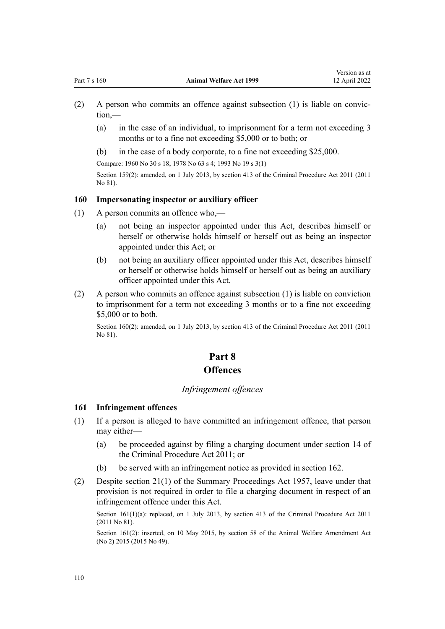- (2) A person who commits an offence against subsection  $(1)$  is liable on conviction,—
	- (a) in the case of an individual, to imprisonment for a term not exceeding 3 months or to a fine not exceeding \$5,000 or to both; or
	- (b) in the case of a body corporate, to a fine not exceeding \$25,000.

Compare: 1960 No 30 s 18; 1978 No 63 s 4; 1993 No 19 s 3(1)

Section 159(2): amended, on 1 July 2013, by [section 413](http://legislation.govt.nz/pdflink.aspx?id=DLM3360714) of the Criminal Procedure Act 2011 (2011 No 81).

#### **160 Impersonating inspector or auxiliary officer**

- (1) A person commits an offence who,—
	- (a) not being an inspector appointed under this Act, describes himself or herself or otherwise holds himself or herself out as being an inspector appointed under this Act; or
	- (b) not being an auxiliary officer appointed under this Act, describes himself or herself or otherwise holds himself or herself out as being an auxiliary officer appointed under this Act.
- (2) A person who commits an offence against subsection (1) is liable on conviction to imprisonment for a term not exceeding 3 months or to a fine not exceeding \$5,000 or to both.

Section 160(2): amended, on 1 July 2013, by [section 413](http://legislation.govt.nz/pdflink.aspx?id=DLM3360714) of the Criminal Procedure Act 2011 (2011 No 81).

# **Part 8 Offences**

# *Infringement offences*

### **161 Infringement offences**

- (1) If a person is alleged to have committed an infringement offence, that person may either—
	- (a) be proceeded against by filing a charging document under [section 14](http://legislation.govt.nz/pdflink.aspx?id=DLM3360057) of the Criminal Procedure Act 2011; or
	- (b) be served with an infringement notice as provided in [section 162.](#page-110-0)
- (2) Despite [section 21\(1\)](http://legislation.govt.nz/pdflink.aspx?id=DLM311346) of the Summary Proceedings Act 1957, leave under that provision is not required in order to file a charging document in respect of an infringement offence under this Act.

Section 161(1)(a): replaced, on 1 July 2013, by [section 413](http://legislation.govt.nz/pdflink.aspx?id=DLM3360714) of the Criminal Procedure Act 2011 (2011 No 81).

Section 161(2): inserted, on 10 May 2015, by [section 58](http://legislation.govt.nz/pdflink.aspx?id=DLM5174892) of the Animal Welfare Amendment Act (No 2) 2015 (2015 No 49).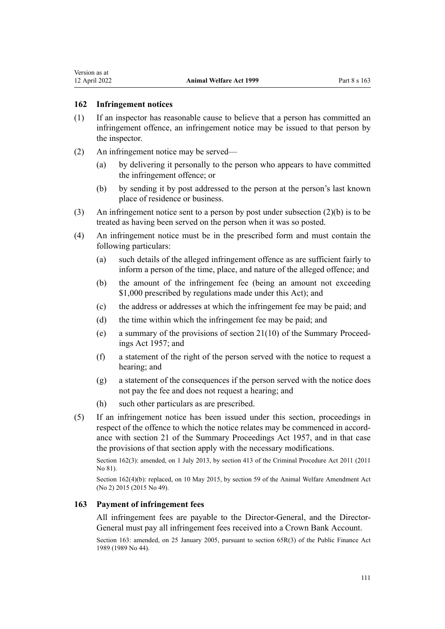### <span id="page-110-0"></span>**162 Infringement notices**

- (1) If an inspector has reasonable cause to believe that a person has committed an infringement offence, an infringement notice may be issued to that person by the inspector.
- (2) An infringement notice may be served—
	- (a) by delivering it personally to the person who appears to have committed the infringement offence; or
	- (b) by sending it by post addressed to the person at the person's last known place of residence or business.
- (3) An infringement notice sent to a person by post under subsection (2)(b) is to be treated as having been served on the person when it was so posted.
- (4) An infringement notice must be in the prescribed form and must contain the following particulars:
	- (a) such details of the alleged infringement offence as are sufficient fairly to inform a person of the time, place, and nature of the alleged offence; and
	- (b) the amount of the infringement fee (being an amount not exceeding \$1,000 prescribed by regulations made under this Act); and
	- (c) the address or addresses at which the infringement fee may be paid; and
	- (d) the time within which the infringement fee may be paid; and
	- (e) a summary of the provisions of section  $21(10)$  of the Summary Proceedings Act 1957; and
	- (f) a statement of the right of the person served with the notice to request a hearing; and
	- (g) a statement of the consequences if the person served with the notice does not pay the fee and does not request a hearing; and
	- (h) such other particulars as are prescribed.
- (5) If an infringement notice has been issued under this section, proceedings in respect of the offence to which the notice relates may be commenced in accordance with [section 21](http://legislation.govt.nz/pdflink.aspx?id=DLM311346) of the Summary Proceedings Act 1957, and in that case the provisions of that section apply with the necessary modifications.

Section 162(3): amended, on 1 July 2013, by [section 413](http://legislation.govt.nz/pdflink.aspx?id=DLM3360714) of the Criminal Procedure Act 2011 (2011 No 81).

Section 162(4)(b): replaced, on 10 May 2015, by [section 59](http://legislation.govt.nz/pdflink.aspx?id=DLM5174893) of the Animal Welfare Amendment Act (No 2) 2015 (2015 No 49).

### **163 Payment of infringement fees**

All infringement fees are payable to the Director-General, and the Director-General must pay all infringement fees received into a Crown Bank Account.

Section 163: amended, on 25 January 2005, pursuant to [section 65R\(3\)](http://legislation.govt.nz/pdflink.aspx?id=DLM162942) of the Public Finance Act 1989 (1989 No 44).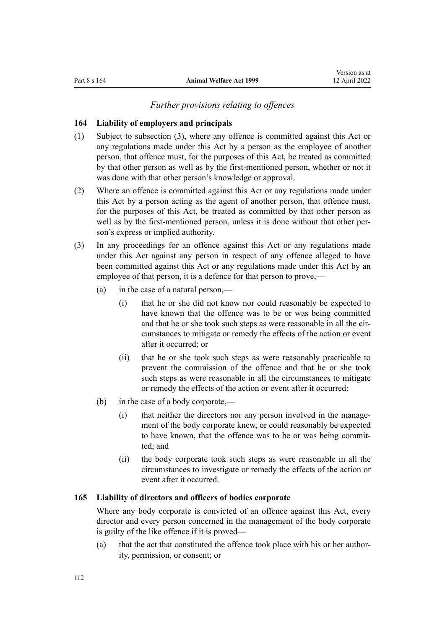#### *Further provisions relating to offences*

### **164 Liability of employers and principals**

- (1) Subject to subsection (3), where any offence is committed against this Act or any regulations made under this Act by a person as the employee of another person, that offence must, for the purposes of this Act, be treated as committed by that other person as well as by the first-mentioned person, whether or not it was done with that other person's knowledge or approval.
- (2) Where an offence is committed against this Act or any regulations made under this Act by a person acting as the agent of another person, that offence must, for the purposes of this Act, be treated as committed by that other person as well as by the first-mentioned person, unless it is done without that other person's express or implied authority.
- (3) In any proceedings for an offence against this Act or any regulations made under this Act against any person in respect of any offence alleged to have been committed against this Act or any regulations made under this Act by an employee of that person, it is a defence for that person to prove,—
	- (a) in the case of a natural person,—
		- (i) that he or she did not know nor could reasonably be expected to have known that the offence was to be or was being committed and that he or she took such steps as were reasonable in all the circumstances to mitigate or remedy the effects of the action or event after it occurred; or
		- (ii) that he or she took such steps as were reasonably practicable to prevent the commission of the offence and that he or she took such steps as were reasonable in all the circumstances to mitigate or remedy the effects of the action or event after it occurred:
	- (b) in the case of a body corporate,—
		- (i) that neither the directors nor any person involved in the management of the body corporate knew, or could reasonably be expected to have known, that the offence was to be or was being committed; and
		- (ii) the body corporate took such steps as were reasonable in all the circumstances to investigate or remedy the effects of the action or event after it occurred.

### **165 Liability of directors and officers of bodies corporate**

Where any body corporate is convicted of an offence against this Act, every director and every person concerned in the management of the body corporate is guilty of the like offence if it is proved—

(a) that the act that constituted the offence took place with his or her author‐ ity, permission, or consent; or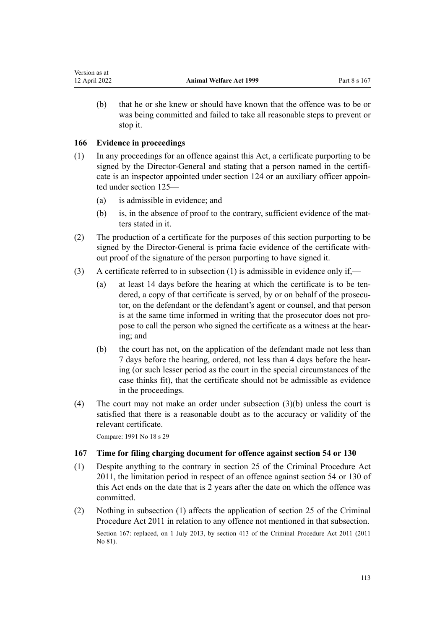(b) that he or she knew or should have known that the offence was to be or was being committed and failed to take all reasonable steps to prevent or stop it.

# **166 Evidence in proceedings**

- (1) In any proceedings for an offence against this Act, a certificate purporting to be signed by the Director-General and stating that a person named in the certifi‐ cate is an inspector appointed under [section 124](#page-82-0) or an auxiliary officer appoin‐ ted under [section 125—](#page-84-0)
	- (a) is admissible in evidence; and
	- (b) is, in the absence of proof to the contrary, sufficient evidence of the matters stated in it.
- (2) The production of a certificate for the purposes of this section purporting to be signed by the Director-General is prima facie evidence of the certificate with‐ out proof of the signature of the person purporting to have signed it.
- (3) A certificate referred to in subsection (1) is admissible in evidence only if,—
	- (a) at least 14 days before the hearing at which the certificate is to be ten‐ dered, a copy of that certificate is served, by or on behalf of the prosecutor, on the defendant or the defendant's agent or counsel, and that person is at the same time informed in writing that the prosecutor does not pro‐ pose to call the person who signed the certificate as a witness at the hearing; and
	- (b) the court has not, on the application of the defendant made not less than 7 days before the hearing, ordered, not less than 4 days before the hear‐ ing (or such lesser period as the court in the special circumstances of the case thinks fit), that the certificate should not be admissible as evidence in the proceedings.
- (4) The court may not make an order under subsection (3)(b) unless the court is satisfied that there is a reasonable doubt as to the accuracy or validity of the relevant certificate.

Compare: 1991 No 18 [s 29](http://legislation.govt.nz/pdflink.aspx?id=DLM228998)

### **167 Time for filing charging document for offence against section 54 or 130**

- (1) Despite anything to the contrary in [section 25](http://legislation.govt.nz/pdflink.aspx?id=DLM3360067) of the Criminal Procedure Act 2011, the limitation period in respect of an offence against [section 54](#page-47-0) or [130](#page-87-0) of this Act ends on the date that is 2 years after the date on which the offence was committed.
- (2) Nothing in subsection (1) affects the application of [section 25](http://legislation.govt.nz/pdflink.aspx?id=DLM3360067) of the Criminal Procedure Act 2011 in relation to any offence not mentioned in that subsection. Section 167: replaced, on 1 July 2013, by [section 413](http://legislation.govt.nz/pdflink.aspx?id=DLM3360714) of the Criminal Procedure Act 2011 (2011 No 81).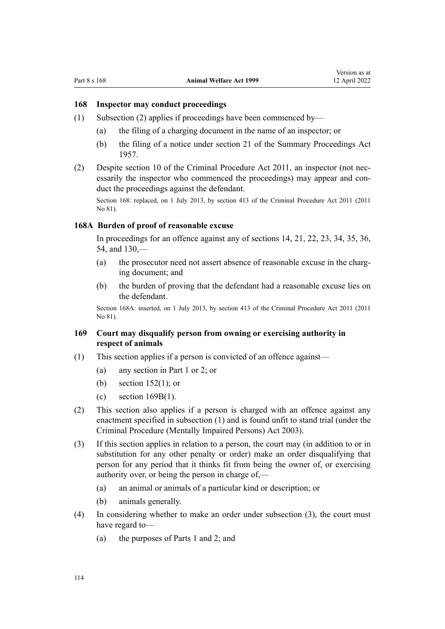### <span id="page-113-0"></span>**168 Inspector may conduct proceedings**

- (1) Subsection (2) applies if proceedings have been commenced by—
	- (a) the filing of a charging document in the name of an inspector; or
	- (b) the filing of a notice under [section 21](http://legislation.govt.nz/pdflink.aspx?id=DLM311346) of the Summary Proceedings Act 1957.
- (2) Despite [section 10](http://legislation.govt.nz/pdflink.aspx?id=DLM3360053) of the Criminal Procedure Act 2011, an inspector (not nec‐ essarily the inspector who commenced the proceedings) may appear and conduct the proceedings against the defendant.

Section 168: replaced, on 1 July 2013, by [section 413](http://legislation.govt.nz/pdflink.aspx?id=DLM3360714) of the Criminal Procedure Act 2011 (2011 No 81).

### **168A Burden of proof of reasonable excuse**

In proceedings for an offence against any of [sections 14](#page-26-0), [21,](#page-27-0) [22](#page-28-0), [23,](#page-28-0) [34](#page-37-0), [35,](#page-38-0) [36](#page-38-0), [54,](#page-47-0) and [130](#page-87-0),—

- (a) the prosecutor need not assert absence of reasonable excuse in the charg‐ ing document; and
- (b) the burden of proving that the defendant had a reasonable excuse lies on the defendant.

Section 168A: inserted, on 1 July 2013, by [section 413](http://legislation.govt.nz/pdflink.aspx?id=DLM3360714) of the Criminal Procedure Act 2011 (2011 No 81).

# **169 Court may disqualify person from owning or exercising authority in respect of animals**

- (1) This section applies if a person is convicted of an offence against—
	- (a) any section in [Part 1](#page-23-0) or [2](#page-30-0); or
	- (b) [section 152\(1\)](#page-101-0); or
	- (c) [section 169B\(1\).](#page-114-0)
- (2) This section also applies if a person is charged with an offence against any enactment specified in subsection (1) and is found unfit to stand trial (under the [Criminal Procedure \(Mentally Impaired Persons\) Act 2003](http://legislation.govt.nz/pdflink.aspx?id=DLM223817)).
- (3) If this section applies in relation to a person, the court may (in addition to or in substitution for any other penalty or order) make an order disqualifying that person for any period that it thinks fit from being the owner of, or exercising authority over, or being the person in charge of,—
	- (a) an animal or animals of a particular kind or description; or
	- (b) animals generally.
- (4) In considering whether to make an order under subsection (3), the court must have regard to—
	- (a) the purposes of [Parts 1](#page-23-0) and [2](#page-30-0); and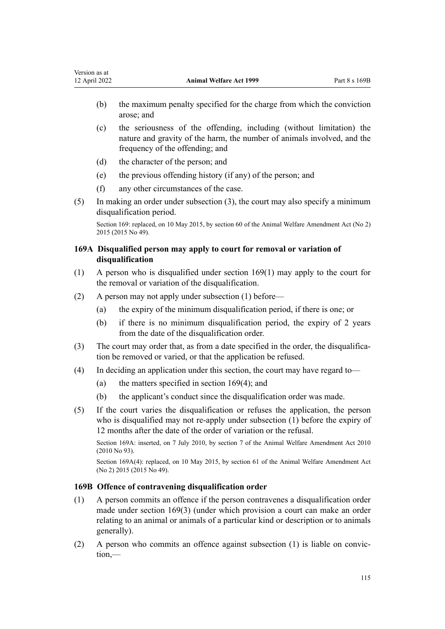- <span id="page-114-0"></span>(b) the maximum penalty specified for the charge from which the conviction arose; and
- (c) the seriousness of the offending, including (without limitation) the nature and gravity of the harm, the number of animals involved, and the frequency of the offending; and
- (d) the character of the person; and
- (e) the previous offending history (if any) of the person; and
- (f) any other circumstances of the case.
- (5) In making an order under subsection (3), the court may also specify a minimum disqualification period.

Section 169: replaced, on 10 May 2015, by [section 60](http://legislation.govt.nz/pdflink.aspx?id=DLM5174894) of the Animal Welfare Amendment Act (No 2) 2015 (2015 No 49).

### **169A Disqualified person may apply to court for removal or variation of disqualification**

- (1) A person who is disqualified under [section 169\(1\)](#page-113-0) may apply to the court for the removal or variation of the disqualification.
- (2) A person may not apply under subsection (1) before—
	- (a) the expiry of the minimum disqualification period, if there is one; or
	- (b) if there is no minimum disqualification period, the expiry of 2 years from the date of the disqualification order.
- (3) The court may order that, as from a date specified in the order, the disqualifica‐ tion be removed or varied, or that the application be refused.
- (4) In deciding an application under this section, the court may have regard to—
	- (a) the matters specified in [section 169\(4\)](#page-113-0); and
	- (b) the applicant's conduct since the disqualification order was made.
- (5) If the court varies the disqualification or refuses the application, the person who is disqualified may not re-apply under subsection (1) before the expiry of 12 months after the date of the order of variation or the refusal.

Section 169A: inserted, on 7 July 2010, by [section 7](http://legislation.govt.nz/pdflink.aspx?id=DLM2747715) of the Animal Welfare Amendment Act 2010 (2010 No 93).

Section 169A(4): replaced, on 10 May 2015, by [section 61](http://legislation.govt.nz/pdflink.aspx?id=DLM5174896) of the Animal Welfare Amendment Act (No 2) 2015 (2015 No 49).

### **169B Offence of contravening disqualification order**

- (1) A person commits an offence if the person contravenes a disqualification order made under [section 169\(3\)](#page-113-0) (under which provision a court can make an order relating to an animal or animals of a particular kind or description or to animals generally).
- (2) A person who commits an offence against subsection  $(1)$  is liable on conviction,—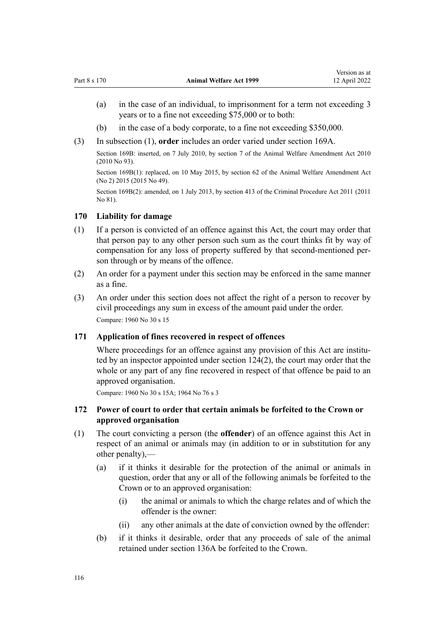- <span id="page-115-0"></span>(a) in the case of an individual, to imprisonment for a term not exceeding 3 years or to a fine not exceeding \$75,000 or to both:
- (b) in the case of a body corporate, to a fine not exceeding \$350,000.
- (3) In subsection (1), **order** includes an order varied under [section 169A](#page-114-0).

Section 169B: inserted, on 7 July 2010, by [section 7](http://legislation.govt.nz/pdflink.aspx?id=DLM2747715) of the Animal Welfare Amendment Act 2010 (2010 No 93).

Section 169B(1): replaced, on 10 May 2015, by [section 62](http://legislation.govt.nz/pdflink.aspx?id=DLM5174897) of the Animal Welfare Amendment Act (No 2) 2015 (2015 No 49).

Section 169B(2): amended, on 1 July 2013, by [section 413](http://legislation.govt.nz/pdflink.aspx?id=DLM3360714) of the Criminal Procedure Act 2011 (2011 No 81).

#### **170 Liability for damage**

- (1) If a person is convicted of an offence against this Act, the court may order that that person pay to any other person such sum as the court thinks fit by way of compensation for any loss of property suffered by that second-mentioned person through or by means of the offence.
- (2) An order for a payment under this section may be enforced in the same manner as a fine.
- (3) An order under this section does not affect the right of a person to recover by civil proceedings any sum in excess of the amount paid under the order. Compare: 1960 No 30 s 15

#### **171 Application of fines recovered in respect of offences**

Where proceedings for an offence against any provision of this Act are instituted by an inspector appointed under [section 124\(2\),](#page-82-0) the court may order that the whole or any part of any fine recovered in respect of that offence be paid to an approved organisation.

Compare: 1960 No 30 s 15A; 1964 No 76 s 3

### **172 Power of court to order that certain animals be forfeited to the Crown or approved organisation**

- (1) The court convicting a person (the **offender**) of an offence against this Act in respect of an animal or animals may (in addition to or in substitution for any other penalty),—
	- (a) if it thinks it desirable for the protection of the animal or animals in question, order that any or all of the following animals be forfeited to the Crown or to an approved organisation:
		- (i) the animal or animals to which the charge relates and of which the offender is the owner:
		- (ii) any other animals at the date of conviction owned by the offender:
	- (b) if it thinks it desirable, order that any proceeds of sale of the animal retained unde[r section 136A](#page-91-0) be forfeited to the Crown.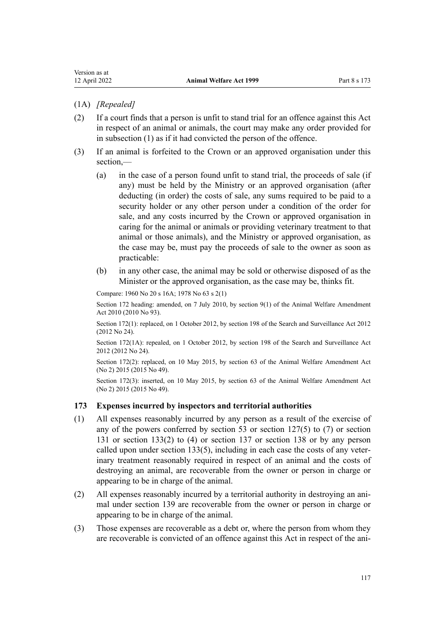# (1A) *[Repealed]*

<span id="page-116-0"></span>Version as at

- (2) If a court finds that a person is unfit to stand trial for an offence against this Act in respect of an animal or animals, the court may make any order provided for in subsection (1) as if it had convicted the person of the offence.
- (3) If an animal is forfeited to the Crown or an approved organisation under this section,—
	- (a) in the case of a person found unfit to stand trial, the proceeds of sale (if any) must be held by the Ministry or an approved organisation (after deducting (in order) the costs of sale, any sums required to be paid to a security holder or any other person under a condition of the order for sale, and any costs incurred by the Crown or approved organisation in caring for the animal or animals or providing veterinary treatment to that animal or those animals), and the Ministry or approved organisation, as the case may be, must pay the proceeds of sale to the owner as soon as practicable:
	- (b) in any other case, the animal may be sold or otherwise disposed of as the Minister or the approved organisation, as the case may be, thinks fit.

Compare: 1960 No 20 s 16A; 1978 No 63 s 2(1)

Section 172 heading: amended, on 7 July 2010, by [section 9\(1\)](http://legislation.govt.nz/pdflink.aspx?id=DLM2747721) of the Animal Welfare Amendment Act 2010 (2010 No 93).

Section 172(1): replaced, on 1 October 2012, by [section 198](http://legislation.govt.nz/pdflink.aspx?id=DLM4355902) of the Search and Surveillance Act 2012 (2012 No 24).

Section 172(1A): repealed, on 1 October 2012, by [section 198](http://legislation.govt.nz/pdflink.aspx?id=DLM4355902) of the Search and Surveillance Act 2012 (2012 No 24).

Section 172(2): replaced, on 10 May 2015, by [section 63](http://legislation.govt.nz/pdflink.aspx?id=DLM5174898) of the Animal Welfare Amendment Act (No 2) 2015 (2015 No 49).

Section 172(3): inserted, on 10 May 2015, by [section 63](http://legislation.govt.nz/pdflink.aspx?id=DLM5174898) of the Animal Welfare Amendment Act (No 2) 2015 (2015 No 49).

# **173 Expenses incurred by inspectors and territorial authorities**

- (1) All expenses reasonably incurred by any person as a result of the exercise of any of the powers conferred by [section 53](#page-46-0) or [section](#page-88-0)  $127(5)$  to (7) or section [131](#page-88-0) or [section 133\(2\) to \(4\)](#page-89-0) or [section 137](#page-93-0) or [section 138](#page-94-0) or by any person called upon under section  $133(5)$ , including in each case the costs of any veterinary treatment reasonably required in respect of an animal and the costs of destroying an animal, are recoverable from the owner or person in charge or appearing to be in charge of the animal.
- (2) All expenses reasonably incurred by a territorial authority in destroying an ani‐ mal under [section 139](#page-95-0) are recoverable from the owner or person in charge or appearing to be in charge of the animal.
- (3) Those expenses are recoverable as a debt or, where the person from whom they are recoverable is convicted of an offence against this Act in respect of the ani-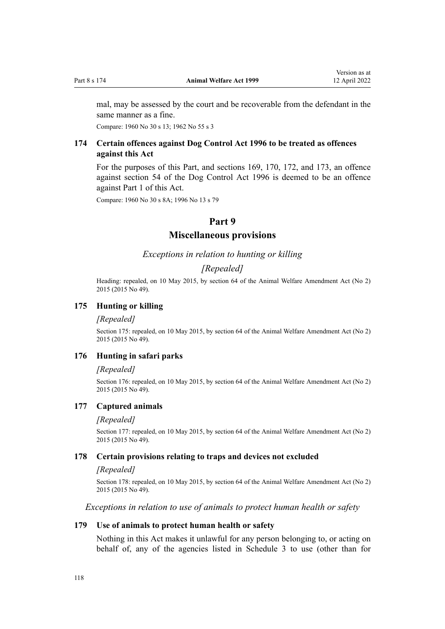mal, may be assessed by the court and be recoverable from the defendant in the same manner as a fine.

Compare: 1960 No 30 s 13; 1962 No 55 s 3

# **174 Certain offences against Dog Control Act 1996 to be treated as offences against this Act**

For the purposes of this Part, and [sections 169,](#page-113-0) [170](#page-115-0), [172](#page-115-0), and [173,](#page-116-0) an offence against [section 54](http://legislation.govt.nz/pdflink.aspx?id=DLM375402) of the Dog Control Act 1996 is deemed to be an offence against [Part 1](#page-23-0) of this Act.

Compare: 1960 No 30 s 8A; 1996 No 13 [s 79](http://legislation.govt.nz/pdflink.aspx?id=DLM375484)

### **Part 9**

#### **Miscellaneous provisions**

#### *Exceptions in relation to hunting or killing*

# *[Repealed]*

Heading: repealed, on 10 May 2015, by [section 64](http://legislation.govt.nz/pdflink.aspx?id=DLM5174899) of the Animal Welfare Amendment Act (No 2) 2015 (2015 No 49).

### **175 Hunting or killing**

#### *[Repealed]*

Section 175: repealed, on 10 May 2015, by [section 64](http://legislation.govt.nz/pdflink.aspx?id=DLM5174899) of the Animal Welfare Amendment Act (No 2) 2015 (2015 No 49).

#### **176 Hunting in safari parks**

#### *[Repealed]*

Section 176: repealed, on 10 May 2015, by [section 64](http://legislation.govt.nz/pdflink.aspx?id=DLM5174899) of the Animal Welfare Amendment Act (No 2) 2015 (2015 No 49).

#### **177 Captured animals**

#### *[Repealed]*

Section 177: repealed, on 10 May 2015, by [section 64](http://legislation.govt.nz/pdflink.aspx?id=DLM5174899) of the Animal Welfare Amendment Act (No 2) 2015 (2015 No 49).

#### **178 Certain provisions relating to traps and devices not excluded**

#### *[Repealed]*

Section 178: repealed, on 10 May 2015, by [section 64](http://legislation.govt.nz/pdflink.aspx?id=DLM5174899) of the Animal Welfare Amendment Act (No 2) 2015 (2015 No 49).

*Exceptions in relation to use of animals to protect human health or safety*

#### **179 Use of animals to protect human health or safety**

Nothing in this Act makes it unlawful for any person belonging to, or acting on behalf of, any of the agencies listed in [Schedule 3](#page-145-0) to use (other than for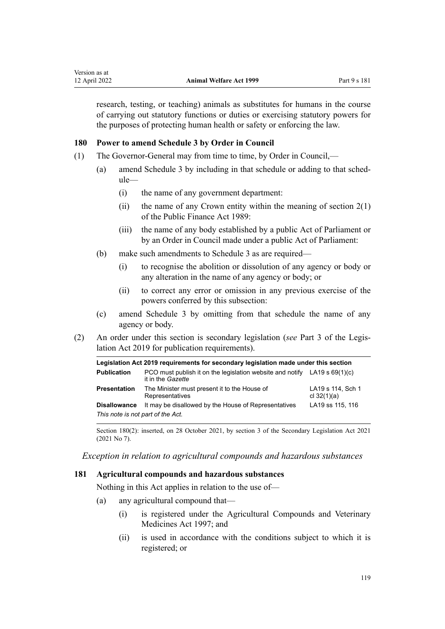research, testing, or teaching) animals as substitutes for humans in the course of carrying out statutory functions or duties or exercising statutory powers for the purposes of protecting human health or safety or enforcing the law.

#### **180 Power to amend Schedule 3 by Order in Council**

- (1) The Governor-General may from time to time, by Order in Council,—
	- (a) amend [Schedule 3](#page-145-0) by including in that schedule or adding to that schedule—
		- (i) the name of any government department:
		- (ii) the name of any Crown entity within the meaning of section  $2(1)$ of the Public Finance Act 1989:
		- (iii) the name of any body established by a public Act of Parliament or by an Order in Council made under a public Act of Parliament:
	- (b) make such amendments to [Schedule 3](#page-145-0) as are required—
		- (i) to recognise the abolition or dissolution of any agency or body or any alteration in the name of any agency or body; or
		- (ii) to correct any error or omission in any previous exercise of the powers conferred by this subsection:
	- (c) amend [Schedule 3](#page-145-0) by omitting from that schedule the name of any agency or body.
- (2) An order under this section is secondary legislation (*see* [Part 3](http://legislation.govt.nz/pdflink.aspx?id=DLM7298343) of the Legis‐ lation Act 2019 for publication requirements).

| Legislation Act 2019 requirements for secondary legislation made under this section |                                                                                                  |                                    |  |
|-------------------------------------------------------------------------------------|--------------------------------------------------------------------------------------------------|------------------------------------|--|
| <b>Publication</b>                                                                  | PCO must publish it on the legislation website and notify LA19 s $69(1)(c)$<br>it in the Gazette |                                    |  |
| <b>Presentation</b>                                                                 | The Minister must present it to the House of<br>Representatives                                  | LA19 s 114, Sch 1<br>cl $32(1)(a)$ |  |
| <b>Disallowance</b>                                                                 | It may be disallowed by the House of Representatives                                             | LA19 ss 115, 116                   |  |
| This note is not part of the Act.                                                   |                                                                                                  |                                    |  |

Section 180(2): inserted, on 28 October 2021, by [section 3](http://legislation.govt.nz/pdflink.aspx?id=LMS268932) of the Secondary Legislation Act 2021 (2021 No 7).

*Exception in relation to agricultural compounds and hazardous substances*

### **181 Agricultural compounds and hazardous substances**

Nothing in this Act applies in relation to the use of—

- (a) any agricultural compound that—
	- (i) is registered under the [Agricultural Compounds and Veterinary](http://legislation.govt.nz/pdflink.aspx?id=DLM414576) [Medicines Act 1997](http://legislation.govt.nz/pdflink.aspx?id=DLM414576); and
	- (ii) is used in accordance with the conditions subject to which it is registered; or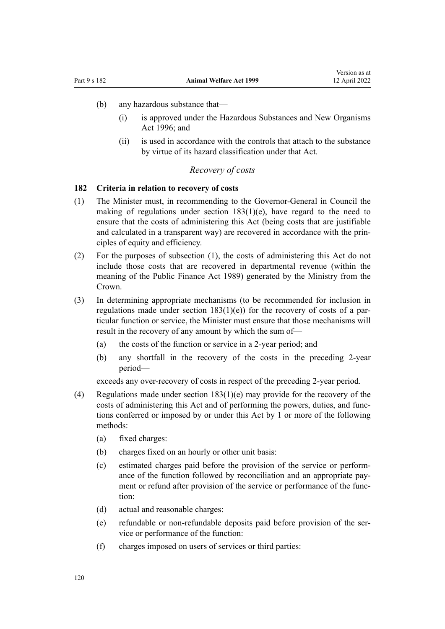- (b) any hazardous substance that—
	- (i) is approved under the [Hazardous Substances and New Organisms](http://legislation.govt.nz/pdflink.aspx?id=DLM381221) [Act 1996;](http://legislation.govt.nz/pdflink.aspx?id=DLM381221) and
	- (ii) is used in accordance with the controls that attach to the substance by virtue of its hazard classification under that Act.

### *Recovery of costs*

#### **182 Criteria in relation to recovery of costs**

- (1) The Minister must, in recommending to the Governor-General in Council the making of regulations under section  $183(1)(e)$ , have regard to the need to ensure that the costs of administering this Act (being costs that are justifiable and calculated in a transparent way) are recovered in accordance with the principles of equity and efficiency.
- (2) For the purposes of subsection (1), the costs of administering this Act do not include those costs that are recovered in departmental revenue (within the meaning of the [Public Finance Act 1989\)](http://legislation.govt.nz/pdflink.aspx?id=DLM160808) generated by the Ministry from the Crown.
- (3) In determining appropriate mechanisms (to be recommended for inclusion in regulations made under section  $183(1)(e)$  for the recovery of costs of a particular function or service, the Minister must ensure that those mechanisms will result in the recovery of any amount by which the sum of—
	- (a) the costs of the function or service in a 2-year period; and
	- (b) any shortfall in the recovery of the costs in the preceding 2-year period—

exceeds any over-recovery of costs in respect of the preceding 2-year period.

- (4) Regulations made under section  $183(1)(e)$  may provide for the recovery of the costs of administering this Act and of performing the powers, duties, and functions conferred or imposed by or under this Act by 1 or more of the following methods:
	- (a) fixed charges:
	- (b) charges fixed on an hourly or other unit basis:
	- (c) estimated charges paid before the provision of the service or perform‐ ance of the function followed by reconciliation and an appropriate pay‐ ment or refund after provision of the service or performance of the function:
	- (d) actual and reasonable charges:
	- (e) refundable or non-refundable deposits paid before provision of the ser‐ vice or performance of the function:
	- (f) charges imposed on users of services or third parties: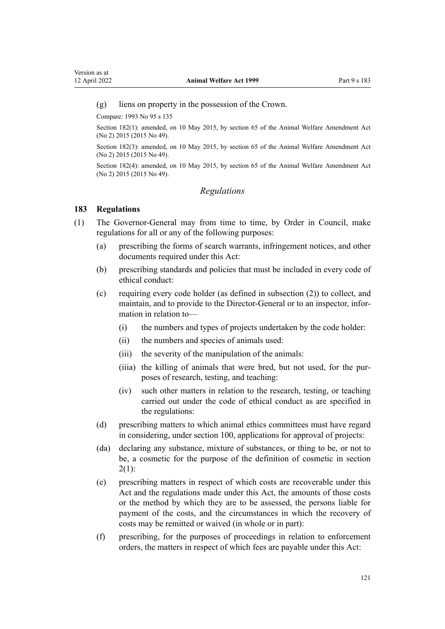#### <span id="page-120-0"></span>(g) liens on property in the possession of the Crown.

Compare: 1993 No 95 [s 135](http://legislation.govt.nz/pdflink.aspx?id=DLM316371)

Section 182(1): amended, on 10 May 2015, by [section 65](http://legislation.govt.nz/pdflink.aspx?id=DLM5174900) of the Animal Welfare Amendment Act (No 2) 2015 (2015 No 49).

Section 182(3): amended, on 10 May 2015, by [section 65](http://legislation.govt.nz/pdflink.aspx?id=DLM5174900) of the Animal Welfare Amendment Act (No 2) 2015 (2015 No 49).

Section 182(4): amended, on 10 May 2015, by [section 65](http://legislation.govt.nz/pdflink.aspx?id=DLM5174900) of the Animal Welfare Amendment Act (No 2) 2015 (2015 No 49).

#### *Regulations*

#### **183 Regulations**

- (1) The Governor-General may from time to time, by Order in Council, make regulations for all or any of the following purposes:
	- (a) prescribing the forms of search warrants, infringement notices, and other documents required under this Act:
	- (b) prescribing standards and policies that must be included in every code of ethical conduct:
	- (c) requiring every code holder (as defined in subsection (2)) to collect, and maintain, and to provide to the Director-General or to an inspector, infor‐ mation in relation to—
		- (i) the numbers and types of projects undertaken by the code holder:
		- (ii) the numbers and species of animals used:
		- (iii) the severity of the manipulation of the animals:
		- (iiia) the killing of animals that were bred, but not used, for the pur‐ poses of research, testing, and teaching:
		- (iv) such other matters in relation to the research, testing, or teaching carried out under the code of ethical conduct as are specified in the regulations:
	- (d) prescribing matters to which animal ethics committees must have regard in considering, under [section 100](#page-70-0), applications for approval of projects:
	- (da) declaring any substance, mixture of substances, or thing to be, or not to be, a cosmetic for the purpose of the definition of cosmetic in [section](#page-9-0)  $2(1)$ :
	- (e) prescribing matters in respect of which costs are recoverable under this Act and the regulations made under this Act, the amounts of those costs or the method by which they are to be assessed, the persons liable for payment of the costs, and the circumstances in which the recovery of costs may be remitted or waived (in whole or in part):
	- (f) prescribing, for the purposes of proceedings in relation to enforcement orders, the matters in respect of which fees are payable under this Act: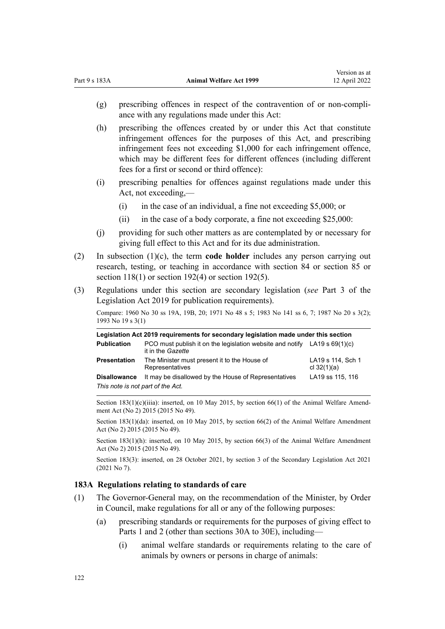<span id="page-121-0"></span> $(g)$  prescribing offences in respect of the contravention of or non-compliance with any regulations made under this Act:

Version as at

- (h) prescribing the offences created by or under this Act that constitute infringement offences for the purposes of this Act, and prescribing infringement fees not exceeding \$1,000 for each infringement offence, which may be different fees for different offences (including different fees for a first or second or third offence):
- (i) prescribing penalties for offences against regulations made under this Act, not exceeding,—
	- (i) in the case of an individual, a fine not exceeding \$5,000; or
	- (ii) in the case of a body corporate, a fine not exceeding \$25,000:
- (j) providing for such other matters as are contemplated by or necessary for giving full effect to this Act and for its due administration.
- (2) In subsection (1)(c), the term **code holder** includes any person carrying out research, testing, or teaching in accordance with [section 84](#page-60-0) or [section 85](#page-61-0) or [section 118\(1\)](#page-77-0) or [section 192\(4\)](#page-130-0) or section 192(5).
- (3) Regulations under this section are secondary legislation (*see* [Part 3](http://legislation.govt.nz/pdflink.aspx?id=DLM7298343) of the Legislation Act 2019 for publication requirements).

Compare: 1960 No 30 ss 19A, 19B, 20; 1971 No 48 s 5; 1983 No 141 ss 6, 7; 1987 No 20 s 3(2); 1993 No 19 s 3(1)

| Legislation Act 2019 requirements for secondary legislation made under this section |                                                                                                  |                                    |  |
|-------------------------------------------------------------------------------------|--------------------------------------------------------------------------------------------------|------------------------------------|--|
| <b>Publication</b>                                                                  | PCO must publish it on the legislation website and notify LA19 s $69(1)(c)$<br>it in the Gazette |                                    |  |
| <b>Presentation</b>                                                                 | The Minister must present it to the House of<br>Representatives                                  | LA19 s 114, Sch 1<br>cl $32(1)(a)$ |  |
| <b>Disallowance</b>                                                                 | It may be disallowed by the House of Representatives                                             | LA19 ss 115, 116                   |  |
| This note is not part of the Act.                                                   |                                                                                                  |                                    |  |

Section  $183(1)(c)(iii)$ : inserted, on 10 May 2015, by [section 66\(1\)](http://legislation.govt.nz/pdflink.aspx?id=DLM5174901) of the Animal Welfare Amendment Act (No 2) 2015 (2015 No 49).

Section 183(1)(da): inserted, on 10 May 2015, by [section 66\(2\)](http://legislation.govt.nz/pdflink.aspx?id=DLM5174901) of the Animal Welfare Amendment Act (No 2) 2015 (2015 No 49).

Section 183(1)(h): inserted, on 10 May 2015, by [section 66\(3\)](http://legislation.govt.nz/pdflink.aspx?id=DLM5174901) of the Animal Welfare Amendment Act (No 2) 2015 (2015 No 49).

Section 183(3): inserted, on 28 October 2021, by [section 3](http://legislation.govt.nz/pdflink.aspx?id=LMS268932) of the Secondary Legislation Act 2021 (2021 No 7).

### **183A Regulations relating to standards of care**

- (1) The Governor-General may, on the recommendation of the Minister, by Order in Council, make regulations for all or any of the following purposes:
	- (a) prescribing standards or requirements for the purposes of giving effect to [Parts 1](#page-23-0) and [2](#page-30-0) (other than [sections 30A to 30E\)](#page-33-0), including—
		- (i) animal welfare standards or requirements relating to the care of animals by owners or persons in charge of animals: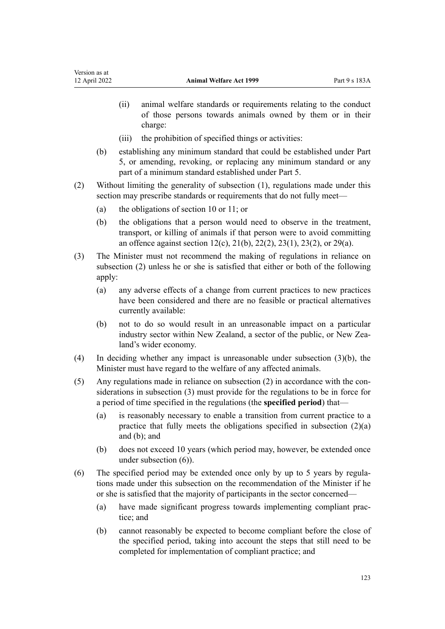- (ii) animal welfare standards or requirements relating to the conduct of those persons towards animals owned by them or in their charge:
- (iii) the prohibition of specified things or activities:
- (b) establishing any minimum standard that could be established under [Part](#page-52-0) [5,](#page-52-0) or amending, revoking, or replacing any minimum standard or any part of a minimum standard established under Part 5.
- (2) Without limiting the generality of subsection (1), regulations made under this section may prescribe standards or requirements that do not fully meet—
	- (a) the obligations of [section 10](#page-24-0) or [11;](#page-24-0) or
	- (b) the obligations that a person would need to observe in the treatment, transport, or killing of animals if that person were to avoid committing an offence against [section 12\(c\)](#page-24-0), [21\(b\),](#page-27-0) [22\(2\), 23\(1\)](#page-28-0), 23(2), or [29\(a\)](#page-31-0).
- (3) The Minister must not recommend the making of regulations in reliance on subsection (2) unless he or she is satisfied that either or both of the following apply:
	- (a) any adverse effects of a change from current practices to new practices have been considered and there are no feasible or practical alternatives currently available:
	- (b) not to do so would result in an unreasonable impact on a particular industry sector within New Zealand, a sector of the public, or New Zealand's wider economy.
- (4) In deciding whether any impact is unreasonable under subsection (3)(b), the Minister must have regard to the welfare of any affected animals.
- $(5)$  Any regulations made in reliance on subsection (2) in accordance with the considerations in subsection (3) must provide for the regulations to be in force for a period of time specified in the regulations (the **specified period**) that—
	- (a) is reasonably necessary to enable a transition from current practice to a practice that fully meets the obligations specified in subsection  $(2)(a)$ and (b); and
	- (b) does not exceed 10 years (which period may, however, be extended once under subsection (6)).
- (6) The specified period may be extended once only by up to 5 years by regula‐ tions made under this subsection on the recommendation of the Minister if he or she is satisfied that the majority of participants in the sector concerned—
	- (a) have made significant progress towards implementing compliant prac‐ tice; and
	- (b) cannot reasonably be expected to become compliant before the close of the specified period, taking into account the steps that still need to be completed for implementation of compliant practice; and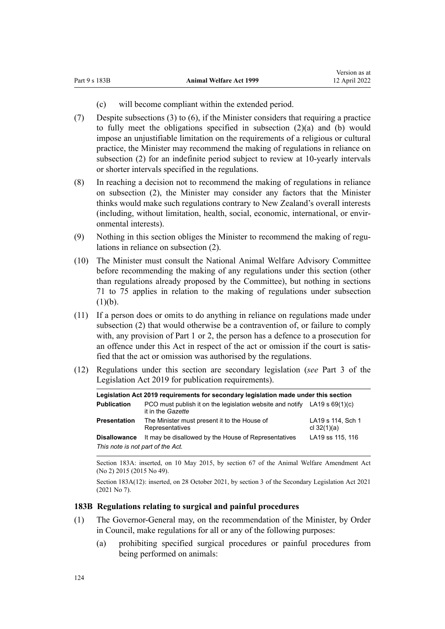- (c) will become compliant within the extended period.
- <span id="page-123-0"></span>(7) Despite subsections (3) to (6), if the Minister considers that requiring a practice to fully meet the obligations specified in subsection  $(2)(a)$  and (b) would impose an unjustifiable limitation on the requirements of a religious or cultural practice, the Minister may recommend the making of regulations in reliance on subsection (2) for an indefinite period subject to review at 10-yearly intervals or shorter intervals specified in the regulations.
- (8) In reaching a decision not to recommend the making of regulations in reliance on subsection (2), the Minister may consider any factors that the Minister thinks would make such regulations contrary to New Zealand's overall interests (including, without limitation, health, social, economic, international, or envir‐ onmental interests).
- (9) Nothing in this section obliges the Minister to recommend the making of regulations in reliance on subsection (2).
- (10) The Minister must consult the National Animal Welfare Advisory Committee before recommending the making of any regulations under this section (other than regulations already proposed by the Committee), but nothing in [sections](#page-53-0) [71 to 75](#page-53-0) applies in relation to the making of regulations under subsection  $(1)(b)$ .
- (11) If a person does or omits to do anything in reliance on regulations made under subsection (2) that would otherwise be a contravention of, or failure to comply with, any provision of [Part 1](#page-23-0) or [2](#page-30-0), the person has a defence to a prosecution for an offence under this Act in respect of the act or omission if the court is satisfied that the act or omission was authorised by the regulations.
- (12) Regulations under this section are secondary legislation (*see* [Part 3](http://legislation.govt.nz/pdflink.aspx?id=DLM7298343) of the Legislation Act 2019 for publication requirements).

| Legislation Act 2019 requirements for secondary legislation made under this section |                                                                                                  |                                    |  |
|-------------------------------------------------------------------------------------|--------------------------------------------------------------------------------------------------|------------------------------------|--|
| <b>Publication</b>                                                                  | PCO must publish it on the legislation website and notify LA19 s $69(1)(c)$<br>it in the Gazette |                                    |  |
| <b>Presentation</b>                                                                 | The Minister must present it to the House of<br>Representatives                                  | LA19 s 114, Sch 1<br>cl $32(1)(a)$ |  |
| <b>Disallowance</b>                                                                 | It may be disallowed by the House of Representatives                                             | LA19 ss 115, 116                   |  |
| This note is not part of the Act.                                                   |                                                                                                  |                                    |  |

Section 183A: inserted, on 10 May 2015, by [section 67](http://legislation.govt.nz/pdflink.aspx?id=DLM5174902) of the Animal Welfare Amendment Act (No 2) 2015 (2015 No 49).

Section 183A(12): inserted, on 28 October 2021, by [section 3](http://legislation.govt.nz/pdflink.aspx?id=LMS268932) of the Secondary Legislation Act 2021 (2021 No 7).

#### **183B Regulations relating to surgical and painful procedures**

- (1) The Governor-General may, on the recommendation of the Minister, by Order in Council, make regulations for all or any of the following purposes:
	- (a) prohibiting specified surgical procedures or painful procedures from being performed on animals: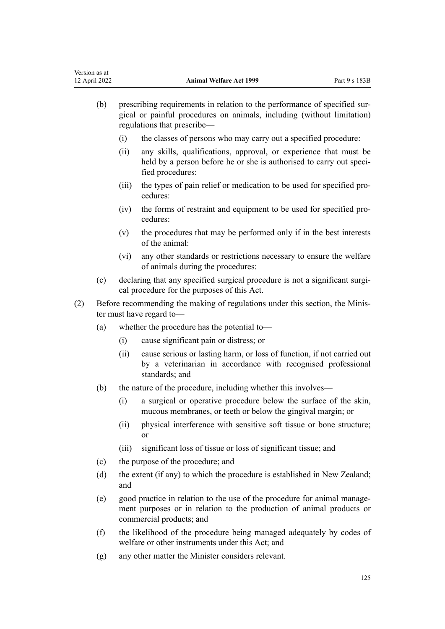| prescribing requirements in relation to the performance of specified sur-<br>(b)<br>gical or painful procedures on animals, including (without limitation)<br>regulations that prescribe—<br>the classes of persons who may carry out a specified procedure:<br>(i)<br>(ii)<br>any skills, qualifications, approval, or experience that must be<br>held by a person before he or she is authorised to carry out speci-<br>fied procedures:<br>the types of pain relief or medication to be used for specified pro-<br>(iii)<br>cedures:<br>the forms of restraint and equipment to be used for specified pro-<br>(iv)<br>cedures:<br>the procedures that may be performed only if in the best interests<br>(v)<br>of the animal:<br>any other standards or restrictions necessary to ensure the welfare<br>(vi)<br>of animals during the procedures:<br>declaring that any specified surgical procedure is not a significant surgi-<br>(c)<br>cal procedure for the purposes of this Act.<br>Before recommending the making of regulations under this section, the Minis-<br>(2)<br>ter must have regard to-<br>(a)<br>whether the procedure has the potential to-<br>cause significant pain or distress; or<br>(i)<br>cause serious or lasting harm, or loss of function, if not carried out<br>(ii)<br>by a veterinarian in accordance with recognised professional<br>standards; and<br>the nature of the procedure, including whether this involves—<br>(b)<br>(i) a surgical or operative procedure below the surface of the skin,<br>mucous membranes, or teeth or below the gingival margin; or<br>physical interference with sensitive soft tissue or bone structure;<br>(ii)<br><sub>or</sub><br>significant loss of tissue or loss of significant tissue; and<br>(iii) |  |
|----------------------------------------------------------------------------------------------------------------------------------------------------------------------------------------------------------------------------------------------------------------------------------------------------------------------------------------------------------------------------------------------------------------------------------------------------------------------------------------------------------------------------------------------------------------------------------------------------------------------------------------------------------------------------------------------------------------------------------------------------------------------------------------------------------------------------------------------------------------------------------------------------------------------------------------------------------------------------------------------------------------------------------------------------------------------------------------------------------------------------------------------------------------------------------------------------------------------------------------------------------------------------------------------------------------------------------------------------------------------------------------------------------------------------------------------------------------------------------------------------------------------------------------------------------------------------------------------------------------------------------------------------------------------------------------------------------------------------------------------------------------------------------|--|
|                                                                                                                                                                                                                                                                                                                                                                                                                                                                                                                                                                                                                                                                                                                                                                                                                                                                                                                                                                                                                                                                                                                                                                                                                                                                                                                                                                                                                                                                                                                                                                                                                                                                                                                                                                                  |  |
|                                                                                                                                                                                                                                                                                                                                                                                                                                                                                                                                                                                                                                                                                                                                                                                                                                                                                                                                                                                                                                                                                                                                                                                                                                                                                                                                                                                                                                                                                                                                                                                                                                                                                                                                                                                  |  |
|                                                                                                                                                                                                                                                                                                                                                                                                                                                                                                                                                                                                                                                                                                                                                                                                                                                                                                                                                                                                                                                                                                                                                                                                                                                                                                                                                                                                                                                                                                                                                                                                                                                                                                                                                                                  |  |
|                                                                                                                                                                                                                                                                                                                                                                                                                                                                                                                                                                                                                                                                                                                                                                                                                                                                                                                                                                                                                                                                                                                                                                                                                                                                                                                                                                                                                                                                                                                                                                                                                                                                                                                                                                                  |  |
|                                                                                                                                                                                                                                                                                                                                                                                                                                                                                                                                                                                                                                                                                                                                                                                                                                                                                                                                                                                                                                                                                                                                                                                                                                                                                                                                                                                                                                                                                                                                                                                                                                                                                                                                                                                  |  |
|                                                                                                                                                                                                                                                                                                                                                                                                                                                                                                                                                                                                                                                                                                                                                                                                                                                                                                                                                                                                                                                                                                                                                                                                                                                                                                                                                                                                                                                                                                                                                                                                                                                                                                                                                                                  |  |
|                                                                                                                                                                                                                                                                                                                                                                                                                                                                                                                                                                                                                                                                                                                                                                                                                                                                                                                                                                                                                                                                                                                                                                                                                                                                                                                                                                                                                                                                                                                                                                                                                                                                                                                                                                                  |  |
|                                                                                                                                                                                                                                                                                                                                                                                                                                                                                                                                                                                                                                                                                                                                                                                                                                                                                                                                                                                                                                                                                                                                                                                                                                                                                                                                                                                                                                                                                                                                                                                                                                                                                                                                                                                  |  |
|                                                                                                                                                                                                                                                                                                                                                                                                                                                                                                                                                                                                                                                                                                                                                                                                                                                                                                                                                                                                                                                                                                                                                                                                                                                                                                                                                                                                                                                                                                                                                                                                                                                                                                                                                                                  |  |
|                                                                                                                                                                                                                                                                                                                                                                                                                                                                                                                                                                                                                                                                                                                                                                                                                                                                                                                                                                                                                                                                                                                                                                                                                                                                                                                                                                                                                                                                                                                                                                                                                                                                                                                                                                                  |  |
|                                                                                                                                                                                                                                                                                                                                                                                                                                                                                                                                                                                                                                                                                                                                                                                                                                                                                                                                                                                                                                                                                                                                                                                                                                                                                                                                                                                                                                                                                                                                                                                                                                                                                                                                                                                  |  |
|                                                                                                                                                                                                                                                                                                                                                                                                                                                                                                                                                                                                                                                                                                                                                                                                                                                                                                                                                                                                                                                                                                                                                                                                                                                                                                                                                                                                                                                                                                                                                                                                                                                                                                                                                                                  |  |
|                                                                                                                                                                                                                                                                                                                                                                                                                                                                                                                                                                                                                                                                                                                                                                                                                                                                                                                                                                                                                                                                                                                                                                                                                                                                                                                                                                                                                                                                                                                                                                                                                                                                                                                                                                                  |  |
|                                                                                                                                                                                                                                                                                                                                                                                                                                                                                                                                                                                                                                                                                                                                                                                                                                                                                                                                                                                                                                                                                                                                                                                                                                                                                                                                                                                                                                                                                                                                                                                                                                                                                                                                                                                  |  |
|                                                                                                                                                                                                                                                                                                                                                                                                                                                                                                                                                                                                                                                                                                                                                                                                                                                                                                                                                                                                                                                                                                                                                                                                                                                                                                                                                                                                                                                                                                                                                                                                                                                                                                                                                                                  |  |
|                                                                                                                                                                                                                                                                                                                                                                                                                                                                                                                                                                                                                                                                                                                                                                                                                                                                                                                                                                                                                                                                                                                                                                                                                                                                                                                                                                                                                                                                                                                                                                                                                                                                                                                                                                                  |  |
| the purpose of the procedure; and<br>(c)                                                                                                                                                                                                                                                                                                                                                                                                                                                                                                                                                                                                                                                                                                                                                                                                                                                                                                                                                                                                                                                                                                                                                                                                                                                                                                                                                                                                                                                                                                                                                                                                                                                                                                                                         |  |
| the extent (if any) to which the procedure is established in New Zealand;<br>(d)<br>and                                                                                                                                                                                                                                                                                                                                                                                                                                                                                                                                                                                                                                                                                                                                                                                                                                                                                                                                                                                                                                                                                                                                                                                                                                                                                                                                                                                                                                                                                                                                                                                                                                                                                          |  |
| (e)<br>good practice in relation to the use of the procedure for animal manage-<br>ment purposes or in relation to the production of animal products or<br>commercial products; and                                                                                                                                                                                                                                                                                                                                                                                                                                                                                                                                                                                                                                                                                                                                                                                                                                                                                                                                                                                                                                                                                                                                                                                                                                                                                                                                                                                                                                                                                                                                                                                              |  |
| the likelihood of the procedure being managed adequately by codes of<br>(f)<br>welfare or other instruments under this Act; and                                                                                                                                                                                                                                                                                                                                                                                                                                                                                                                                                                                                                                                                                                                                                                                                                                                                                                                                                                                                                                                                                                                                                                                                                                                                                                                                                                                                                                                                                                                                                                                                                                                  |  |
| any other matter the Minister considers relevant.<br>(g)                                                                                                                                                                                                                                                                                                                                                                                                                                                                                                                                                                                                                                                                                                                                                                                                                                                                                                                                                                                                                                                                                                                                                                                                                                                                                                                                                                                                                                                                                                                                                                                                                                                                                                                         |  |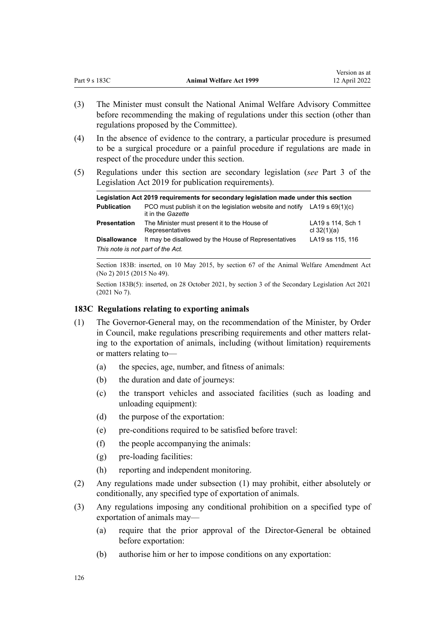<span id="page-125-0"></span>

| Part 9 s 183C | <b>Animal Welfare Act 1999</b> | $1.0101011$ we use<br>12 April 2022 |
|---------------|--------------------------------|-------------------------------------|
|---------------|--------------------------------|-------------------------------------|

Version as at

- (3) The Minister must consult the National Animal Welfare Advisory Committee before recommending the making of regulations under this section (other than regulations proposed by the Committee).
- (4) In the absence of evidence to the contrary, a particular procedure is presumed to be a surgical procedure or a painful procedure if regulations are made in respect of the procedure under this section.
- (5) Regulations under this section are secondary legislation (*see* [Part 3](http://legislation.govt.nz/pdflink.aspx?id=DLM7298343) of the Legislation Act 2019 for publication requirements).

| Legislation Act 2019 reguirements for secondary legislation made under this section |                                                                                                         |                                    |  |
|-------------------------------------------------------------------------------------|---------------------------------------------------------------------------------------------------------|------------------------------------|--|
| <b>Publication</b>                                                                  | PCO must publish it on the legislation website and notify LA19 s $69(1)(c)$<br>it in the <i>Gazette</i> |                                    |  |
| Presentation                                                                        | The Minister must present it to the House of<br>Representatives                                         | LA19 s 114, Sch 1<br>cl $32(1)(a)$ |  |
| <b>Disallowance</b>                                                                 | It may be disallowed by the House of Representatives                                                    | LA19 ss 115, 116                   |  |
| This note is not part of the Act.                                                   |                                                                                                         |                                    |  |

Section 183B: inserted, on 10 May 2015, by [section 67](http://legislation.govt.nz/pdflink.aspx?id=DLM5174902) of the Animal Welfare Amendment Act (No 2) 2015 (2015 No 49).

Section 183B(5): inserted, on 28 October 2021, by [section 3](http://legislation.govt.nz/pdflink.aspx?id=LMS268932) of the Secondary Legislation Act 2021 (2021 No 7).

### **183C Regulations relating to exporting animals**

- (1) The Governor-General may, on the recommendation of the Minister, by Order in Council, make regulations prescribing requirements and other matters relating to the exportation of animals, including (without limitation) requirements or matters relating to—
	- (a) the species, age, number, and fitness of animals:
	- (b) the duration and date of journeys:
	- (c) the transport vehicles and associated facilities (such as loading and unloading equipment):
	- (d) the purpose of the exportation:
	- (e) pre-conditions required to be satisfied before travel:
	- (f) the people accompanying the animals:
	- (g) pre-loading facilities:
	- (h) reporting and independent monitoring.
- (2) Any regulations made under subsection (1) may prohibit, either absolutely or conditionally, any specified type of exportation of animals.
- (3) Any regulations imposing any conditional prohibition on a specified type of exportation of animals may—
	- (a) require that the prior approval of the Director-General be obtained before exportation:
	- (b) authorise him or her to impose conditions on any exportation: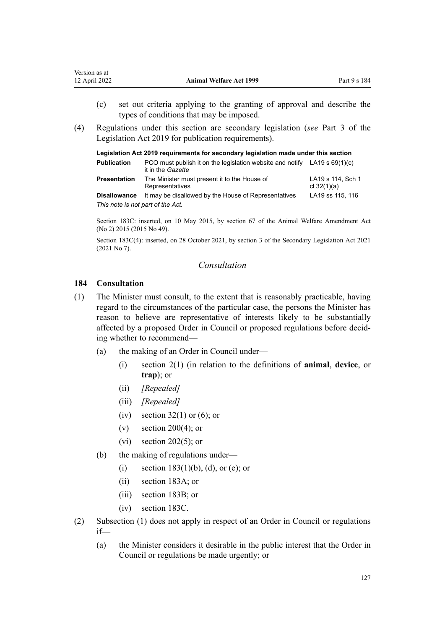- <span id="page-126-0"></span>(c) set out criteria applying to the granting of approval and describe the types of conditions that may be imposed.
- (4) Regulations under this section are secondary legislation (*see* [Part 3](http://legislation.govt.nz/pdflink.aspx?id=DLM7298343) of the Legislation Act 2019 for publication requirements).

| Legislation Act 2019 requirements for secondary legislation made under this section |                                                                                                  |                                    |  |
|-------------------------------------------------------------------------------------|--------------------------------------------------------------------------------------------------|------------------------------------|--|
| <b>Publication</b>                                                                  | PCO must publish it on the legislation website and notify LA19 s $69(1)(c)$<br>it in the Gazette |                                    |  |
| <b>Presentation</b>                                                                 | The Minister must present it to the House of<br>Representatives                                  | LA19 s 114, Sch 1<br>cl $32(1)(a)$ |  |
| <b>Disallowance</b>                                                                 | It may be disallowed by the House of Representatives                                             | LA19 ss 115, 116                   |  |
| This note is not part of the Act.                                                   |                                                                                                  |                                    |  |

Section 183C: inserted, on 10 May 2015, by [section 67](http://legislation.govt.nz/pdflink.aspx?id=DLM5174902) of the Animal Welfare Amendment Act (No 2) 2015 (2015 No 49).

Section 183C(4): inserted, on 28 October 2021, by [section 3](http://legislation.govt.nz/pdflink.aspx?id=LMS268932) of the Secondary Legislation Act 2021 (2021 No 7).

# *Consultation*

### **184 Consultation**

- (1) The Minister must consult, to the extent that is reasonably practicable, having regard to the circumstances of the particular case, the persons the Minister has reason to believe are representative of interests likely to be substantially affected by a proposed Order in Council or proposed regulations before decid‐ ing whether to recommend—
	- (a) the making of an Order in Council under—
		- (i) [section 2\(1\)](#page-9-0) (in relation to the definitions of **animal**, **device**, or **trap**); or
		- (ii) *[Repealed]*
		- (iii) *[Repealed]*
		- (iv) section  $32(1)$  or (6); or
		- (v) [section 200\(4\)](#page-134-0); or
		- (vi) section 202 $(5)$ ; or
	- (b) the making of regulations under—
		- (i) section  $183(1)(b)$ , (d), or (e); or
		- (ii) [section 183A](#page-121-0); or
		- (iii) [section 183B;](#page-123-0) or
		- (iv) [section 183C.](#page-125-0)
- (2) Subsection (1) does not apply in respect of an Order in Council or regulations if—
	- (a) the Minister considers it desirable in the public interest that the Order in Council or regulations be made urgently; or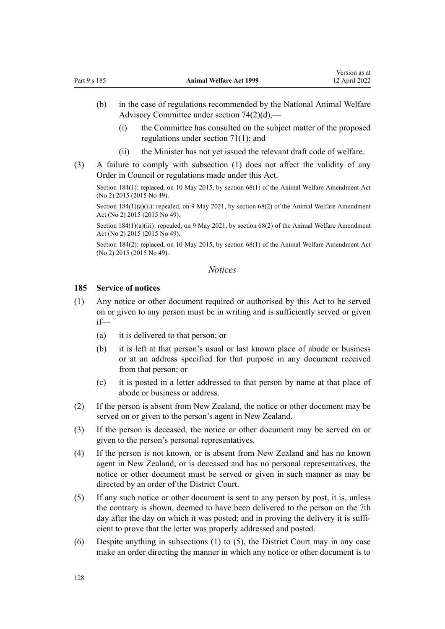- (b) in the case of regulations recommended by the National Animal Welfare Advisory Committee under [section 74\(2\)\(d\),](#page-55-0)—
	- (i) the Committee has consulted on the subject matter of the proposed regulations under [section 71\(1\);](#page-53-0) and
	- (ii) the Minister has not yet issued the relevant draft code of welfare.
- (3) A failure to comply with subsection (1) does not affect the validity of any Order in Council or regulations made under this Act.

Section 184(1): replaced, on 10 May 2015, by [section 68\(1\)](http://legislation.govt.nz/pdflink.aspx?id=DLM5174906) of the Animal Welfare Amendment Act (No 2) 2015 (2015 No 49).

Section 184(1)(a)(ii): repealed, on 9 May 2021, by [section 68\(2\)](http://legislation.govt.nz/pdflink.aspx?id=DLM5174906) of the Animal Welfare Amendment Act (No 2) 2015 (2015 No 49).

Section 184(1)(a)(iii): repealed, on 9 May 2021, by [section 68\(2\)](http://legislation.govt.nz/pdflink.aspx?id=DLM5174906) of the Animal Welfare Amendment Act (No 2) 2015 (2015 No 49).

Section 184(2): replaced, on 10 May 2015, by [section 68\(1\)](http://legislation.govt.nz/pdflink.aspx?id=DLM5174906) of the Animal Welfare Amendment Act (No 2) 2015 (2015 No 49).

#### *Notices*

#### **185 Service of notices**

- (1) Any notice or other document required or authorised by this Act to be served on or given to any person must be in writing and is sufficiently served or given if—
	- (a) it is delivered to that person; or
	- (b) it is left at that person's usual or last known place of abode or business or at an address specified for that purpose in any document received from that person; or
	- (c) it is posted in a letter addressed to that person by name at that place of abode or business or address.
- (2) If the person is absent from New Zealand, the notice or other document may be served on or given to the person's agent in New Zealand.
- (3) If the person is deceased, the notice or other document may be served on or given to the person's personal representatives.
- (4) If the person is not known, or is absent from New Zealand and has no known agent in New Zealand, or is deceased and has no personal representatives, the notice or other document must be served or given in such manner as may be directed by an order of the District Court.
- (5) If any such notice or other document is sent to any person by post, it is, unless the contrary is shown, deemed to have been delivered to the person on the 7th day after the day on which it was posted; and in proving the delivery it is sufficient to prove that the letter was properly addressed and posted.
- (6) Despite anything in subsections (1) to (5), the District Court may in any case make an order directing the manner in which any notice or other document is to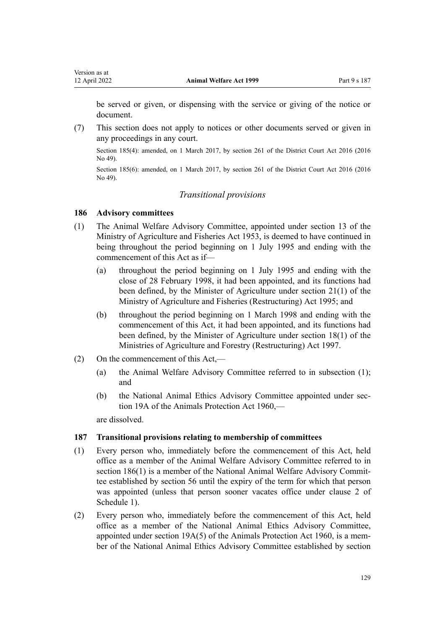be served or given, or dispensing with the service or giving of the notice or document.

(7) This section does not apply to notices or other documents served or given in any proceedings in any court.

Section 185(4): amended, on 1 March 2017, by [section 261](http://legislation.govt.nz/pdflink.aspx?id=DLM6942680) of the District Court Act 2016 (2016 No 49).

Section 185(6): amended, on 1 March 2017, by [section 261](http://legislation.govt.nz/pdflink.aspx?id=DLM6942680) of the District Court Act 2016 (2016 No 49).

#### *Transitional provisions*

#### **186 Advisory committees**

- (1) The Animal Welfare Advisory Committee, appointed under section 13 of the Ministry of Agriculture and Fisheries Act 1953, is deemed to have continued in being throughout the period beginning on 1 July 1995 and ending with the commencement of this Act as if—
	- (a) throughout the period beginning on 1 July 1995 and ending with the close of 28 February 1998, it had been appointed, and its functions had been defined, by the Minister of Agriculture under [section 21\(1\)](http://legislation.govt.nz/pdflink.aspx?id=DLM366868) of the Ministry of Agriculture and Fisheries (Restructuring) Act 1995; and
	- (b) throughout the period beginning on 1 March 1998 and ending with the commencement of this Act, it had been appointed, and its functions had been defined, by the Minister of Agriculture under [section 18\(1\)](http://legislation.govt.nz/pdflink.aspx?id=DLM418635) of the Ministries of Agriculture and Forestry (Restructuring) Act 1997.
- (2) On the commencement of this Act,—
	- (a) the Animal Welfare Advisory Committee referred to in subsection (1); and
	- (b) the National Animal Ethics Advisory Committee appointed under section 19A of the Animals Protection Act 1960,—

are dissolved.

### **187 Transitional provisions relating to membership of committees**

- (1) Every person who, immediately before the commencement of this Act, held office as a member of the Animal Welfare Advisory Committee referred to in section 186(1) is a member of the National Animal Welfare Advisory Committee established by [section 56](#page-48-0) until the expiry of the term for which that person was appointed (unless that person sooner vacates office under [clause 2](#page-137-0) of Schedule 1).
- (2) Every person who, immediately before the commencement of this Act, held office as a member of the National Animal Ethics Advisory Committee, appointed under section 19A(5) of the Animals Protection Act 1960, is a mem‐ ber of the National Animal Ethics Advisory Committee established by [section](#page-50-0)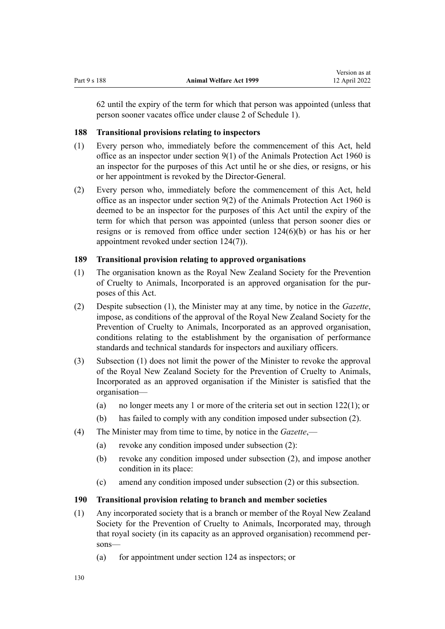[62](#page-50-0) until the expiry of the term for which that person was appointed (unless that person sooner vacates office under [clause 2](#page-137-0) of Schedule 1).

# **188 Transitional provisions relating to inspectors**

- (1) Every person who, immediately before the commencement of this Act, held office as an inspector under section 9(1) of the Animals Protection Act 1960 is an inspector for the purposes of this Act until he or she dies, or resigns, or his or her appointment is revoked by the Director-General.
- (2) Every person who, immediately before the commencement of this Act, held office as an inspector under section 9(2) of the Animals Protection Act 1960 is deemed to be an inspector for the purposes of this Act until the expiry of the term for which that person was appointed (unless that person sooner dies or resigns or is removed from office under [section 124\(6\)\(b\)](#page-82-0) or has his or her appointment revoked under section 124(7)).

### **189 Transitional provision relating to approved organisations**

- (1) The organisation known as the Royal New Zealand Society for the Prevention of Cruelty to Animals, Incorporated is an approved organisation for the pur‐ poses of this Act.
- (2) Despite subsection (1), the Minister may at any time, by notice in the *Gazette*, impose, as conditions of the approval of the Royal New Zealand Society for the Prevention of Cruelty to Animals, Incorporated as an approved organisation, conditions relating to the establishment by the organisation of performance standards and technical standards for inspectors and auxiliary officers.
- (3) Subsection (1) does not limit the power of the Minister to revoke the approval of the Royal New Zealand Society for the Prevention of Cruelty to Animals, Incorporated as an approved organisation if the Minister is satisfied that the organisation—
	- (a) no longer meets any 1 or more of the criteria set out in [section 122\(1\);](#page-78-0) or
	- (b) has failed to comply with any condition imposed under subsection (2).
- (4) The Minister may from time to time, by notice in the *Gazette*,—
	- (a) revoke any condition imposed under subsection (2):
	- (b) revoke any condition imposed under subsection (2), and impose another condition in its place:
	- (c) amend any condition imposed under subsection (2) or this subsection.

### **190 Transitional provision relating to branch and member societies**

- (1) Any incorporated society that is a branch or member of the Royal New Zealand Society for the Prevention of Cruelty to Animals, Incorporated may, through that royal society (in its capacity as an approved organisation) recommend per‐ sons—
	- (a) for appointment under [section 124](#page-82-0) as inspectors; or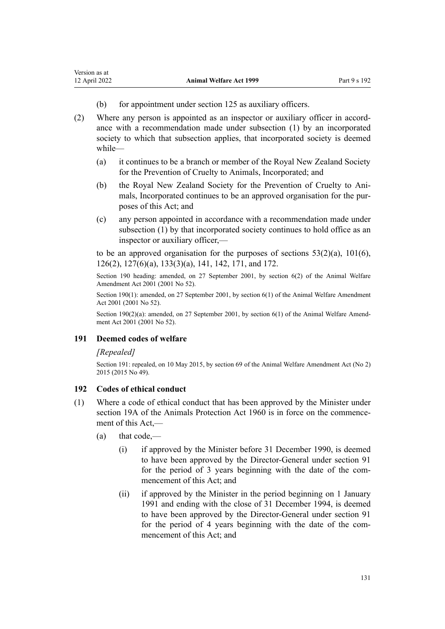- (b) for appointment under [section 125](#page-84-0) as auxiliary officers.
- <span id="page-130-0"></span>(2) Where any person is appointed as an inspector or auxiliary officer in accord‐ ance with a recommendation made under subsection (1) by an incorporated society to which that subsection applies, that incorporated society is deemed while—
	- (a) it continues to be a branch or member of the Royal New Zealand Society for the Prevention of Cruelty to Animals, Incorporated; and
	- (b) the Royal New Zealand Society for the Prevention of Cruelty to Animals, Incorporated continues to be an approved organisation for the pur‐ poses of this Act; and
	- (c) any person appointed in accordance with a recommendation made under subsection (1) by that incorporated society continues to hold office as an inspector or auxiliary officer,—

to be an approved organisation for the purposes of sections  $53(2)(a)$ ,  $101(6)$ , [126\(2\),](#page-84-0) [127\(6\)\(a\)](#page-84-0), [133\(3\)\(a\)](#page-89-0), [141](#page-95-0), [142](#page-98-0), [171](#page-115-0), and [172.](#page-115-0)

Section 190 heading: amended, on 27 September 2001, by [section 6\(2\)](http://legislation.govt.nz/pdflink.aspx?id=DLM110929) of the Animal Welfare Amendment Act 2001 (2001 No 52).

Section 190(1): amended, on 27 September 2001, by [section 6\(1\)](http://legislation.govt.nz/pdflink.aspx?id=DLM110929) of the Animal Welfare Amendment Act 2001 (2001 No 52).

Section 190(2)(a): amended, on 27 September 2001, by section  $6(1)$  of the Animal Welfare Amendment Act 2001 (2001 No 52).

# **191 Deemed codes of welfare**

### *[Repealed]*

Section 191: repealed, on 10 May 2015, by [section 69](http://legislation.govt.nz/pdflink.aspx?id=DLM5174907) of the Animal Welfare Amendment Act (No 2) 2015 (2015 No 49).

### **192 Codes of ethical conduct**

- (1) Where a code of ethical conduct that has been approved by the Minister under section 19A of the Animals Protection Act 1960 is in force on the commencement of this Act,—
	- (a) that code,—
		- (i) if approved by the Minister before 31 December 1990, is deemed to have been approved by the Director-General under [section 91](#page-65-0) for the period of 3 years beginning with the date of the commencement of this Act; and
		- (ii) if approved by the Minister in the period beginning on 1 January 1991 and ending with the close of 31 December 1994, is deemed to have been approved by the Director-General under [section 91](#page-65-0) for the period of 4 years beginning with the date of the commencement of this Act; and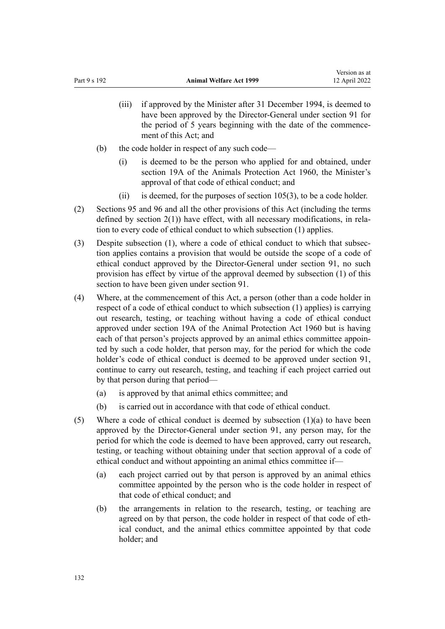- (iii) if approved by the Minister after 31 December 1994, is deemed to have been approved by the Director-General under [section 91](#page-65-0) for the period of 5 years beginning with the date of the commencement of this Act; and
- (b) the code holder in respect of any such code—
	- (i) is deemed to be the person who applied for and obtained, under section 19A of the Animals Protection Act 1960, the Minister's approval of that code of ethical conduct; and
	- (ii) is deemed, for the purposes of section  $105(3)$ , to be a code holder.
- (2) [Sections 95](#page-67-0) and [96](#page-67-0) and all the other provisions of this Act (including the terms defined by section  $2(1)$ ) have effect, with all necessary modifications, in relation to every code of ethical conduct to which subsection (1) applies.
- (3) Despite subsection (1), where a code of ethical conduct to which that subsec‐ tion applies contains a provision that would be outside the scope of a code of ethical conduct approved by the Director-General under [section 91](#page-65-0), no such provision has effect by virtue of the approval deemed by subsection (1) of this section to have been given under section 91.
- (4) Where, at the commencement of this Act, a person (other than a code holder in respect of a code of ethical conduct to which subsection (1) applies) is carrying out research, testing, or teaching without having a code of ethical conduct approved under section 19A of the Animal Protection Act 1960 but is having each of that person's projects approved by an animal ethics committee appointed by such a code holder, that person may, for the period for which the code holder's code of ethical conduct is deemed to be approved under [section 91](#page-65-0), continue to carry out research, testing, and teaching if each project carried out by that person during that period—
	- (a) is approved by that animal ethics committee; and
	- (b) is carried out in accordance with that code of ethical conduct.
- (5) Where a code of ethical conduct is deemed by subsection  $(1)(a)$  to have been approved by the Director-General under [section 91,](#page-65-0) any person may, for the period for which the code is deemed to have been approved, carry out research, testing, or teaching without obtaining under that section approval of a code of ethical conduct and without appointing an animal ethics committee if—
	- (a) each project carried out by that person is approved by an animal ethics committee appointed by the person who is the code holder in respect of that code of ethical conduct; and
	- (b) the arrangements in relation to the research, testing, or teaching are agreed on by that person, the code holder in respect of that code of ethical conduct, and the animal ethics committee appointed by that code holder; and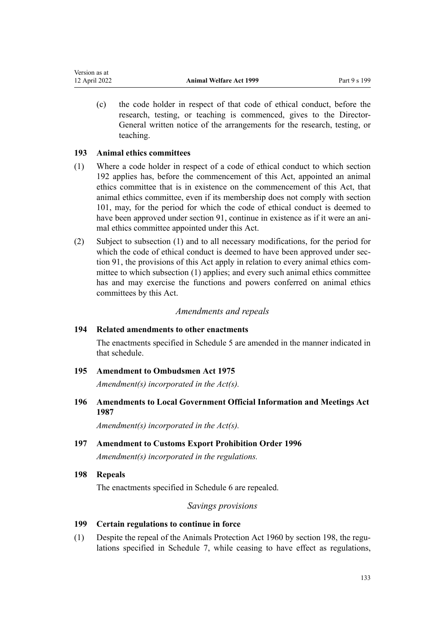| version as at |                                |              |
|---------------|--------------------------------|--------------|
| 12 April 2022 | <b>Animal Welfare Act 1999</b> | Part 9 s 199 |

(c) the code holder in respect of that code of ethical conduct, before the research, testing, or teaching is commenced, gives to the Director-General written notice of the arrangements for the research, testing, or teaching.

### **193 Animal ethics committees**

<span id="page-132-0"></span> $\mathbf{v}$  as at at a set  $\mathbf{v}$ 

- (1) Where a code holder in respect of a code of ethical conduct to which [section](#page-130-0) [192](#page-130-0) applies has, before the commencement of this Act, appointed an animal ethics committee that is in existence on the commencement of this Act, that animal ethics committee, even if its membership does not comply with [section](#page-71-0) [101](#page-71-0), may, for the period for which the code of ethical conduct is deemed to have been approved under [section 91,](#page-65-0) continue in existence as if it were an animal ethics committee appointed under this Act.
- (2) Subject to subsection (1) and to all necessary modifications, for the period for which the code of ethical conduct is deemed to have been approved under sec[tion 91,](#page-65-0) the provisions of this Act apply in relation to every animal ethics committee to which subsection (1) applies; and every such animal ethics committee has and may exercise the functions and powers conferred on animal ethics committees by this Act.

### *Amendments and repeals*

# **194 Related amendments to other enactments**

The enactments specified in [Schedule 5](#page-148-0) are amended in the manner indicated in that schedule.

# **195 Amendment to Ombudsmen Act 1975**

*Amendment(s) incorporated in the [Act\(s\).](http://legislation.govt.nz/pdflink.aspx?id=DLM431296)*

**196 Amendments to Local Government Official Information and Meetings Act 1987**

*Amendment(s) incorporated in the [Act\(s\).](http://legislation.govt.nz/pdflink.aspx?id=DLM123080)*

- **197 Amendment to Customs Export Prohibition Order 1996** *Amendment(s) incorporated in the [regulations](http://legislation.govt.nz/pdflink.aspx?id=DLM221990).*
- **198 Repeals**

The enactments specified in [Schedule 6](#page-149-0) are repealed.

# *Savings provisions*

### **199 Certain regulations to continue in force**

(1) Despite the repeal of the Animals Protection Act 1960 by section 198, the regulations specified in [Schedule 7](#page-150-0), while ceasing to have effect as regulations,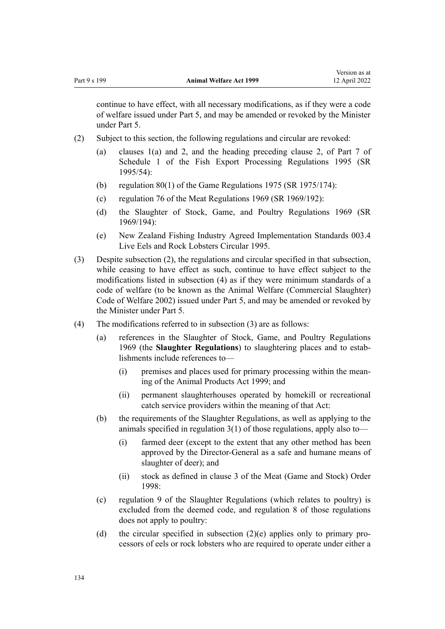continue to have effect, with all necessary modifications, as if they were a code of welfare issued under [Part 5](#page-52-0), and may be amended or revoked by the Minister under Part 5.

- (2) Subject to this section, the following regulations and circular are revoked:
	- (a) clauses 1(a) and 2, and the heading preceding clause 2, of Part 7 of Schedule 1 of the Fish Export Processing Regulations 1995 (SR 1995/54):
	- (b) regulation  $80(1)$  of the Game Regulations 1975 (SR 1975/174):
	- (c) regulation 76 of the Meat Regulations 1969 (SR 1969/192):
	- (d) the Slaughter of Stock, Game, and Poultry Regulations 1969 (SR 1969/194):
	- (e) New Zealand Fishing Industry Agreed Implementation Standards 003.4 Live Eels and Rock Lobsters Circular 1995.
- (3) Despite subsection (2), the regulations and circular specified in that subsection, while ceasing to have effect as such, continue to have effect subject to the modifications listed in subsection (4) as if they were minimum standards of a code of welfare (to be known as the Animal Welfare (Commercial Slaughter) Code of Welfare 2002) issued under [Part 5,](#page-52-0) and may be amended or revoked by the Minister under Part 5.
- (4) The modifications referred to in subsection (3) are as follows:
	- (a) references in the Slaughter of Stock, Game, and Poultry Regulations 1969 (the **Slaughter Regulations**) to slaughtering places and to estab‐ lishments include references to—
		- (i) premises and places used for primary processing within the mean‐ ing of the [Animal Products Act 1999](http://legislation.govt.nz/pdflink.aspx?id=DLM33501); and
		- (ii) permanent slaughterhouses operated by homekill or recreational catch service providers within the meaning of that Act:
	- (b) the requirements of the Slaughter Regulations, as well as applying to the animals specified in regulation 3(1) of those regulations, apply also to—
		- (i) farmed deer (except to the extent that any other method has been approved by the Director-General as a safe and humane means of slaughter of deer); and
		- (ii) stock as defined in clause 3 of the Meat (Game and Stock) Order 1998:
	- (c) regulation 9 of the Slaughter Regulations (which relates to poultry) is excluded from the deemed code, and regulation 8 of those regulations does not apply to poultry:
	- (d) the circular specified in subsection  $(2)(e)$  applies only to primary processors of eels or rock lobsters who are required to operate under either a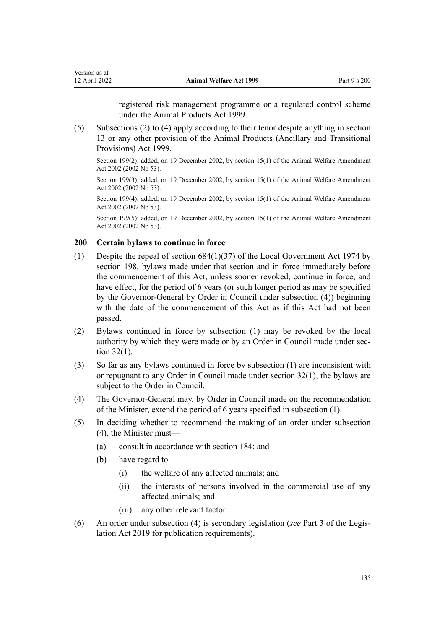registered risk management programme or a regulated control scheme under the [Animal Products Act 1999](http://legislation.govt.nz/pdflink.aspx?id=DLM33501).

<span id="page-134-0"></span>(5) Subsections (2) to (4) apply according to their tenor despite anything in [section](http://legislation.govt.nz/pdflink.aspx?id=DLM36199) [13](http://legislation.govt.nz/pdflink.aspx?id=DLM36199) or any other provision of the Animal Products (Ancillary and Transitional Provisions) Act 1999.

Section 199(2): added, on 19 December 2002, by [section 15\(1\)](http://legislation.govt.nz/pdflink.aspx?id=DLM167430) of the Animal Welfare Amendment Act 2002 (2002 No 53).

Section 199(3): added, on 19 December 2002, by [section 15\(1\)](http://legislation.govt.nz/pdflink.aspx?id=DLM167430) of the Animal Welfare Amendment Act 2002 (2002 No 53).

Section 199(4): added, on 19 December 2002, by [section 15\(1\)](http://legislation.govt.nz/pdflink.aspx?id=DLM167430) of the Animal Welfare Amendment Act 2002 (2002 No 53).

Section 199(5): added, on 19 December 2002, by [section 15\(1\)](http://legislation.govt.nz/pdflink.aspx?id=DLM167430) of the Animal Welfare Amendment Act 2002 (2002 No 53).

#### **200 Certain bylaws to continue in force**

- (1) Despite the repeal of [section 684\(1\)\(37\)](http://legislation.govt.nz/pdflink.aspx?id=DLM423807) of the Local Government Act 1974 by [section 198](#page-132-0), bylaws made under that section and in force immediately before the commencement of this Act, unless sooner revoked, continue in force, and have effect, for the period of 6 years (or such longer period as may be specified by the Governor-General by Order in Council under subsection (4)) beginning with the date of the commencement of this Act as if this Act had not been passed.
- (2) Bylaws continued in force by subsection (1) may be revoked by the local authority by which they were made or by an Order in Council made under sec[tion 32\(1\).](#page-36-0)
- (3) So far as any bylaws continued in force by subsection (1) are inconsistent with or repugnant to any Order in Council made under [section 32\(1\),](#page-36-0) the bylaws are subject to the Order in Council.
- (4) The Governor-General may, by Order in Council made on the recommendation of the Minister, extend the period of 6 years specified in subsection (1).
- (5) In deciding whether to recommend the making of an order under subsection (4), the Minister must—
	- (a) consult in accordance with [section 184;](#page-126-0) and
	- (b) have regard to—
		- (i) the welfare of any affected animals; and
		- (ii) the interests of persons involved in the commercial use of any affected animals; and
		- (iii) any other relevant factor.
- (6) An order under subsection (4) is secondary legislation (*see* [Part 3](http://legislation.govt.nz/pdflink.aspx?id=DLM7298343) of the Legis‐ lation Act 2019 for publication requirements).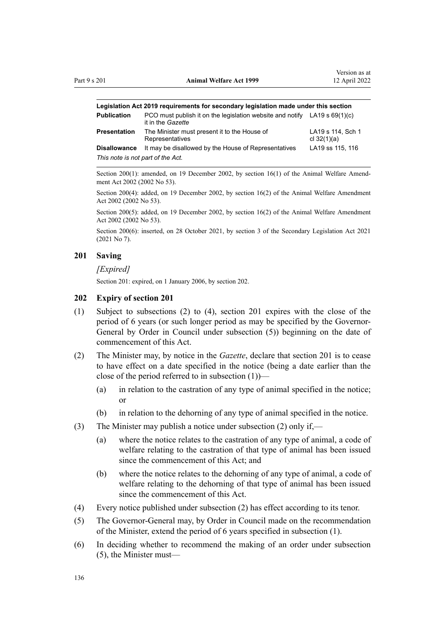<span id="page-135-0"></span>

| Legislation Act 2019 reguirements for secondary legislation made under this section |                                                                                                  |                                    |  |
|-------------------------------------------------------------------------------------|--------------------------------------------------------------------------------------------------|------------------------------------|--|
| <b>Publication</b>                                                                  | PCO must publish it on the legislation website and notify $LA19 s 69(1)(c)$<br>it in the Gazette |                                    |  |
| <b>Presentation</b>                                                                 | The Minister must present it to the House of<br>Representatives                                  | LA19 s 114, Sch 1<br>cl $32(1)(a)$ |  |
| <b>Disallowance</b>                                                                 | It may be disallowed by the House of Representatives                                             | LA19 ss 115, 116                   |  |
| This note is not part of the Act.                                                   |                                                                                                  |                                    |  |

Section 200(1): amended, on 19 December 2002, by [section 16\(1\)](http://legislation.govt.nz/pdflink.aspx?id=DLM167432) of the Animal Welfare Amendment Act 2002 (2002 No 53).

Section 200(4): added, on 19 December 2002, by [section 16\(2\)](http://legislation.govt.nz/pdflink.aspx?id=DLM167432) of the Animal Welfare Amendment Act 2002 (2002 No 53).

Section 200(5): added, on 19 December 2002, by [section 16\(2\)](http://legislation.govt.nz/pdflink.aspx?id=DLM167432) of the Animal Welfare Amendment Act 2002 (2002 No 53).

Section 200(6): inserted, on 28 October 2021, by [section 3](http://legislation.govt.nz/pdflink.aspx?id=LMS268932) of the Secondary Legislation Act 2021 (2021 No 7).

#### **201 Saving**

*[Expired]*

Section 201: expired, on 1 January 2006, by section 202.

#### **202 Expiry of section 201**

- (1) Subject to subsections (2) to (4), section 201 expires with the close of the period of 6 years (or such longer period as may be specified by the Governor-General by Order in Council under subsection (5)) beginning on the date of commencement of this Act.
- (2) The Minister may, by notice in the *Gazette*, declare that section 201 is to cease to have effect on a date specified in the notice (being a date earlier than the close of the period referred to in subsection  $(1)$ )–
	- (a) in relation to the castration of any type of animal specified in the notice; or
	- (b) in relation to the dehorning of any type of animal specified in the notice.
- (3) The Minister may publish a notice under subsection (2) only if,—
	- (a) where the notice relates to the castration of any type of animal, a code of welfare relating to the castration of that type of animal has been issued since the commencement of this Act; and
	- (b) where the notice relates to the dehorning of any type of animal, a code of welfare relating to the dehorning of that type of animal has been issued since the commencement of this Act.
- (4) Every notice published under subsection (2) has effect according to its tenor.
- (5) The Governor-General may, by Order in Council made on the recommendation of the Minister, extend the period of 6 years specified in subsection (1).
- (6) In deciding whether to recommend the making of an order under subsection (5), the Minister must—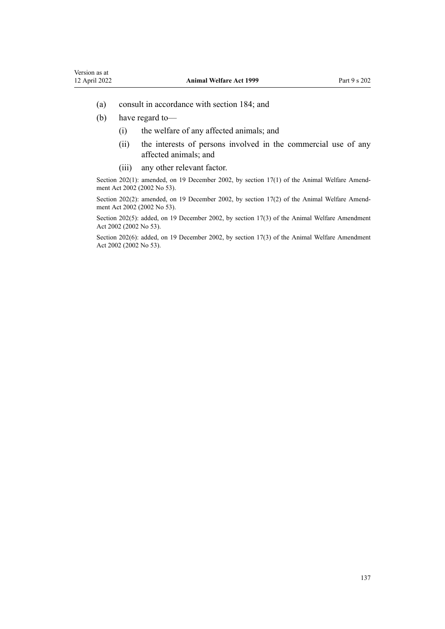- (a) consult in accordance with [section 184;](#page-126-0) and
- (b) have regard to—
	- (i) the welfare of any affected animals; and
	- (ii) the interests of persons involved in the commercial use of any affected animals; and
	- (iii) any other relevant factor.

Section 202(1): amended, on 19 December 2002, by [section 17\(1\)](http://legislation.govt.nz/pdflink.aspx?id=DLM167433) of the Animal Welfare Amendment Act 2002 (2002 No 53).

Section 202(2): amended, on 19 December 2002, by [section 17\(2\)](http://legislation.govt.nz/pdflink.aspx?id=DLM167433) of the Animal Welfare Amendment Act 2002 (2002 No 53).

Section 202(5): added, on 19 December 2002, by [section 17\(3\)](http://legislation.govt.nz/pdflink.aspx?id=DLM167433) of the Animal Welfare Amendment Act 2002 (2002 No 53).

Section 202(6): added, on 19 December 2002, by [section 17\(3\)](http://legislation.govt.nz/pdflink.aspx?id=DLM167433) of the Animal Welfare Amendment Act 2002 (2002 No 53).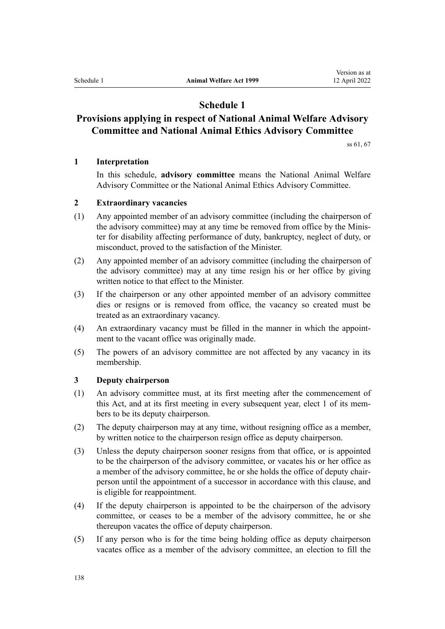# **Schedule 1**

# <span id="page-137-0"></span>**Provisions applying in respect of National Animal Welfare Advisory Committee and National Animal Ethics Advisory Committee**

[ss 61,](#page-50-0) [67](#page-52-0)

### **1 Interpretation**

In this schedule, **advisory committee** means the National Animal Welfare Advisory Committee or the National Animal Ethics Advisory Committee.

### **2 Extraordinary vacancies**

- (1) Any appointed member of an advisory committee (including the chairperson of the advisory committee) may at any time be removed from office by the Minister for disability affecting performance of duty, bankruptcy, neglect of duty, or misconduct, proved to the satisfaction of the Minister.
- (2) Any appointed member of an advisory committee (including the chairperson of the advisory committee) may at any time resign his or her office by giving written notice to that effect to the Minister.
- (3) If the chairperson or any other appointed member of an advisory committee dies or resigns or is removed from office, the vacancy so created must be treated as an extraordinary vacancy.
- (4) An extraordinary vacancy must be filled in the manner in which the appoint‐ ment to the vacant office was originally made.
- (5) The powers of an advisory committee are not affected by any vacancy in its membership.

### **3 Deputy chairperson**

- (1) An advisory committee must, at its first meeting after the commencement of this Act, and at its first meeting in every subsequent year, elect 1 of its members to be its deputy chairperson.
- (2) The deputy chairperson may at any time, without resigning office as a member, by written notice to the chairperson resign office as deputy chairperson.
- (3) Unless the deputy chairperson sooner resigns from that office, or is appointed to be the chairperson of the advisory committee, or vacates his or her office as a member of the advisory committee, he or she holds the office of deputy chair‐ person until the appointment of a successor in accordance with this clause, and is eligible for reappointment.
- (4) If the deputy chairperson is appointed to be the chairperson of the advisory committee, or ceases to be a member of the advisory committee, he or she thereupon vacates the office of deputy chairperson.
- (5) If any person who is for the time being holding office as deputy chairperson vacates office as a member of the advisory committee, an election to fill the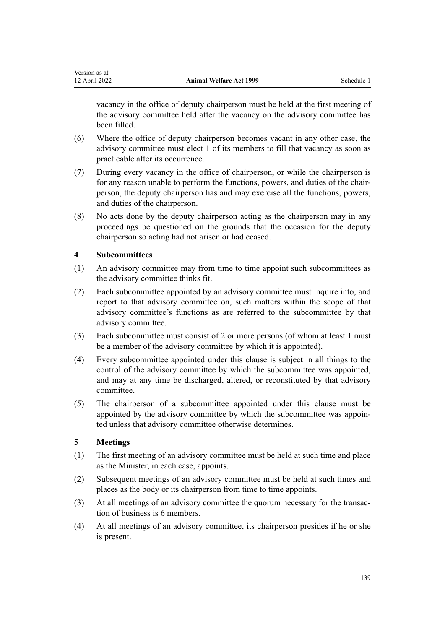<span id="page-138-0"></span>vacancy in the office of deputy chairperson must be held at the first meeting of the advisory committee held after the vacancy on the advisory committee has been filled.

- (6) Where the office of deputy chairperson becomes vacant in any other case, the advisory committee must elect 1 of its members to fill that vacancy as soon as practicable after its occurrence.
- (7) During every vacancy in the office of chairperson, or while the chairperson is for any reason unable to perform the functions, powers, and duties of the chairperson, the deputy chairperson has and may exercise all the functions, powers, and duties of the chairperson.
- (8) No acts done by the deputy chairperson acting as the chairperson may in any proceedings be questioned on the grounds that the occasion for the deputy chairperson so acting had not arisen or had ceased.

# **4 Subcommittees**

- (1) An advisory committee may from time to time appoint such subcommittees as the advisory committee thinks fit.
- (2) Each subcommittee appointed by an advisory committee must inquire into, and report to that advisory committee on, such matters within the scope of that advisory committee's functions as are referred to the subcommittee by that advisory committee.
- (3) Each subcommittee must consist of 2 or more persons (of whom at least 1 must be a member of the advisory committee by which it is appointed).
- (4) Every subcommittee appointed under this clause is subject in all things to the control of the advisory committee by which the subcommittee was appointed, and may at any time be discharged, altered, or reconstituted by that advisory committee.
- (5) The chairperson of a subcommittee appointed under this clause must be appointed by the advisory committee by which the subcommittee was appoin‐ ted unless that advisory committee otherwise determines.

# **5 Meetings**

- (1) The first meeting of an advisory committee must be held at such time and place as the Minister, in each case, appoints.
- (2) Subsequent meetings of an advisory committee must be held at such times and places as the body or its chairperson from time to time appoints.
- (3) At all meetings of an advisory committee the quorum necessary for the transac‐ tion of business is 6 members.
- (4) At all meetings of an advisory committee, its chairperson presides if he or she is present.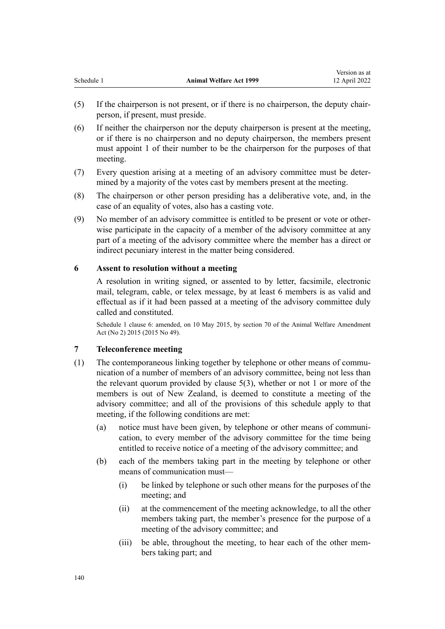Version as at

- (5) If the chairperson is not present, or if there is no chairperson, the deputy chair‐ person, if present, must preside.
- (6) If neither the chairperson nor the deputy chairperson is present at the meeting, or if there is no chairperson and no deputy chairperson, the members present must appoint 1 of their number to be the chairperson for the purposes of that meeting.
- (7) Every question arising at a meeting of an advisory committee must be deter‐ mined by a majority of the votes cast by members present at the meeting.
- (8) The chairperson or other person presiding has a deliberative vote, and, in the case of an equality of votes, also has a casting vote.
- (9) No member of an advisory committee is entitled to be present or vote or other‐ wise participate in the capacity of a member of the advisory committee at any part of a meeting of the advisory committee where the member has a direct or indirect pecuniary interest in the matter being considered.

# **6 Assent to resolution without a meeting**

A resolution in writing signed, or assented to by letter, facsimile, electronic mail, telegram, cable, or telex message, by at least 6 members is as valid and effectual as if it had been passed at a meeting of the advisory committee duly called and constituted.

Schedule 1 clause 6: amended, on 10 May 2015, by [section 70](http://legislation.govt.nz/pdflink.aspx?id=DLM5174908) of the Animal Welfare Amendment Act (No 2) 2015 (2015 No 49).

# **7 Teleconference meeting**

- $(1)$  The contemporaneous linking together by telephone or other means of communication of a number of members of an advisory committee, being not less than the relevant quorum provided by [clause 5\(3\)](#page-138-0), whether or not 1 or more of the members is out of New Zealand, is deemed to constitute a meeting of the advisory committee; and all of the provisions of this schedule apply to that meeting, if the following conditions are met:
	- (a) notice must have been given, by telephone or other means of communi‐ cation, to every member of the advisory committee for the time being entitled to receive notice of a meeting of the advisory committee; and
	- (b) each of the members taking part in the meeting by telephone or other means of communication must—
		- (i) be linked by telephone or such other means for the purposes of the meeting; and
		- (ii) at the commencement of the meeting acknowledge, to all the other members taking part, the member's presence for the purpose of a meeting of the advisory committee; and
		- (iii) be able, throughout the meeting, to hear each of the other members taking part; and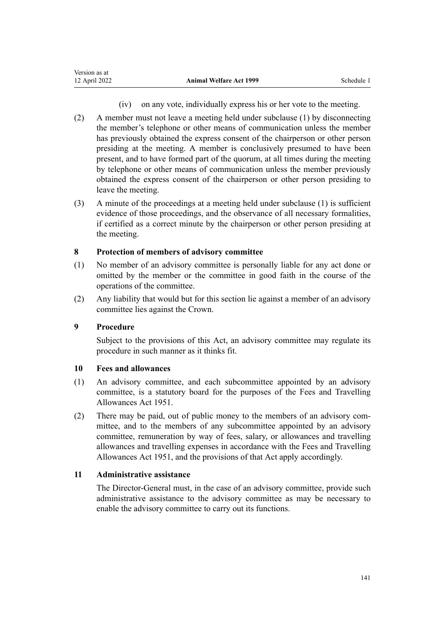(iv) on any vote, individually express his or her vote to the meeting.

- (2) A member must not leave a meeting held under subclause (1) by disconnecting the member's telephone or other means of communication unless the member has previously obtained the express consent of the chairperson or other person presiding at the meeting. A member is conclusively presumed to have been present, and to have formed part of the quorum, at all times during the meeting by telephone or other means of communication unless the member previously obtained the express consent of the chairperson or other person presiding to leave the meeting.
- (3) A minute of the proceedings at a meeting held under subclause (1) is sufficient evidence of those proceedings, and the observance of all necessary formalities, if certified as a correct minute by the chairperson or other person presiding at the meeting.

### **8 Protection of members of advisory committee**

- (1) No member of an advisory committee is personally liable for any act done or omitted by the member or the committee in good faith in the course of the operations of the committee.
- (2) Any liability that would but for this section lie against a member of an advisory committee lies against the Crown.

### **9 Procedure**

Subject to the provisions of this Act, an advisory committee may regulate its procedure in such manner as it thinks fit.

### **10 Fees and allowances**

- (1) An advisory committee, and each subcommittee appointed by an advisory committee, is a statutory board for the purposes of the [Fees and Travelling](http://legislation.govt.nz/pdflink.aspx?id=DLM264952) [Allowances Act 1951.](http://legislation.govt.nz/pdflink.aspx?id=DLM264952)
- (2) There may be paid, out of public money to the members of an advisory com‐ mittee, and to the members of any subcommittee appointed by an advisory committee, remuneration by way of fees, salary, or allowances and travelling allowances and travelling expenses in accordance with the [Fees and Travelling](http://legislation.govt.nz/pdflink.aspx?id=DLM264952) [Allowances Act 1951,](http://legislation.govt.nz/pdflink.aspx?id=DLM264952) and the provisions of that Act apply accordingly.

# **11 Administrative assistance**

The Director-General must, in the case of an advisory committee, provide such administrative assistance to the advisory committee as may be necessary to enable the advisory committee to carry out its functions.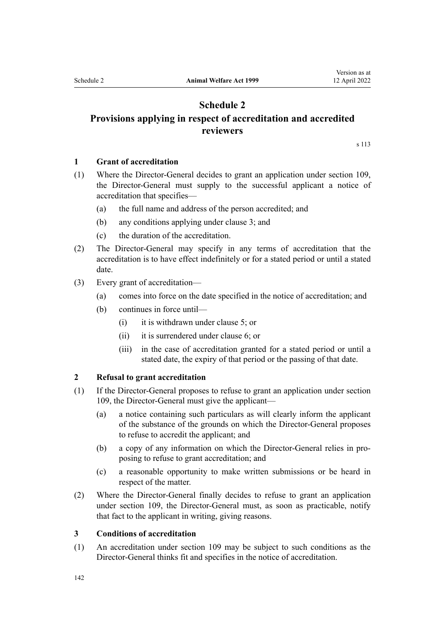# <span id="page-141-0"></span>**Schedule 2 Provisions applying in respect of accreditation and accredited reviewers**

[s 113](#page-75-0)

### **1 Grant of accreditation**

- (1) Where the Director-General decides to grant an application under [section 109](#page-74-0), the Director-General must supply to the successful applicant a notice of accreditation that specifies—
	- (a) the full name and address of the person accredited; and
	- (b) any conditions applying under clause 3; and
	- (c) the duration of the accreditation.
- (2) The Director-General may specify in any terms of accreditation that the accreditation is to have effect indefinitely or for a stated period or until a stated date.
- (3) Every grant of accreditation—
	- (a) comes into force on the date specified in the notice of accreditation; and
	- (b) continues in force until—
		- (i) it is withdrawn under [clause 5](#page-142-0); or
		- (ii) it is surrendered under [clause 6;](#page-142-0) or
		- (iii) in the case of accreditation granted for a stated period or until a stated date, the expiry of that period or the passing of that date.

### **2 Refusal to grant accreditation**

- (1) If the Director-General proposes to refuse to grant an application under [section](#page-74-0) [109](#page-74-0), the Director-General must give the applicant—
	- (a) a notice containing such particulars as will clearly inform the applicant of the substance of the grounds on which the Director-General proposes to refuse to accredit the applicant; and
	- (b) a copy of any information on which the Director-General relies in pro‐ posing to refuse to grant accreditation; and
	- (c) a reasonable opportunity to make written submissions or be heard in respect of the matter.
- (2) Where the Director-General finally decides to refuse to grant an application under [section 109,](#page-74-0) the Director-General must, as soon as practicable, notify that fact to the applicant in writing, giving reasons.

### **3 Conditions of accreditation**

(1) An accreditation under [section 109](#page-74-0) may be subject to such conditions as the Director-General thinks fit and specifies in the notice of accreditation.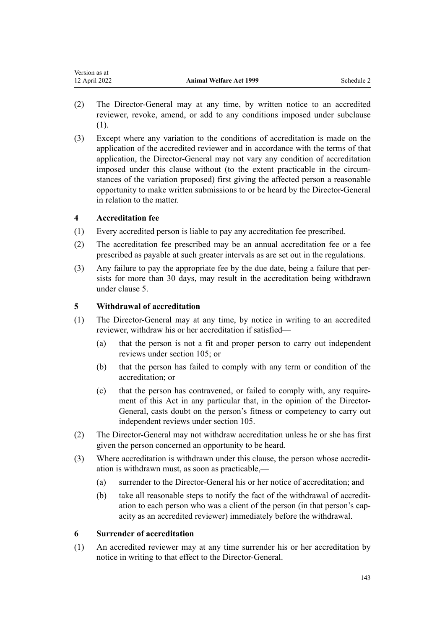- <span id="page-142-0"></span>(2) The Director-General may at any time, by written notice to an accredited reviewer, revoke, amend, or add to any conditions imposed under subclause (1).
- (3) Except where any variation to the conditions of accreditation is made on the application of the accredited reviewer and in accordance with the terms of that application, the Director-General may not vary any condition of accreditation imposed under this clause without (to the extent practicable in the circumstances of the variation proposed) first giving the affected person a reasonable opportunity to make written submissions to or be heard by the Director-General in relation to the matter.

# **4 Accreditation fee**

- (1) Every accredited person is liable to pay any accreditation fee prescribed.
- (2) The accreditation fee prescribed may be an annual accreditation fee or a fee prescribed as payable at such greater intervals as are set out in the regulations.
- (3) Any failure to pay the appropriate fee by the due date, being a failure that per‐ sists for more than 30 days, may result in the accreditation being withdrawn under clause 5.

# **5 Withdrawal of accreditation**

- (1) The Director-General may at any time, by notice in writing to an accredited reviewer, withdraw his or her accreditation if satisfied—
	- (a) that the person is not a fit and proper person to carry out independent reviews under [section 105;](#page-73-0) or
	- (b) that the person has failed to comply with any term or condition of the accreditation; or
	- (c) that the person has contravened, or failed to comply with, any require‐ ment of this Act in any particular that, in the opinion of the Director-General, casts doubt on the person's fitness or competency to carry out independent reviews under [section 105.](#page-73-0)
- (2) The Director-General may not withdraw accreditation unless he or she has first given the person concerned an opportunity to be heard.
- (3) Where accreditation is withdrawn under this clause, the person whose accredit‐ ation is withdrawn must, as soon as practicable,—
	- (a) surrender to the Director-General his or her notice of accreditation; and
	- (b) take all reasonable steps to notify the fact of the withdrawal of accredit‐ ation to each person who was a client of the person (in that person's cap‐ acity as an accredited reviewer) immediately before the withdrawal.

# **6 Surrender of accreditation**

(1) An accredited reviewer may at any time surrender his or her accreditation by notice in writing to that effect to the Director-General.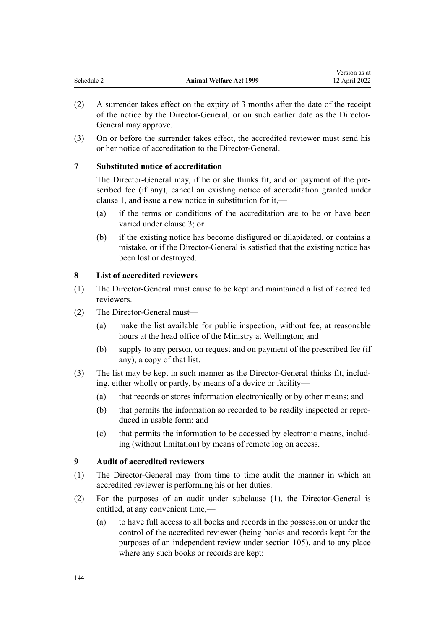|            |                                | Version as at |
|------------|--------------------------------|---------------|
| Schedule 2 | <b>Animal Welfare Act 1999</b> | 12 April 2022 |

- (2) A surrender takes effect on the expiry of 3 months after the date of the receipt of the notice by the Director-General, or on such earlier date as the Director-General may approve.
- (3) On or before the surrender takes effect, the accredited reviewer must send his or her notice of accreditation to the Director-General.

# **7 Substituted notice of accreditation**

The Director-General may, if he or she thinks fit, and on payment of the pre‐ scribed fee (if any), cancel an existing notice of accreditation granted under [clause 1,](#page-141-0) and issue a new notice in substitution for it,—

- (a) if the terms or conditions of the accreditation are to be or have been varied under [clause 3](#page-141-0); or
- (b) if the existing notice has become disfigured or dilapidated, or contains a mistake, or if the Director-General is satisfied that the existing notice has been lost or destroyed.

# **8 List of accredited reviewers**

- (1) The Director-General must cause to be kept and maintained a list of accredited reviewers.
- (2) The Director-General must—
	- (a) make the list available for public inspection, without fee, at reasonable hours at the head office of the Ministry at Wellington; and
	- (b) supply to any person, on request and on payment of the prescribed fee (if any), a copy of that list.
- (3) The list may be kept in such manner as the Director-General thinks fit, includ‐ ing, either wholly or partly, by means of a device or facility—
	- (a) that records or stores information electronically or by other means; and
	- (b) that permits the information so recorded to be readily inspected or repro‐ duced in usable form; and
	- (c) that permits the information to be accessed by electronic means, includ‐ ing (without limitation) by means of remote log on access.

# **9 Audit of accredited reviewers**

- (1) The Director-General may from time to time audit the manner in which an accredited reviewer is performing his or her duties.
- (2) For the purposes of an audit under subclause (1), the Director-General is entitled, at any convenient time,—
	- (a) to have full access to all books and records in the possession or under the control of the accredited reviewer (being books and records kept for the purposes of an independent review under [section 105\)](#page-73-0), and to any place where any such books or records are kept: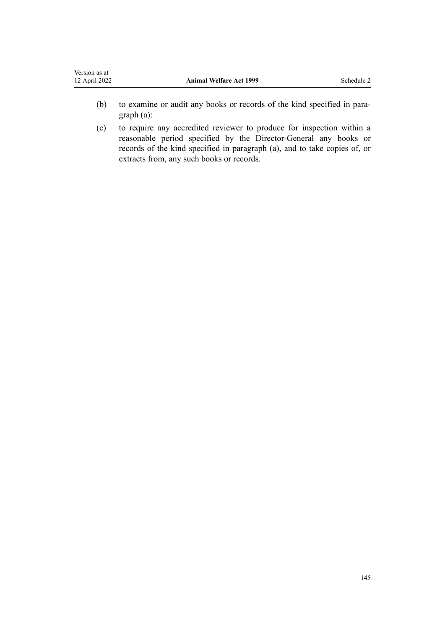(c) to require any accredited reviewer to produce for inspection within a reasonable period specified by the Director-General any books or records of the kind specified in paragraph (a), and to take copies of, or extracts from, any such books or records.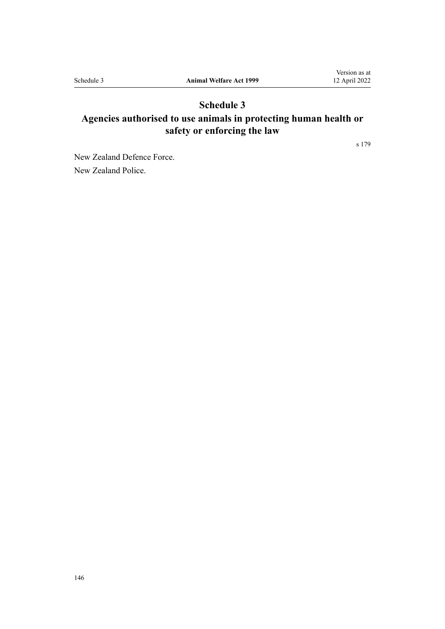# **Schedule 3 Agencies authorised to use animals in protecting human health or safety or enforcing the law**

[s 179](#page-117-0)

New Zealand Defence Force. New Zealand Police.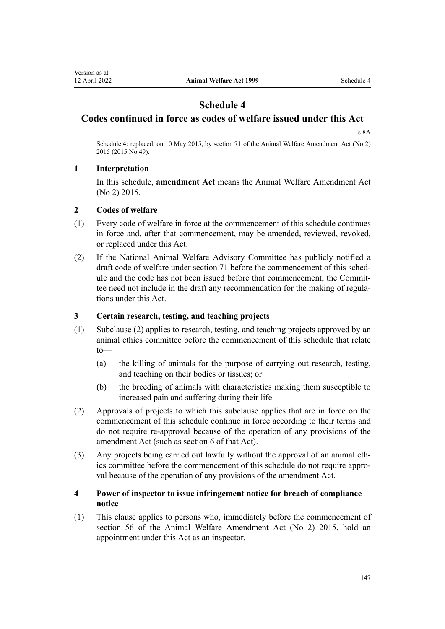## **Schedule 4**

## **Codes continued in force as codes of welfare issued under this Act**

[s 8A](#page-23-0)

Schedule 4: replaced, on 10 May 2015, by [section 71](http://legislation.govt.nz/pdflink.aspx?id=DLM5174909) of the Animal Welfare Amendment Act (No 2) 2015 (2015 No 49).

#### **1 Interpretation**

Version as at

In this schedule, **amendment Act** means the [Animal Welfare Amendment Act](http://legislation.govt.nz/pdflink.aspx?id=DLM5174801) [\(No 2\) 2015](http://legislation.govt.nz/pdflink.aspx?id=DLM5174801).

#### **2 Codes of welfare**

- (1) Every code of welfare in force at the commencement of this schedule continues in force and, after that commencement, may be amended, reviewed, revoked, or replaced under this Act.
- (2) If the National Animal Welfare Advisory Committee has publicly notified a draft code of welfare under [section 71](#page-53-0) before the commencement of this schedule and the code has not been issued before that commencement, the Committee need not include in the draft any recommendation for the making of regulations under this Act.

#### **3 Certain research, testing, and teaching projects**

- (1) Subclause (2) applies to research, testing, and teaching projects approved by an animal ethics committee before the commencement of this schedule that relate  $t_0$ 
	- (a) the killing of animals for the purpose of carrying out research, testing, and teaching on their bodies or tissues; or
	- (b) the breeding of animals with characteristics making them susceptible to increased pain and suffering during their life.
- (2) Approvals of projects to which this subclause applies that are in force on the commencement of this schedule continue in force according to their terms and do not require re-approval because of the operation of any provisions of the amendment Act (such as [section 6](http://legislation.govt.nz/pdflink.aspx?id=DLM5174826) of that Act).
- (3) Any projects being carried out lawfully without the approval of an animal ethics committee before the commencement of this schedule do not require appro‐ val because of the operation of any provisions of the amendment Act.

#### **4 Power of inspector to issue infringement notice for breach of compliance notice**

(1) This clause applies to persons who, immediately before the commencement of [section 56](http://legislation.govt.nz/pdflink.aspx?id=DLM5174890) of the Animal Welfare Amendment Act (No 2) 2015, hold an appointment under this Act as an inspector.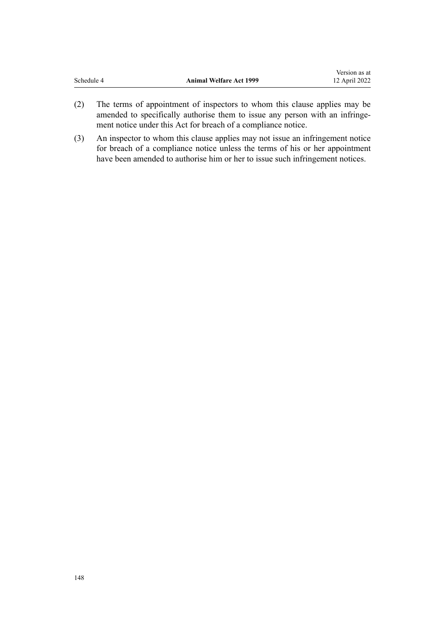|     | Schedule 4<br><b>Animal Welfare Act 1999</b>                                                                                                                                                                               | 12 April 2022 |
|-----|----------------------------------------------------------------------------------------------------------------------------------------------------------------------------------------------------------------------------|---------------|
| (2) | The terms of appointment of inspectors to whom this clause applies may be<br>amended to specifically authorise them to issue any person with an infringe-<br>ment notice under this Act for breach of a compliance notice. |               |
| (3) | An inspector to whom this clause applies may not issue an infringement notice<br>for breach of a compliance notice unless the terms of his or her appointment                                                              |               |

Version as at

have been amended to authorise him or her to issue such infringement notices.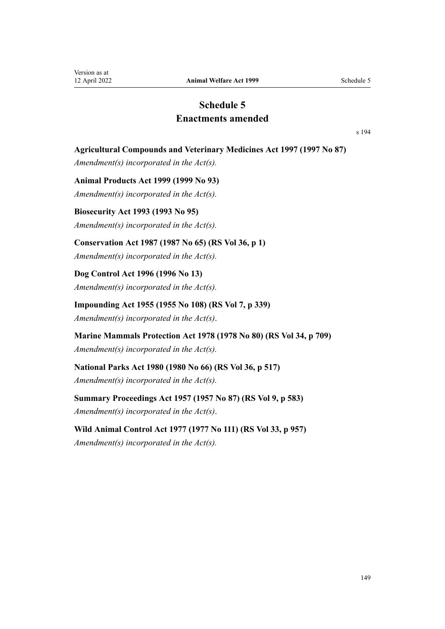# **Schedule 5 Enactments amended**

[s 194](#page-132-0)

#### **Agricultural Compounds and Veterinary Medicines Act 1997 (1997 No 87)**

*Amendment(s) incorporated in the [Act\(s\).](http://legislation.govt.nz/pdflink.aspx?id=DLM415175)*

#### **Animal Products Act 1999 (1999 No 93)**

*Amendment(s) incorporated in the [Act\(s\).](http://legislation.govt.nz/pdflink.aspx?id=DLM36101)*

# **Biosecurity Act 1993 (1993 No 95)**

*Amendment(s) incorporated in the [Act\(s\).](http://legislation.govt.nz/pdflink.aspx?id=DLM315227)*

#### **Conservation Act 1987 (1987 No 65) (RS Vol 36, p 1)**

*Amendment(s) incorporated in the [Act\(s\).](http://legislation.govt.nz/pdflink.aspx?id=DLM103616)*

## **Dog Control Act 1996 (1996 No 13)** *Amendment(s) incorporated in the [Act\(s\).](http://legislation.govt.nz/pdflink.aspx?id=DLM374415)*

#### **Impounding Act 1955 (1955 No 108) (RS Vol 7, p 339)**

*Amendment(s) incorporated in the [Act\(s\)](http://legislation.govt.nz/pdflink.aspx?id=DLM294219)*.

## **Marine Mammals Protection Act 1978 (1978 No 80) (RS Vol 34, p 709)** *Amendment(s) incorporated in the [Act\(s\).](http://legislation.govt.nz/pdflink.aspx?id=DLM25367)*

# **National Parks Act 1980 (1980 No 66) (RS Vol 36, p 517)**

*Amendment(s) incorporated in the [Act\(s\).](http://legislation.govt.nz/pdflink.aspx?id=DLM36968)*

### **Summary Proceedings Act 1957 (1957 No 87) (RS Vol 9, p 583)**

*Amendment(s) incorporated in the [Act\(s\)](http://legislation.govt.nz/pdflink.aspx?id=DLM310749)*.

# **Wild Animal Control Act 1977 (1977 No 111) (RS Vol 33, p 957)**

*Amendment(s) incorporated in the [Act\(s\).](http://legislation.govt.nz/pdflink.aspx?id=DLM17209)*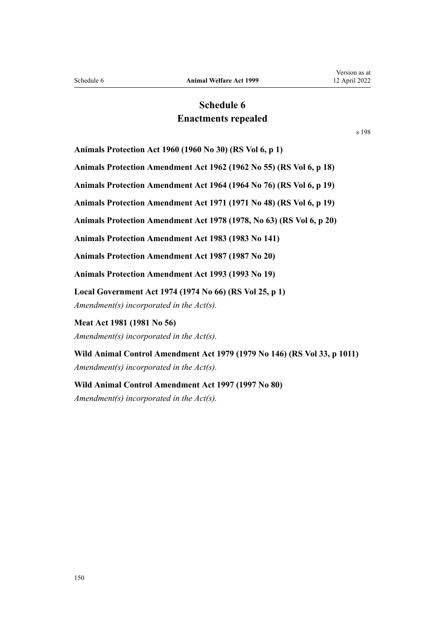# **Schedule 6 Enactments repealed**

[s 198](#page-132-0)

**Animals Protection Act 1960 (1960 No 30) (RS Vol 6, p 1)**

**Animals Protection Amendment Act 1962 (1962 No 55) (RS Vol 6, p 18)**

**Animals Protection Amendment Act 1964 (1964 No 76) (RS Vol 6, p 19)**

**Animals Protection Amendment Act 1971 (1971 No 48) (RS Vol 6, p 19)**

**Animals Protection Amendment Act 1978 (1978, No 63) (RS Vol 6, p 20)**

**Animals Protection Amendment Act 1983 (1983 No 141)**

**Animals Protection Amendment Act 1987 (1987 No 20)**

**Animals Protection Amendment Act 1993 (1993 No 19)**

**Local Government Act 1974 (1974 No 66) (RS Vol 25, p 1)**

*Amendment(s) incorporated in the [Act\(s\).](http://legislation.govt.nz/pdflink.aspx?id=DLM423807)*

**Meat Act 1981 (1981 No 56)** *Amendment(s) incorporated in the Act(s).*

**Wild Animal Control Amendment Act 1979 (1979 No 146) (RS Vol 33, p 1011)** *Amendment(s) incorporated in the Act(s).*

**Wild Animal Control Amendment Act 1997 (1997 No 80)**

*Amendment(s) incorporated in the [Act\(s\).](http://legislation.govt.nz/pdflink.aspx?id=DLM413171)*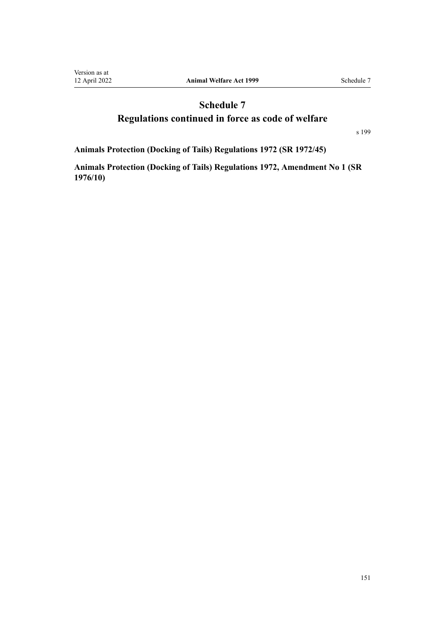# **Schedule 7 Regulations continued in force as code of welfare**

[s 199](#page-132-0)

**Animals Protection (Docking of Tails) Regulations 1972 (SR 1972/45)**

**Animals Protection (Docking of Tails) Regulations 1972, Amendment No 1 (SR 1976/10)**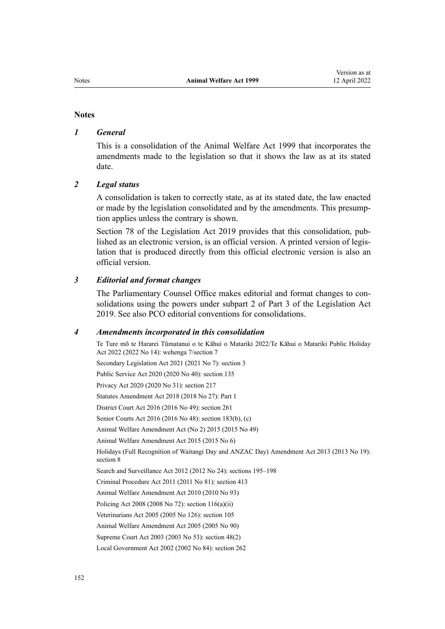#### **Notes**

#### *1 General*

This is a consolidation of the Animal Welfare Act 1999 that incorporates the amendments made to the legislation so that it shows the law as at its stated date.

#### *2 Legal status*

A consolidation is taken to correctly state, as at its stated date, the law enacted or made by the legislation consolidated and by the amendments. This presump‐ tion applies unless the contrary is shown.

[Section 78](http://legislation.govt.nz/pdflink.aspx?id=DLM7298365) of the Legislation Act 2019 provides that this consolidation, published as an electronic version, is an official version. A printed version of legis‐ lation that is produced directly from this official electronic version is also an official version.

#### *3 Editorial and format changes*

The Parliamentary Counsel Office makes editorial and format changes to consolidations using the powers under [subpart 2](http://legislation.govt.nz/pdflink.aspx?id=DLM7298371) of Part 3 of the Legislation Act 2019. See also [PCO editorial conventions for consolidations](http://www.pco.govt.nz/editorial-conventions/).

#### *4 Amendments incorporated in this consolidation*

Te Ture mō te Hararei Tūmatanui o te Kāhui o Matariki 2022/Te Kāhui o Matariki Public Holiday Act 2022 (2022 No 14): [wehenga 7/](http://legislation.govt.nz/pdflink.aspx?id=LMS557838)[section 7](http://legislation.govt.nz/pdflink.aspx?id=LMS557848) Secondary Legislation Act 2021 (2021 No 7): [section 3](http://legislation.govt.nz/pdflink.aspx?id=LMS268932) Public Service Act 2020 (2020 No 40): [section 135](http://legislation.govt.nz/pdflink.aspx?id=LMS176959) Privacy Act 2020 (2020 No 31): [section 217](http://legislation.govt.nz/pdflink.aspx?id=LMS23706) Statutes Amendment Act 2018 (2018 No 27): [Part 1](http://legislation.govt.nz/pdflink.aspx?id=DLM7227046) District Court Act 2016 (2016 No 49): [section 261](http://legislation.govt.nz/pdflink.aspx?id=DLM6942680) Senior Courts Act 2016 (2016 No 48): [section 183\(b\), \(c\)](http://legislation.govt.nz/pdflink.aspx?id=DLM5759564) [Animal Welfare Amendment Act \(No 2\) 2015](http://legislation.govt.nz/pdflink.aspx?id=DLM5174801) (2015 No 49) [Animal Welfare Amendment Act 2015](http://legislation.govt.nz/pdflink.aspx?id=DLM5940100) (2015 No 6) Holidays (Full Recognition of Waitangi Day and ANZAC Day) Amendment Act 2013 (2013 No 19): [section 8](http://legislation.govt.nz/pdflink.aspx?id=DLM4929207) Search and Surveillance Act 2012 (2012 No 24): [sections 195–198](http://legislation.govt.nz/pdflink.aspx?id=DLM2136917) Criminal Procedure Act 2011 (2011 No 81): [section 413](http://legislation.govt.nz/pdflink.aspx?id=DLM3360714) [Animal Welfare Amendment Act 2010](http://legislation.govt.nz/pdflink.aspx?id=DLM2747700) (2010 No 93) Policing Act 2008 (2008 No 72): [section 116\(a\)\(ii\)](http://legislation.govt.nz/pdflink.aspx?id=DLM1102349) Veterinarians Act 2005 (2005 No 126): [section 105](http://legislation.govt.nz/pdflink.aspx?id=DLM364675) [Animal Welfare Amendment Act 2005](http://legislation.govt.nz/pdflink.aspx?id=DLM360697) (2005 No 90) Supreme Court Act 2003 (2003 No 53): [section 48\(2\)](http://legislation.govt.nz/pdflink.aspx?id=DLM214522) Local Government Act 2002 (2002 No 84): [section 262](http://legislation.govt.nz/pdflink.aspx?id=DLM174088)